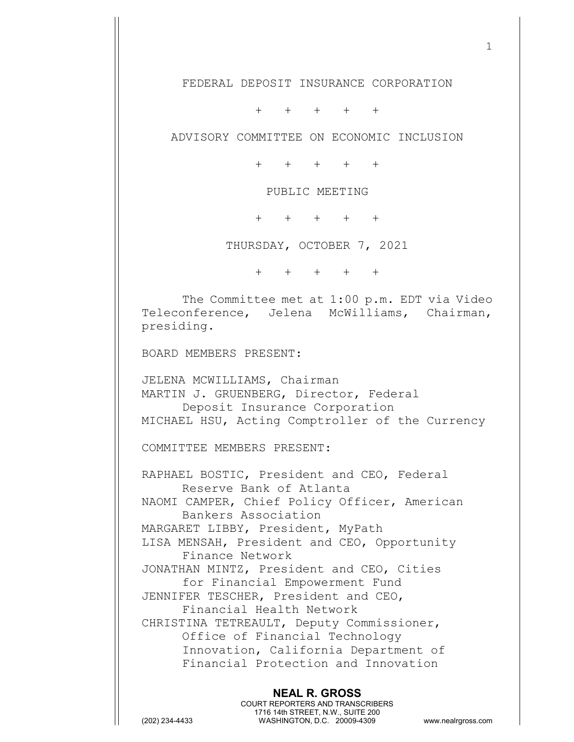FEDERAL DEPOSIT INSURANCE CORPORATION

+ + + + +

ADVISORY COMMITTEE ON ECONOMIC INCLUSION

+ + + + +

PUBLIC MEETING

+ + + + +

THURSDAY, OCTOBER 7, 2021

+ + + + +

The Committee met at 1:00 p.m. EDT via Video Teleconference, Jelena McWilliams, Chairman, presiding.

BOARD MEMBERS PRESENT:

JELENA MCWILLIAMS, Chairman MARTIN J. GRUENBERG, Director, Federal Deposit Insurance Corporation MICHAEL HSU, Acting Comptroller of the Currency

COMMITTEE MEMBERS PRESENT:

RAPHAEL BOSTIC, President and CEO, Federal Reserve Bank of Atlanta NAOMI CAMPER, Chief Policy Officer, American Bankers Association MARGARET LIBBY, President, MyPath LISA MENSAH, President and CEO, Opportunity Finance Network JONATHAN MINTZ, President and CEO, Cities for Financial Empowerment Fund JENNIFER TESCHER, President and CEO, Financial Health Network CHRISTINA TETREAULT, Deputy Commissioner, Office of Financial Technology Innovation, California Department of Financial Protection and Innovation

**NEAL R. GROSS** COURT REPORTERS AND TRANSCRIBERS 1716 14th STREET, N.W., SUITE 200 (202) 234-4433 WASHINGTON, D.C. 20009-4309 www.nealrgross.com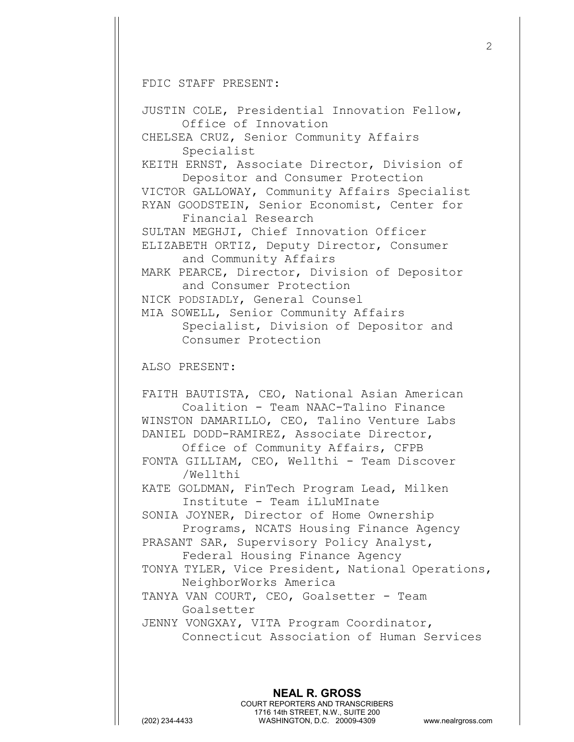FDIC STAFF PRESENT:

JUSTIN COLE, Presidential Innovation Fellow, Office of Innovation CHELSEA CRUZ, Senior Community Affairs Specialist KEITH ERNST, Associate Director, Division of Depositor and Consumer Protection VICTOR GALLOWAY, Community Affairs Specialist RYAN GOODSTEIN, Senior Economist, Center for Financial Research SULTAN MEGHJI, Chief Innovation Officer ELIZABETH ORTIZ, Deputy Director, Consumer and Community Affairs MARK PEARCE, Director, Division of Depositor and Consumer Protection NICK PODSIADLY, General Counsel MIA SOWELL, Senior Community Affairs Specialist, Division of Depositor and Consumer Protection ALSO PRESENT: FAITH BAUTISTA, CEO, National Asian American Coalition - Team NAAC-Talino Finance WINSTON DAMARILLO, CEO, Talino Venture Labs DANIEL DODD-RAMIREZ, Associate Director, Office of Community Affairs, CFPB FONTA GILLIAM, CEO, Wellthi - Team Discover /Wellthi KATE GOLDMAN, FinTech Program Lead, Milken Institute - Team iLluMInate SONIA JOYNER, Director of Home Ownership Programs, NCATS Housing Finance Agency PRASANT SAR, Supervisory Policy Analyst, Federal Housing Finance Agency TONYA TYLER, Vice President, National Operations, NeighborWorks America TANYA VAN COURT, CEO, Goalsetter - Team Goalsetter JENNY VONGXAY, VITA Program Coordinator, Connecticut Association of Human Services

**NEAL R. GROSS**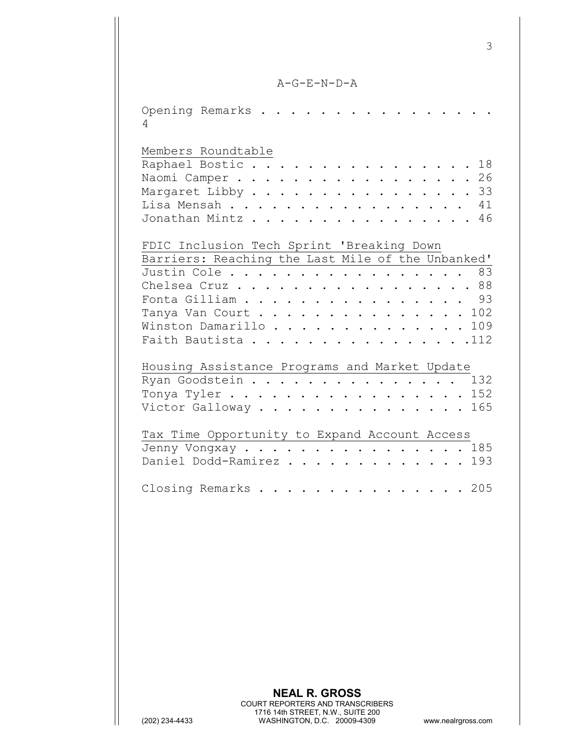A-G-E-N-D-A

| Opening Remarks<br>4                                                                                                                                                                                                                |
|-------------------------------------------------------------------------------------------------------------------------------------------------------------------------------------------------------------------------------------|
| Members Roundtable<br>Raphael Bostic<br>18<br>Naomi Camper<br>26<br>33<br>Margaret Libby<br>Lisa Mensah<br>41<br>Jonathan Mintz<br>46                                                                                               |
| FDIC Inclusion Tech Sprint 'Breaking Down<br>Barriers: Reaching the Last Mile of the Unbanked'<br>83<br>Justin Cole<br>Chelsea Cruz 88<br>93<br>Fonta Gilliam<br>Tanya Van Court 102<br>Winston Damarillo 109<br>Faith Bautista 112 |
| Housing Assistance Programs and Market Update<br>Ryan Goodstein<br>132<br>Tonya Tyler<br>152<br>Victor Galloway<br>165                                                                                                              |
| Tax Time Opportunity to Expand Account Access<br>Jenny Vongxay 185<br>193<br>Daniel Dodd-Ramirez                                                                                                                                    |
| 205<br>Closing Remarks<br>.                                                                                                                                                                                                         |
|                                                                                                                                                                                                                                     |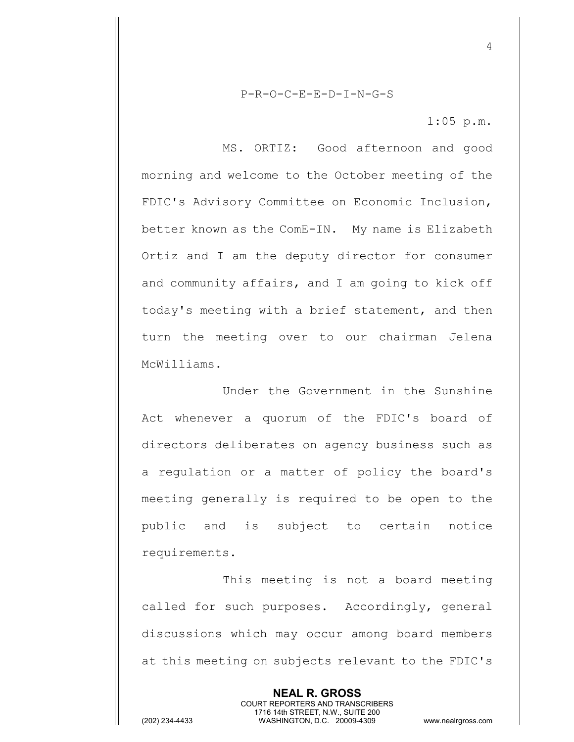P-R-O-C-E-E-D-I-N-G-S

1:05 p.m.

4

MS. ORTIZ: Good afternoon and good morning and welcome to the October meeting of the FDIC's Advisory Committee on Economic Inclusion, better known as the ComE-IN. My name is Elizabeth Ortiz and I am the deputy director for consumer and community affairs, and I am going to kick off today's meeting with a brief statement, and then turn the meeting over to our chairman Jelena McWilliams.

Under the Government in the Sunshine Act whenever a quorum of the FDIC's board of directors deliberates on agency business such as a regulation or a matter of policy the board's meeting generally is required to be open to the public and is subject to certain notice requirements.

This meeting is not a board meeting called for such purposes. Accordingly, general discussions which may occur among board members at this meeting on subjects relevant to the FDIC's

> **NEAL R. GROSS** COURT REPORTERS AND TRANSCRIBERS 1716 14th STREET, N.W., SUITE 200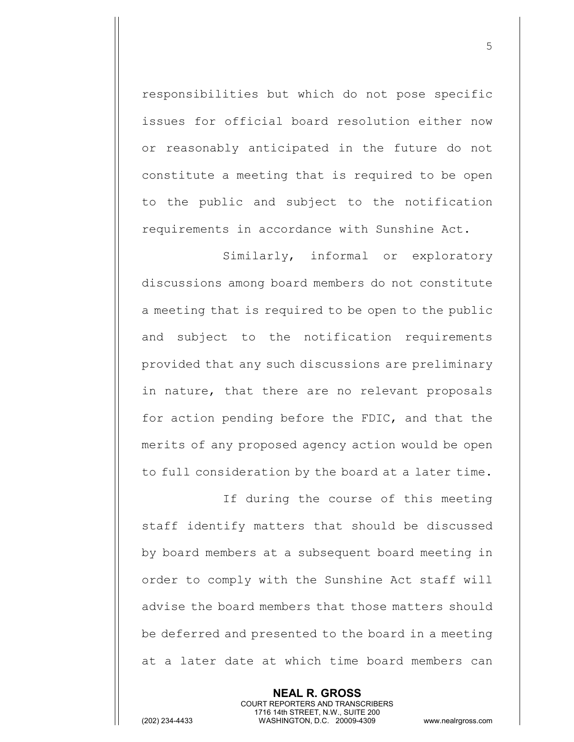responsibilities but which do not pose specific issues for official board resolution either now or reasonably anticipated in the future do not constitute a meeting that is required to be open to the public and subject to the notification requirements in accordance with Sunshine Act.

Similarly, informal or exploratory discussions among board members do not constitute a meeting that is required to be open to the public and subject to the notification requirements provided that any such discussions are preliminary in nature, that there are no relevant proposals for action pending before the FDIC, and that the merits of any proposed agency action would be open to full consideration by the board at a later time.

If during the course of this meeting staff identify matters that should be discussed by board members at a subsequent board meeting in order to comply with the Sunshine Act staff will advise the board members that those matters should be deferred and presented to the board in a meeting at a later date at which time board members can

> **NEAL R. GROSS** COURT REPORTERS AND TRANSCRIBERS 1716 14th STREET, N.W., SUITE 200

5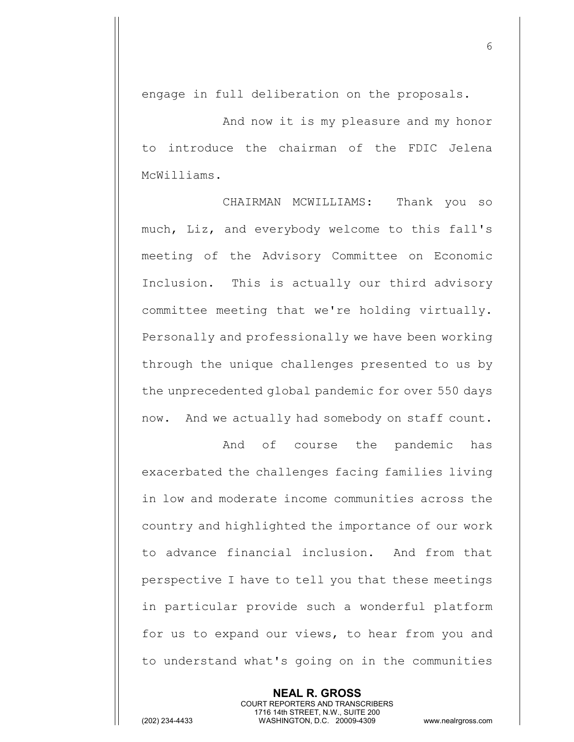engage in full deliberation on the proposals.

And now it is my pleasure and my honor to introduce the chairman of the FDIC Jelena McWilliams.

CHAIRMAN MCWILLIAMS: Thank you so much, Liz, and everybody welcome to this fall's meeting of the Advisory Committee on Economic Inclusion. This is actually our third advisory committee meeting that we're holding virtually. Personally and professionally we have been working through the unique challenges presented to us by the unprecedented global pandemic for over 550 days now. And we actually had somebody on staff count.

And of course the pandemic has exacerbated the challenges facing families living in low and moderate income communities across the country and highlighted the importance of our work to advance financial inclusion. And from that perspective I have to tell you that these meetings in particular provide such a wonderful platform for us to expand our views, to hear from you and to understand what's going on in the communities

> **NEAL R. GROSS** COURT REPORTERS AND TRANSCRIBERS 1716 14th STREET, N.W., SUITE 200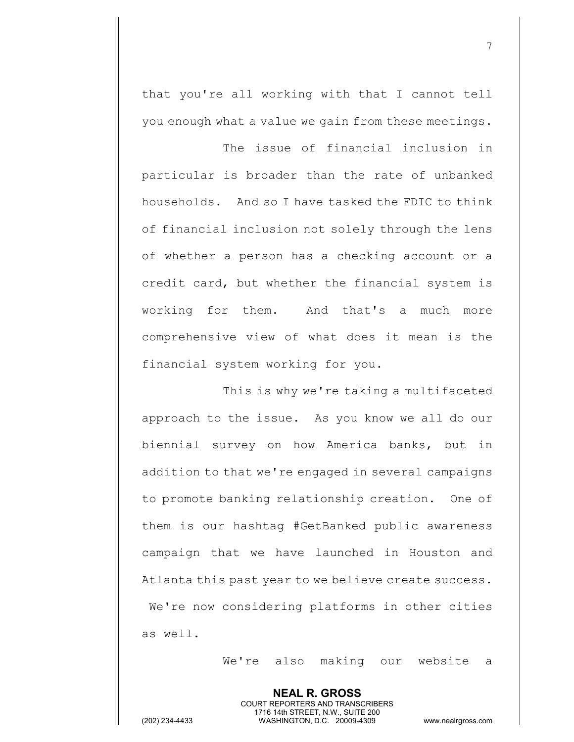that you're all working with that I cannot tell you enough what a value we gain from these meetings.

The issue of financial inclusion in particular is broader than the rate of unbanked households. And so I have tasked the FDIC to think of financial inclusion not solely through the lens of whether a person has a checking account or a credit card, but whether the financial system is working for them. And that's a much more comprehensive view of what does it mean is the financial system working for you.

This is why we're taking a multifaceted approach to the issue. As you know we all do our biennial survey on how America banks, but in addition to that we're engaged in several campaigns to promote banking relationship creation. One of them is our hashtag #GetBanked public awareness campaign that we have launched in Houston and Atlanta this past year to we believe create success. We're now considering platforms in other cities as well.

We're also making our website a

**NEAL R. GROSS** COURT REPORTERS AND TRANSCRIBERS 1716 14th STREET, N.W., SUITE 200 (202) 234-4433 WASHINGTON, D.C. 20009-4309 www.nealrgross.com

7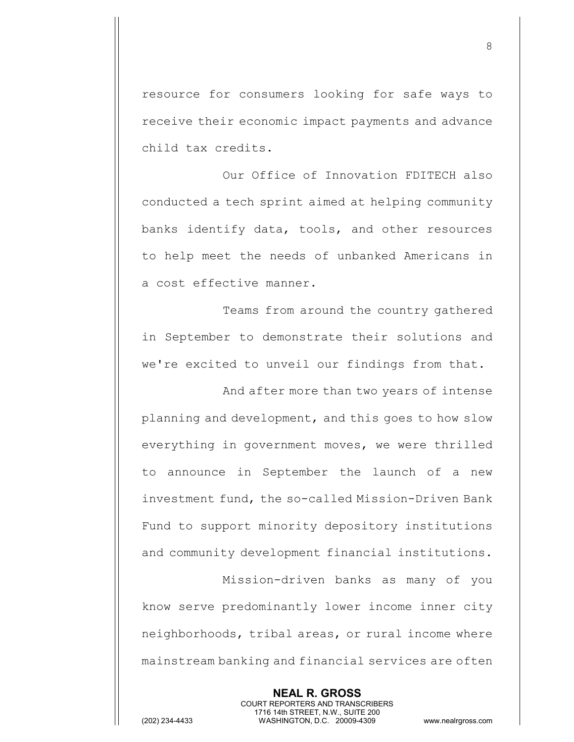resource for consumers looking for safe ways to receive their economic impact payments and advance child tax credits.

Our Office of Innovation FDITECH also conducted a tech sprint aimed at helping community banks identify data, tools, and other resources to help meet the needs of unbanked Americans in a cost effective manner.

Teams from around the country gathered in September to demonstrate their solutions and we're excited to unveil our findings from that.

And after more than two years of intense planning and development, and this goes to how slow everything in government moves, we were thrilled to announce in September the launch of a new investment fund, the so-called Mission-Driven Bank Fund to support minority depository institutions and community development financial institutions.

Mission-driven banks as many of you know serve predominantly lower income inner city neighborhoods, tribal areas, or rural income where mainstream banking and financial services are often

**NEAL R. GROSS** COURT REPORTERS AND TRANSCRIBERS 1716 14th STREET, N.W., SUITE 200 (202) 234-4433 WASHINGTON, D.C. 20009-4309 www.nealrgross.com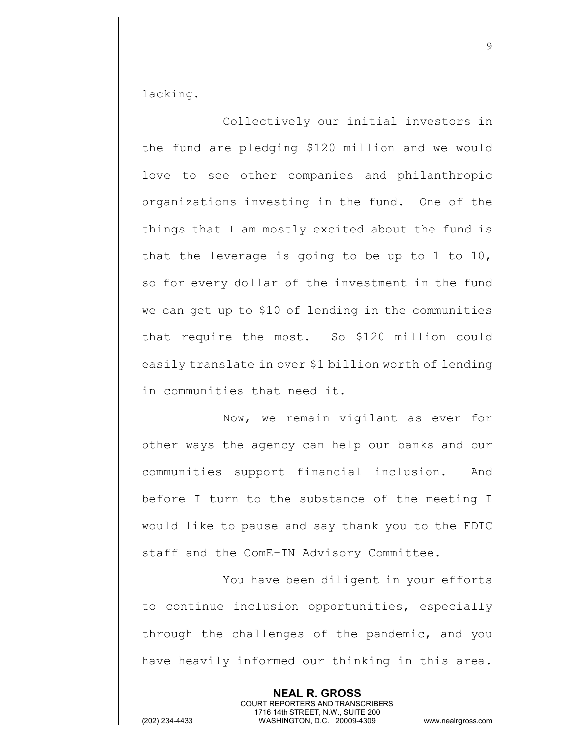lacking.

Collectively our initial investors in the fund are pledging \$120 million and we would love to see other companies and philanthropic organizations investing in the fund. One of the things that I am mostly excited about the fund is that the leverage is going to be up to 1 to 10, so for every dollar of the investment in the fund we can get up to \$10 of lending in the communities that require the most. So \$120 million could easily translate in over \$1 billion worth of lending in communities that need it.

Now, we remain vigilant as ever for other ways the agency can help our banks and our communities support financial inclusion. And before I turn to the substance of the meeting I would like to pause and say thank you to the FDIC staff and the ComE-IN Advisory Committee.

You have been diligent in your efforts to continue inclusion opportunities, especially through the challenges of the pandemic, and you have heavily informed our thinking in this area.

> **NEAL R. GROSS** COURT REPORTERS AND TRANSCRIBERS 1716 14th STREET, N.W., SUITE 200

(202) 234-4433 WASHINGTON, D.C. 20009-4309 www.nealrgross.com

9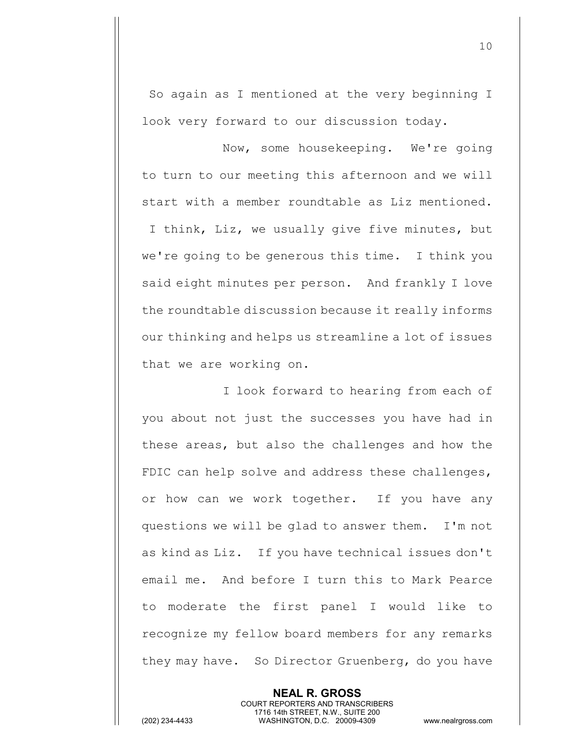So again as I mentioned at the very beginning I look very forward to our discussion today.

Now, some housekeeping. We're going to turn to our meeting this afternoon and we will start with a member roundtable as Liz mentioned. I think, Liz, we usually give five minutes, but we're going to be generous this time. I think you said eight minutes per person. And frankly I love the roundtable discussion because it really informs our thinking and helps us streamline a lot of issues that we are working on.

I look forward to hearing from each of you about not just the successes you have had in these areas, but also the challenges and how the FDIC can help solve and address these challenges, or how can we work together. If you have any questions we will be glad to answer them. I'm not as kind as Liz. If you have technical issues don't email me. And before I turn this to Mark Pearce to moderate the first panel I would like to recognize my fellow board members for any remarks they may have. So Director Gruenberg, do you have

> **NEAL R. GROSS** COURT REPORTERS AND TRANSCRIBERS 1716 14th STREET, N.W., SUITE 200

(202) 234-4433 WASHINGTON, D.C. 20009-4309 www.nealrgross.com

10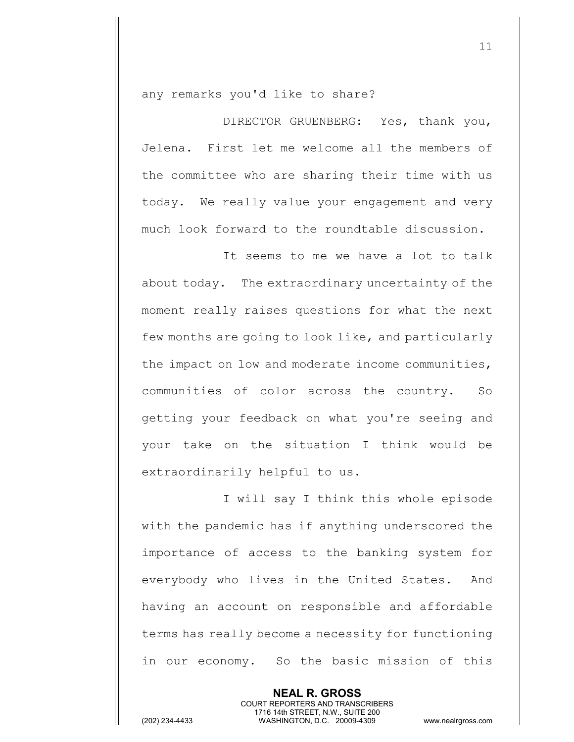any remarks you'd like to share?

DIRECTOR GRUENBERG: Yes, thank you, Jelena. First let me welcome all the members of the committee who are sharing their time with us today. We really value your engagement and very much look forward to the roundtable discussion.

It seems to me we have a lot to talk about today. The extraordinary uncertainty of the moment really raises questions for what the next few months are going to look like, and particularly the impact on low and moderate income communities, communities of color across the country. So getting your feedback on what you're seeing and your take on the situation I think would be extraordinarily helpful to us.

I will say I think this whole episode with the pandemic has if anything underscored the importance of access to the banking system for everybody who lives in the United States. And having an account on responsible and affordable terms has really become a necessity for functioning in our economy. So the basic mission of this

> **NEAL R. GROSS** COURT REPORTERS AND TRANSCRIBERS 1716 14th STREET, N.W., SUITE 200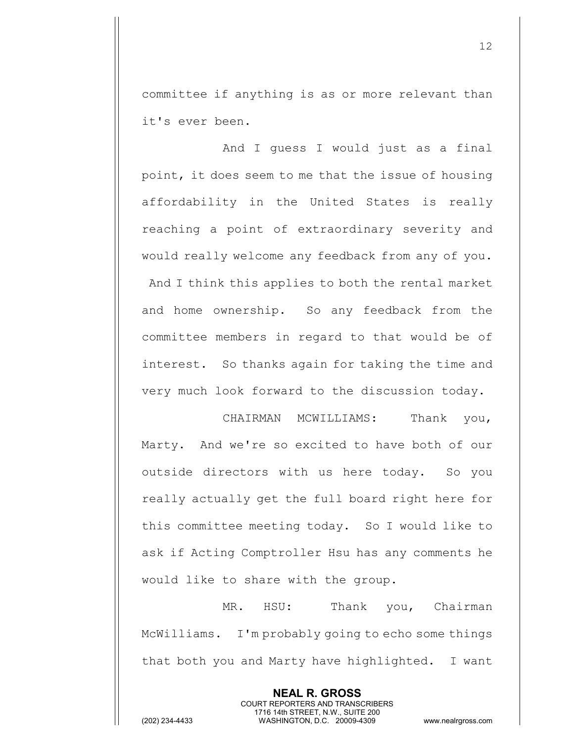committee if anything is as or more relevant than it's ever been.

And I guess I would just as a final point, it does seem to me that the issue of housing affordability in the United States is really reaching a point of extraordinary severity and would really welcome any feedback from any of you. And I think this applies to both the rental market and home ownership. So any feedback from the committee members in regard to that would be of interest. So thanks again for taking the time and very much look forward to the discussion today.

CHAIRMAN MCWILLIAMS: Thank you, Marty. And we're so excited to have both of our outside directors with us here today. So you really actually get the full board right here for this committee meeting today. So I would like to ask if Acting Comptroller Hsu has any comments he would like to share with the group.

MR. HSU: Thank you, Chairman McWilliams. I'm probably going to echo some things that both you and Marty have highlighted. I want

> **NEAL R. GROSS** COURT REPORTERS AND TRANSCRIBERS 1716 14th STREET, N.W., SUITE 200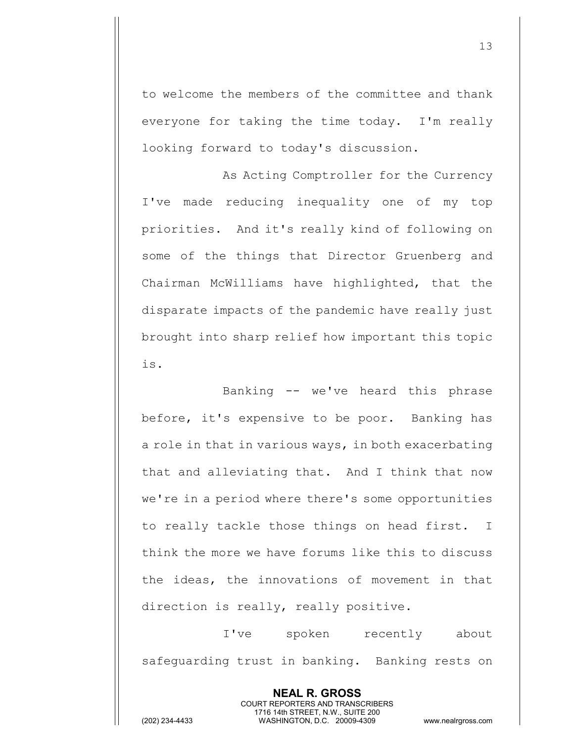to welcome the members of the committee and thank everyone for taking the time today. I'm really looking forward to today's discussion.

As Acting Comptroller for the Currency I've made reducing inequality one of my top priorities. And it's really kind of following on some of the things that Director Gruenberg and Chairman McWilliams have highlighted, that the disparate impacts of the pandemic have really just brought into sharp relief how important this topic is.

Banking -- we've heard this phrase before, it's expensive to be poor. Banking has a role in that in various ways, in both exacerbating that and alleviating that. And I think that now we're in a period where there's some opportunities to really tackle those things on head first. I think the more we have forums like this to discuss the ideas, the innovations of movement in that direction is really, really positive.

I've spoken recently about safeguarding trust in banking. Banking rests on

> **NEAL R. GROSS** COURT REPORTERS AND TRANSCRIBERS 1716 14th STREET, N.W., SUITE 200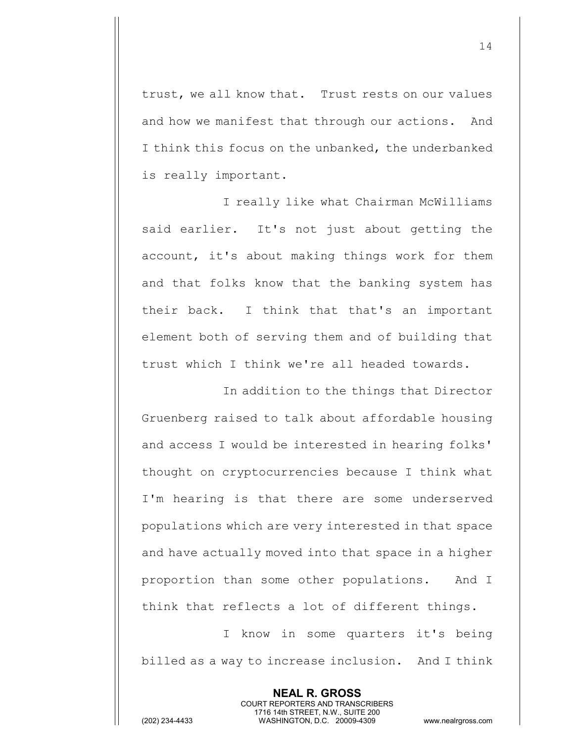trust, we all know that. Trust rests on our values and how we manifest that through our actions. And I think this focus on the unbanked, the underbanked is really important.

I really like what Chairman McWilliams said earlier. It's not just about getting the account, it's about making things work for them and that folks know that the banking system has their back. I think that that's an important element both of serving them and of building that trust which I think we're all headed towards.

In addition to the things that Director Gruenberg raised to talk about affordable housing and access I would be interested in hearing folks' thought on cryptocurrencies because I think what I'm hearing is that there are some underserved populations which are very interested in that space and have actually moved into that space in a higher proportion than some other populations. And I think that reflects a lot of different things.

I know in some quarters it's being billed as a way to increase inclusion. And I think

> **NEAL R. GROSS** COURT REPORTERS AND TRANSCRIBERS 1716 14th STREET, N.W., SUITE 200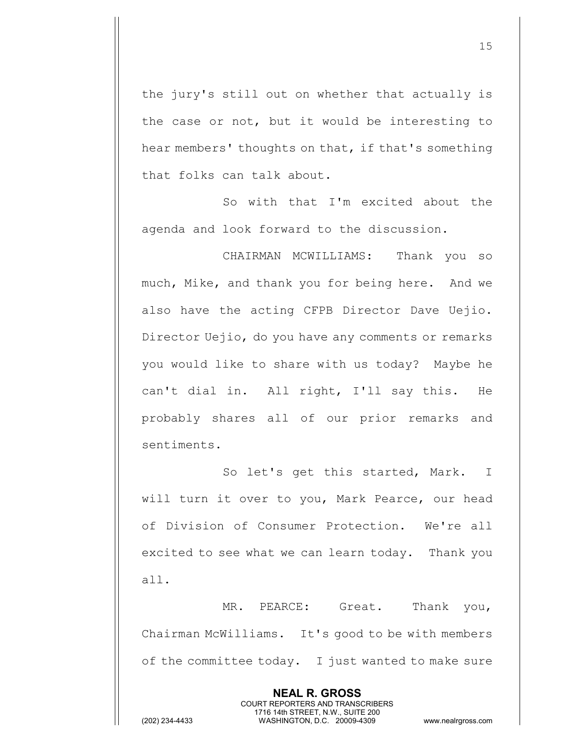the jury's still out on whether that actually is the case or not, but it would be interesting to hear members' thoughts on that, if that's something that folks can talk about.

So with that I'm excited about the agenda and look forward to the discussion.

CHAIRMAN MCWILLIAMS: Thank you so much, Mike, and thank you for being here. And we also have the acting CFPB Director Dave Uejio. Director Uejio, do you have any comments or remarks you would like to share with us today? Maybe he can't dial in. All right, I'll say this. He probably shares all of our prior remarks and sentiments.

So let's get this started, Mark. I will turn it over to you, Mark Pearce, our head of Division of Consumer Protection. We're all excited to see what we can learn today. Thank you all.

MR. PEARCE: Great. Thank you, Chairman McWilliams. It's good to be with members of the committee today. I just wanted to make sure

> **NEAL R. GROSS** COURT REPORTERS AND TRANSCRIBERS 1716 14th STREET, N.W., SUITE 200

15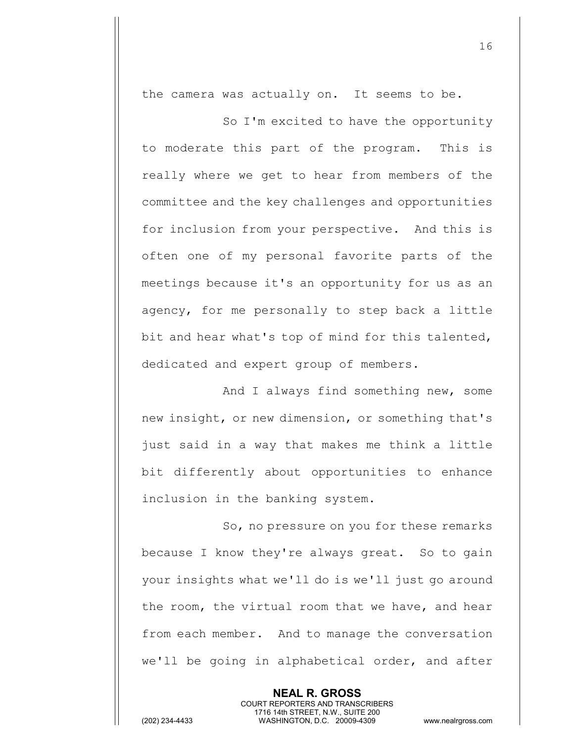the camera was actually on. It seems to be.

So I'm excited to have the opportunity to moderate this part of the program. This is really where we get to hear from members of the committee and the key challenges and opportunities for inclusion from your perspective. And this is often one of my personal favorite parts of the meetings because it's an opportunity for us as an agency, for me personally to step back a little bit and hear what's top of mind for this talented, dedicated and expert group of members.

And I always find something new, some new insight, or new dimension, or something that's just said in a way that makes me think a little bit differently about opportunities to enhance inclusion in the banking system.

So, no pressure on you for these remarks because I know they're always great. So to gain your insights what we'll do is we'll just go around the room, the virtual room that we have, and hear from each member. And to manage the conversation we'll be going in alphabetical order, and after

> **NEAL R. GROSS** COURT REPORTERS AND TRANSCRIBERS 1716 14th STREET, N.W., SUITE 200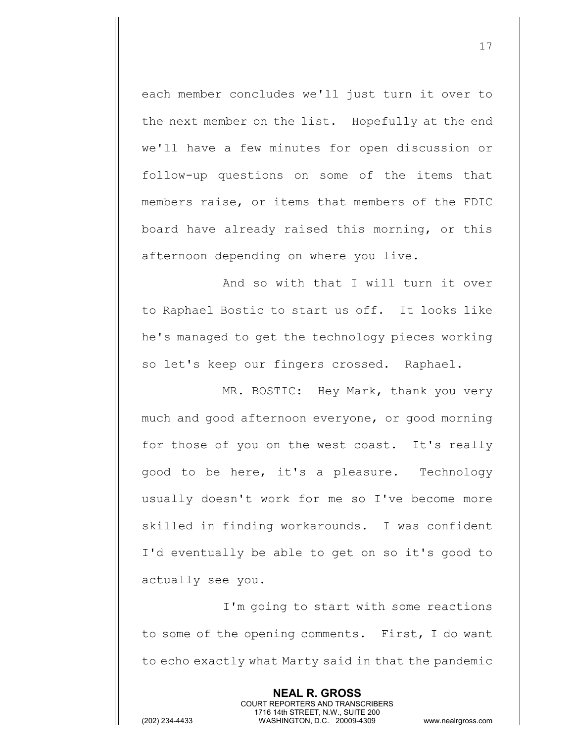each member concludes we'll just turn it over to the next member on the list. Hopefully at the end we'll have a few minutes for open discussion or follow-up questions on some of the items that members raise, or items that members of the FDIC board have already raised this morning, or this afternoon depending on where you live.

And so with that I will turn it over to Raphael Bostic to start us off. It looks like he's managed to get the technology pieces working so let's keep our fingers crossed. Raphael.

MR. BOSTIC: Hey Mark, thank you very much and good afternoon everyone, or good morning for those of you on the west coast. It's really good to be here, it's a pleasure. Technology usually doesn't work for me so I've become more skilled in finding workarounds. I was confident I'd eventually be able to get on so it's good to actually see you.

I'm going to start with some reactions to some of the opening comments. First, I do want to echo exactly what Marty said in that the pandemic

> **NEAL R. GROSS** COURT REPORTERS AND TRANSCRIBERS 1716 14th STREET, N.W., SUITE 200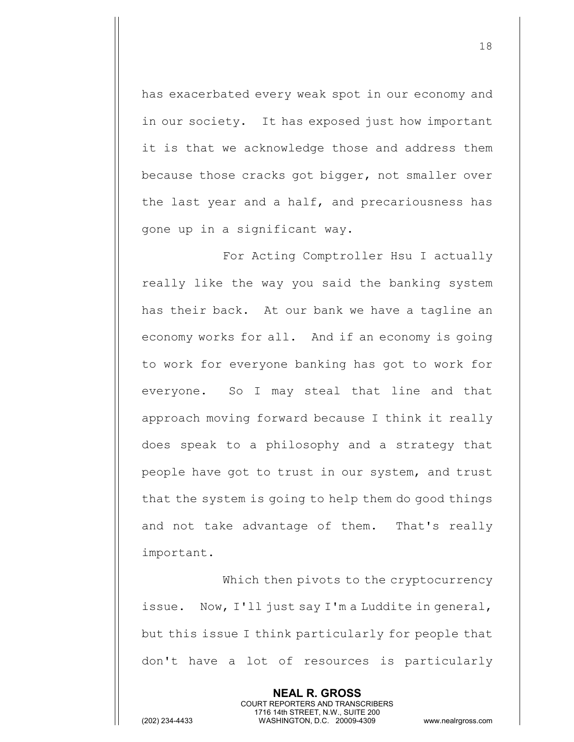has exacerbated every weak spot in our economy and in our society. It has exposed just how important it is that we acknowledge those and address them because those cracks got bigger, not smaller over the last year and a half, and precariousness has gone up in a significant way.

For Acting Comptroller Hsu I actually really like the way you said the banking system has their back. At our bank we have a tagline an economy works for all. And if an economy is going to work for everyone banking has got to work for everyone. So I may steal that line and that approach moving forward because I think it really does speak to a philosophy and a strategy that people have got to trust in our system, and trust that the system is going to help them do good things and not take advantage of them. That's really important.

Which then pivots to the cryptocurrency issue. Now, I'll just say I'm a Luddite in general, but this issue I think particularly for people that don't have a lot of resources is particularly

> **NEAL R. GROSS** COURT REPORTERS AND TRANSCRIBERS 1716 14th STREET, N.W., SUITE 200

(202) 234-4433 WASHINGTON, D.C. 20009-4309 www.nealrgross.com

18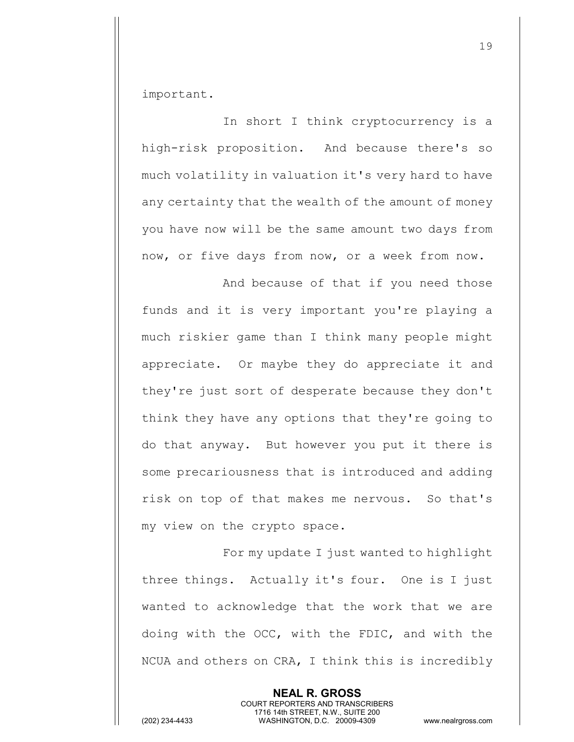important.

In short I think cryptocurrency is a high-risk proposition. And because there's so much volatility in valuation it's very hard to have any certainty that the wealth of the amount of money you have now will be the same amount two days from now, or five days from now, or a week from now.

And because of that if you need those funds and it is very important you're playing a much riskier game than I think many people might appreciate. Or maybe they do appreciate it and they're just sort of desperate because they don't think they have any options that they're going to do that anyway. But however you put it there is some precariousness that is introduced and adding risk on top of that makes me nervous. So that's my view on the crypto space.

For my update I just wanted to highlight three things. Actually it's four. One is I just wanted to acknowledge that the work that we are doing with the OCC, with the FDIC, and with the NCUA and others on CRA, I think this is incredibly

> **NEAL R. GROSS** COURT REPORTERS AND TRANSCRIBERS 1716 14th STREET, N.W., SUITE 200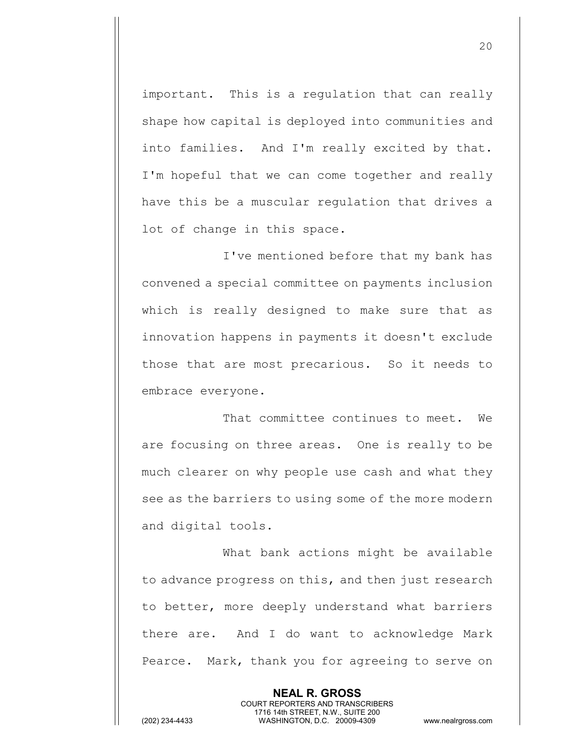important. This is a regulation that can really shape how capital is deployed into communities and into families. And I'm really excited by that. I'm hopeful that we can come together and really have this be a muscular regulation that drives a lot of change in this space.

I've mentioned before that my bank has convened a special committee on payments inclusion which is really designed to make sure that as innovation happens in payments it doesn't exclude those that are most precarious. So it needs to embrace everyone.

That committee continues to meet. We are focusing on three areas. One is really to be much clearer on why people use cash and what they see as the barriers to using some of the more modern and digital tools.

What bank actions might be available to advance progress on this, and then just research to better, more deeply understand what barriers there are. And I do want to acknowledge Mark Pearce. Mark, thank you for agreeing to serve on

> **NEAL R. GROSS** COURT REPORTERS AND TRANSCRIBERS 1716 14th STREET, N.W., SUITE 200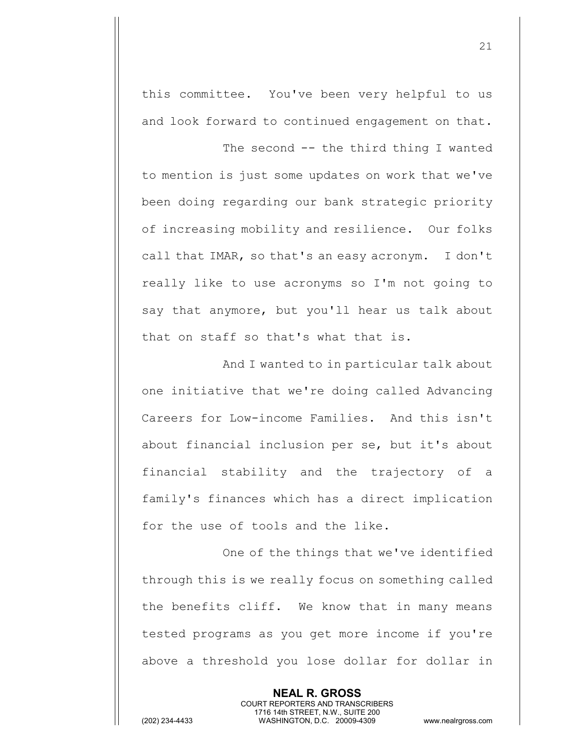this committee. You've been very helpful to us and look forward to continued engagement on that.

The second -- the third thing I wanted to mention is just some updates on work that we've been doing regarding our bank strategic priority of increasing mobility and resilience. Our folks call that IMAR, so that's an easy acronym. I don't really like to use acronyms so I'm not going to say that anymore, but you'll hear us talk about that on staff so that's what that is.

And I wanted to in particular talk about one initiative that we're doing called Advancing Careers for Low-income Families. And this isn't about financial inclusion per se, but it's about financial stability and the trajectory of a family's finances which has a direct implication for the use of tools and the like.

One of the things that we've identified through this is we really focus on something called the benefits cliff. We know that in many means tested programs as you get more income if you're above a threshold you lose dollar for dollar in

> **NEAL R. GROSS** COURT REPORTERS AND TRANSCRIBERS 1716 14th STREET, N.W., SUITE 200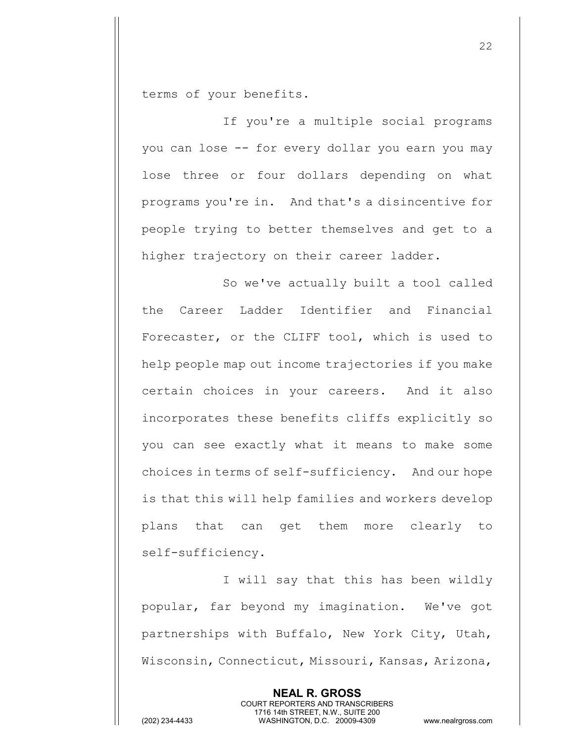terms of your benefits.

If you're a multiple social programs you can lose -- for every dollar you earn you may lose three or four dollars depending on what programs you're in. And that's a disincentive for people trying to better themselves and get to a higher trajectory on their career ladder.

So we've actually built a tool called the Career Ladder Identifier and Financial Forecaster, or the CLIFF tool, which is used to help people map out income trajectories if you make certain choices in your careers. And it also incorporates these benefits cliffs explicitly so you can see exactly what it means to make some choices in terms of self-sufficiency. And our hope is that this will help families and workers develop plans that can get them more clearly to self-sufficiency.

I will say that this has been wildly popular, far beyond my imagination. We've got partnerships with Buffalo, New York City, Utah, Wisconsin, Connecticut, Missouri, Kansas, Arizona,

> **NEAL R. GROSS** COURT REPORTERS AND TRANSCRIBERS 1716 14th STREET, N.W., SUITE 200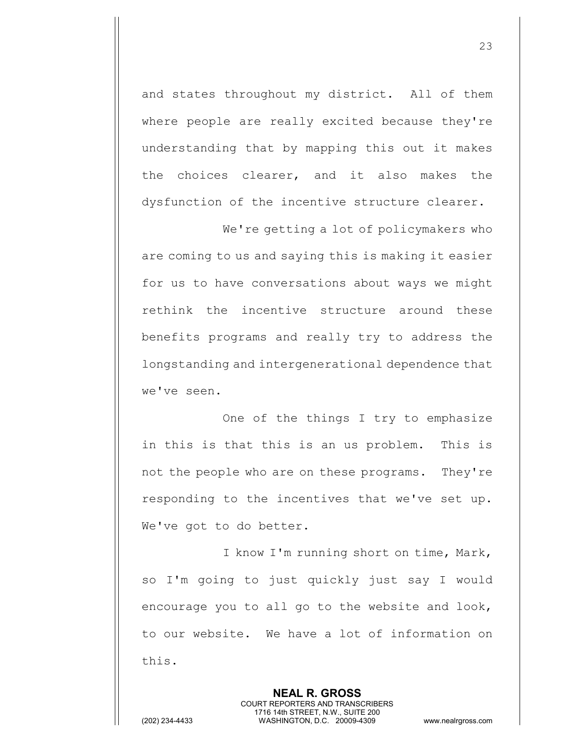and states throughout my district. All of them where people are really excited because they're understanding that by mapping this out it makes the choices clearer, and it also makes the dysfunction of the incentive structure clearer.

We're getting a lot of policymakers who are coming to us and saying this is making it easier for us to have conversations about ways we might rethink the incentive structure around these benefits programs and really try to address the longstanding and intergenerational dependence that we've seen.

One of the things I try to emphasize in this is that this is an us problem. This is not the people who are on these programs. They're responding to the incentives that we've set up. We've got to do better.

I know I'm running short on time, Mark, so I'm going to just quickly just say I would encourage you to all go to the website and look, to our website. We have a lot of information on this.

> **NEAL R. GROSS** COURT REPORTERS AND TRANSCRIBERS 1716 14th STREET, N.W., SUITE 200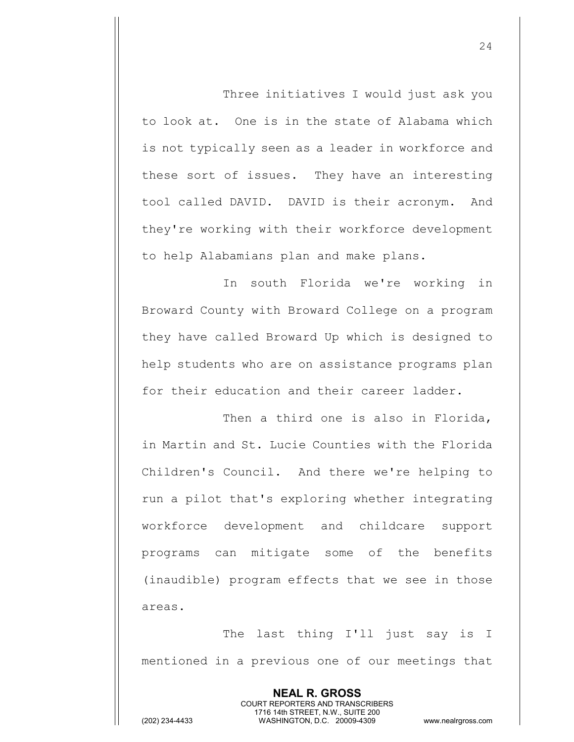Three initiatives I would just ask you to look at. One is in the state of Alabama which is not typically seen as a leader in workforce and these sort of issues. They have an interesting tool called DAVID. DAVID is their acronym. And they're working with their workforce development to help Alabamians plan and make plans.

In south Florida we're working in Broward County with Broward College on a program they have called Broward Up which is designed to help students who are on assistance programs plan for their education and their career ladder.

Then a third one is also in Florida, in Martin and St. Lucie Counties with the Florida Children's Council. And there we're helping to run a pilot that's exploring whether integrating workforce development and childcare support programs can mitigate some of the benefits (inaudible) program effects that we see in those areas.

The last thing I'll just say is I mentioned in a previous one of our meetings that

> **NEAL R. GROSS** COURT REPORTERS AND TRANSCRIBERS 1716 14th STREET, N.W., SUITE 200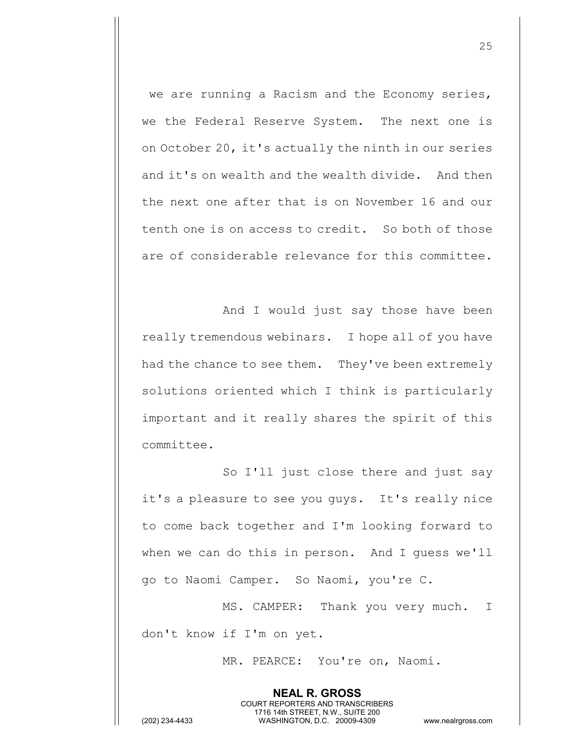we are running a Racism and the Economy series, we the Federal Reserve System. The next one is on October 20, it's actually the ninth in our series and it's on wealth and the wealth divide. And then the next one after that is on November 16 and our tenth one is on access to credit. So both of those are of considerable relevance for this committee.

And I would just say those have been really tremendous webinars. I hope all of you have had the chance to see them. They've been extremely solutions oriented which I think is particularly important and it really shares the spirit of this committee.

So I'll just close there and just say it's a pleasure to see you guys. It's really nice to come back together and I'm looking forward to when we can do this in person. And I guess we'll go to Naomi Camper. So Naomi, you're C.

MS. CAMPER: Thank you very much. I don't know if I'm on yet.

> **NEAL R. GROSS** COURT REPORTERS AND TRANSCRIBERS 1716 14th STREET, N.W., SUITE 200

MR. PEARCE: You're on, Naomi.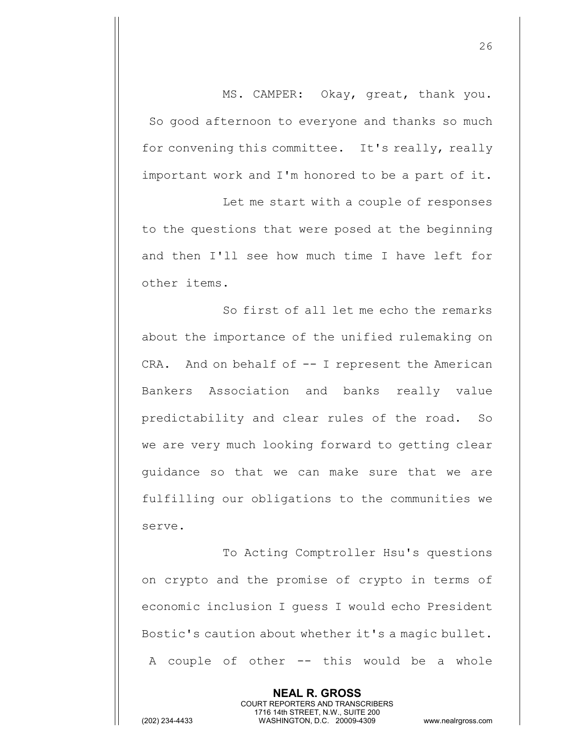MS. CAMPER: Okay, great, thank you. So good afternoon to everyone and thanks so much for convening this committee. It's really, really important work and I'm honored to be a part of it.

Let me start with a couple of responses to the questions that were posed at the beginning and then I'll see how much time I have left for other items.

So first of all let me echo the remarks about the importance of the unified rulemaking on CRA. And on behalf of  $-$ - I represent the American Bankers Association and banks really value predictability and clear rules of the road. So we are very much looking forward to getting clear guidance so that we can make sure that we are fulfilling our obligations to the communities we serve.

To Acting Comptroller Hsu's questions on crypto and the promise of crypto in terms of economic inclusion I guess I would echo President Bostic's caution about whether it's a magic bullet. A couple of other -- this would be a whole

> **NEAL R. GROSS** COURT REPORTERS AND TRANSCRIBERS 1716 14th STREET, N.W., SUITE 200

(202) 234-4433 WASHINGTON, D.C. 20009-4309 www.nealrgross.com

26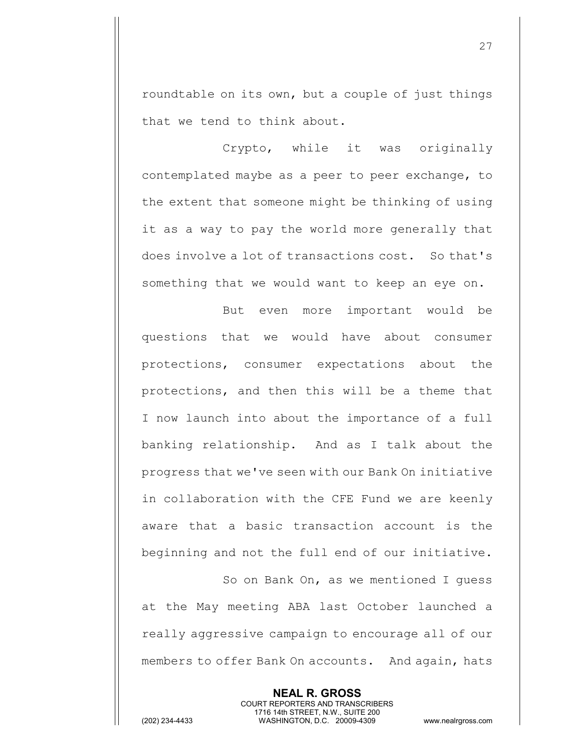roundtable on its own, but a couple of just things that we tend to think about.

Crypto, while it was originally contemplated maybe as a peer to peer exchange, to the extent that someone might be thinking of using it as a way to pay the world more generally that does involve a lot of transactions cost. So that's something that we would want to keep an eye on.

But even more important would be questions that we would have about consumer protections, consumer expectations about the protections, and then this will be a theme that I now launch into about the importance of a full banking relationship. And as I talk about the progress that we've seen with our Bank On initiative in collaboration with the CFE Fund we are keenly aware that a basic transaction account is the beginning and not the full end of our initiative.

So on Bank On, as we mentioned I guess at the May meeting ABA last October launched a really aggressive campaign to encourage all of our members to offer Bank On accounts. And again, hats

> **NEAL R. GROSS** COURT REPORTERS AND TRANSCRIBERS 1716 14th STREET, N.W., SUITE 200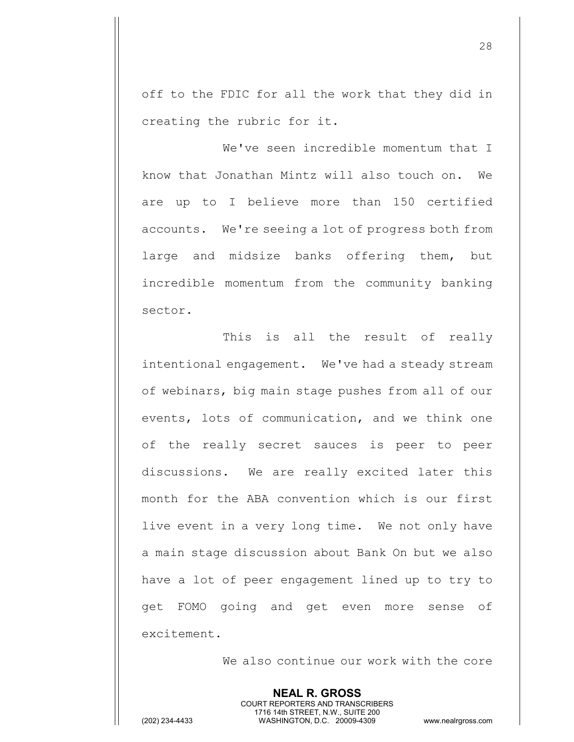off to the FDIC for all the work that they did in creating the rubric for it.

We've seen incredible momentum that I know that Jonathan Mintz will also touch on. We are up to I believe more than 150 certified accounts. We're seeing a lot of progress both from large and midsize banks offering them, but incredible momentum from the community banking sector.

This is all the result of really intentional engagement. We've had a steady stream of webinars, big main stage pushes from all of our events, lots of communication, and we think one of the really secret sauces is peer to peer discussions. We are really excited later this month for the ABA convention which is our first live event in a very long time. We not only have a main stage discussion about Bank On but we also have a lot of peer engagement lined up to try to get FOMO going and get even more sense of excitement.

> **NEAL R. GROSS** COURT REPORTERS AND TRANSCRIBERS 1716 14th STREET, N.W., SUITE 200

We also continue our work with the core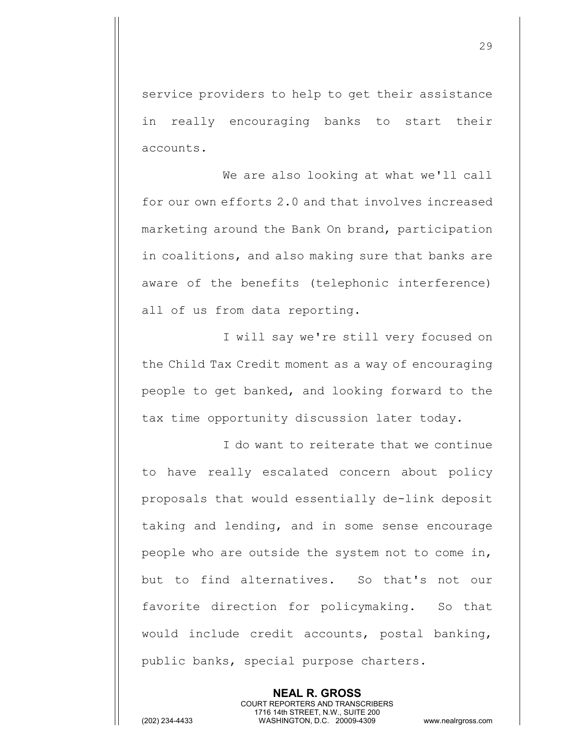service providers to help to get their assistance in really encouraging banks to start their accounts.

We are also looking at what we'll call for our own efforts 2.0 and that involves increased marketing around the Bank On brand, participation in coalitions, and also making sure that banks are aware of the benefits (telephonic interference) all of us from data reporting.

I will say we're still very focused on the Child Tax Credit moment as a way of encouraging people to get banked, and looking forward to the tax time opportunity discussion later today.

I do want to reiterate that we continue to have really escalated concern about policy proposals that would essentially de-link deposit taking and lending, and in some sense encourage people who are outside the system not to come in, but to find alternatives. So that's not our favorite direction for policymaking. So that would include credit accounts, postal banking, public banks, special purpose charters.

> **NEAL R. GROSS** COURT REPORTERS AND TRANSCRIBERS 1716 14th STREET, N.W., SUITE 200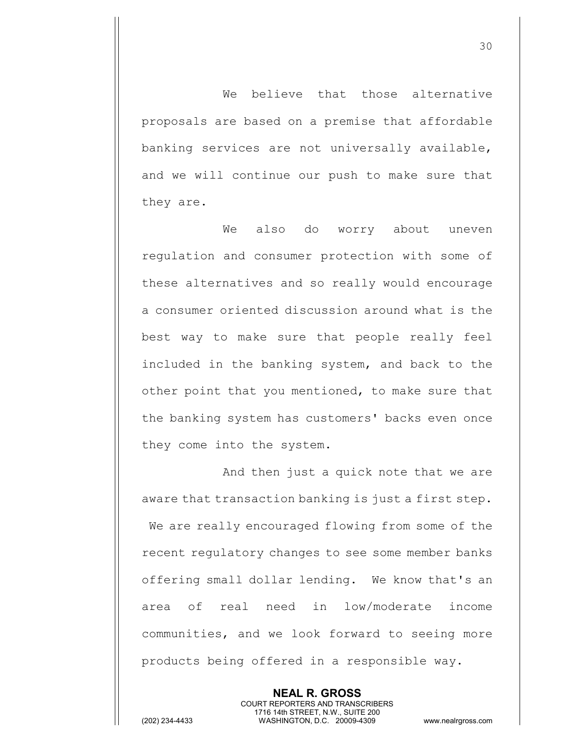We believe that those alternative proposals are based on a premise that affordable banking services are not universally available, and we will continue our push to make sure that they are.

We also do worry about uneven regulation and consumer protection with some of these alternatives and so really would encourage a consumer oriented discussion around what is the best way to make sure that people really feel included in the banking system, and back to the other point that you mentioned, to make sure that the banking system has customers' backs even once they come into the system.

And then just a quick note that we are aware that transaction banking is just a first step. We are really encouraged flowing from some of the recent regulatory changes to see some member banks offering small dollar lending. We know that's an area of real need in low/moderate income communities, and we look forward to seeing more products being offered in a responsible way.

> **NEAL R. GROSS** COURT REPORTERS AND TRANSCRIBERS 1716 14th STREET, N.W., SUITE 200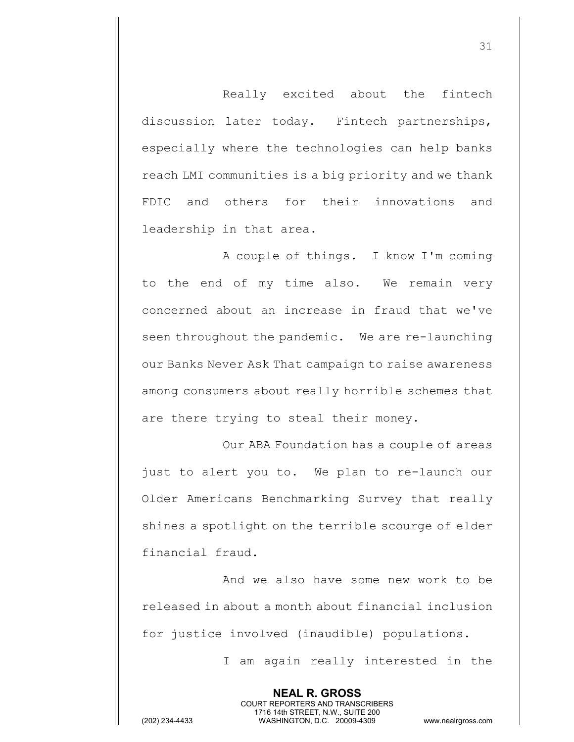Really excited about the fintech discussion later today. Fintech partnerships, especially where the technologies can help banks reach LMI communities is a big priority and we thank FDIC and others for their innovations and leadership in that area.

A couple of things. I know I'm coming to the end of my time also. We remain very concerned about an increase in fraud that we've seen throughout the pandemic. We are re-launching our Banks Never Ask That campaign to raise awareness among consumers about really horrible schemes that are there trying to steal their money.

Our ABA Foundation has a couple of areas just to alert you to. We plan to re-launch our Older Americans Benchmarking Survey that really shines a spotlight on the terrible scourge of elder financial fraud.

And we also have some new work to be released in about a month about financial inclusion for justice involved (inaudible) populations.

> **NEAL R. GROSS** COURT REPORTERS AND TRANSCRIBERS 1716 14th STREET, N.W., SUITE 200

I am again really interested in the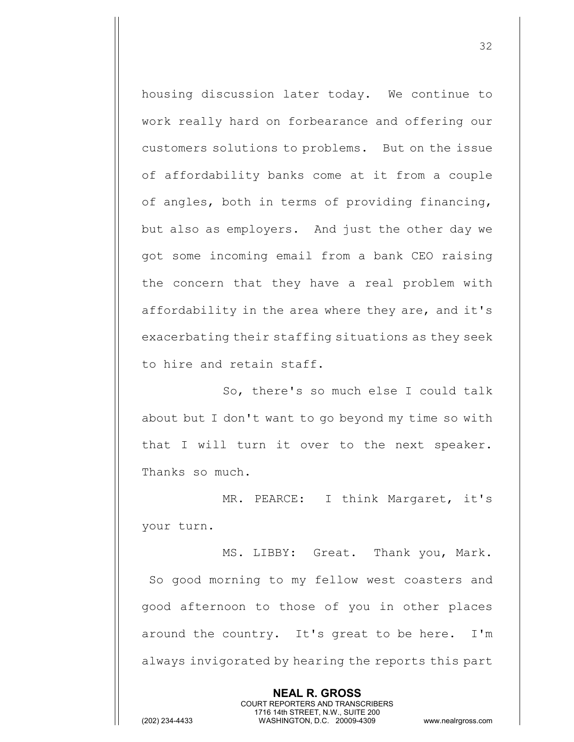housing discussion later today. We continue to work really hard on forbearance and offering our customers solutions to problems. But on the issue of affordability banks come at it from a couple of angles, both in terms of providing financing, but also as employers. And just the other day we got some incoming email from a bank CEO raising the concern that they have a real problem with affordability in the area where they are, and it's exacerbating their staffing situations as they seek to hire and retain staff.

So, there's so much else I could talk about but I don't want to go beyond my time so with that I will turn it over to the next speaker. Thanks so much.

MR. PEARCE: I think Margaret, it's your turn.

MS. LIBBY: Great. Thank you, Mark. So good morning to my fellow west coasters and good afternoon to those of you in other places around the country. It's great to be here. I'm always invigorated by hearing the reports this part

> **NEAL R. GROSS** COURT REPORTERS AND TRANSCRIBERS 1716 14th STREET, N.W., SUITE 200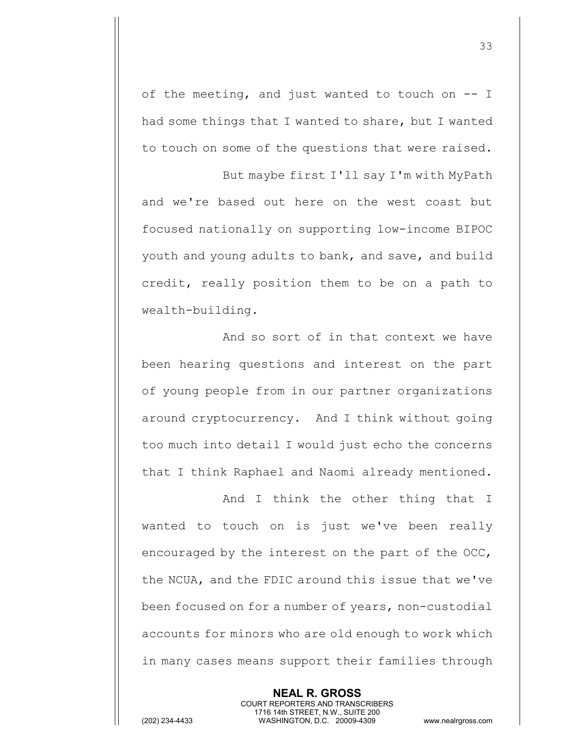of the meeting, and just wanted to touch on -- I had some things that I wanted to share, but I wanted to touch on some of the questions that were raised.

But maybe first I'll say I'm with MyPath and we're based out here on the west coast but focused nationally on supporting low-income BIPOC youth and young adults to bank, and save, and build credit, really position them to be on a path to wealth-building.

And so sort of in that context we have been hearing questions and interest on the part of young people from in our partner organizations around cryptocurrency. And I think without going too much into detail I would just echo the concerns that I think Raphael and Naomi already mentioned.

And I think the other thing that I wanted to touch on is just we've been really encouraged by the interest on the part of the OCC, the NCUA, and the FDIC around this issue that we've been focused on for a number of years, non-custodial accounts for minors who are old enough to work which in many cases means support their families through

> **NEAL R. GROSS** COURT REPORTERS AND TRANSCRIBERS 1716 14th STREET, N.W., SUITE 200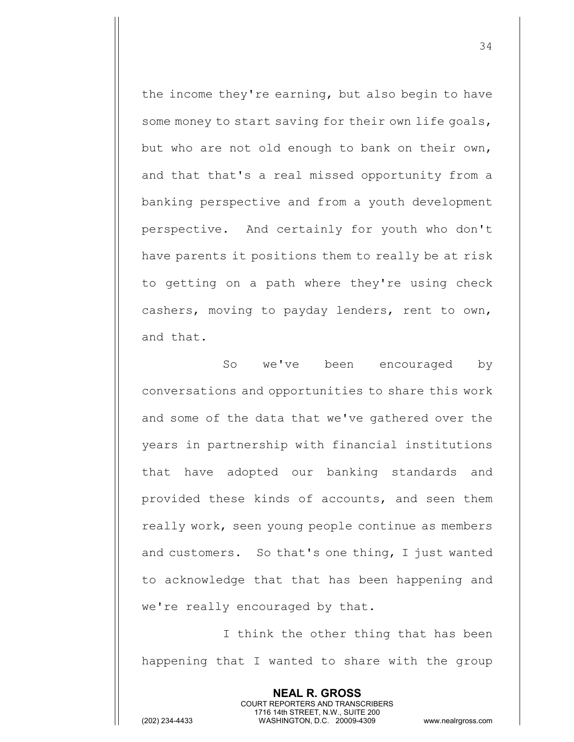the income they're earning, but also begin to have some money to start saving for their own life goals, but who are not old enough to bank on their own, and that that's a real missed opportunity from a banking perspective and from a youth development perspective. And certainly for youth who don't have parents it positions them to really be at risk to getting on a path where they're using check cashers, moving to payday lenders, rent to own, and that.

So we've been encouraged by conversations and opportunities to share this work and some of the data that we've gathered over the years in partnership with financial institutions that have adopted our banking standards and provided these kinds of accounts, and seen them really work, seen young people continue as members and customers. So that's one thing, I just wanted to acknowledge that that has been happening and we're really encouraged by that.

I think the other thing that has been happening that I wanted to share with the group

> **NEAL R. GROSS** COURT REPORTERS AND TRANSCRIBERS 1716 14th STREET, N.W., SUITE 200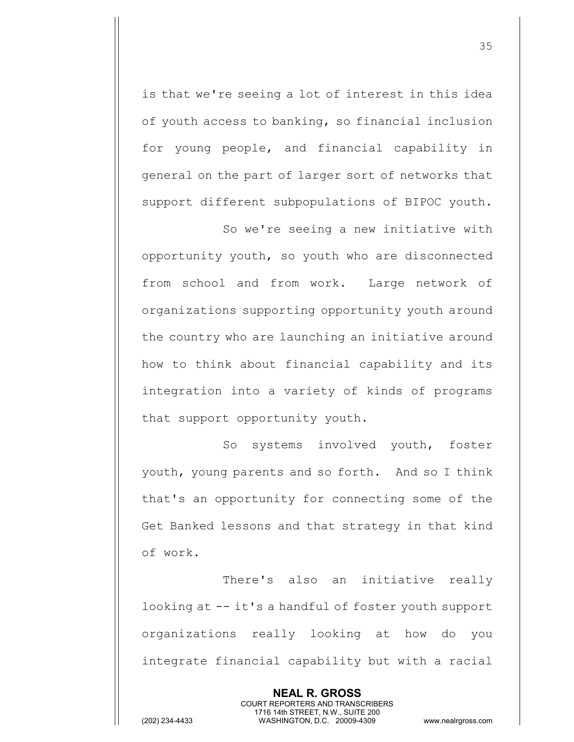is that we're seeing a lot of interest in this idea of youth access to banking, so financial inclusion for young people, and financial capability in general on the part of larger sort of networks that support different subpopulations of BIPOC youth.

So we're seeing a new initiative with opportunity youth, so youth who are disconnected from school and from work. Large network of organizations supporting opportunity youth around the country who are launching an initiative around how to think about financial capability and its integration into a variety of kinds of programs that support opportunity youth.

So systems involved youth, foster youth, young parents and so forth. And so I think that's an opportunity for connecting some of the Get Banked lessons and that strategy in that kind of work.

There's also an initiative really looking at -- it's a handful of foster youth support organizations really looking at how do you integrate financial capability but with a racial

> **NEAL R. GROSS** COURT REPORTERS AND TRANSCRIBERS 1716 14th STREET, N.W., SUITE 200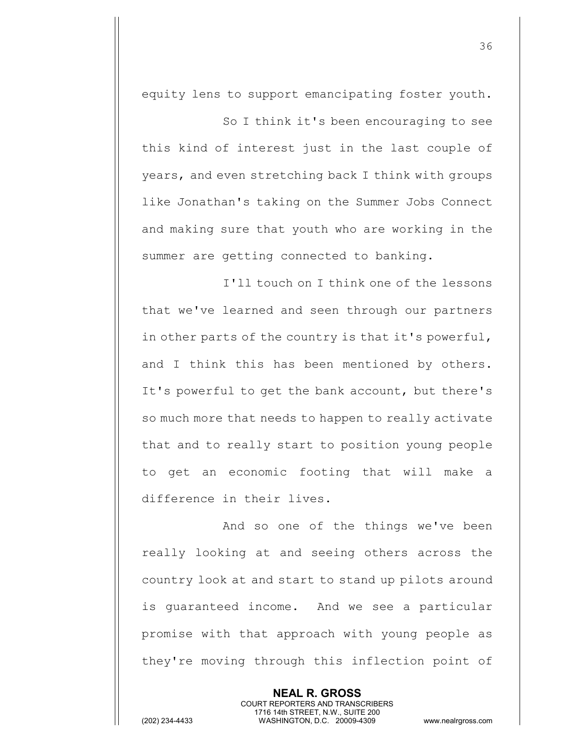equity lens to support emancipating foster youth.

So I think it's been encouraging to see this kind of interest just in the last couple of years, and even stretching back I think with groups like Jonathan's taking on the Summer Jobs Connect and making sure that youth who are working in the summer are getting connected to banking.

I'll touch on I think one of the lessons that we've learned and seen through our partners in other parts of the country is that it's powerful, and I think this has been mentioned by others. It's powerful to get the bank account, but there's so much more that needs to happen to really activate that and to really start to position young people to get an economic footing that will make a difference in their lives.

And so one of the things we've been really looking at and seeing others across the country look at and start to stand up pilots around is guaranteed income. And we see a particular promise with that approach with young people as they're moving through this inflection point of

> **NEAL R. GROSS** COURT REPORTERS AND TRANSCRIBERS 1716 14th STREET, N.W., SUITE 200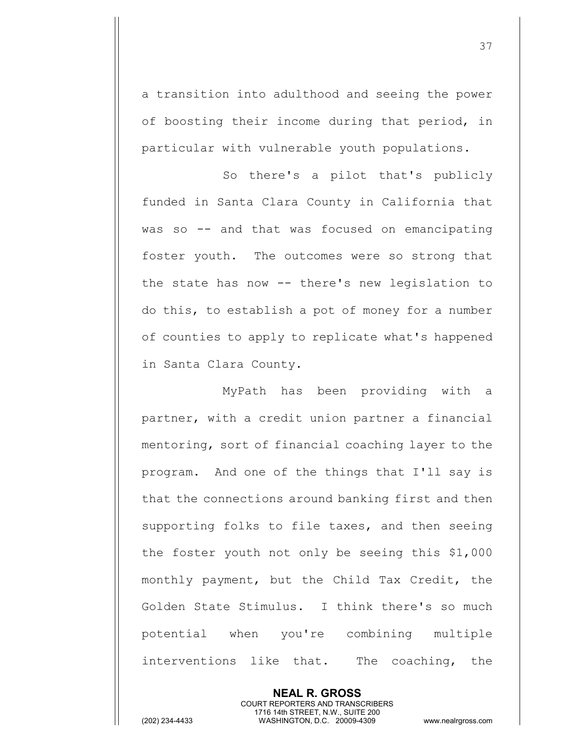a transition into adulthood and seeing the power of boosting their income during that period, in particular with vulnerable youth populations.

So there's a pilot that's publicly funded in Santa Clara County in California that was so -- and that was focused on emancipating foster youth. The outcomes were so strong that the state has now -- there's new legislation to do this, to establish a pot of money for a number of counties to apply to replicate what's happened in Santa Clara County.

MyPath has been providing with a partner, with a credit union partner a financial mentoring, sort of financial coaching layer to the program. And one of the things that I'll say is that the connections around banking first and then supporting folks to file taxes, and then seeing the foster youth not only be seeing this \$1,000 monthly payment, but the Child Tax Credit, the Golden State Stimulus. I think there's so much potential when you're combining multiple interventions like that. The coaching, the

**NEAL R. GROSS** COURT REPORTERS AND TRANSCRIBERS 1716 14th STREET, N.W., SUITE 200 (202) 234-4433 WASHINGTON, D.C. 20009-4309 www.nealrgross.com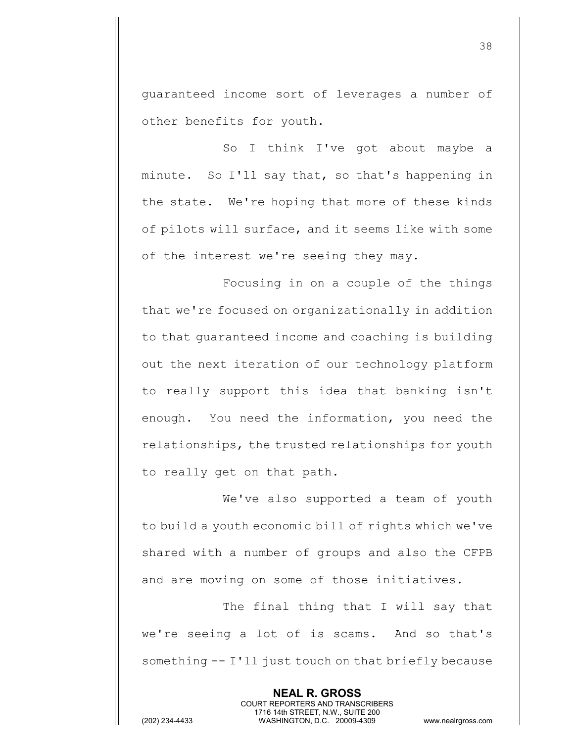guaranteed income sort of leverages a number of other benefits for youth.

So I think I've got about maybe a minute. So I'll say that, so that's happening in the state. We're hoping that more of these kinds of pilots will surface, and it seems like with some of the interest we're seeing they may.

Focusing in on a couple of the things that we're focused on organizationally in addition to that guaranteed income and coaching is building out the next iteration of our technology platform to really support this idea that banking isn't enough. You need the information, you need the relationships, the trusted relationships for youth to really get on that path.

We've also supported a team of youth to build a youth economic bill of rights which we've shared with a number of groups and also the CFPB and are moving on some of those initiatives.

The final thing that I will say that we're seeing a lot of is scams. And so that's something -- I'll just touch on that briefly because

> **NEAL R. GROSS** COURT REPORTERS AND TRANSCRIBERS 1716 14th STREET, N.W., SUITE 200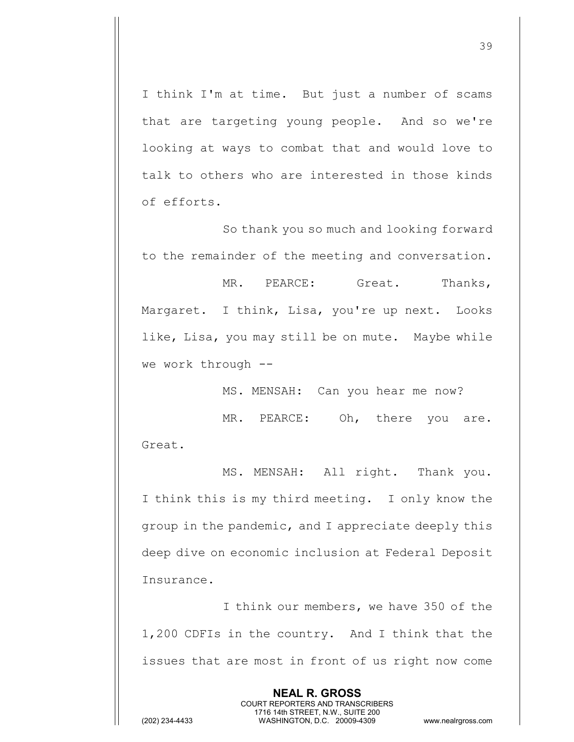I think I'm at time. But just a number of scams that are targeting young people. And so we're looking at ways to combat that and would love to talk to others who are interested in those kinds of efforts.

So thank you so much and looking forward to the remainder of the meeting and conversation.

MR. PEARCE: Great. Thanks, Margaret. I think, Lisa, you're up next. Looks like, Lisa, you may still be on mute. Maybe while we work through --

MS. MENSAH: Can you hear me now?

MR. PEARCE: Oh, there you are. Great.

MS. MENSAH: All right. Thank you. I think this is my third meeting. I only know the group in the pandemic, and I appreciate deeply this deep dive on economic inclusion at Federal Deposit Insurance.

I think our members, we have 350 of the 1,200 CDFIs in the country. And I think that the issues that are most in front of us right now come

> **NEAL R. GROSS** COURT REPORTERS AND TRANSCRIBERS 1716 14th STREET, N.W., SUITE 200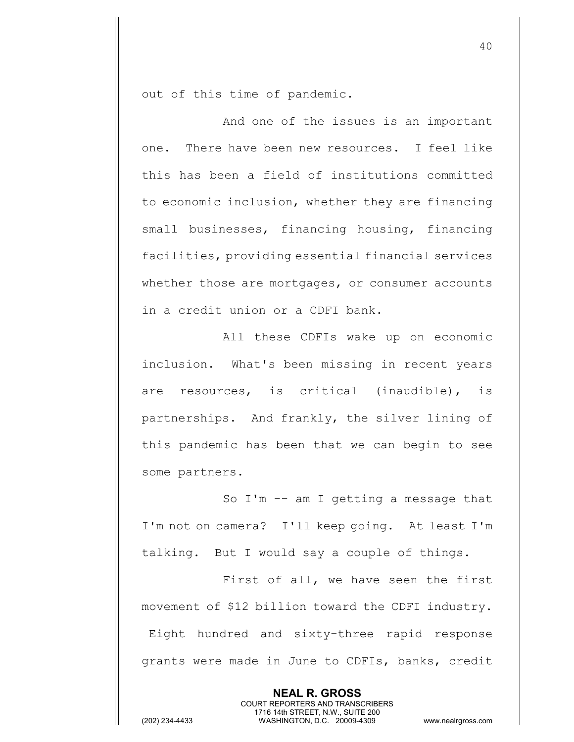out of this time of pandemic.

And one of the issues is an important one. There have been new resources. I feel like this has been a field of institutions committed to economic inclusion, whether they are financing small businesses, financing housing, financing facilities, providing essential financial services whether those are mortgages, or consumer accounts in a credit union or a CDFI bank.

All these CDFIs wake up on economic inclusion. What's been missing in recent years are resources, is critical (inaudible), is partnerships. And frankly, the silver lining of this pandemic has been that we can begin to see some partners.

So I'm -- am I getting a message that I'm not on camera? I'll keep going. At least I'm talking. But I would say a couple of things.

First of all, we have seen the first movement of \$12 billion toward the CDFI industry. Eight hundred and sixty-three rapid response grants were made in June to CDFIs, banks, credit

> **NEAL R. GROSS** COURT REPORTERS AND TRANSCRIBERS 1716 14th STREET, N.W., SUITE 200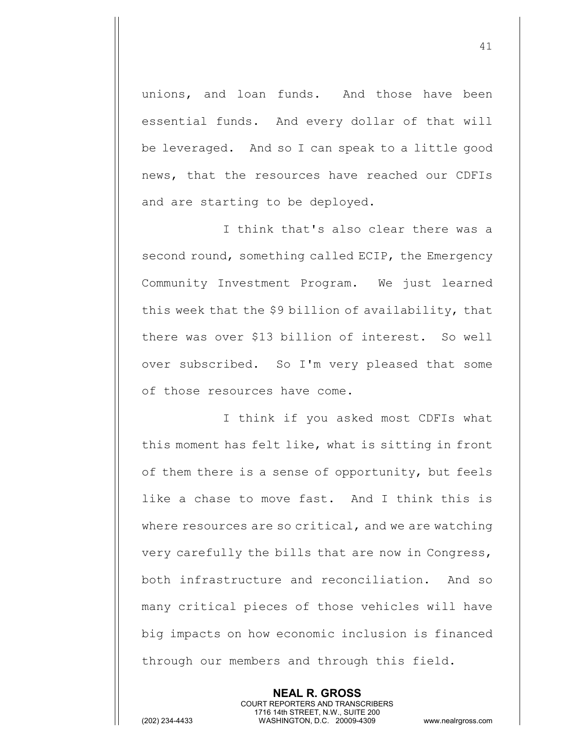unions, and loan funds. And those have been essential funds. And every dollar of that will be leveraged. And so I can speak to a little good news, that the resources have reached our CDFIs and are starting to be deployed.

I think that's also clear there was a second round, something called ECIP, the Emergency Community Investment Program. We just learned this week that the \$9 billion of availability, that there was over \$13 billion of interest. So well over subscribed. So I'm very pleased that some of those resources have come.

I think if you asked most CDFIs what this moment has felt like, what is sitting in front of them there is a sense of opportunity, but feels like a chase to move fast. And I think this is where resources are so critical, and we are watching very carefully the bills that are now in Congress, both infrastructure and reconciliation. And so many critical pieces of those vehicles will have big impacts on how economic inclusion is financed through our members and through this field.

> **NEAL R. GROSS** COURT REPORTERS AND TRANSCRIBERS 1716 14th STREET, N.W., SUITE 200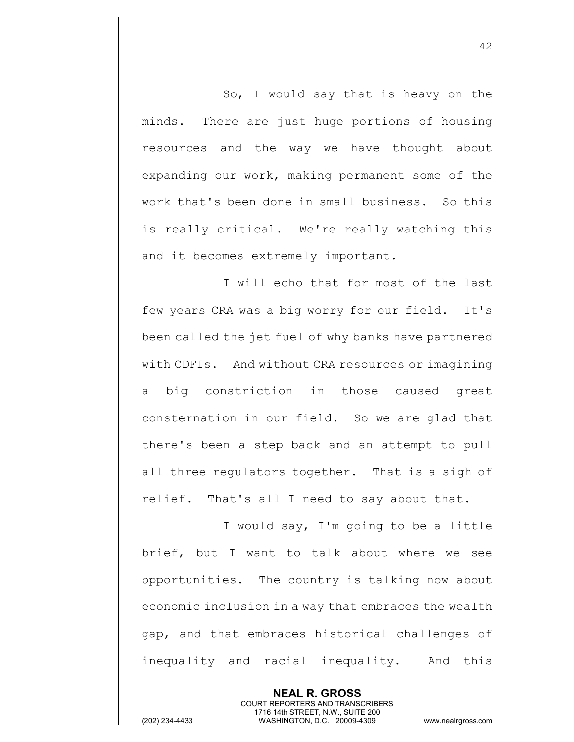So, I would say that is heavy on the minds. There are just huge portions of housing resources and the way we have thought about expanding our work, making permanent some of the work that's been done in small business. So this is really critical. We're really watching this and it becomes extremely important.

I will echo that for most of the last few years CRA was a big worry for our field. It's been called the jet fuel of why banks have partnered with CDFIs. And without CRA resources or imagining big constriction in those caused great consternation in our field. So we are glad that there's been a step back and an attempt to pull all three regulators together. That is a sigh of relief. That's all I need to say about that.

I would say, I'm going to be a little brief, but I want to talk about where we see opportunities. The country is talking now about economic inclusion in a way that embraces the wealth gap, and that embraces historical challenges of inequality and racial inequality. And this

> **NEAL R. GROSS** COURT REPORTERS AND TRANSCRIBERS 1716 14th STREET, N.W., SUITE 200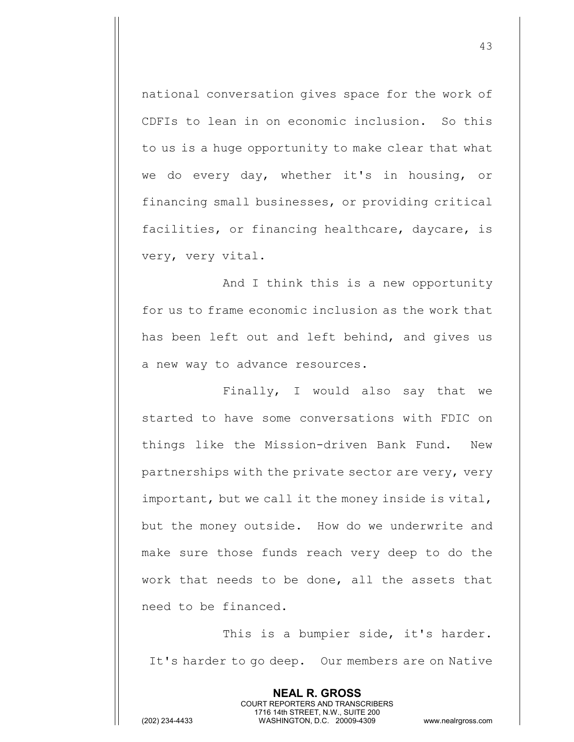national conversation gives space for the work of CDFIs to lean in on economic inclusion. So this to us is a huge opportunity to make clear that what we do every day, whether it's in housing, or financing small businesses, or providing critical facilities, or financing healthcare, daycare, is very, very vital.

And I think this is a new opportunity for us to frame economic inclusion as the work that has been left out and left behind, and gives us a new way to advance resources.

Finally, I would also say that we started to have some conversations with FDIC on things like the Mission-driven Bank Fund. New partnerships with the private sector are very, very important, but we call it the money inside is vital, but the money outside. How do we underwrite and make sure those funds reach very deep to do the work that needs to be done, all the assets that need to be financed.

This is a bumpier side, it's harder. It's harder to go deep. Our members are on Native

> **NEAL R. GROSS** COURT REPORTERS AND TRANSCRIBERS 1716 14th STREET, N.W., SUITE 200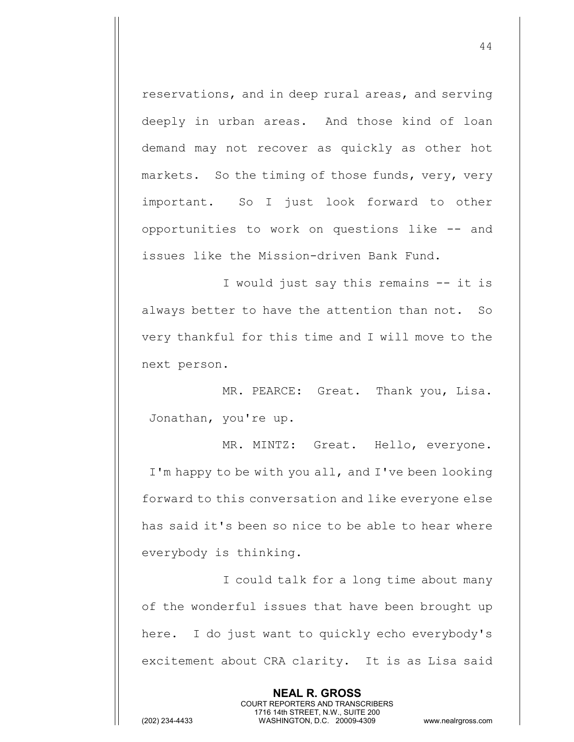reservations, and in deep rural areas, and serving deeply in urban areas. And those kind of loan demand may not recover as quickly as other hot markets. So the timing of those funds, very, very important. So I just look forward to other opportunities to work on questions like -- and issues like the Mission-driven Bank Fund.

I would just say this remains -- it is always better to have the attention than not. So very thankful for this time and I will move to the next person.

MR. PEARCE: Great. Thank you, Lisa. Jonathan, you're up.

MR. MINTZ: Great. Hello, everyone. I'm happy to be with you all, and I've been looking forward to this conversation and like everyone else has said it's been so nice to be able to hear where everybody is thinking.

I could talk for a long time about many of the wonderful issues that have been brought up here. I do just want to quickly echo everybody's excitement about CRA clarity. It is as Lisa said

> **NEAL R. GROSS** COURT REPORTERS AND TRANSCRIBERS 1716 14th STREET, N.W., SUITE 200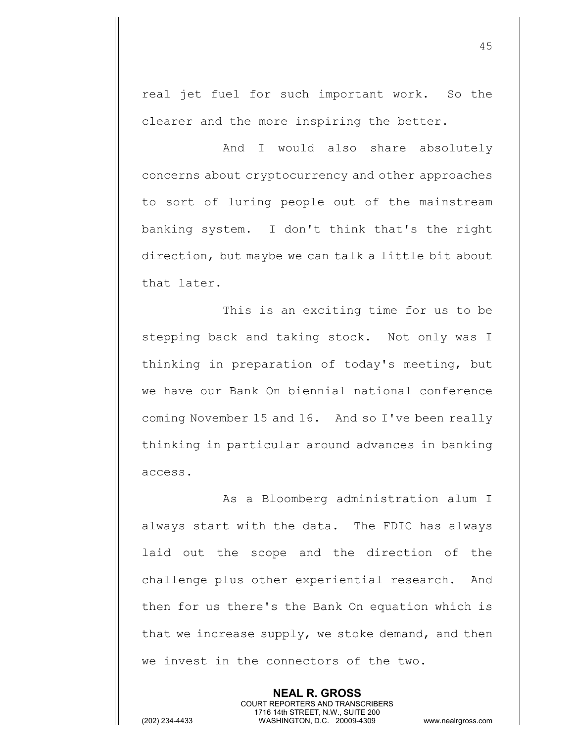real jet fuel for such important work. So the clearer and the more inspiring the better.

And I would also share absolutely concerns about cryptocurrency and other approaches to sort of luring people out of the mainstream banking system. I don't think that's the right direction, but maybe we can talk a little bit about that later.

This is an exciting time for us to be stepping back and taking stock. Not only was I thinking in preparation of today's meeting, but we have our Bank On biennial national conference coming November 15 and 16. And so I've been really thinking in particular around advances in banking access.

As a Bloomberg administration alum I always start with the data. The FDIC has always laid out the scope and the direction of the challenge plus other experiential research. And then for us there's the Bank On equation which is that we increase supply, we stoke demand, and then we invest in the connectors of the two.

> **NEAL R. GROSS** COURT REPORTERS AND TRANSCRIBERS 1716 14th STREET, N.W., SUITE 200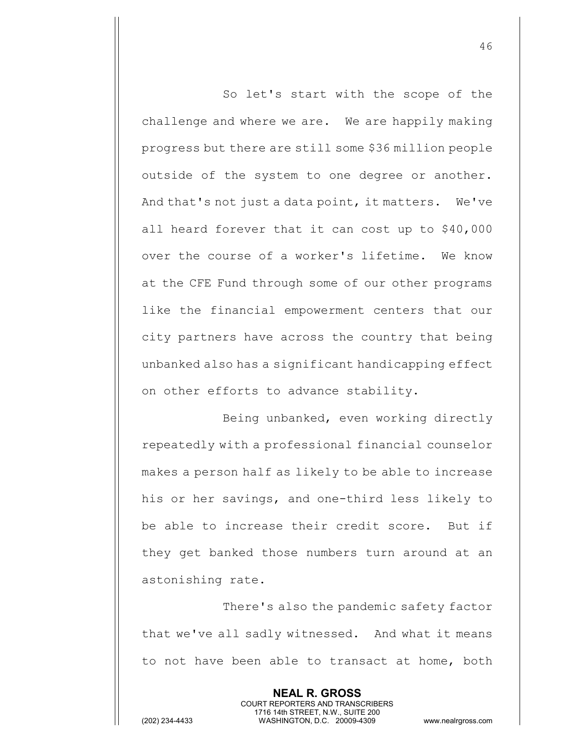So let's start with the scope of the challenge and where we are. We are happily making progress but there are still some \$36 million people outside of the system to one degree or another. And that's not just a data point, it matters. We've all heard forever that it can cost up to \$40,000 over the course of a worker's lifetime. We know at the CFE Fund through some of our other programs like the financial empowerment centers that our city partners have across the country that being unbanked also has a significant handicapping effect on other efforts to advance stability.

Being unbanked, even working directly repeatedly with a professional financial counselor makes a person half as likely to be able to increase his or her savings, and one-third less likely to be able to increase their credit score. But if they get banked those numbers turn around at an astonishing rate.

There's also the pandemic safety factor that we've all sadly witnessed. And what it means to not have been able to transact at home, both

> **NEAL R. GROSS** COURT REPORTERS AND TRANSCRIBERS 1716 14th STREET, N.W., SUITE 200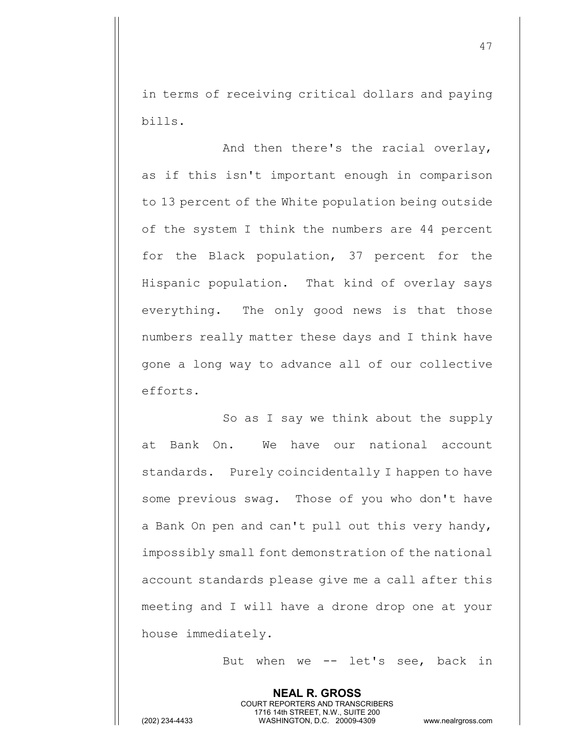in terms of receiving critical dollars and paying bills.

And then there's the racial overlay, as if this isn't important enough in comparison to 13 percent of the White population being outside of the system I think the numbers are 44 percent for the Black population, 37 percent for the Hispanic population. That kind of overlay says everything. The only good news is that those numbers really matter these days and I think have gone a long way to advance all of our collective efforts.

So as I say we think about the supply at Bank On. We have our national account standards. Purely coincidentally I happen to have some previous swag. Those of you who don't have a Bank On pen and can't pull out this very handy, impossibly small font demonstration of the national account standards please give me a call after this meeting and I will have a drone drop one at your house immediately.

> **NEAL R. GROSS** COURT REPORTERS AND TRANSCRIBERS 1716 14th STREET, N.W., SUITE 200

But when we -- let's see, back in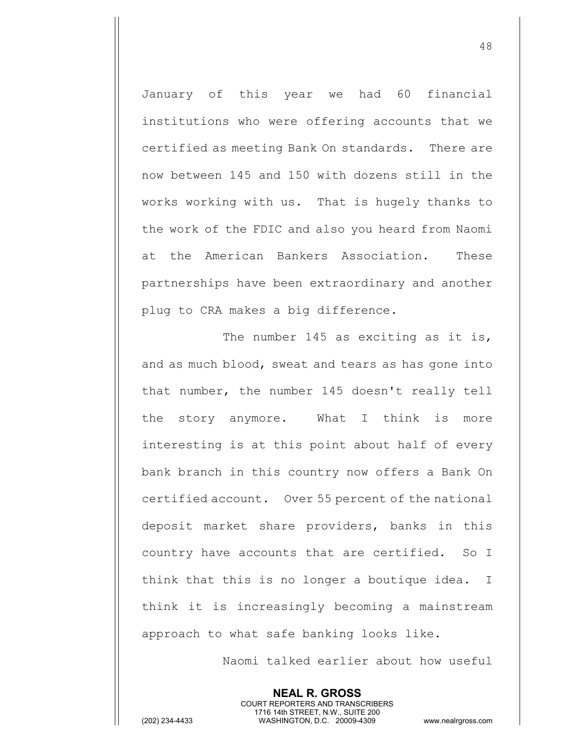January of this year we had 60 financial institutions who were offering accounts that we certified as meeting Bank On standards. There are now between 145 and 150 with dozens still in the works working with us. That is hugely thanks to the work of the FDIC and also you heard from Naomi at the American Bankers Association. These partnerships have been extraordinary and another plug to CRA makes a big difference.

The number 145 as exciting as it is, and as much blood, sweat and tears as has gone into that number, the number 145 doesn't really tell the story anymore. What I think is more interesting is at this point about half of every bank branch in this country now offers a Bank On certified account. Over 55 percent of the national deposit market share providers, banks in this country have accounts that are certified. So I think that this is no longer a boutique idea. I think it is increasingly becoming a mainstream approach to what safe banking looks like.

> **NEAL R. GROSS** COURT REPORTERS AND TRANSCRIBERS 1716 14th STREET, N.W., SUITE 200

Naomi talked earlier about how useful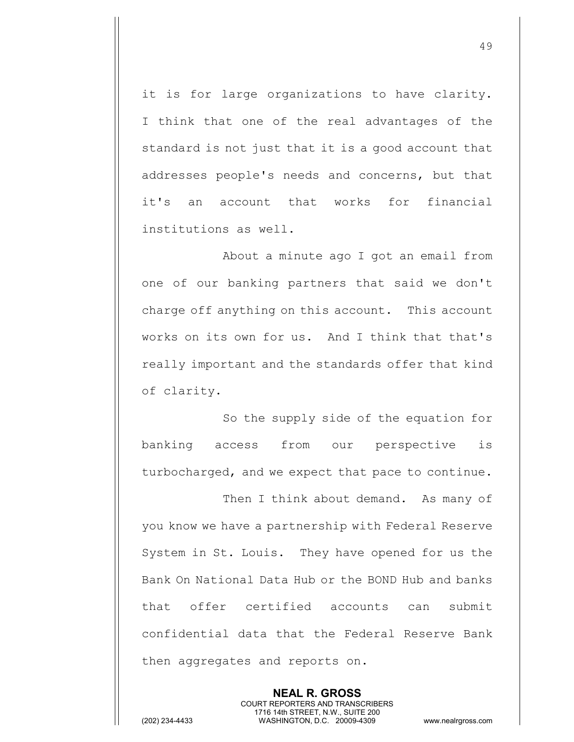it is for large organizations to have clarity. I think that one of the real advantages of the standard is not just that it is a good account that addresses people's needs and concerns, but that it's an account that works for financial institutions as well.

About a minute ago I got an email from one of our banking partners that said we don't charge off anything on this account. This account works on its own for us. And I think that that's really important and the standards offer that kind of clarity.

So the supply side of the equation for banking access from our perspective is turbocharged, and we expect that pace to continue.

Then I think about demand. As many of you know we have a partnership with Federal Reserve System in St. Louis. They have opened for us the Bank On National Data Hub or the BOND Hub and banks that offer certified accounts can submit confidential data that the Federal Reserve Bank then aggregates and reports on.

> **NEAL R. GROSS** COURT REPORTERS AND TRANSCRIBERS 1716 14th STREET, N.W., SUITE 200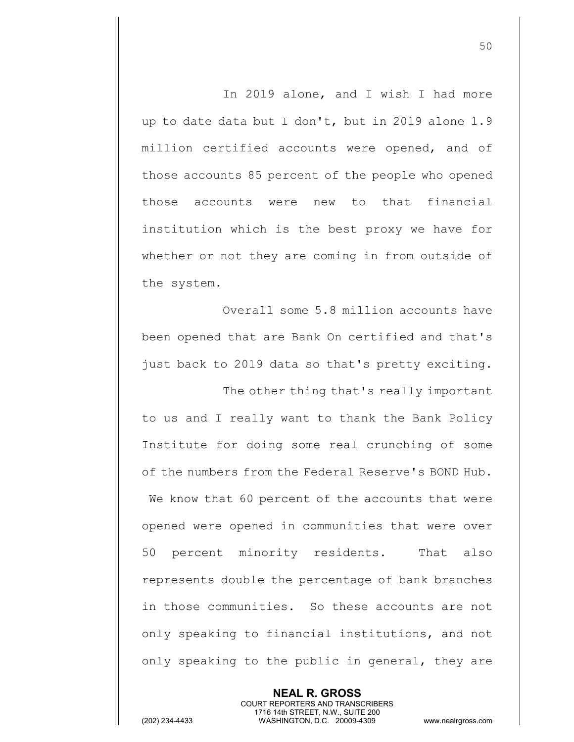In 2019 alone, and I wish I had more up to date data but I don't, but in 2019 alone 1.9 million certified accounts were opened, and of those accounts 85 percent of the people who opened those accounts were new to that financial institution which is the best proxy we have for whether or not they are coming in from outside of the system.

Overall some 5.8 million accounts have been opened that are Bank On certified and that's just back to 2019 data so that's pretty exciting.

The other thing that's really important to us and I really want to thank the Bank Policy Institute for doing some real crunching of some of the numbers from the Federal Reserve's BOND Hub. We know that 60 percent of the accounts that were opened were opened in communities that were over 50 percent minority residents. That also represents double the percentage of bank branches in those communities. So these accounts are not only speaking to financial institutions, and not only speaking to the public in general, they are

COURT REPORTERS AND TRANSCRIBERS 1716 14th STREET, N.W., SUITE 200 (202) 234-4433 WASHINGTON, D.C. 20009-4309 www.nealrgross.com

**NEAL R. GROSS**

50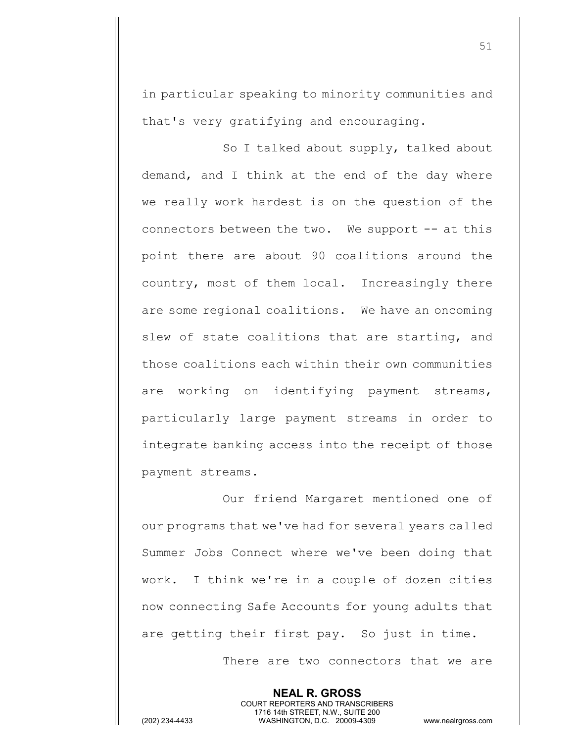in particular speaking to minority communities and that's very gratifying and encouraging.

So I talked about supply, talked about demand, and I think at the end of the day where we really work hardest is on the question of the connectors between the two. We support -- at this point there are about 90 coalitions around the country, most of them local. Increasingly there are some regional coalitions. We have an oncoming slew of state coalitions that are starting, and those coalitions each within their own communities are working on identifying payment streams, particularly large payment streams in order to integrate banking access into the receipt of those payment streams.

Our friend Margaret mentioned one of our programs that we've had for several years called Summer Jobs Connect where we've been doing that work. I think we're in a couple of dozen cities now connecting Safe Accounts for young adults that are getting their first pay. So just in time.

> **NEAL R. GROSS** COURT REPORTERS AND TRANSCRIBERS 1716 14th STREET, N.W., SUITE 200

There are two connectors that we are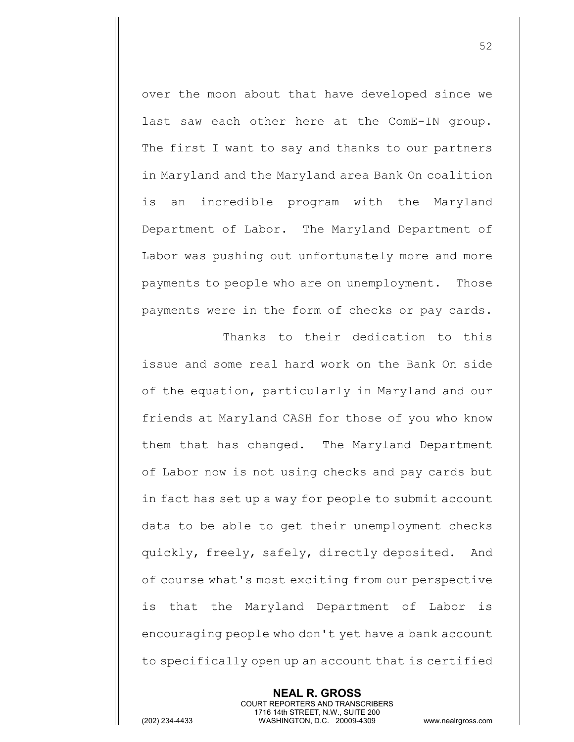over the moon about that have developed since we last saw each other here at the ComE-IN group. The first I want to say and thanks to our partners in Maryland and the Maryland area Bank On coalition is an incredible program with the Maryland Department of Labor. The Maryland Department of Labor was pushing out unfortunately more and more payments to people who are on unemployment. Those payments were in the form of checks or pay cards.

Thanks to their dedication to this issue and some real hard work on the Bank On side of the equation, particularly in Maryland and our friends at Maryland CASH for those of you who know them that has changed. The Maryland Department of Labor now is not using checks and pay cards but in fact has set up a way for people to submit account data to be able to get their unemployment checks quickly, freely, safely, directly deposited. And of course what's most exciting from our perspective is that the Maryland Department of Labor is encouraging people who don't yet have a bank account to specifically open up an account that is certified

> **NEAL R. GROSS** COURT REPORTERS AND TRANSCRIBERS 1716 14th STREET, N.W., SUITE 200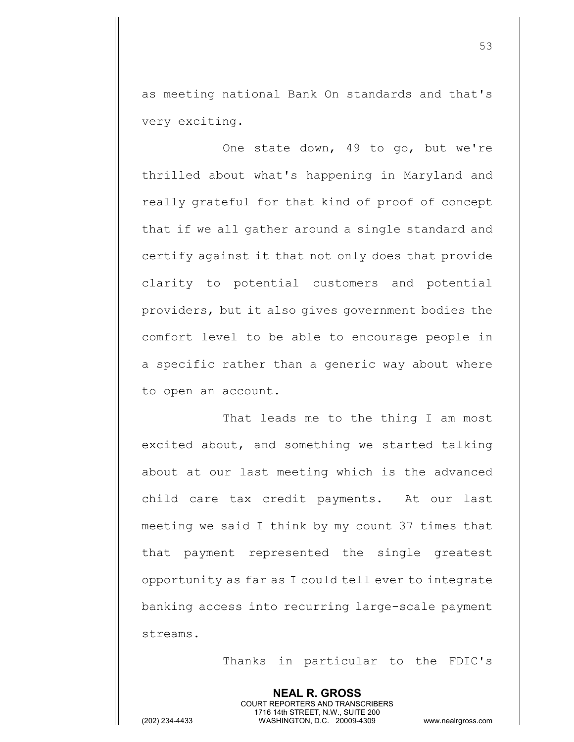as meeting national Bank On standards and that's very exciting.

One state down, 49 to go, but we're thrilled about what's happening in Maryland and really grateful for that kind of proof of concept that if we all gather around a single standard and certify against it that not only does that provide clarity to potential customers and potential providers, but it also gives government bodies the comfort level to be able to encourage people in a specific rather than a generic way about where to open an account.

That leads me to the thing I am most excited about, and something we started talking about at our last meeting which is the advanced child care tax credit payments. At our last meeting we said I think by my count 37 times that that payment represented the single greatest opportunity as far as I could tell ever to integrate banking access into recurring large-scale payment streams.

Thanks in particular to the FDIC's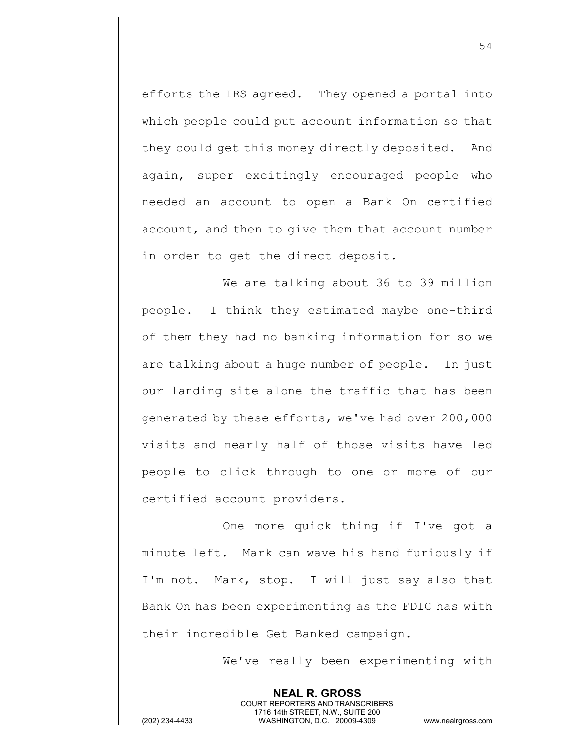efforts the IRS agreed. They opened a portal into which people could put account information so that they could get this money directly deposited. And again, super excitingly encouraged people who needed an account to open a Bank On certified account, and then to give them that account number in order to get the direct deposit.

We are talking about 36 to 39 million people. I think they estimated maybe one-third of them they had no banking information for so we are talking about a huge number of people. In just our landing site alone the traffic that has been generated by these efforts, we've had over 200,000 visits and nearly half of those visits have led people to click through to one or more of our certified account providers.

One more quick thing if I've got a minute left. Mark can wave his hand furiously if I'm not. Mark, stop. I will just say also that Bank On has been experimenting as the FDIC has with their incredible Get Banked campaign.

> **NEAL R. GROSS** COURT REPORTERS AND TRANSCRIBERS 1716 14th STREET, N.W., SUITE 200

We've really been experimenting with

(202) 234-4433 WASHINGTON, D.C. 20009-4309 www.nealrgross.com

54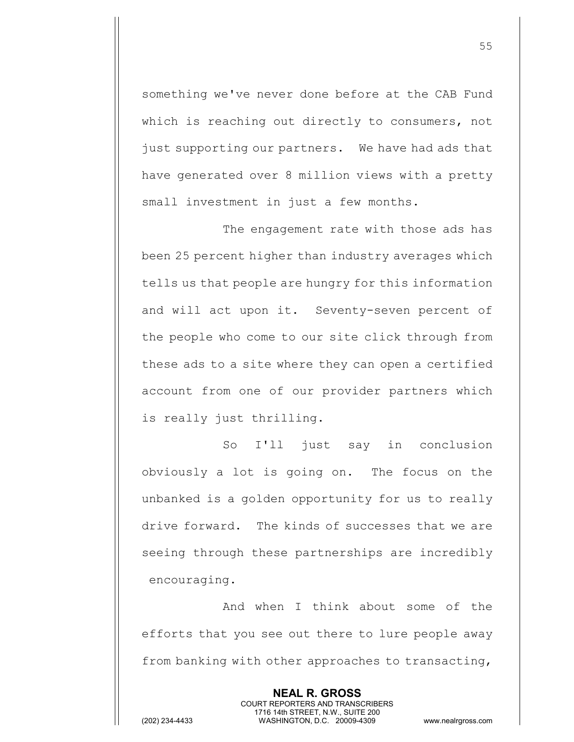something we've never done before at the CAB Fund which is reaching out directly to consumers, not just supporting our partners. We have had ads that have generated over 8 million views with a pretty small investment in just a few months.

The engagement rate with those ads has been 25 percent higher than industry averages which tells us that people are hungry for this information and will act upon it. Seventy-seven percent of the people who come to our site click through from these ads to a site where they can open a certified account from one of our provider partners which is really just thrilling.

So I'll just say in conclusion obviously a lot is going on. The focus on the unbanked is a golden opportunity for us to really drive forward. The kinds of successes that we are seeing through these partnerships are incredibly encouraging.

And when I think about some of the efforts that you see out there to lure people away from banking with other approaches to transacting,

> **NEAL R. GROSS** COURT REPORTERS AND TRANSCRIBERS 1716 14th STREET, N.W., SUITE 200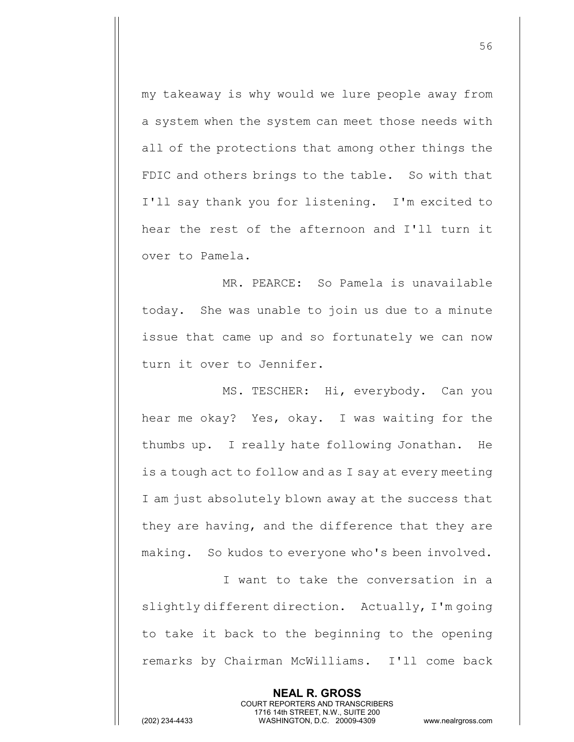my takeaway is why would we lure people away from a system when the system can meet those needs with all of the protections that among other things the FDIC and others brings to the table. So with that I'll say thank you for listening. I'm excited to hear the rest of the afternoon and I'll turn it over to Pamela.

MR. PEARCE: So Pamela is unavailable today. She was unable to join us due to a minute issue that came up and so fortunately we can now turn it over to Jennifer.

MS. TESCHER: Hi, everybody. Can you hear me okay? Yes, okay. I was waiting for the thumbs up. I really hate following Jonathan. He is a tough act to follow and as I say at every meeting I am just absolutely blown away at the success that they are having, and the difference that they are making. So kudos to everyone who's been involved.

I want to take the conversation in a slightly different direction. Actually, I'm going to take it back to the beginning to the opening remarks by Chairman McWilliams. I'll come back

> **NEAL R. GROSS** COURT REPORTERS AND TRANSCRIBERS 1716 14th STREET, N.W., SUITE 200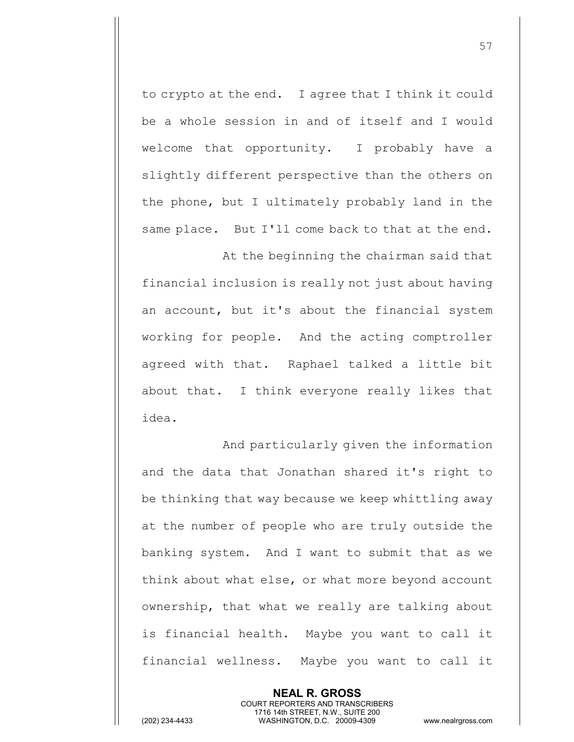to crypto at the end. I agree that I think it could be a whole session in and of itself and I would welcome that opportunity. I probably have a slightly different perspective than the others on the phone, but I ultimately probably land in the same place. But I'll come back to that at the end.

At the beginning the chairman said that financial inclusion is really not just about having an account, but it's about the financial system working for people. And the acting comptroller agreed with that. Raphael talked a little bit about that. I think everyone really likes that idea.

And particularly given the information and the data that Jonathan shared it's right to be thinking that way because we keep whittling away at the number of people who are truly outside the banking system. And I want to submit that as we think about what else, or what more beyond account ownership, that what we really are talking about is financial health. Maybe you want to call it financial wellness. Maybe you want to call it

> **NEAL R. GROSS** COURT REPORTERS AND TRANSCRIBERS 1716 14th STREET, N.W., SUITE 200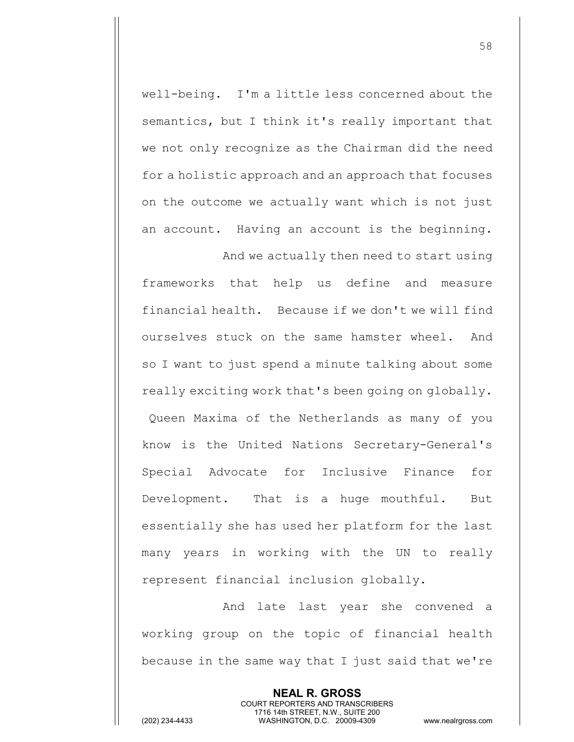well-being. I'm a little less concerned about the semantics, but I think it's really important that we not only recognize as the Chairman did the need for a holistic approach and an approach that focuses on the outcome we actually want which is not just an account. Having an account is the beginning. And we actually then need to start using

frameworks that help us define and measure financial health. Because if we don't we will find ourselves stuck on the same hamster wheel. And so I want to just spend a minute talking about some really exciting work that's been going on globally. Queen Maxima of the Netherlands as many of you know is the United Nations Secretary-General's Special Advocate for Inclusive Finance for Development. That is a huge mouthful. But essentially she has used her platform for the last many years in working with the UN to really represent financial inclusion globally.

And late last year she convened a working group on the topic of financial health because in the same way that I just said that we're

> **NEAL R. GROSS** COURT REPORTERS AND TRANSCRIBERS 1716 14th STREET, N.W., SUITE 200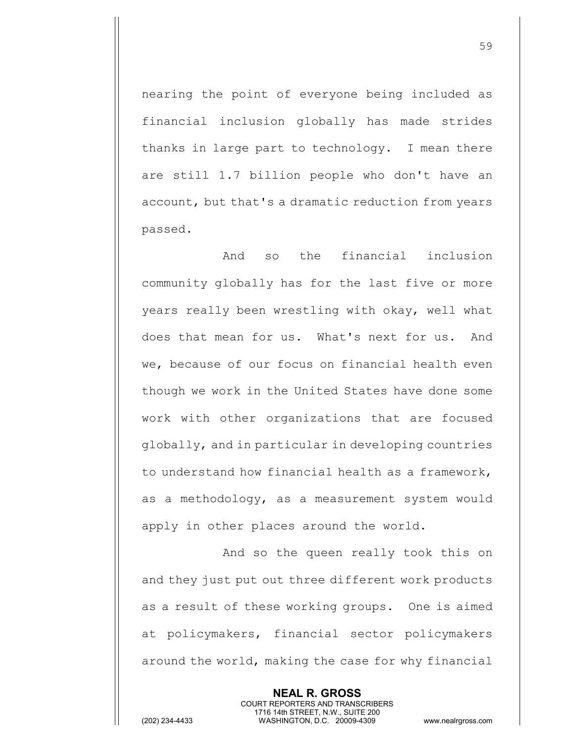nearing the point of everyone being included as financial inclusion globally has made strides thanks in large part to technology. I mean there are still 1.7 billion people who don't have an account, but that's a dramatic reduction from years passed.

And so the financial inclusion community globally has for the last five or more years really been wrestling with okay, well what does that mean for us. What's next for us. And we, because of our focus on financial health even though we work in the United States have done some work with other organizations that are focused globally, and in particular in developing countries to understand how financial health as a framework, as a methodology, as a measurement system would apply in other places around the world.

And so the queen really took this on and they just put out three different work products as a result of these working groups. One is aimed at policymakers, financial sector policymakers around the world, making the case for why financial

> **NEAL R. GROSS** COURT REPORTERS AND TRANSCRIBERS 1716 14th STREET, N.W., SUITE 200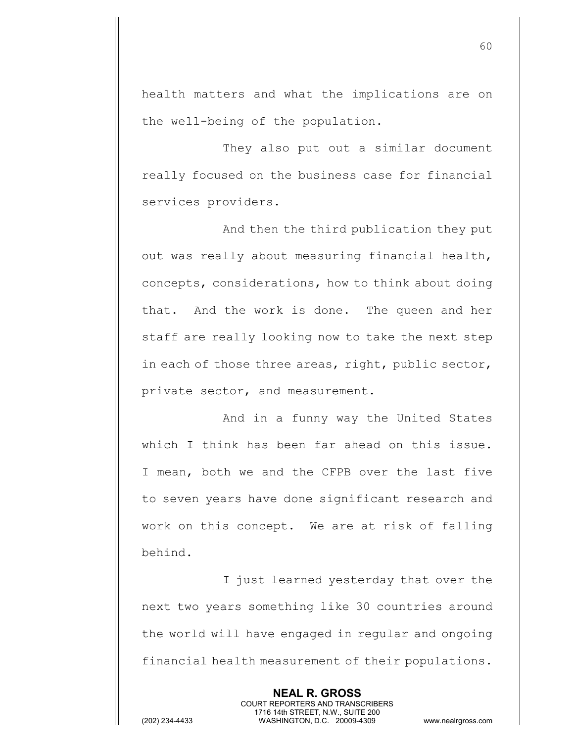health matters and what the implications are on the well-being of the population.

They also put out a similar document really focused on the business case for financial services providers.

And then the third publication they put out was really about measuring financial health, concepts, considerations, how to think about doing that. And the work is done. The queen and her staff are really looking now to take the next step in each of those three areas, right, public sector, private sector, and measurement.

And in a funny way the United States which I think has been far ahead on this issue. I mean, both we and the CFPB over the last five to seven years have done significant research and work on this concept. We are at risk of falling behind.

I just learned yesterday that over the next two years something like 30 countries around the world will have engaged in regular and ongoing financial health measurement of their populations.

> **NEAL R. GROSS** COURT REPORTERS AND TRANSCRIBERS 1716 14th STREET, N.W., SUITE 200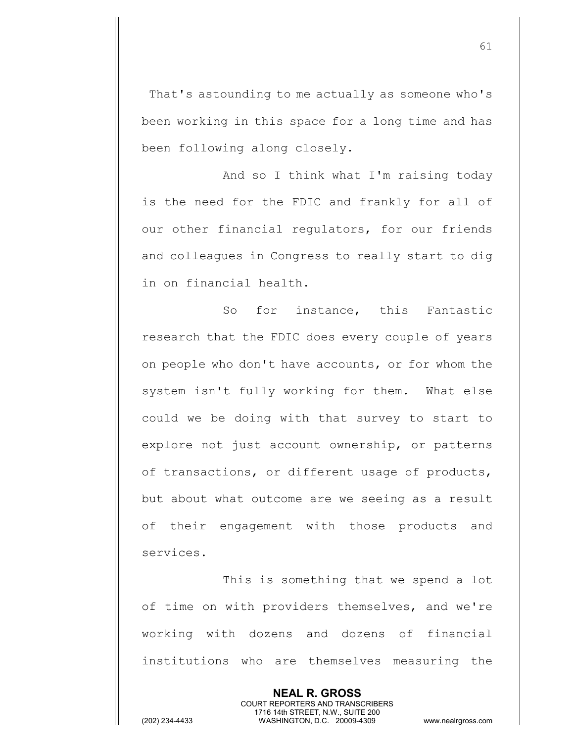That's astounding to me actually as someone who's been working in this space for a long time and has been following along closely.

And so I think what I'm raising today is the need for the FDIC and frankly for all of our other financial regulators, for our friends and colleagues in Congress to really start to dig in on financial health.

So for instance, this Fantastic research that the FDIC does every couple of years on people who don't have accounts, or for whom the system isn't fully working for them. What else could we be doing with that survey to start to explore not just account ownership, or patterns of transactions, or different usage of products, but about what outcome are we seeing as a result of their engagement with those products and services.

This is something that we spend a lot of time on with providers themselves, and we're working with dozens and dozens of financial institutions who are themselves measuring the

> **NEAL R. GROSS** COURT REPORTERS AND TRANSCRIBERS

1716 14th STREET, N.W., SUITE 200 (202) 234-4433 WASHINGTON, D.C. 20009-4309 www.nealrgross.com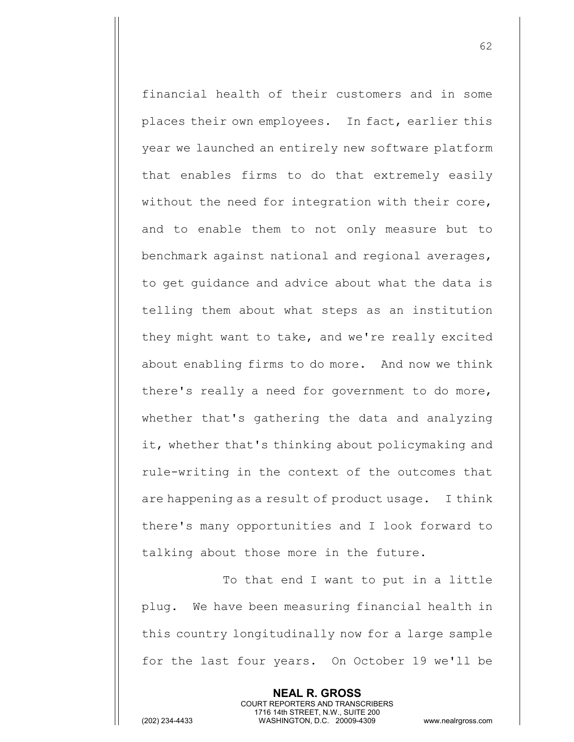financial health of their customers and in some places their own employees. In fact, earlier this year we launched an entirely new software platform that enables firms to do that extremely easily without the need for integration with their core, and to enable them to not only measure but to benchmark against national and regional averages, to get guidance and advice about what the data is telling them about what steps as an institution they might want to take, and we're really excited about enabling firms to do more. And now we think there's really a need for government to do more, whether that's gathering the data and analyzing it, whether that's thinking about policymaking and rule-writing in the context of the outcomes that are happening as a result of product usage. I think there's many opportunities and I look forward to talking about those more in the future.

To that end I want to put in a little plug. We have been measuring financial health in this country longitudinally now for a large sample for the last four years. On October 19 we'll be

> **NEAL R. GROSS** COURT REPORTERS AND TRANSCRIBERS 1716 14th STREET, N.W., SUITE 200

(202) 234-4433 WASHINGTON, D.C. 20009-4309 www.nealrgross.com

62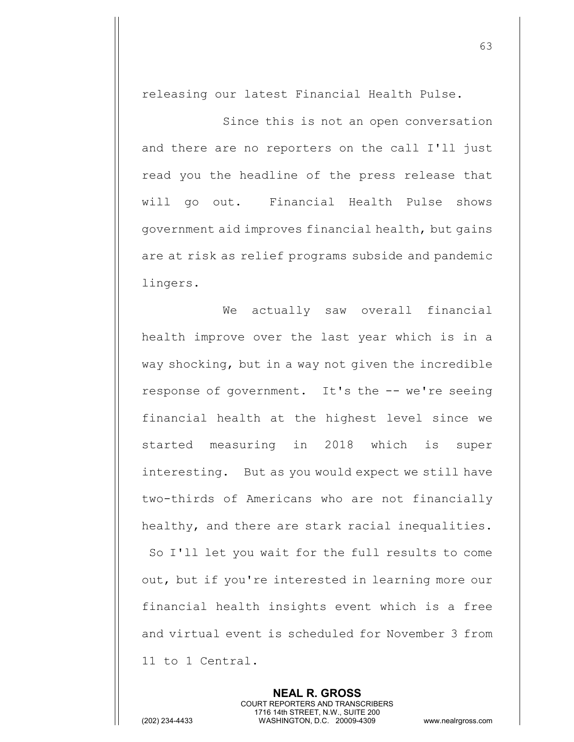releasing our latest Financial Health Pulse.

Since this is not an open conversation and there are no reporters on the call I'll just read you the headline of the press release that will go out. Financial Health Pulse shows government aid improves financial health, but gains are at risk as relief programs subside and pandemic lingers.

We actually saw overall financial health improve over the last year which is in a way shocking, but in a way not given the incredible response of government. It's the -- we're seeing financial health at the highest level since we started measuring in 2018 which is super interesting. But as you would expect we still have two-thirds of Americans who are not financially healthy, and there are stark racial inequalities. So I'll let you wait for the full results to come out, but if you're interested in learning more our financial health insights event which is a free and virtual event is scheduled for November 3 from 11 to 1 Central.

> **NEAL R. GROSS** COURT REPORTERS AND TRANSCRIBERS 1716 14th STREET, N.W., SUITE 200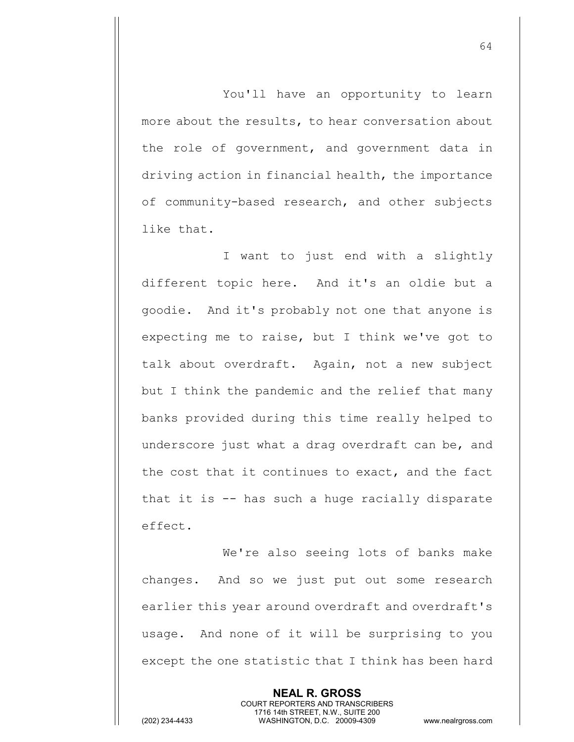You'll have an opportunity to learn more about the results, to hear conversation about the role of government, and government data in driving action in financial health, the importance of community-based research, and other subjects like that.

I want to just end with a slightly different topic here. And it's an oldie but a goodie. And it's probably not one that anyone is expecting me to raise, but I think we've got to talk about overdraft. Again, not a new subject but I think the pandemic and the relief that many banks provided during this time really helped to underscore just what a drag overdraft can be, and the cost that it continues to exact, and the fact that it is -- has such a huge racially disparate effect.

We're also seeing lots of banks make changes. And so we just put out some research earlier this year around overdraft and overdraft's usage. And none of it will be surprising to you except the one statistic that I think has been hard

> **NEAL R. GROSS** COURT REPORTERS AND TRANSCRIBERS 1716 14th STREET, N.W., SUITE 200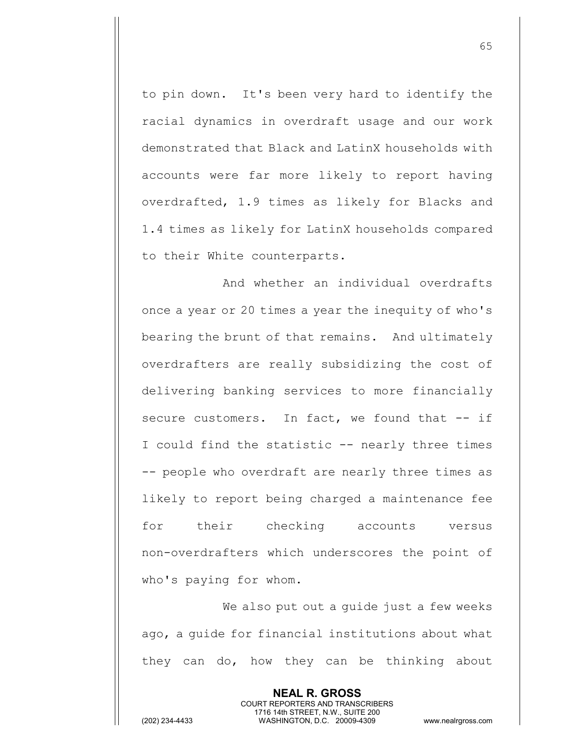to pin down. It's been very hard to identify the racial dynamics in overdraft usage and our work demonstrated that Black and LatinX households with accounts were far more likely to report having overdrafted, 1.9 times as likely for Blacks and 1.4 times as likely for LatinX households compared to their White counterparts.

And whether an individual overdrafts once a year or 20 times a year the inequity of who's bearing the brunt of that remains. And ultimately overdrafters are really subsidizing the cost of delivering banking services to more financially secure customers. In fact, we found that -- if I could find the statistic -- nearly three times -- people who overdraft are nearly three times as likely to report being charged a maintenance fee for their checking accounts versus non-overdrafters which underscores the point of who's paying for whom.

We also put out a guide just a few weeks ago, a guide for financial institutions about what they can do, how they can be thinking about

> **NEAL R. GROSS** COURT REPORTERS AND TRANSCRIBERS 1716 14th STREET, N.W., SUITE 200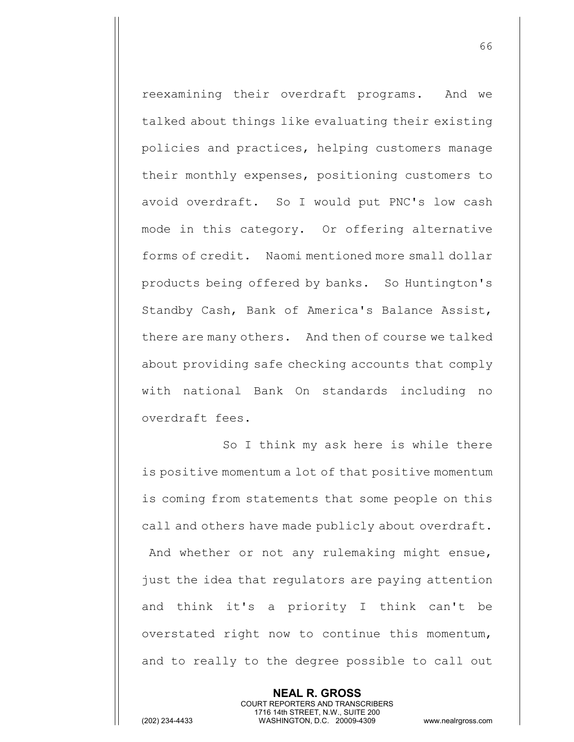reexamining their overdraft programs. And we talked about things like evaluating their existing policies and practices, helping customers manage their monthly expenses, positioning customers to avoid overdraft. So I would put PNC's low cash mode in this category. Or offering alternative forms of credit. Naomi mentioned more small dollar products being offered by banks. So Huntington's Standby Cash, Bank of America's Balance Assist, there are many others. And then of course we talked about providing safe checking accounts that comply with national Bank On standards including no overdraft fees.

So I think my ask here is while there is positive momentum a lot of that positive momentum is coming from statements that some people on this call and others have made publicly about overdraft. And whether or not any rulemaking might ensue, just the idea that regulators are paying attention and think it's a priority I think can't be overstated right now to continue this momentum, and to really to the degree possible to call out

> **NEAL R. GROSS** COURT REPORTERS AND TRANSCRIBERS 1716 14th STREET, N.W., SUITE 200

(202) 234-4433 WASHINGTON, D.C. 20009-4309 www.nealrgross.com

66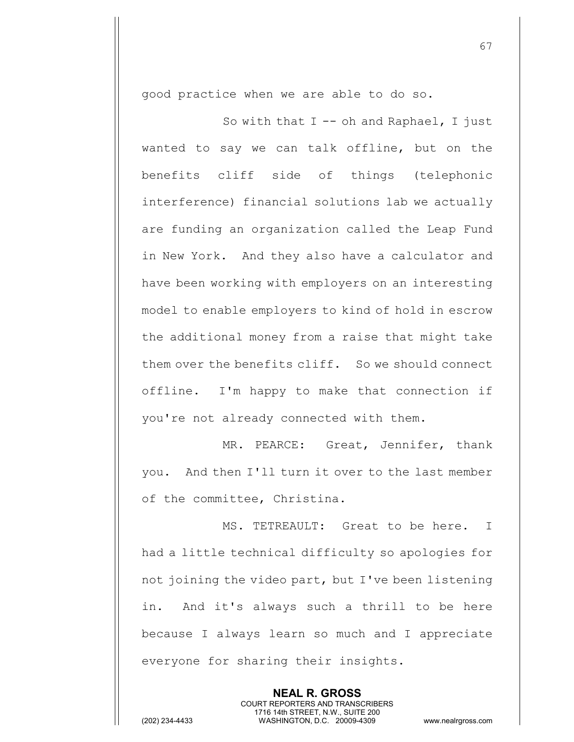good practice when we are able to do so.

So with that  $I$  -- oh and Raphael, I just wanted to say we can talk offline, but on the benefits cliff side of things (telephonic interference) financial solutions lab we actually are funding an organization called the Leap Fund in New York. And they also have a calculator and have been working with employers on an interesting model to enable employers to kind of hold in escrow the additional money from a raise that might take them over the benefits cliff. So we should connect offline. I'm happy to make that connection if you're not already connected with them.

MR. PEARCE: Great, Jennifer, thank you. And then I'll turn it over to the last member of the committee, Christina.

MS. TETREAULT: Great to be here. I had a little technical difficulty so apologies for not joining the video part, but I've been listening in. And it's always such a thrill to be here because I always learn so much and I appreciate everyone for sharing their insights.

> **NEAL R. GROSS** COURT REPORTERS AND TRANSCRIBERS 1716 14th STREET, N.W., SUITE 200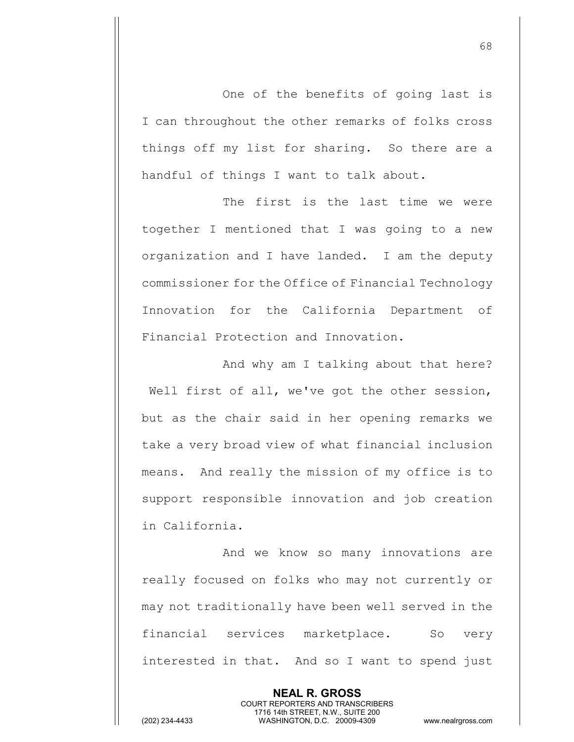One of the benefits of going last is I can throughout the other remarks of folks cross things off my list for sharing. So there are a handful of things I want to talk about.

The first is the last time we were together I mentioned that I was going to a new organization and I have landed. I am the deputy commissioner for the Office of Financial Technology Innovation for the California Department of Financial Protection and Innovation.

And why am I talking about that here? Well first of all, we've got the other session, but as the chair said in her opening remarks we take a very broad view of what financial inclusion means. And really the mission of my office is to support responsible innovation and job creation in California.

And we know so many innovations are really focused on folks who may not currently or may not traditionally have been well served in the financial services marketplace. So very interested in that. And so I want to spend just

> **NEAL R. GROSS** COURT REPORTERS AND TRANSCRIBERS 1716 14th STREET, N.W., SUITE 200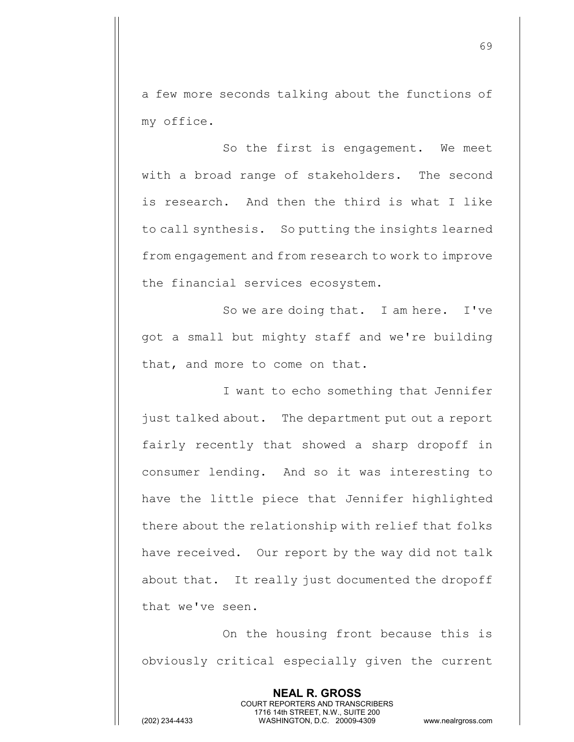a few more seconds talking about the functions of my office.

So the first is engagement. We meet with a broad range of stakeholders. The second is research. And then the third is what I like to call synthesis. So putting the insights learned from engagement and from research to work to improve the financial services ecosystem.

So we are doing that. I am here. I've got a small but mighty staff and we're building that, and more to come on that.

I want to echo something that Jennifer just talked about. The department put out a report fairly recently that showed a sharp dropoff in consumer lending. And so it was interesting to have the little piece that Jennifer highlighted there about the relationship with relief that folks have received. Our report by the way did not talk about that. It really just documented the dropoff that we've seen.

On the housing front because this is obviously critical especially given the current

> **NEAL R. GROSS** COURT REPORTERS AND TRANSCRIBERS 1716 14th STREET, N.W., SUITE 200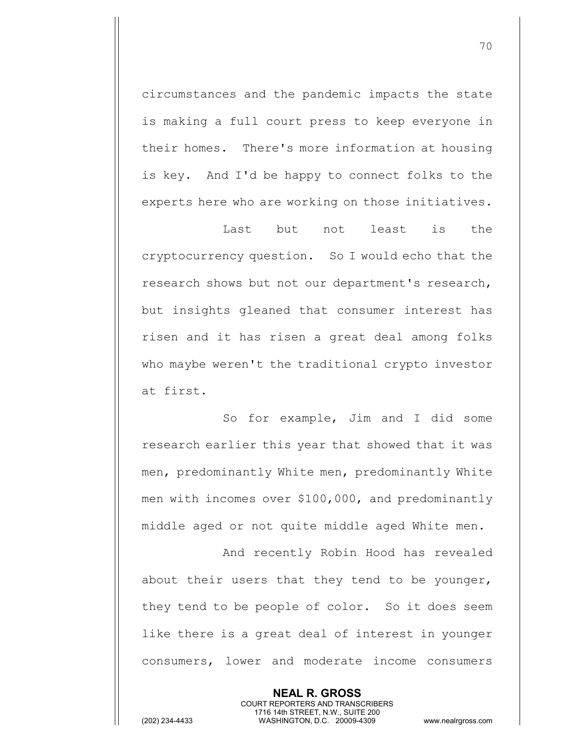circumstances and the pandemic impacts the state is making a full court press to keep everyone in their homes. There's more information at housing is key. And I'd be happy to connect folks to the experts here who are working on those initiatives.

Last but not least is the cryptocurrency question. So I would echo that the research shows but not our department's research, but insights gleaned that consumer interest has risen and it has risen a great deal among folks who maybe weren't the traditional crypto investor at first.

So for example, Jim and I did some research earlier this year that showed that it was men, predominantly White men, predominantly White men with incomes over \$100,000, and predominantly middle aged or not quite middle aged White men.

And recently Robin Hood has revealed about their users that they tend to be younger, they tend to be people of color. So it does seem like there is a great deal of interest in younger consumers, lower and moderate income consumers

> **NEAL R. GROSS** COURT REPORTERS AND TRANSCRIBERS 1716 14th STREET, N.W., SUITE 200

(202) 234-4433 WASHINGTON, D.C. 20009-4309 www.nealrgross.com

70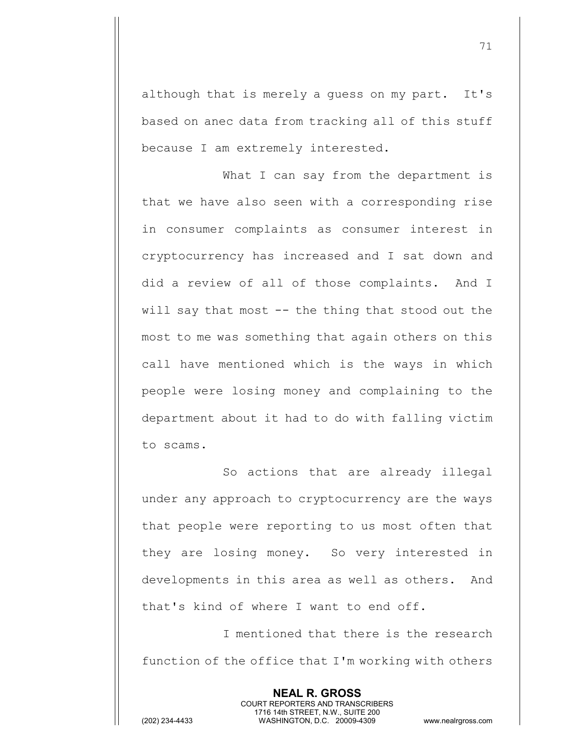although that is merely a guess on my part. It's based on anec data from tracking all of this stuff because I am extremely interested.

What I can say from the department is that we have also seen with a corresponding rise in consumer complaints as consumer interest in cryptocurrency has increased and I sat down and did a review of all of those complaints. And I will say that most -- the thing that stood out the most to me was something that again others on this call have mentioned which is the ways in which people were losing money and complaining to the department about it had to do with falling victim to scams.

So actions that are already illegal under any approach to cryptocurrency are the ways that people were reporting to us most often that they are losing money. So very interested in developments in this area as well as others. And that's kind of where I want to end off.

I mentioned that there is the research function of the office that I'm working with others

> **NEAL R. GROSS** COURT REPORTERS AND TRANSCRIBERS 1716 14th STREET, N.W., SUITE 200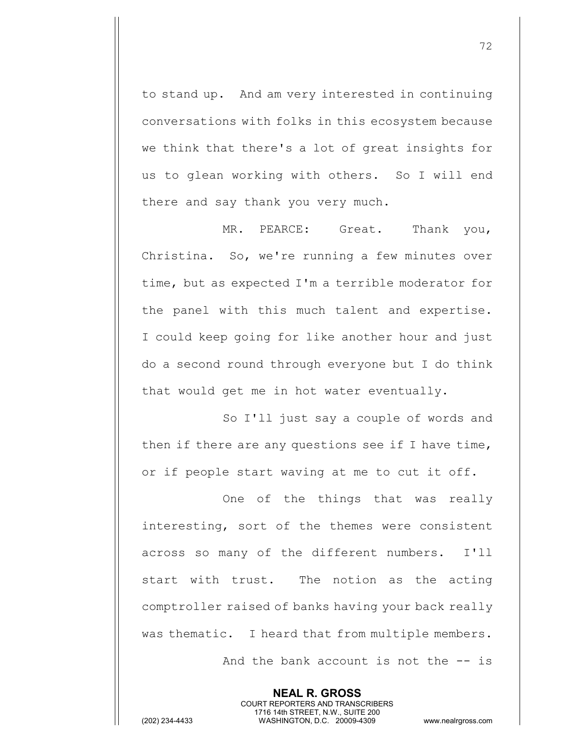to stand up. And am very interested in continuing conversations with folks in this ecosystem because we think that there's a lot of great insights for us to glean working with others. So I will end there and say thank you very much.

MR. PEARCE: Great. Thank you, Christina. So, we're running a few minutes over time, but as expected I'm a terrible moderator for the panel with this much talent and expertise. I could keep going for like another hour and just do a second round through everyone but I do think that would get me in hot water eventually.

So I'll just say a couple of words and then if there are any questions see if I have time, or if people start waving at me to cut it off.

One of the things that was really interesting, sort of the themes were consistent across so many of the different numbers. I'll start with trust. The notion as the acting comptroller raised of banks having your back really was thematic. I heard that from multiple members. And the bank account is not the -- is

**NEAL R. GROSS** COURT REPORTERS AND TRANSCRIBERS 1716 14th STREET, N.W., SUITE 200 (202) 234-4433 WASHINGTON, D.C. 20009-4309 www.nealrgross.com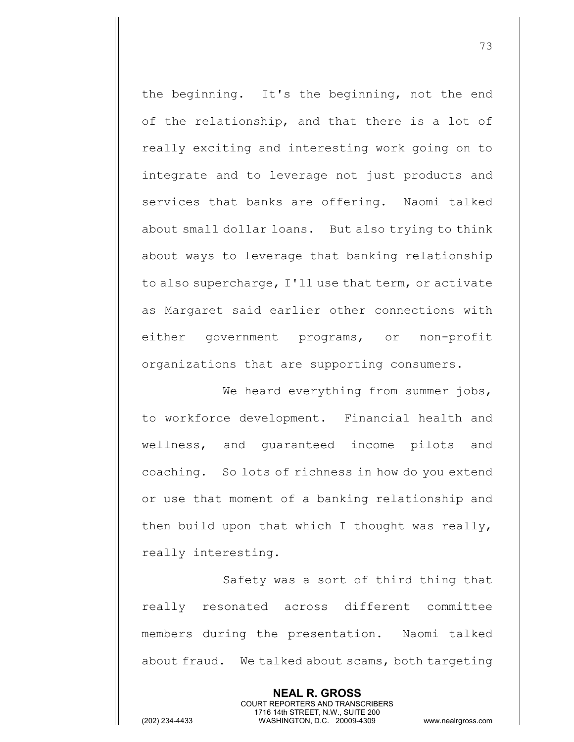the beginning. It's the beginning, not the end of the relationship, and that there is a lot of really exciting and interesting work going on to integrate and to leverage not just products and services that banks are offering. Naomi talked about small dollar loans. But also trying to think about ways to leverage that banking relationship to also supercharge, I'll use that term, or activate as Margaret said earlier other connections with either government programs, or non-profit organizations that are supporting consumers.

We heard everything from summer jobs, to workforce development. Financial health and wellness, and guaranteed income pilots and coaching. So lots of richness in how do you extend or use that moment of a banking relationship and then build upon that which I thought was really, really interesting.

Safety was a sort of third thing that really resonated across different committee members during the presentation. Naomi talked about fraud. We talked about scams, both targeting

> **NEAL R. GROSS** COURT REPORTERS AND TRANSCRIBERS 1716 14th STREET, N.W., SUITE 200

(202) 234-4433 WASHINGTON, D.C. 20009-4309 www.nealrgross.com

73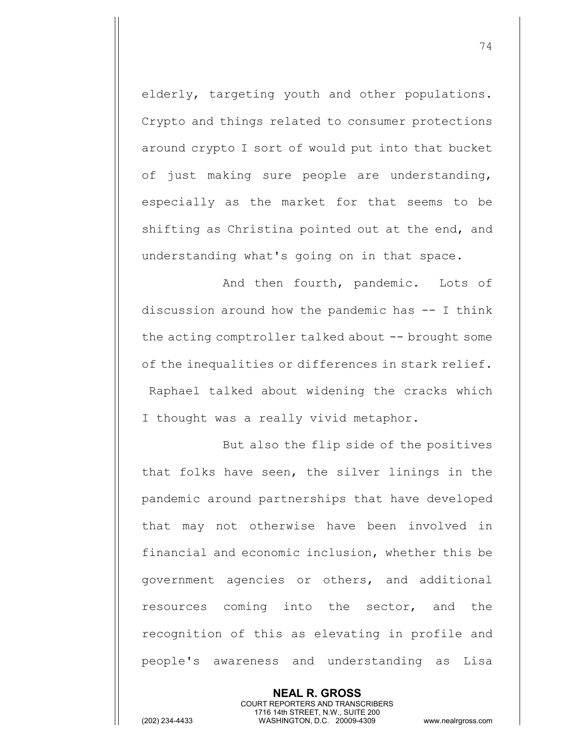elderly, targeting youth and other populations. Crypto and things related to consumer protections around crypto I sort of would put into that bucket of just making sure people are understanding, especially as the market for that seems to be shifting as Christina pointed out at the end, and understanding what's going on in that space.

And then fourth, pandemic. Lots of discussion around how the pandemic has -- I think the acting comptroller talked about -- brought some of the inequalities or differences in stark relief. Raphael talked about widening the cracks which I thought was a really vivid metaphor.

But also the flip side of the positives that folks have seen, the silver linings in the pandemic around partnerships that have developed that may not otherwise have been involved in financial and economic inclusion, whether this be government agencies or others, and additional resources coming into the sector, and the recognition of this as elevating in profile and people's awareness and understanding as Lisa

**NEAL R. GROSS** COURT REPORTERS AND TRANSCRIBERS 1716 14th STREET, N.W., SUITE 200 (202) 234-4433 WASHINGTON, D.C. 20009-4309 www.nealrgross.com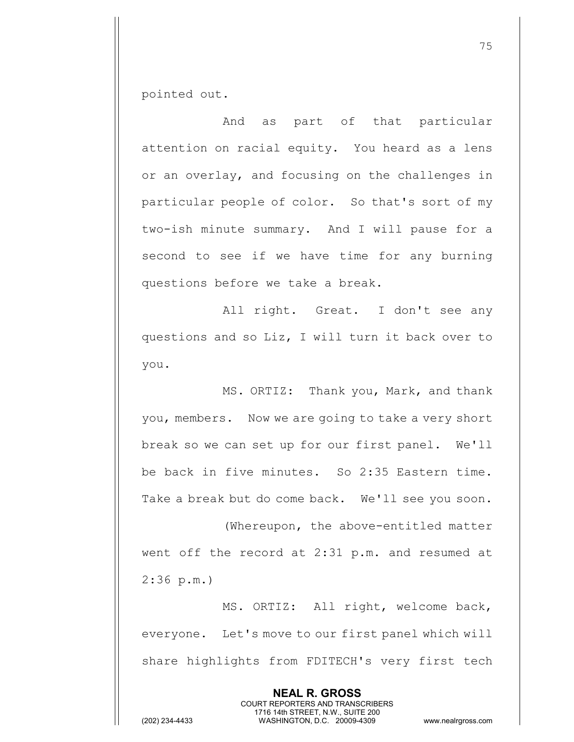pointed out.

And as part of that particular attention on racial equity. You heard as a lens or an overlay, and focusing on the challenges in particular people of color. So that's sort of my two-ish minute summary. And I will pause for a second to see if we have time for any burning questions before we take a break.

All right. Great. I don't see any questions and so Liz, I will turn it back over to you.

MS. ORTIZ: Thank you, Mark, and thank you, members. Now we are going to take a very short break so we can set up for our first panel. We'll be back in five minutes. So 2:35 Eastern time. Take a break but do come back. We'll see you soon.

(Whereupon, the above-entitled matter went off the record at 2:31 p.m. and resumed at 2:36 p.m.)

MS. ORTIZ: All right, welcome back, everyone. Let's move to our first panel which will share highlights from FDITECH's very first tech

> **NEAL R. GROSS** COURT REPORTERS AND TRANSCRIBERS 1716 14th STREET, N.W., SUITE 200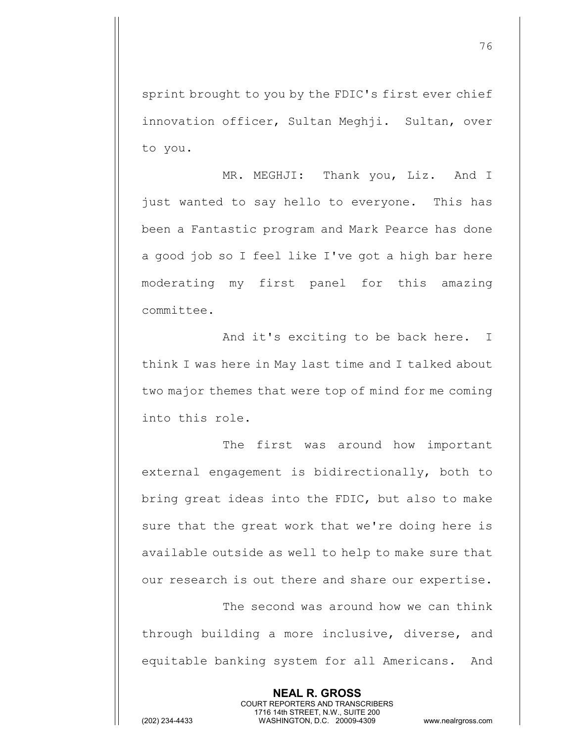sprint brought to you by the FDIC's first ever chief innovation officer, Sultan Meghji. Sultan, over to you.

MR. MEGHJI: Thank you, Liz. And I just wanted to say hello to everyone. This has been a Fantastic program and Mark Pearce has done a good job so I feel like I've got a high bar here moderating my first panel for this amazing committee.

And it's exciting to be back here. I think I was here in May last time and I talked about two major themes that were top of mind for me coming into this role.

The first was around how important external engagement is bidirectionally, both to bring great ideas into the FDIC, but also to make sure that the great work that we're doing here is available outside as well to help to make sure that our research is out there and share our expertise. The second was around how we can think

through building a more inclusive, diverse, and equitable banking system for all Americans. And

> **NEAL R. GROSS** COURT REPORTERS AND TRANSCRIBERS 1716 14th STREET, N.W., SUITE 200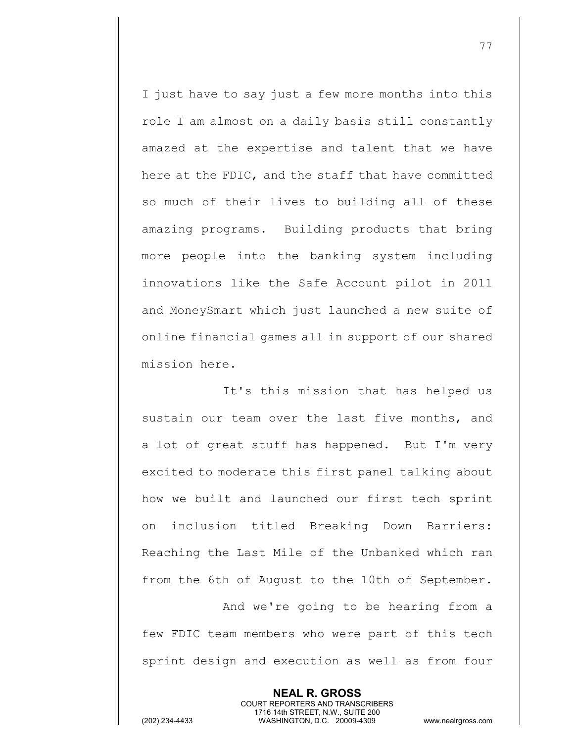I just have to say just a few more months into this role I am almost on a daily basis still constantly amazed at the expertise and talent that we have here at the FDIC, and the staff that have committed so much of their lives to building all of these amazing programs. Building products that bring more people into the banking system including innovations like the Safe Account pilot in 2011 and MoneySmart which just launched a new suite of online financial games all in support of our shared mission here.

It's this mission that has helped us sustain our team over the last five months, and a lot of great stuff has happened. But I'm very excited to moderate this first panel talking about how we built and launched our first tech sprint on inclusion titled Breaking Down Barriers: Reaching the Last Mile of the Unbanked which ran from the 6th of August to the 10th of September.

And we're going to be hearing from a few FDIC team members who were part of this tech sprint design and execution as well as from four

> **NEAL R. GROSS** COURT REPORTERS AND TRANSCRIBERS 1716 14th STREET, N.W., SUITE 200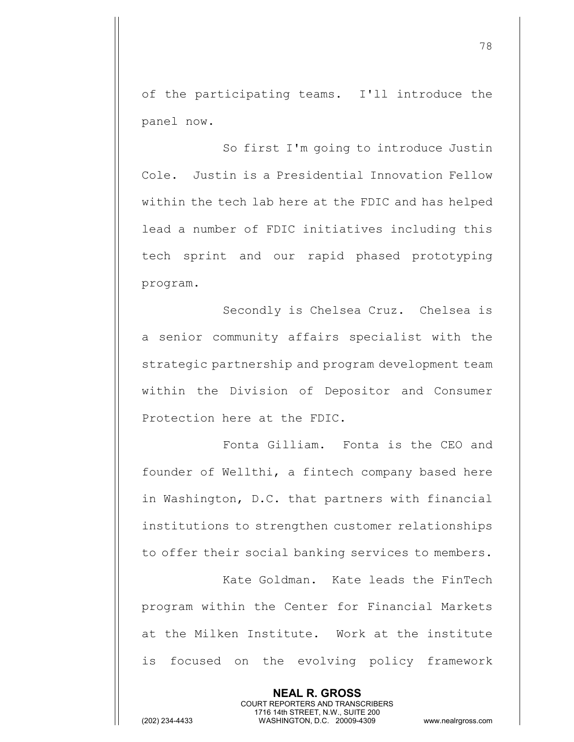of the participating teams. I'll introduce the panel now.

So first I'm going to introduce Justin Cole. Justin is a Presidential Innovation Fellow within the tech lab here at the FDIC and has helped lead a number of FDIC initiatives including this tech sprint and our rapid phased prototyping program.

Secondly is Chelsea Cruz. Chelsea is a senior community affairs specialist with the strategic partnership and program development team within the Division of Depositor and Consumer Protection here at the FDIC.

Fonta Gilliam. Fonta is the CEO and founder of Wellthi, a fintech company based here in Washington, D.C. that partners with financial institutions to strengthen customer relationships to offer their social banking services to members.

Kate Goldman. Kate leads the FinTech program within the Center for Financial Markets at the Milken Institute. Work at the institute is focused on the evolving policy framework

> **NEAL R. GROSS** COURT REPORTERS AND TRANSCRIBERS 1716 14th STREET, N.W., SUITE 200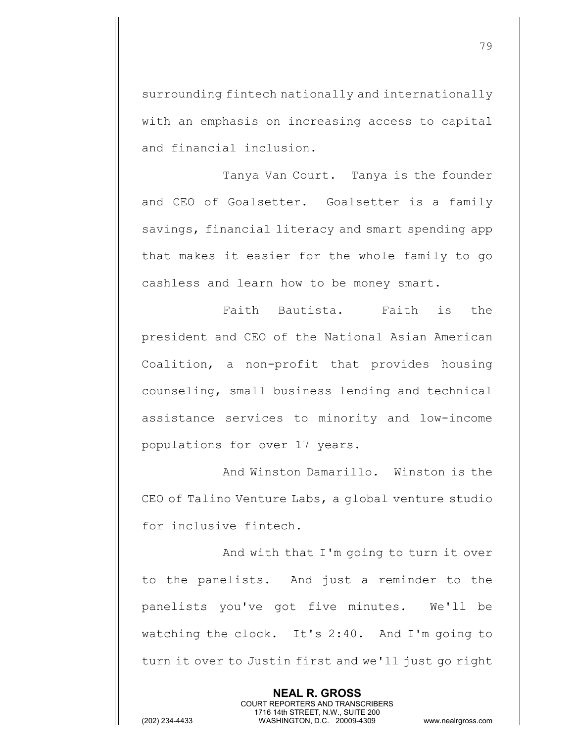surrounding fintech nationally and internationally with an emphasis on increasing access to capital and financial inclusion.

Tanya Van Court. Tanya is the founder and CEO of Goalsetter. Goalsetter is a family savings, financial literacy and smart spending app that makes it easier for the whole family to go cashless and learn how to be money smart.

Faith Bautista. Faith is the president and CEO of the National Asian American Coalition, a non-profit that provides housing counseling, small business lending and technical assistance services to minority and low-income populations for over 17 years.

And Winston Damarillo. Winston is the CEO of Talino Venture Labs, a global venture studio for inclusive fintech.

And with that I'm going to turn it over to the panelists. And just a reminder to the panelists you've got five minutes. We'll be watching the clock. It's 2:40. And I'm going to turn it over to Justin first and we'll just go right

> **NEAL R. GROSS** COURT REPORTERS AND TRANSCRIBERS 1716 14th STREET, N.W., SUITE 200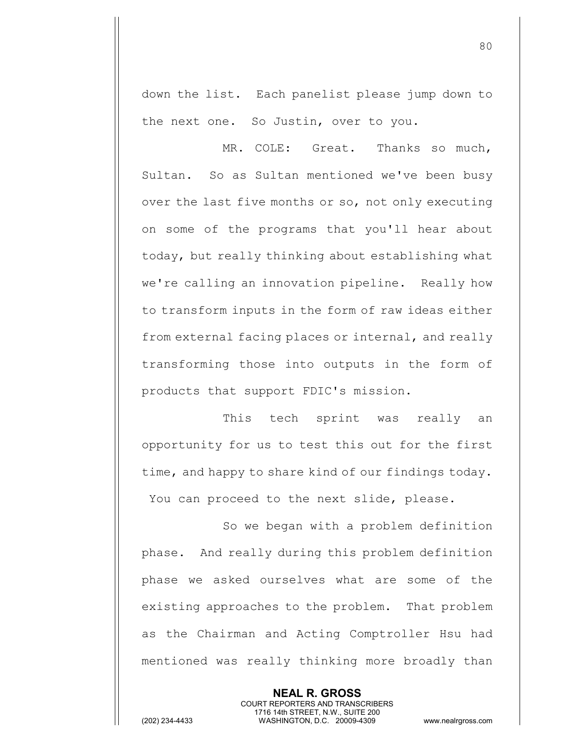down the list. Each panelist please jump down to the next one. So Justin, over to you.

MR. COLE: Great. Thanks so much, Sultan. So as Sultan mentioned we've been busy over the last five months or so, not only executing on some of the programs that you'll hear about today, but really thinking about establishing what we're calling an innovation pipeline. Really how to transform inputs in the form of raw ideas either from external facing places or internal, and really transforming those into outputs in the form of products that support FDIC's mission.

This tech sprint was really an opportunity for us to test this out for the first time, and happy to share kind of our findings today. You can proceed to the next slide, please.

So we began with a problem definition phase. And really during this problem definition phase we asked ourselves what are some of the existing approaches to the problem. That problem as the Chairman and Acting Comptroller Hsu had mentioned was really thinking more broadly than

> **NEAL R. GROSS** COURT REPORTERS AND TRANSCRIBERS 1716 14th STREET, N.W., SUITE 200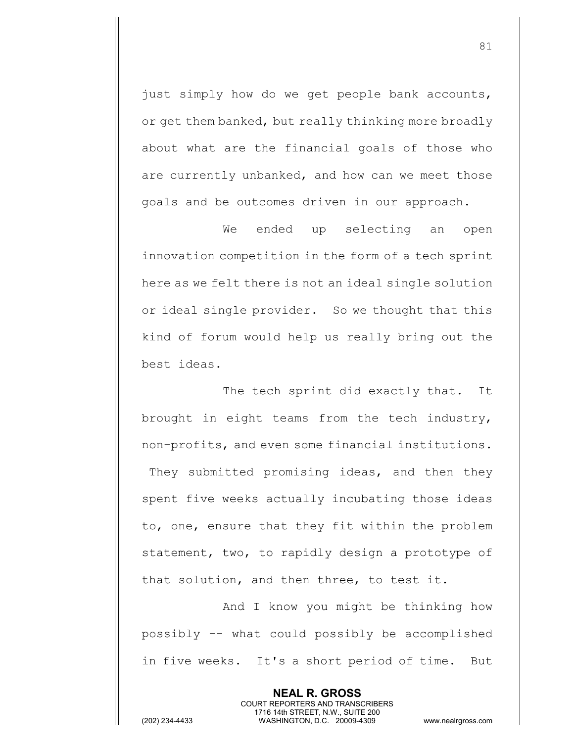just simply how do we get people bank accounts, or get them banked, but really thinking more broadly about what are the financial goals of those who are currently unbanked, and how can we meet those goals and be outcomes driven in our approach.

We ended up selecting an open innovation competition in the form of a tech sprint here as we felt there is not an ideal single solution or ideal single provider. So we thought that this kind of forum would help us really bring out the best ideas.

The tech sprint did exactly that. It brought in eight teams from the tech industry, non-profits, and even some financial institutions. They submitted promising ideas, and then they spent five weeks actually incubating those ideas to, one, ensure that they fit within the problem statement, two, to rapidly design a prototype of that solution, and then three, to test it.

And I know you might be thinking how possibly -- what could possibly be accomplished in five weeks. It's a short period of time. But

> **NEAL R. GROSS** COURT REPORTERS AND TRANSCRIBERS 1716 14th STREET, N.W., SUITE 200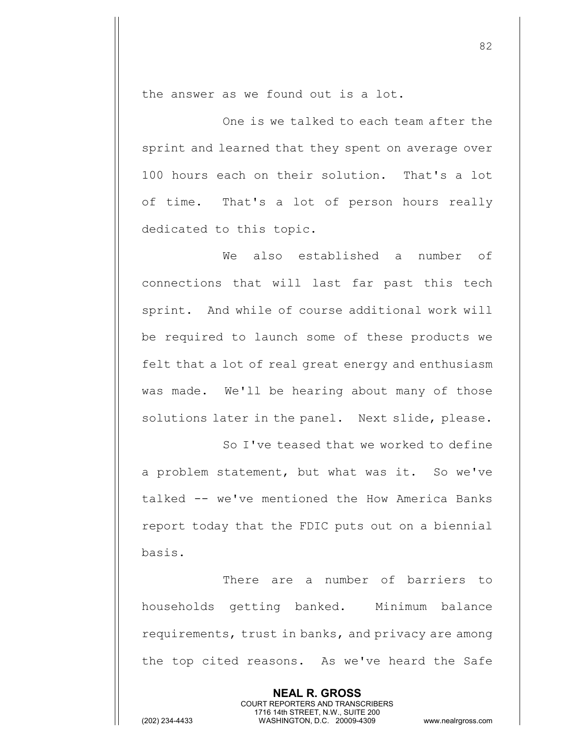the answer as we found out is a lot.

One is we talked to each team after the sprint and learned that they spent on average over 100 hours each on their solution. That's a lot of time. That's a lot of person hours really dedicated to this topic.

We also established a number of connections that will last far past this tech sprint. And while of course additional work will be required to launch some of these products we felt that a lot of real great energy and enthusiasm was made. We'll be hearing about many of those solutions later in the panel. Next slide, please.

So I've teased that we worked to define a problem statement, but what was it. So we've talked -- we've mentioned the How America Banks report today that the FDIC puts out on a biennial basis.

There are a number of barriers to households getting banked. Minimum balance requirements, trust in banks, and privacy are among the top cited reasons. As we've heard the Safe

> **NEAL R. GROSS** COURT REPORTERS AND TRANSCRIBERS 1716 14th STREET, N.W., SUITE 200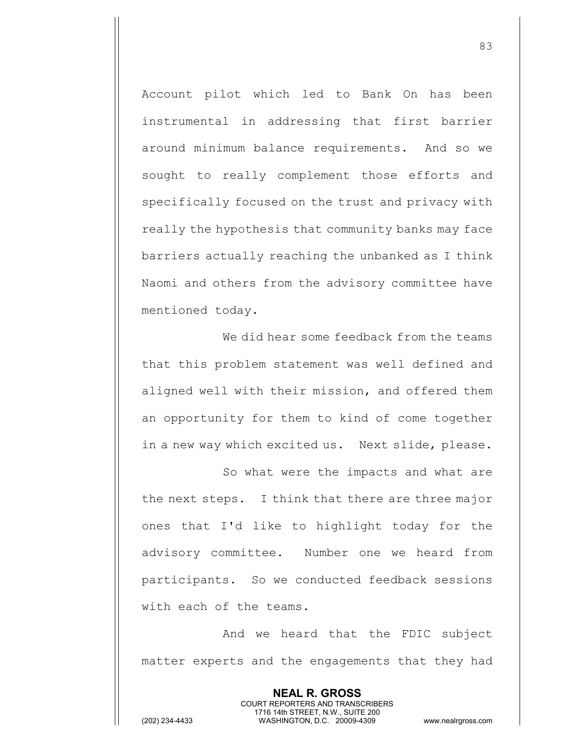Account pilot which led to Bank On has been instrumental in addressing that first barrier around minimum balance requirements. And so we sought to really complement those efforts and specifically focused on the trust and privacy with really the hypothesis that community banks may face barriers actually reaching the unbanked as I think Naomi and others from the advisory committee have mentioned today.

We did hear some feedback from the teams that this problem statement was well defined and aligned well with their mission, and offered them an opportunity for them to kind of come together in a new way which excited us. Next slide, please.

So what were the impacts and what are the next steps. I think that there are three major ones that I'd like to highlight today for the advisory committee. Number one we heard from participants. So we conducted feedback sessions with each of the teams.

And we heard that the FDIC subject matter experts and the engagements that they had

> **NEAL R. GROSS** COURT REPORTERS AND TRANSCRIBERS 1716 14th STREET, N.W., SUITE 200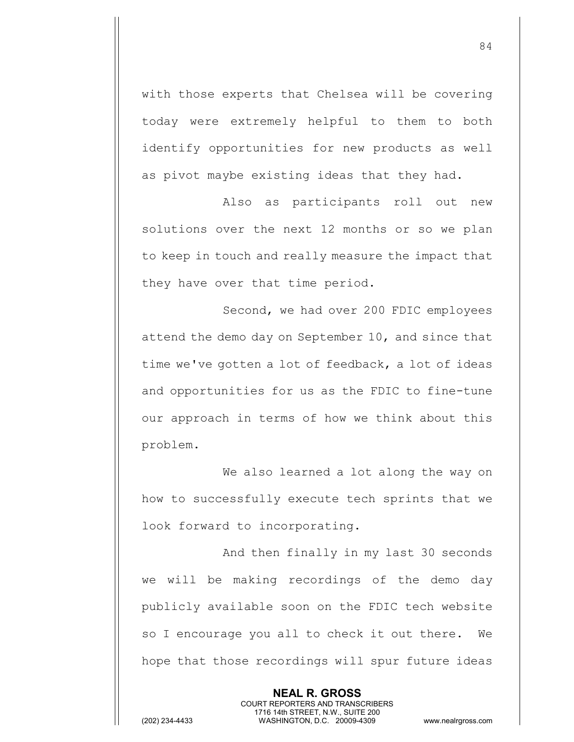with those experts that Chelsea will be covering today were extremely helpful to them to both identify opportunities for new products as well as pivot maybe existing ideas that they had.

Also as participants roll out new solutions over the next 12 months or so we plan to keep in touch and really measure the impact that they have over that time period.

Second, we had over 200 FDIC employees attend the demo day on September 10, and since that time we've gotten a lot of feedback, a lot of ideas and opportunities for us as the FDIC to fine-tune our approach in terms of how we think about this problem.

We also learned a lot along the way on how to successfully execute tech sprints that we look forward to incorporating.

And then finally in my last 30 seconds we will be making recordings of the demo day publicly available soon on the FDIC tech website so I encourage you all to check it out there. We hope that those recordings will spur future ideas

> **NEAL R. GROSS** COURT REPORTERS AND TRANSCRIBERS 1716 14th STREET, N.W., SUITE 200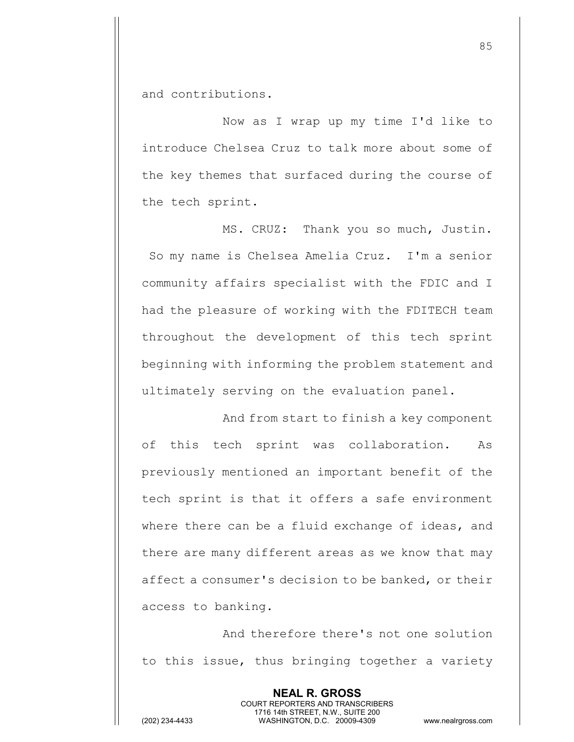and contributions.

Now as I wrap up my time I'd like to introduce Chelsea Cruz to talk more about some of the key themes that surfaced during the course of the tech sprint.

MS. CRUZ: Thank you so much, Justin. So my name is Chelsea Amelia Cruz. I'm a senior community affairs specialist with the FDIC and I had the pleasure of working with the FDITECH team throughout the development of this tech sprint beginning with informing the problem statement and ultimately serving on the evaluation panel.

And from start to finish a key component of this tech sprint was collaboration. As previously mentioned an important benefit of the tech sprint is that it offers a safe environment where there can be a fluid exchange of ideas, and there are many different areas as we know that may affect a consumer's decision to be banked, or their access to banking.

And therefore there's not one solution to this issue, thus bringing together a variety

> **NEAL R. GROSS** COURT REPORTERS AND TRANSCRIBERS 1716 14th STREET, N.W., SUITE 200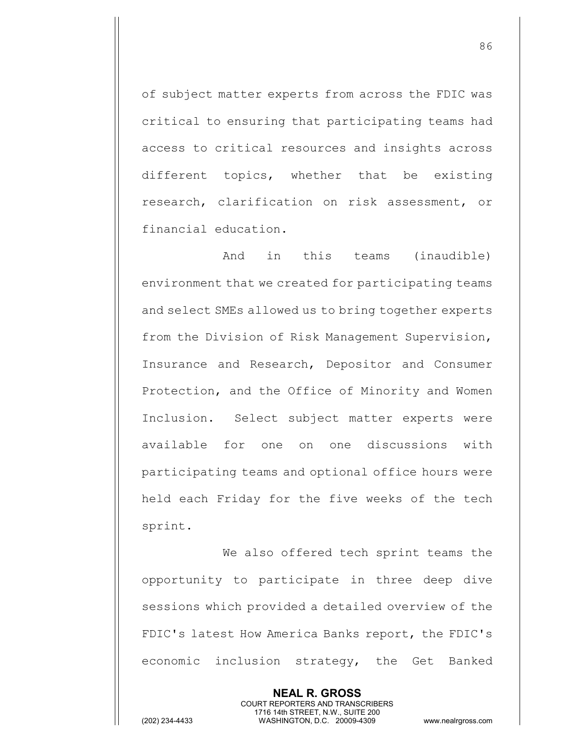of subject matter experts from across the FDIC was critical to ensuring that participating teams had access to critical resources and insights across different topics, whether that be existing research, clarification on risk assessment, or financial education.

And in this teams (inaudible) environment that we created for participating teams and select SMEs allowed us to bring together experts from the Division of Risk Management Supervision, Insurance and Research, Depositor and Consumer Protection, and the Office of Minority and Women Inclusion. Select subject matter experts were available for one on one discussions with participating teams and optional office hours were held each Friday for the five weeks of the tech sprint.

We also offered tech sprint teams the opportunity to participate in three deep dive sessions which provided a detailed overview of the FDIC's latest How America Banks report, the FDIC's economic inclusion strategy, the Get Banked

> **NEAL R. GROSS** COURT REPORTERS AND TRANSCRIBERS 1716 14th STREET, N.W., SUITE 200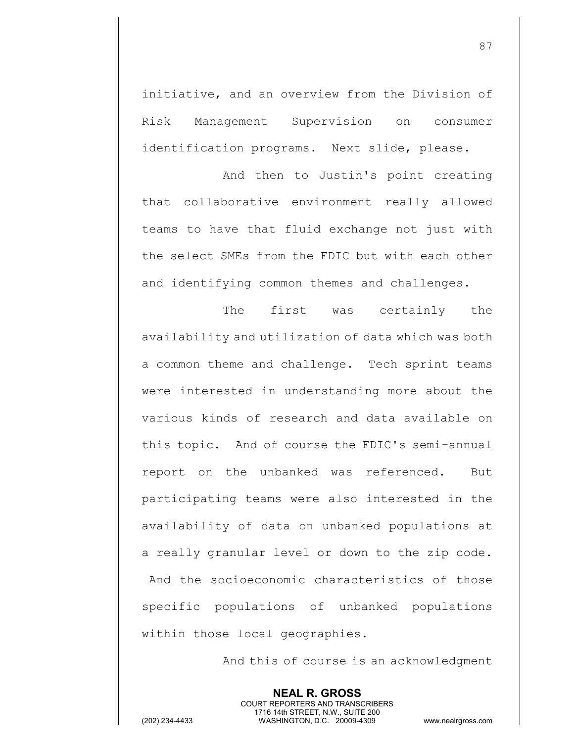initiative, and an overview from the Division of Risk Management Supervision on consumer identification programs. Next slide, please.

And then to Justin's point creating that collaborative environment really allowed teams to have that fluid exchange not just with the select SMEs from the FDIC but with each other and identifying common themes and challenges.

The first was certainly the availability and utilization of data which was both a common theme and challenge. Tech sprint teams were interested in understanding more about the various kinds of research and data available on this topic. And of course the FDIC's semi-annual report on the unbanked was referenced. But participating teams were also interested in the availability of data on unbanked populations at a really granular level or down to the zip code. And the socioeconomic characteristics of those specific populations of unbanked populations within those local geographies.

And this of course is an acknowledgment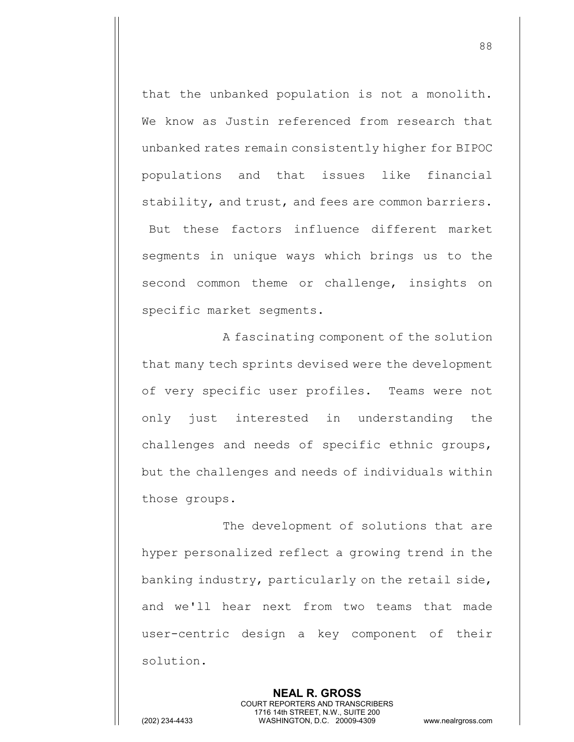that the unbanked population is not a monolith. We know as Justin referenced from research that unbanked rates remain consistently higher for BIPOC populations and that issues like financial stability, and trust, and fees are common barriers. But these factors influence different market segments in unique ways which brings us to the second common theme or challenge, insights on specific market segments.

A fascinating component of the solution that many tech sprints devised were the development of very specific user profiles. Teams were not only just interested in understanding the challenges and needs of specific ethnic groups, but the challenges and needs of individuals within those groups.

The development of solutions that are hyper personalized reflect a growing trend in the banking industry, particularly on the retail side, and we'll hear next from two teams that made user-centric design a key component of their solution.

> **NEAL R. GROSS** COURT REPORTERS AND TRANSCRIBERS 1716 14th STREET, N.W., SUITE 200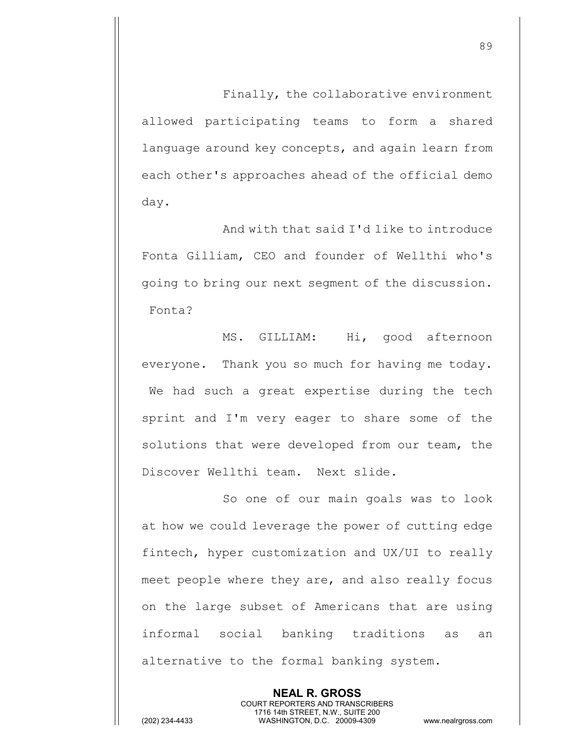Finally, the collaborative environment allowed participating teams to form a shared language around key concepts, and again learn from each other's approaches ahead of the official demo day.

And with that said I'd like to introduce Fonta Gilliam, CEO and founder of Wellthi who's going to bring our next segment of the discussion. Fonta?

MS. GILLIAM: Hi, good afternoon everyone. Thank you so much for having me today. We had such a great expertise during the tech sprint and I'm very eager to share some of the solutions that were developed from our team, the Discover Wellthi team. Next slide.

So one of our main goals was to look at how we could leverage the power of cutting edge fintech, hyper customization and UX/UI to really meet people where they are, and also really focus on the large subset of Americans that are using informal social banking traditions as an alternative to the formal banking system.

> **NEAL R. GROSS** COURT REPORTERS AND TRANSCRIBERS 1716 14th STREET, N.W., SUITE 200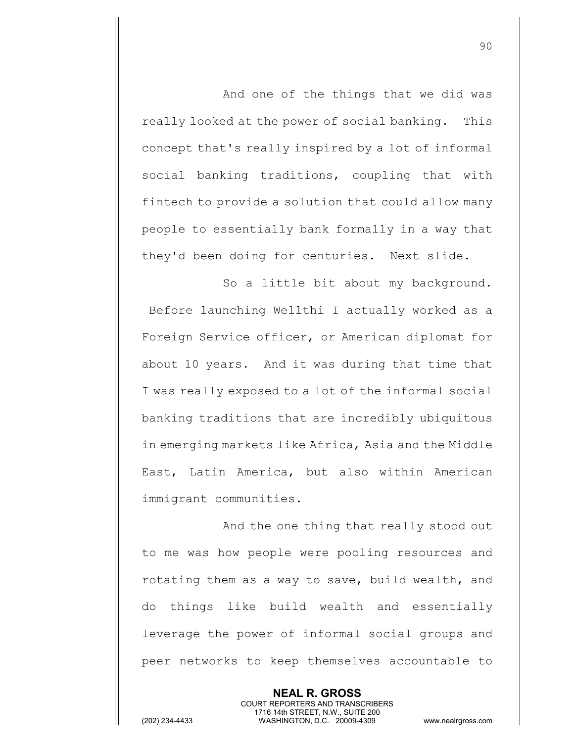And one of the things that we did was really looked at the power of social banking. This concept that's really inspired by a lot of informal social banking traditions, coupling that with fintech to provide a solution that could allow many people to essentially bank formally in a way that they'd been doing for centuries. Next slide.

So a little bit about my background. Before launching Wellthi I actually worked as a Foreign Service officer, or American diplomat for about 10 years. And it was during that time that I was really exposed to a lot of the informal social banking traditions that are incredibly ubiquitous in emerging markets like Africa, Asia and the Middle East, Latin America, but also within American immigrant communities.

And the one thing that really stood out to me was how people were pooling resources and rotating them as a way to save, build wealth, and do things like build wealth and essentially leverage the power of informal social groups and peer networks to keep themselves accountable to

> **NEAL R. GROSS** COURT REPORTERS AND TRANSCRIBERS 1716 14th STREET, N.W., SUITE 200

(202) 234-4433 WASHINGTON, D.C. 20009-4309 www.nealrgross.com

90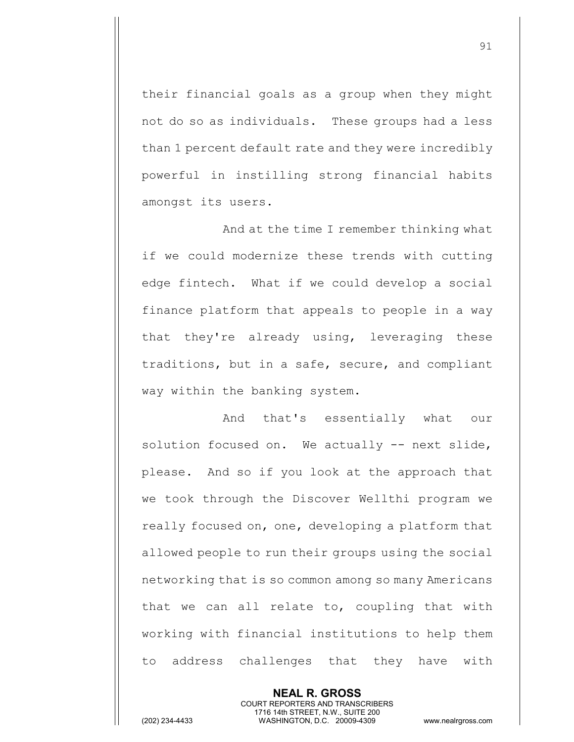their financial goals as a group when they might not do so as individuals. These groups had a less than 1 percent default rate and they were incredibly powerful in instilling strong financial habits amongst its users.

And at the time I remember thinking what if we could modernize these trends with cutting edge fintech. What if we could develop a social finance platform that appeals to people in a way that they're already using, leveraging these traditions, but in a safe, secure, and compliant way within the banking system.

And that's essentially what our solution focused on. We actually -- next slide, please. And so if you look at the approach that we took through the Discover Wellthi program we really focused on, one, developing a platform that allowed people to run their groups using the social networking that is so common among so many Americans that we can all relate to, coupling that with working with financial institutions to help them to address challenges that they have with

> **NEAL R. GROSS** COURT REPORTERS AND TRANSCRIBERS 1716 14th STREET, N.W., SUITE 200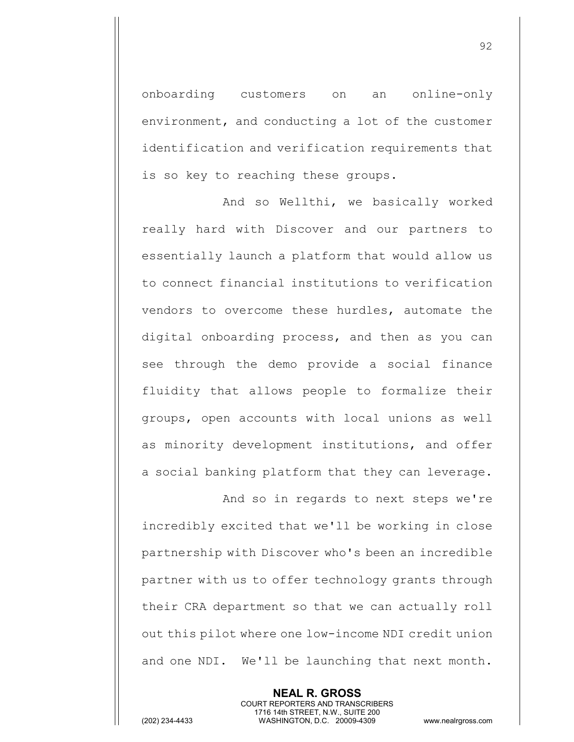onboarding customers on an online-only environment, and conducting a lot of the customer identification and verification requirements that is so key to reaching these groups.

And so Wellthi, we basically worked really hard with Discover and our partners to essentially launch a platform that would allow us to connect financial institutions to verification vendors to overcome these hurdles, automate the digital onboarding process, and then as you can see through the demo provide a social finance fluidity that allows people to formalize their groups, open accounts with local unions as well as minority development institutions, and offer a social banking platform that they can leverage.

And so in regards to next steps we're incredibly excited that we'll be working in close partnership with Discover who's been an incredible partner with us to offer technology grants through their CRA department so that we can actually roll out this pilot where one low-income NDI credit union and one NDI. We'll be launching that next month.

COURT REPORTERS AND TRANSCRIBERS 1716 14th STREET, N.W., SUITE 200 (202) 234-4433 WASHINGTON, D.C. 20009-4309 www.nealrgross.com

**NEAL R. GROSS**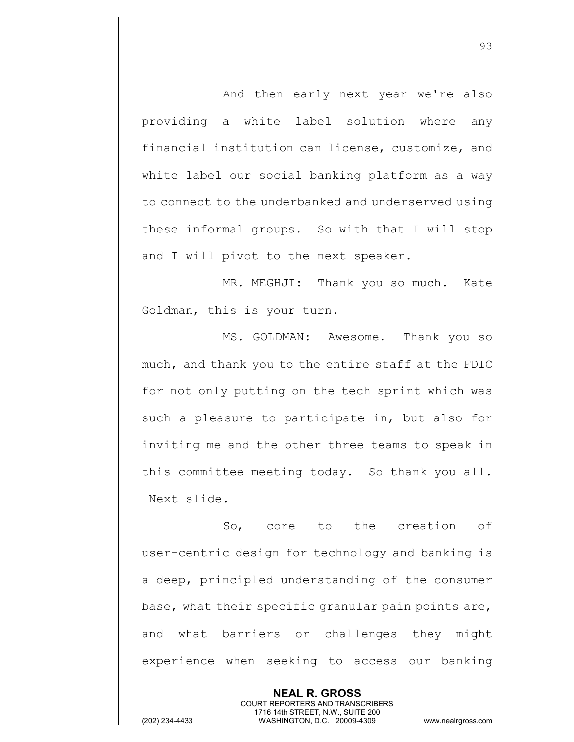And then early next year we're also providing a white label solution where any financial institution can license, customize, and white label our social banking platform as a way to connect to the underbanked and underserved using these informal groups. So with that I will stop and I will pivot to the next speaker.

MR. MEGHJI: Thank you so much. Kate Goldman, this is your turn.

MS. GOLDMAN: Awesome. Thank you so much, and thank you to the entire staff at the FDIC for not only putting on the tech sprint which was such a pleasure to participate in, but also for inviting me and the other three teams to speak in this committee meeting today. So thank you all. Next slide.

So, core to the creation of user-centric design for technology and banking is a deep, principled understanding of the consumer base, what their specific granular pain points are, and what barriers or challenges they might experience when seeking to access our banking

> **NEAL R. GROSS** COURT REPORTERS AND TRANSCRIBERS 1716 14th STREET, N.W., SUITE 200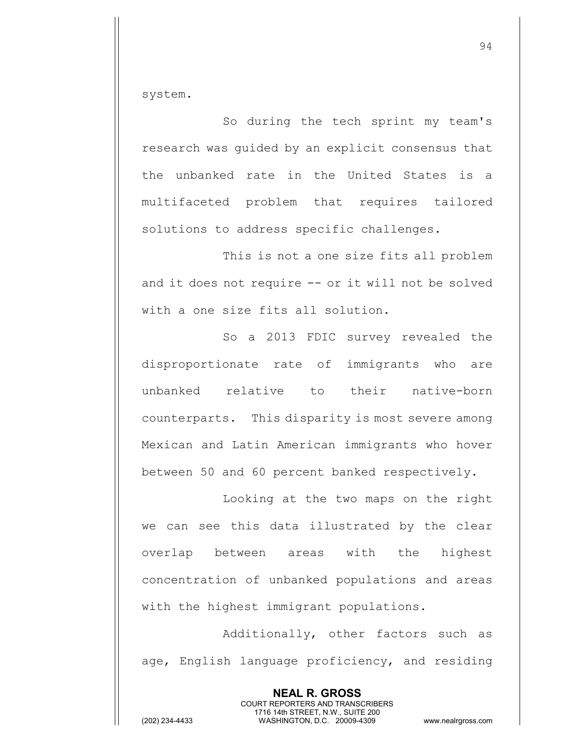system.

So during the tech sprint my team's research was guided by an explicit consensus that the unbanked rate in the United States is a multifaceted problem that requires tailored solutions to address specific challenges.

This is not a one size fits all problem and it does not require -- or it will not be solved with a one size fits all solution.

So a 2013 FDIC survey revealed the disproportionate rate of immigrants who are unbanked relative to their native-born counterparts. This disparity is most severe among Mexican and Latin American immigrants who hover between 50 and 60 percent banked respectively.

Looking at the two maps on the right we can see this data illustrated by the clear overlap between areas with the highest concentration of unbanked populations and areas with the highest immigrant populations.

Additionally, other factors such as age, English language proficiency, and residing

> **NEAL R. GROSS** COURT REPORTERS AND TRANSCRIBERS 1716 14th STREET, N.W., SUITE 200

94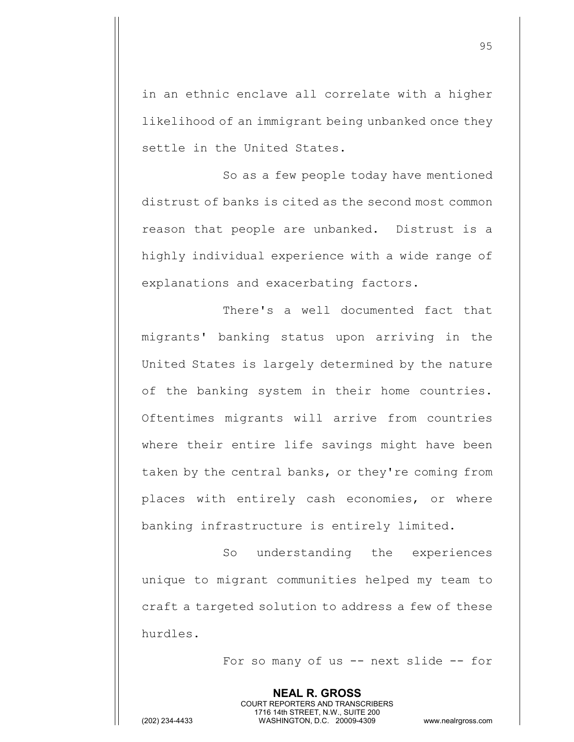in an ethnic enclave all correlate with a higher likelihood of an immigrant being unbanked once they settle in the United States.

So as a few people today have mentioned distrust of banks is cited as the second most common reason that people are unbanked. Distrust is a highly individual experience with a wide range of explanations and exacerbating factors.

There's a well documented fact that migrants' banking status upon arriving in the United States is largely determined by the nature of the banking system in their home countries. Oftentimes migrants will arrive from countries where their entire life savings might have been taken by the central banks, or they're coming from places with entirely cash economies, or where banking infrastructure is entirely limited.

So understanding the experiences unique to migrant communities helped my team to craft a targeted solution to address a few of these hurdles.

For so many of us -- next slide -- for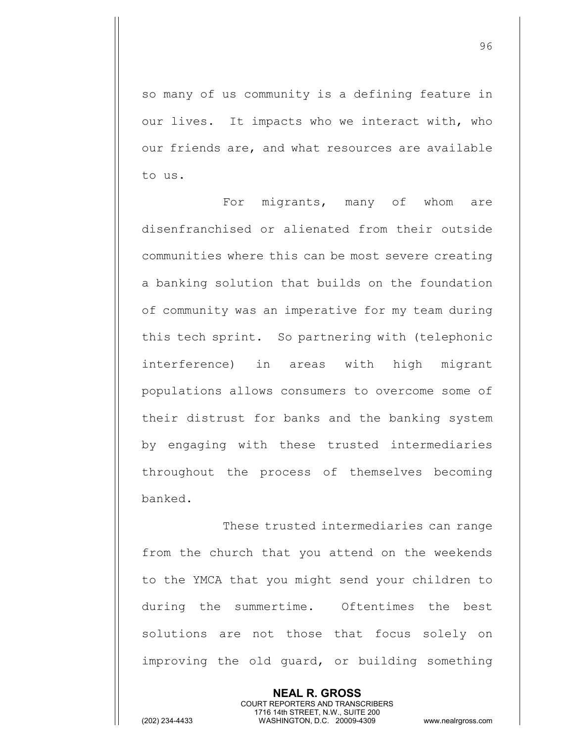so many of us community is a defining feature in our lives. It impacts who we interact with, who our friends are, and what resources are available to us.

For migrants, many of whom are disenfranchised or alienated from their outside communities where this can be most severe creating a banking solution that builds on the foundation of community was an imperative for my team during this tech sprint. So partnering with (telephonic interference) in areas with high migrant populations allows consumers to overcome some of their distrust for banks and the banking system by engaging with these trusted intermediaries throughout the process of themselves becoming banked.

These trusted intermediaries can range from the church that you attend on the weekends to the YMCA that you might send your children to during the summertime. Oftentimes the best solutions are not those that focus solely on improving the old guard, or building something

> **NEAL R. GROSS** COURT REPORTERS AND TRANSCRIBERS 1716 14th STREET, N.W., SUITE 200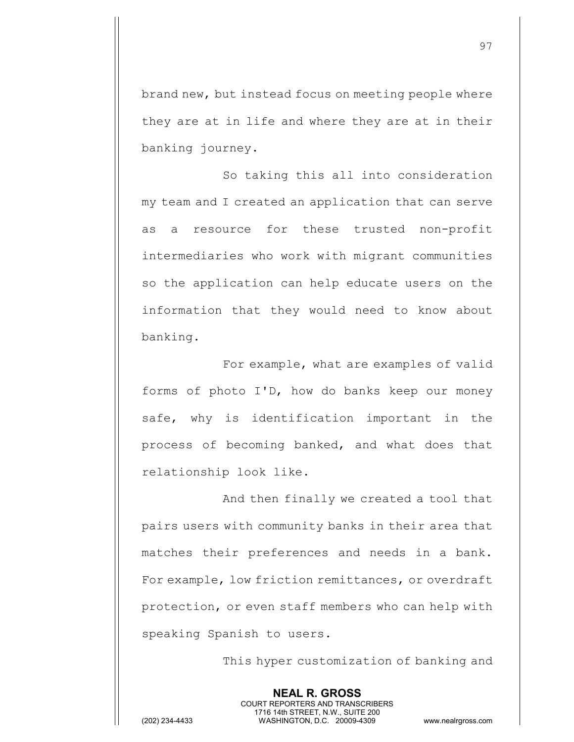brand new, but instead focus on meeting people where they are at in life and where they are at in their banking journey.

So taking this all into consideration my team and I created an application that can serve as a resource for these trusted non-profit intermediaries who work with migrant communities so the application can help educate users on the information that they would need to know about banking.

For example, what are examples of valid forms of photo I'D, how do banks keep our money safe, why is identification important in the process of becoming banked, and what does that relationship look like.

And then finally we created a tool that pairs users with community banks in their area that matches their preferences and needs in a bank. For example, low friction remittances, or overdraft protection, or even staff members who can help with speaking Spanish to users.

> **NEAL R. GROSS** COURT REPORTERS AND TRANSCRIBERS 1716 14th STREET, N.W., SUITE 200

This hyper customization of banking and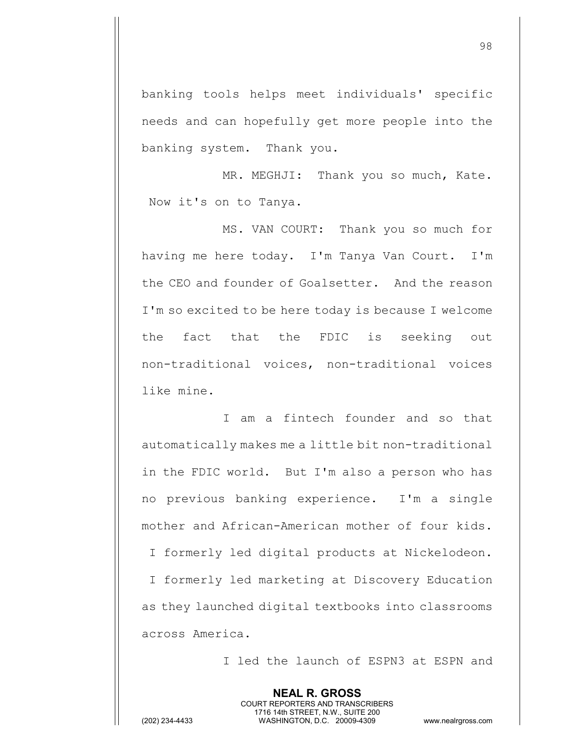banking tools helps meet individuals' specific needs and can hopefully get more people into the banking system. Thank you.

MR. MEGHJI: Thank you so much, Kate. Now it's on to Tanya.

MS. VAN COURT: Thank you so much for having me here today. I'm Tanya Van Court. I'm the CEO and founder of Goalsetter. And the reason I'm so excited to be here today is because I welcome the fact that the FDIC is seeking out non-traditional voices, non-traditional voices like mine.

I am a fintech founder and so that automatically makes me a little bit non-traditional in the FDIC world. But I'm also a person who has no previous banking experience. I'm a single mother and African-American mother of four kids. I formerly led digital products at Nickelodeon. I formerly led marketing at Discovery Education as they launched digital textbooks into classrooms across America.

**NEAL R. GROSS**

I led the launch of ESPN3 at ESPN and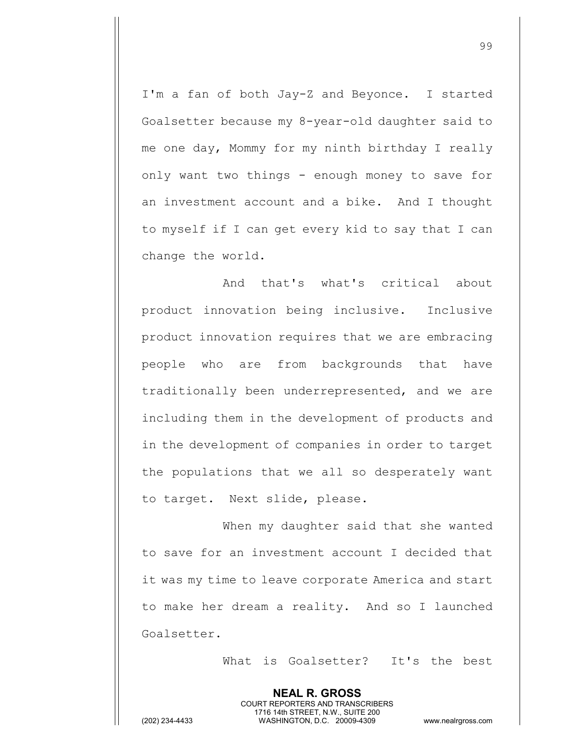I'm a fan of both Jay-Z and Beyonce. I started Goalsetter because my 8-year-old daughter said to me one day, Mommy for my ninth birthday I really only want two things - enough money to save for an investment account and a bike. And I thought to myself if I can get every kid to say that I can change the world.

And that's what's critical about product innovation being inclusive. Inclusive product innovation requires that we are embracing people who are from backgrounds that have traditionally been underrepresented, and we are including them in the development of products and in the development of companies in order to target the populations that we all so desperately want to target. Next slide, please.

When my daughter said that she wanted to save for an investment account I decided that it was my time to leave corporate America and start to make her dream a reality. And so I launched Goalsetter.

> **NEAL R. GROSS** COURT REPORTERS AND TRANSCRIBERS

What is Goalsetter? It's the best

<sup>99</sup>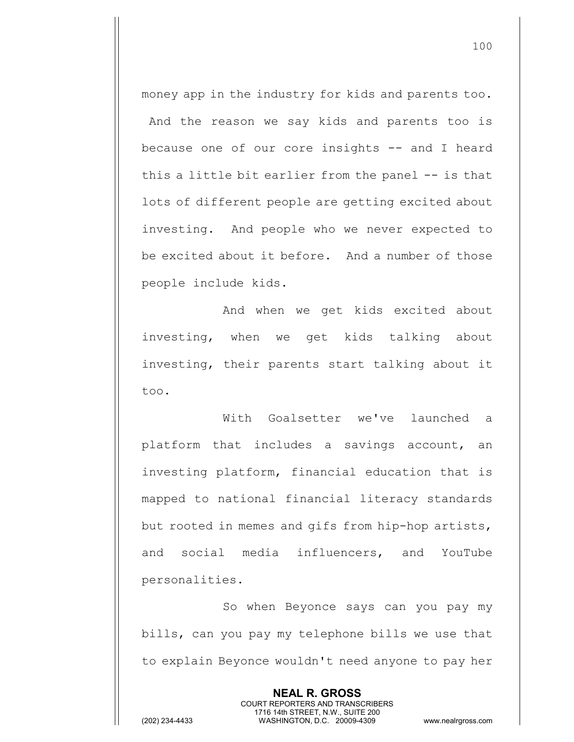money app in the industry for kids and parents too. And the reason we say kids and parents too is because one of our core insights -- and I heard this a little bit earlier from the panel -- is that lots of different people are getting excited about investing. And people who we never expected to be excited about it before. And a number of those people include kids.

And when we get kids excited about investing, when we get kids talking about investing, their parents start talking about it too.

With Goalsetter we've launched a platform that includes a savings account, an investing platform, financial education that is mapped to national financial literacy standards but rooted in memes and gifs from hip-hop artists, and social media influencers, and YouTube personalities.

So when Beyonce says can you pay my bills, can you pay my telephone bills we use that to explain Beyonce wouldn't need anyone to pay her

> **NEAL R. GROSS** COURT REPORTERS AND TRANSCRIBERS 1716 14th STREET, N.W., SUITE 200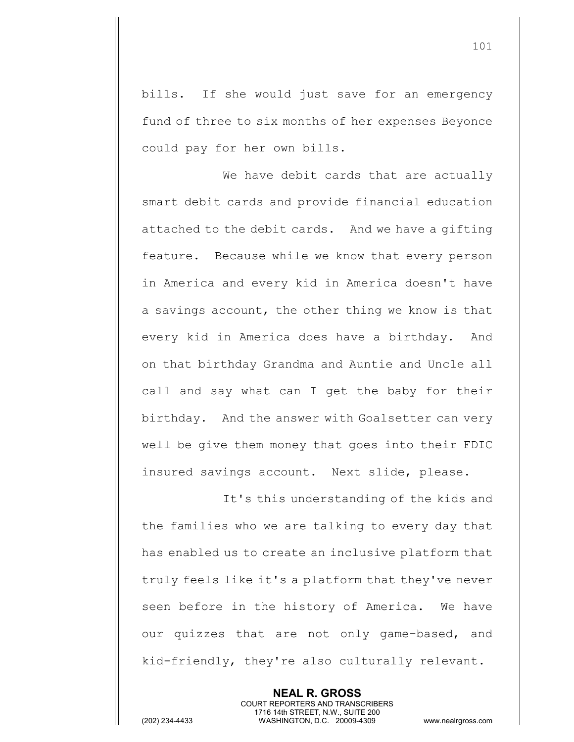bills. If she would just save for an emergency fund of three to six months of her expenses Beyonce could pay for her own bills.

We have debit cards that are actually smart debit cards and provide financial education attached to the debit cards. And we have a gifting feature. Because while we know that every person in America and every kid in America doesn't have a savings account, the other thing we know is that every kid in America does have a birthday. And on that birthday Grandma and Auntie and Uncle all call and say what can I get the baby for their birthday. And the answer with Goalsetter can very well be give them money that goes into their FDIC insured savings account. Next slide, please.

It's this understanding of the kids and the families who we are talking to every day that has enabled us to create an inclusive platform that truly feels like it's a platform that they've never seen before in the history of America. We have our quizzes that are not only game-based, and kid-friendly, they're also culturally relevant.

> **NEAL R. GROSS** COURT REPORTERS AND TRANSCRIBERS 1716 14th STREET, N.W., SUITE 200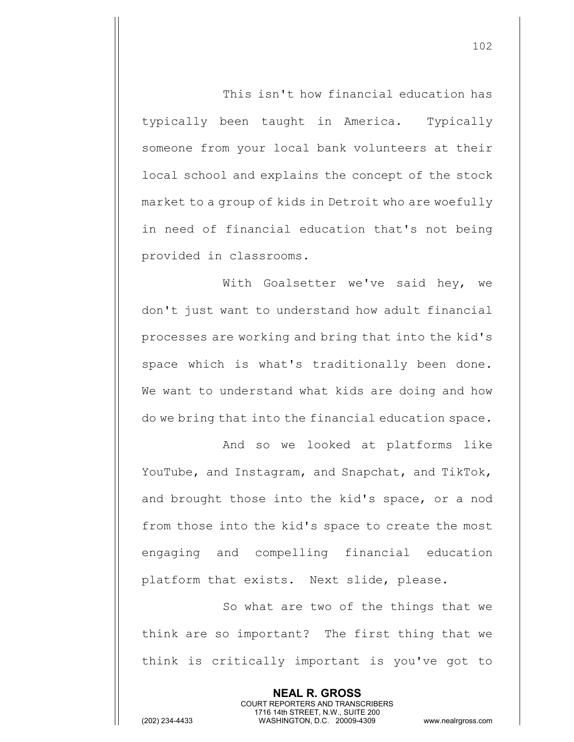This isn't how financial education has typically been taught in America. Typically someone from your local bank volunteers at their local school and explains the concept of the stock market to a group of kids in Detroit who are woefully in need of financial education that's not being provided in classrooms.

With Goalsetter we've said hey, we don't just want to understand how adult financial processes are working and bring that into the kid's space which is what's traditionally been done. We want to understand what kids are doing and how do we bring that into the financial education space.

And so we looked at platforms like YouTube, and Instagram, and Snapchat, and TikTok, and brought those into the kid's space, or a nod from those into the kid's space to create the most engaging and compelling financial education platform that exists. Next slide, please.

So what are two of the things that we think are so important? The first thing that we think is critically important is you've got to

> **NEAL R. GROSS** COURT REPORTERS AND TRANSCRIBERS 1716 14th STREET, N.W., SUITE 200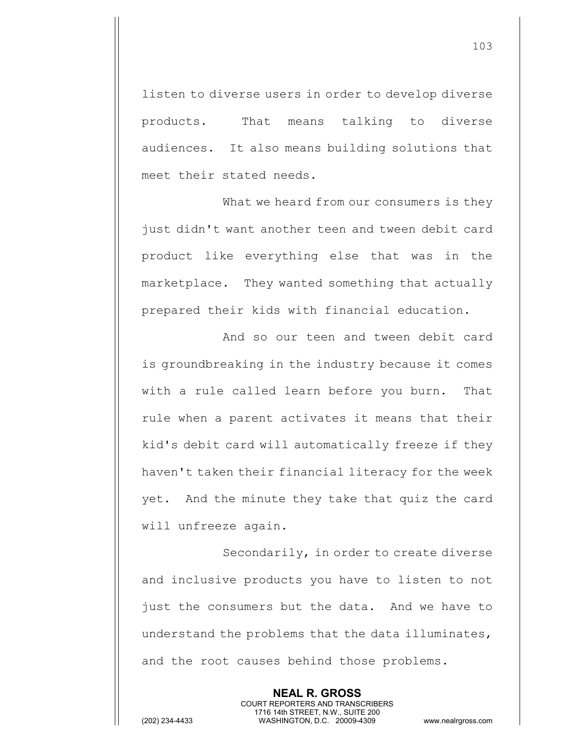listen to diverse users in order to develop diverse products. That means talking to diverse audiences. It also means building solutions that meet their stated needs.

What we heard from our consumers is they just didn't want another teen and tween debit card product like everything else that was in the marketplace. They wanted something that actually prepared their kids with financial education.

And so our teen and tween debit card is groundbreaking in the industry because it comes with a rule called learn before you burn. That rule when a parent activates it means that their kid's debit card will automatically freeze if they haven't taken their financial literacy for the week yet. And the minute they take that quiz the card will unfreeze again.

Secondarily, in order to create diverse and inclusive products you have to listen to not just the consumers but the data. And we have to understand the problems that the data illuminates, and the root causes behind those problems.

> **NEAL R. GROSS** COURT REPORTERS AND TRANSCRIBERS 1716 14th STREET, N.W., SUITE 200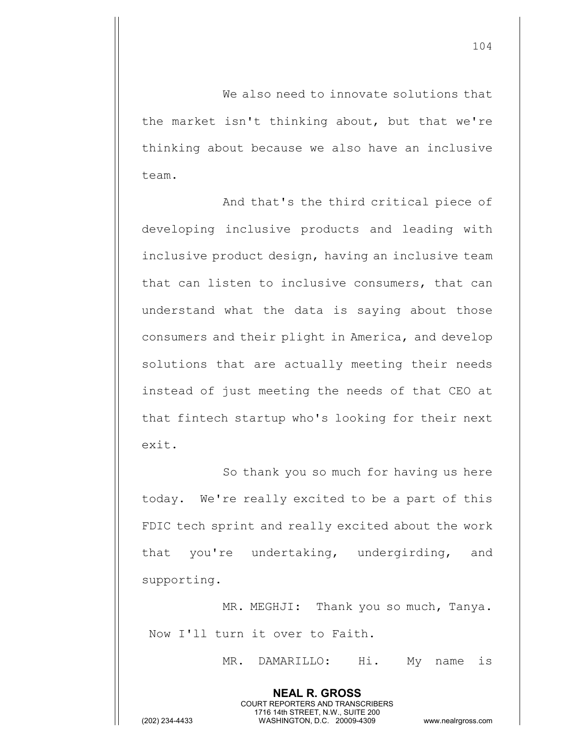We also need to innovate solutions that the market isn't thinking about, but that we're thinking about because we also have an inclusive team.

And that's the third critical piece of developing inclusive products and leading with inclusive product design, having an inclusive team that can listen to inclusive consumers, that can understand what the data is saying about those consumers and their plight in America, and develop solutions that are actually meeting their needs instead of just meeting the needs of that CEO at that fintech startup who's looking for their next exit.

So thank you so much for having us here today. We're really excited to be a part of this FDIC tech sprint and really excited about the work that you're undertaking, undergirding, and supporting.

MR. MEGHJI: Thank you so much, Tanya. Now I'll turn it over to Faith.

> **NEAL R. GROSS** COURT REPORTERS AND TRANSCRIBERS 1716 14th STREET, N.W., SUITE 200

MR. DAMARILLO: Hi. My name is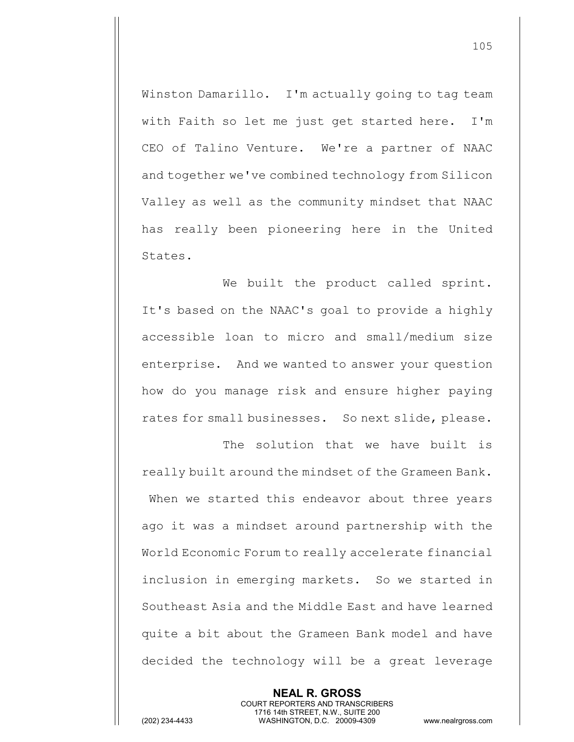Winston Damarillo. I'm actually going to tag team with Faith so let me just get started here. I'm CEO of Talino Venture. We're a partner of NAAC and together we've combined technology from Silicon Valley as well as the community mindset that NAAC has really been pioneering here in the United States.

We built the product called sprint. It's based on the NAAC's goal to provide a highly accessible loan to micro and small/medium size enterprise. And we wanted to answer your question how do you manage risk and ensure higher paying rates for small businesses. So next slide, please.

The solution that we have built is really built around the mindset of the Grameen Bank. When we started this endeavor about three years ago it was a mindset around partnership with the World Economic Forum to really accelerate financial inclusion in emerging markets. So we started in Southeast Asia and the Middle East and have learned quite a bit about the Grameen Bank model and have decided the technology will be a great leverage

> **NEAL R. GROSS** COURT REPORTERS AND TRANSCRIBERS 1716 14th STREET, N.W., SUITE 200

(202) 234-4433 WASHINGTON, D.C. 20009-4309 www.nealrgross.com

105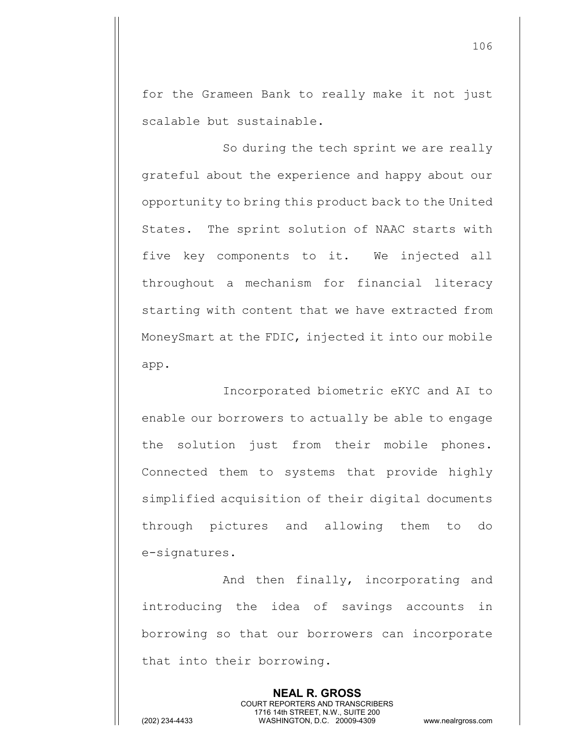for the Grameen Bank to really make it not just scalable but sustainable.

So during the tech sprint we are really grateful about the experience and happy about our opportunity to bring this product back to the United States. The sprint solution of NAAC starts with five key components to it. We injected all throughout a mechanism for financial literacy starting with content that we have extracted from MoneySmart at the FDIC, injected it into our mobile app.

Incorporated biometric eKYC and AI to enable our borrowers to actually be able to engage the solution just from their mobile phones. Connected them to systems that provide highly simplified acquisition of their digital documents through pictures and allowing them to do e-signatures.

And then finally, incorporating and introducing the idea of savings accounts in borrowing so that our borrowers can incorporate that into their borrowing.

> **NEAL R. GROSS** COURT REPORTERS AND TRANSCRIBERS 1716 14th STREET, N.W., SUITE 200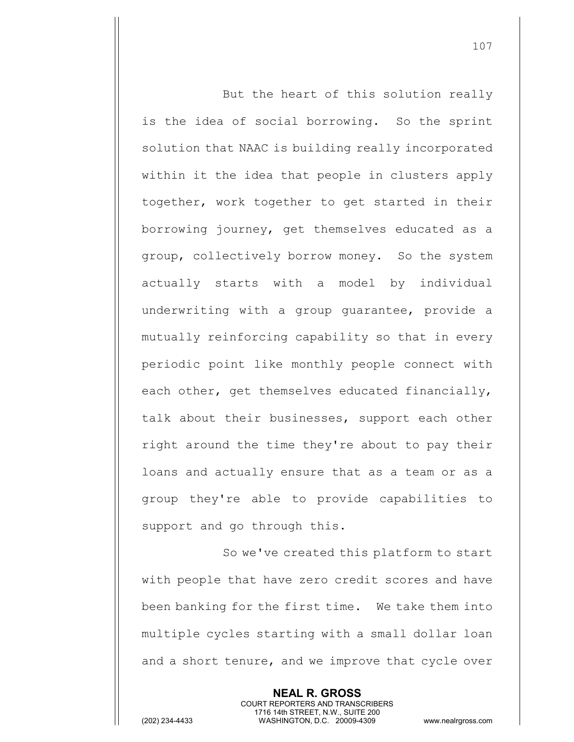But the heart of this solution really is the idea of social borrowing. So the sprint solution that NAAC is building really incorporated within it the idea that people in clusters apply together, work together to get started in their borrowing journey, get themselves educated as a group, collectively borrow money. So the system actually starts with a model by individual underwriting with a group guarantee, provide a mutually reinforcing capability so that in every periodic point like monthly people connect with each other, get themselves educated financially, talk about their businesses, support each other right around the time they're about to pay their loans and actually ensure that as a team or as a group they're able to provide capabilities to support and go through this.

So we've created this platform to start with people that have zero credit scores and have been banking for the first time. We take them into multiple cycles starting with a small dollar loan and a short tenure, and we improve that cycle over

> **NEAL R. GROSS** COURT REPORTERS AND TRANSCRIBERS 1716 14th STREET, N.W., SUITE 200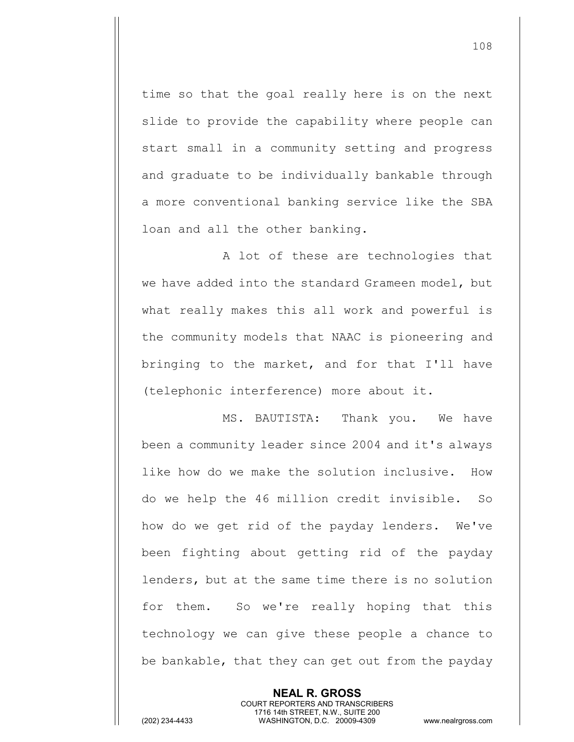time so that the goal really here is on the next slide to provide the capability where people can start small in a community setting and progress and graduate to be individually bankable through a more conventional banking service like the SBA loan and all the other banking.

A lot of these are technologies that we have added into the standard Grameen model, but what really makes this all work and powerful is the community models that NAAC is pioneering and bringing to the market, and for that I'll have (telephonic interference) more about it.

MS. BAUTISTA: Thank you. We have been a community leader since 2004 and it's always like how do we make the solution inclusive. How do we help the 46 million credit invisible. So how do we get rid of the payday lenders. We've been fighting about getting rid of the payday lenders, but at the same time there is no solution for them. So we're really hoping that this technology we can give these people a chance to be bankable, that they can get out from the payday

> **NEAL R. GROSS** COURT REPORTERS AND TRANSCRIBERS 1716 14th STREET, N.W., SUITE 200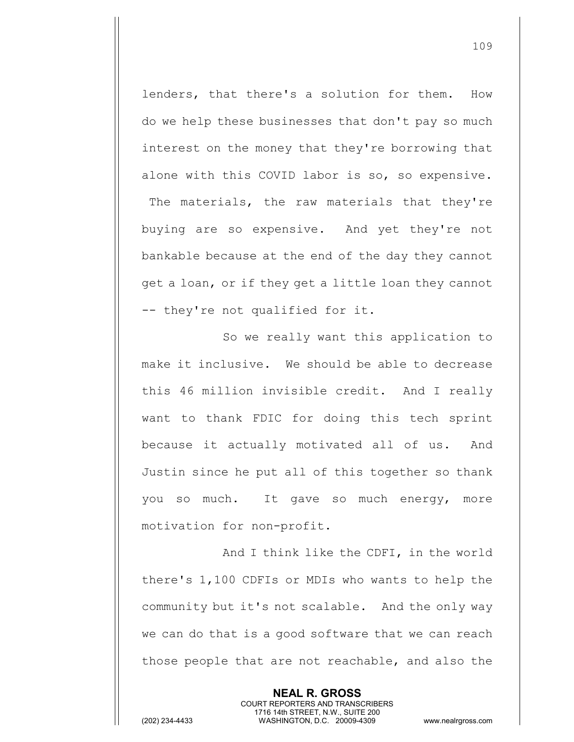lenders, that there's a solution for them. How do we help these businesses that don't pay so much interest on the money that they're borrowing that alone with this COVID labor is so, so expensive. The materials, the raw materials that they're buying are so expensive. And yet they're not bankable because at the end of the day they cannot get a loan, or if they get a little loan they cannot -- they're not qualified for it.

So we really want this application to make it inclusive. We should be able to decrease this 46 million invisible credit. And I really want to thank FDIC for doing this tech sprint because it actually motivated all of us. And Justin since he put all of this together so thank you so much. It gave so much energy, more motivation for non-profit.

And I think like the CDFI, in the world there's 1,100 CDFIs or MDIs who wants to help the community but it's not scalable. And the only way we can do that is a good software that we can reach those people that are not reachable, and also the

> **NEAL R. GROSS** COURT REPORTERS AND TRANSCRIBERS 1716 14th STREET, N.W., SUITE 200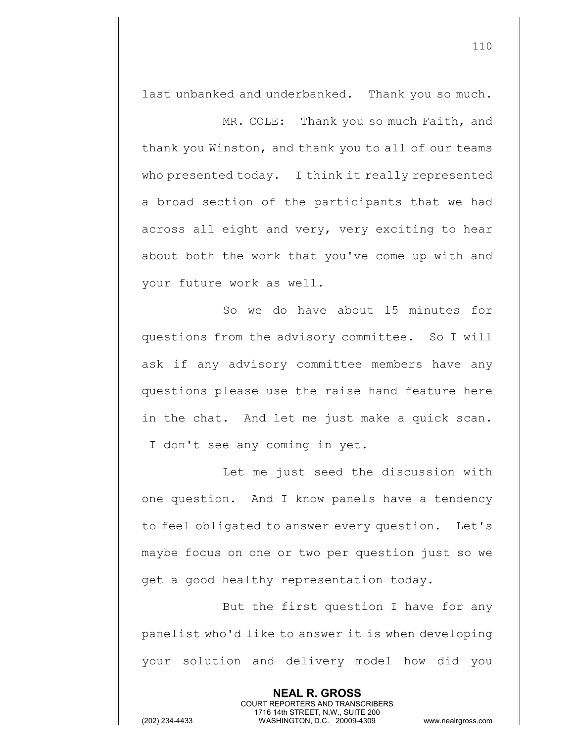last unbanked and underbanked. Thank you so much.

MR. COLE: Thank you so much Faith, and thank you Winston, and thank you to all of our teams who presented today. I think it really represented a broad section of the participants that we had across all eight and very, very exciting to hear about both the work that you've come up with and your future work as well.

So we do have about 15 minutes for questions from the advisory committee. So I will ask if any advisory committee members have any questions please use the raise hand feature here in the chat. And let me just make a quick scan. I don't see any coming in yet.

Let me just seed the discussion with one question. And I know panels have a tendency to feel obligated to answer every question. Let's maybe focus on one or two per question just so we get a good healthy representation today.

But the first question I have for any panelist who'd like to answer it is when developing your solution and delivery model how did you

> **NEAL R. GROSS** COURT REPORTERS AND TRANSCRIBERS 1716 14th STREET, N.W., SUITE 200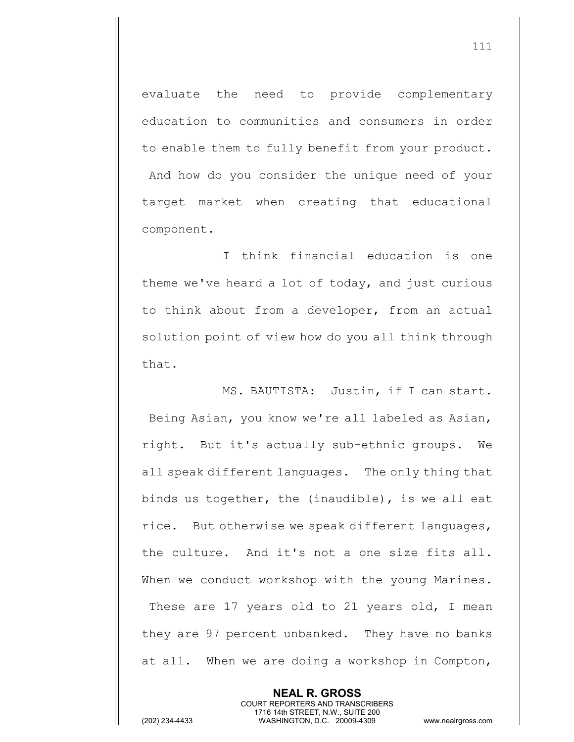evaluate the need to provide complementary education to communities and consumers in order to enable them to fully benefit from your product. And how do you consider the unique need of your target market when creating that educational component.

I think financial education is one theme we've heard a lot of today, and just curious to think about from a developer, from an actual solution point of view how do you all think through that.

MS. BAUTISTA: Justin, if I can start. Being Asian, you know we're all labeled as Asian, right. But it's actually sub-ethnic groups. We all speak different languages. The only thing that binds us together, the (inaudible), is we all eat rice. But otherwise we speak different languages, the culture. And it's not a one size fits all. When we conduct workshop with the young Marines. These are 17 years old to 21 years old, I mean they are 97 percent unbanked. They have no banks at all. When we are doing a workshop in Compton,

> **NEAL R. GROSS** COURT REPORTERS AND TRANSCRIBERS 1716 14th STREET, N.W., SUITE 200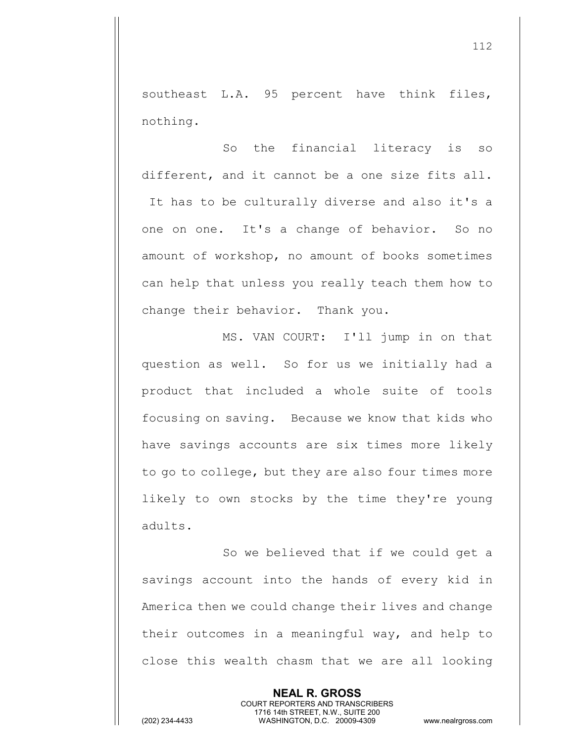southeast L.A. 95 percent have think files, nothing.

So the financial literacy is so different, and it cannot be a one size fits all. It has to be culturally diverse and also it's a one on one. It's a change of behavior. So no amount of workshop, no amount of books sometimes can help that unless you really teach them how to change their behavior. Thank you.

MS. VAN COURT: I'll jump in on that question as well. So for us we initially had a product that included a whole suite of tools focusing on saving. Because we know that kids who have savings accounts are six times more likely to go to college, but they are also four times more likely to own stocks by the time they're young adults.

So we believed that if we could get a savings account into the hands of every kid in America then we could change their lives and change their outcomes in a meaningful way, and help to close this wealth chasm that we are all looking

> **NEAL R. GROSS** COURT REPORTERS AND TRANSCRIBERS 1716 14th STREET, N.W., SUITE 200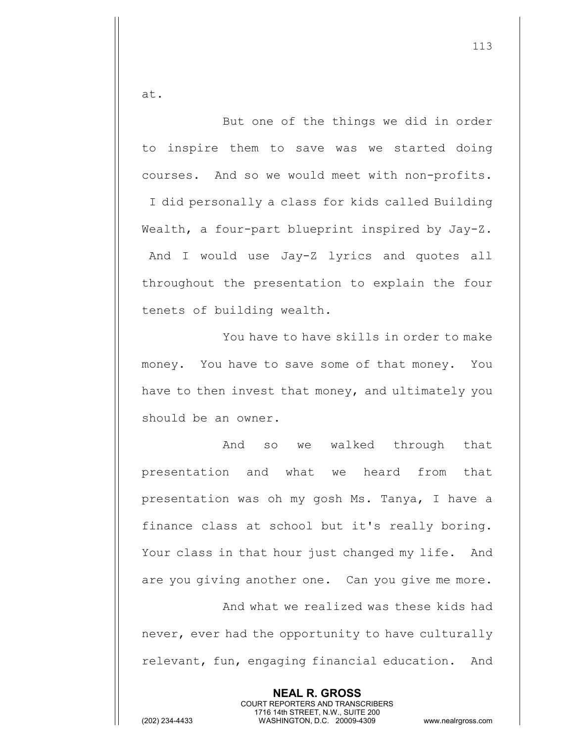at.

But one of the things we did in order to inspire them to save was we started doing courses. And so we would meet with non-profits. I did personally a class for kids called Building Wealth, a four-part blueprint inspired by Jay-Z. And I would use Jay-Z lyrics and quotes all throughout the presentation to explain the four tenets of building wealth.

You have to have skills in order to make money. You have to save some of that money. You have to then invest that money, and ultimately you should be an owner.

And so we walked through that presentation and what we heard from that presentation was oh my gosh Ms. Tanya, I have a finance class at school but it's really boring. Your class in that hour just changed my life. And are you giving another one. Can you give me more.

And what we realized was these kids had never, ever had the opportunity to have culturally relevant, fun, engaging financial education. And

> **NEAL R. GROSS** COURT REPORTERS AND TRANSCRIBERS 1716 14th STREET, N.W., SUITE 200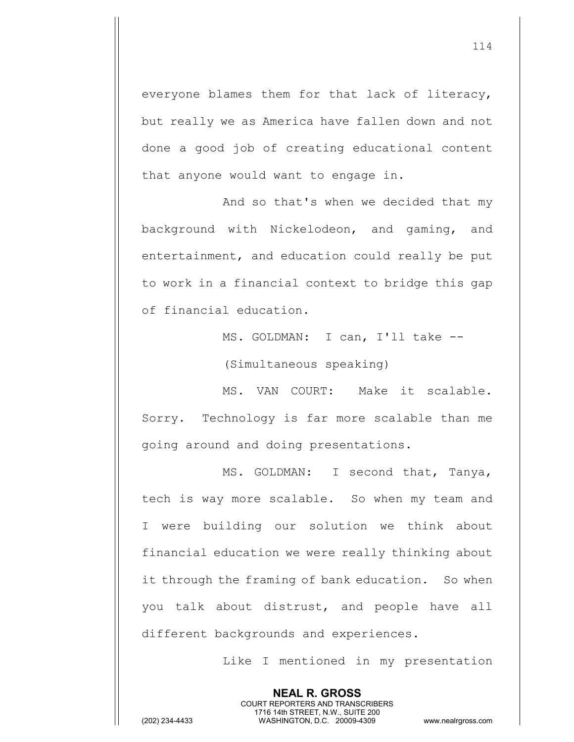everyone blames them for that lack of literacy, but really we as America have fallen down and not done a good job of creating educational content that anyone would want to engage in.

And so that's when we decided that my background with Nickelodeon, and gaming, and entertainment, and education could really be put to work in a financial context to bridge this gap of financial education.

> MS. GOLDMAN: I can, I'll take -- (Simultaneous speaking)

MS. VAN COURT: Make it scalable. Sorry. Technology is far more scalable than me going around and doing presentations.

MS. GOLDMAN: I second that, Tanya, tech is way more scalable. So when my team and I were building our solution we think about financial education we were really thinking about it through the framing of bank education. So when you talk about distrust, and people have all different backgrounds and experiences.

> **NEAL R. GROSS** COURT REPORTERS AND TRANSCRIBERS 1716 14th STREET, N.W., SUITE 200

Like I mentioned in my presentation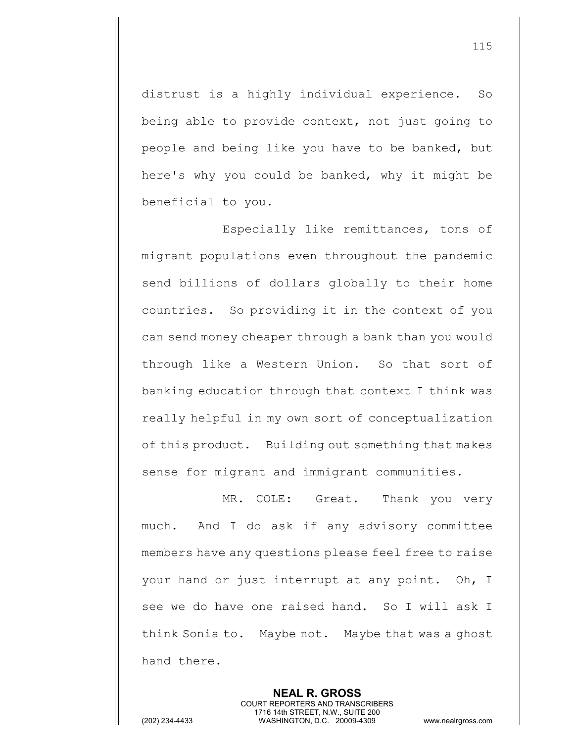distrust is a highly individual experience. So being able to provide context, not just going to people and being like you have to be banked, but here's why you could be banked, why it might be beneficial to you.

Especially like remittances, tons of migrant populations even throughout the pandemic send billions of dollars globally to their home countries. So providing it in the context of you can send money cheaper through a bank than you would through like a Western Union. So that sort of banking education through that context I think was really helpful in my own sort of conceptualization of this product. Building out something that makes sense for migrant and immigrant communities.

MR. COLE: Great. Thank you very much. And I do ask if any advisory committee members have any questions please feel free to raise your hand or just interrupt at any point. Oh, I see we do have one raised hand. So I will ask I think Sonia to. Maybe not. Maybe that was a ghost hand there.

> **NEAL R. GROSS** COURT REPORTERS AND TRANSCRIBERS 1716 14th STREET, N.W., SUITE 200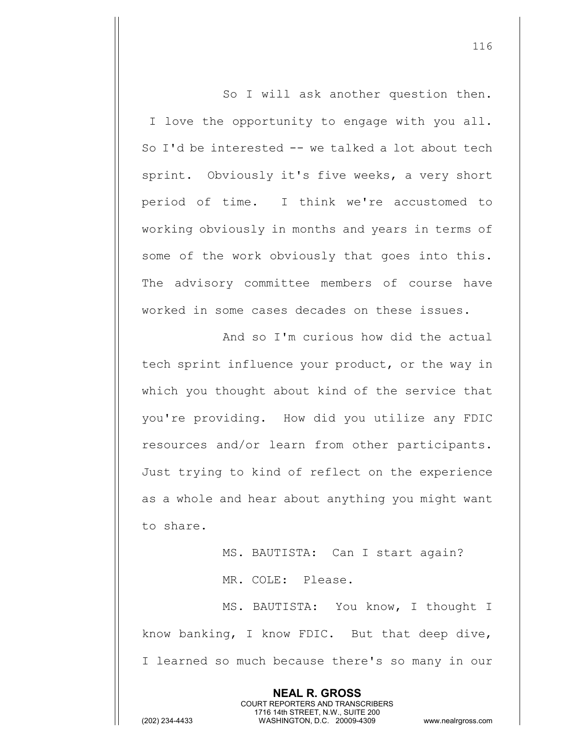So I will ask another question then. I love the opportunity to engage with you all. So I'd be interested -- we talked a lot about tech sprint. Obviously it's five weeks, a very short period of time. I think we're accustomed to working obviously in months and years in terms of some of the work obviously that goes into this. The advisory committee members of course have worked in some cases decades on these issues.

And so I'm curious how did the actual tech sprint influence your product, or the way in which you thought about kind of the service that you're providing. How did you utilize any FDIC resources and/or learn from other participants. Just trying to kind of reflect on the experience as a whole and hear about anything you might want to share.

> MS. BAUTISTA: Can I start again? MR. COLE: Please.

MS. BAUTISTA: You know, I thought I know banking, I know FDIC. But that deep dive, I learned so much because there's so many in our

> **NEAL R. GROSS** COURT REPORTERS AND TRANSCRIBERS 1716 14th STREET, N.W., SUITE 200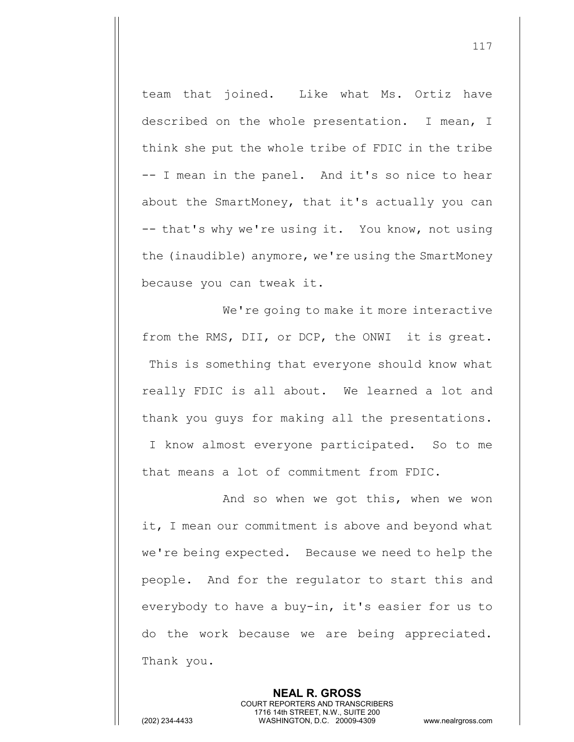team that joined. Like what Ms. Ortiz have described on the whole presentation. I mean, I think she put the whole tribe of FDIC in the tribe -- I mean in the panel. And it's so nice to hear about the SmartMoney, that it's actually you can -- that's why we're using it. You know, not using the (inaudible) anymore, we're using the SmartMoney because you can tweak it.

We're going to make it more interactive from the RMS, DII, or DCP, the ONWI it is great. This is something that everyone should know what really FDIC is all about. We learned a lot and thank you guys for making all the presentations. I know almost everyone participated. So to me that means a lot of commitment from FDIC.

And so when we got this, when we won it, I mean our commitment is above and beyond what we're being expected. Because we need to help the people. And for the regulator to start this and everybody to have a buy-in, it's easier for us to do the work because we are being appreciated. Thank you.

> **NEAL R. GROSS** COURT REPORTERS AND TRANSCRIBERS 1716 14th STREET, N.W., SUITE 200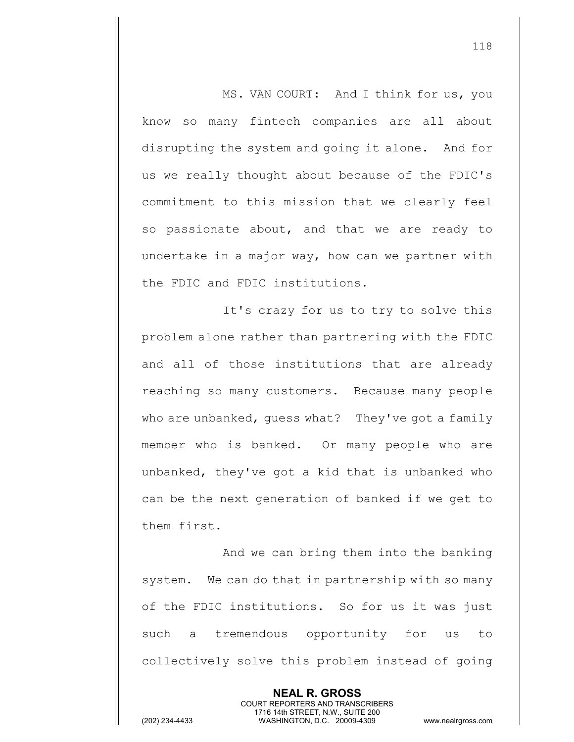MS. VAN COURT: And I think for us, you know so many fintech companies are all about disrupting the system and going it alone. And for us we really thought about because of the FDIC's commitment to this mission that we clearly feel so passionate about, and that we are ready to undertake in a major way, how can we partner with the FDIC and FDIC institutions.

It's crazy for us to try to solve this problem alone rather than partnering with the FDIC and all of those institutions that are already reaching so many customers. Because many people who are unbanked, quess what? They've got a family member who is banked. Or many people who are unbanked, they've got a kid that is unbanked who can be the next generation of banked if we get to them first.

And we can bring them into the banking system. We can do that in partnership with so many of the FDIC institutions. So for us it was just such a tremendous opportunity for us to collectively solve this problem instead of going

> **NEAL R. GROSS** COURT REPORTERS AND TRANSCRIBERS 1716 14th STREET, N.W., SUITE 200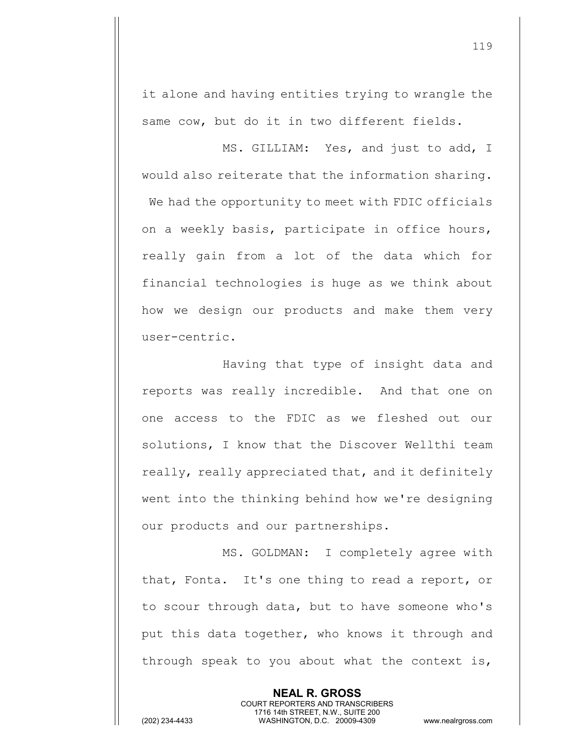it alone and having entities trying to wrangle the same cow, but do it in two different fields.

MS. GILLIAM: Yes, and just to add, I would also reiterate that the information sharing. We had the opportunity to meet with FDIC officials on a weekly basis, participate in office hours, really gain from a lot of the data which for financial technologies is huge as we think about how we design our products and make them very user-centric.

Having that type of insight data and reports was really incredible. And that one on one access to the FDIC as we fleshed out our solutions, I know that the Discover Wellthi team really, really appreciated that, and it definitely went into the thinking behind how we're designing our products and our partnerships.

MS. GOLDMAN: I completely agree with that, Fonta. It's one thing to read a report, or to scour through data, but to have someone who's put this data together, who knows it through and through speak to you about what the context is,

> **NEAL R. GROSS** COURT REPORTERS AND TRANSCRIBERS 1716 14th STREET, N.W., SUITE 200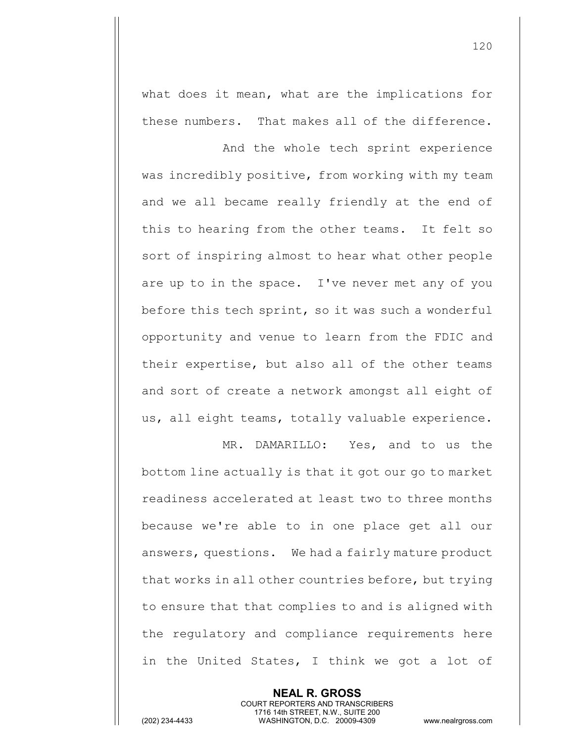what does it mean, what are the implications for these numbers. That makes all of the difference.

And the whole tech sprint experience was incredibly positive, from working with my team and we all became really friendly at the end of this to hearing from the other teams. It felt so sort of inspiring almost to hear what other people are up to in the space. I've never met any of you before this tech sprint, so it was such a wonderful opportunity and venue to learn from the FDIC and their expertise, but also all of the other teams and sort of create a network amongst all eight of us, all eight teams, totally valuable experience.

MR. DAMARILLO: Yes, and to us the bottom line actually is that it got our go to market readiness accelerated at least two to three months because we're able to in one place get all our answers, questions. We had a fairly mature product that works in all other countries before, but trying to ensure that that complies to and is aligned with the regulatory and compliance requirements here in the United States, I think we got a lot of

> **NEAL R. GROSS** COURT REPORTERS AND TRANSCRIBERS 1716 14th STREET, N.W., SUITE 200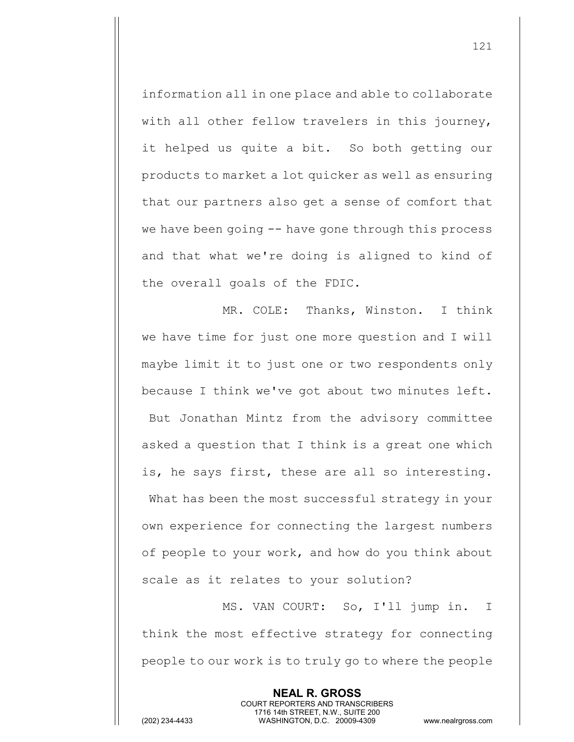information all in one place and able to collaborate with all other fellow travelers in this journey, it helped us quite a bit. So both getting our products to market a lot quicker as well as ensuring that our partners also get a sense of comfort that we have been going -- have gone through this process and that what we're doing is aligned to kind of the overall goals of the FDIC.

MR. COLE: Thanks, Winston. I think we have time for just one more question and I will maybe limit it to just one or two respondents only because I think we've got about two minutes left. But Jonathan Mintz from the advisory committee asked a question that I think is a great one which is, he says first, these are all so interesting. What has been the most successful strategy in your own experience for connecting the largest numbers of people to your work, and how do you think about scale as it relates to your solution?

MS. VAN COURT: So, I'll jump in. I think the most effective strategy for connecting people to our work is to truly go to where the people

> **NEAL R. GROSS** COURT REPORTERS AND TRANSCRIBERS 1716 14th STREET, N.W., SUITE 200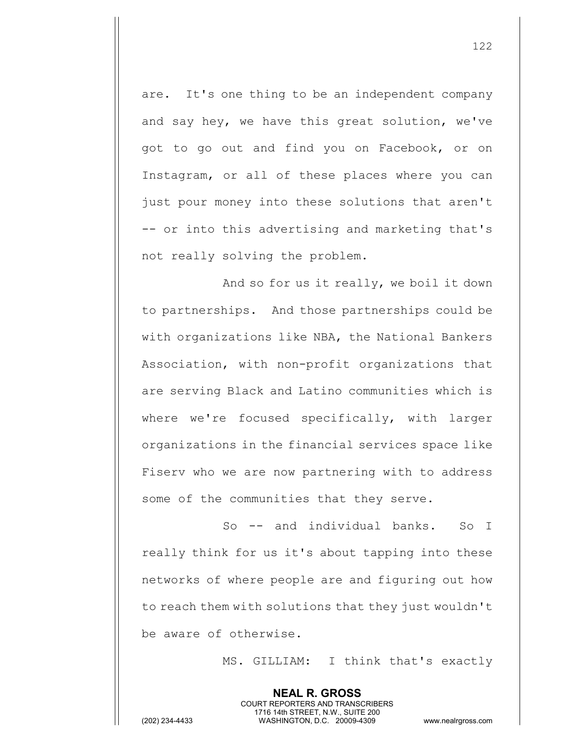are. It's one thing to be an independent company and say hey, we have this great solution, we've got to go out and find you on Facebook, or on Instagram, or all of these places where you can just pour money into these solutions that aren't -- or into this advertising and marketing that's not really solving the problem.

And so for us it really, we boil it down to partnerships. And those partnerships could be with organizations like NBA, the National Bankers Association, with non-profit organizations that are serving Black and Latino communities which is where we're focused specifically, with larger organizations in the financial services space like Fiserv who we are now partnering with to address some of the communities that they serve.

So -- and individual banks. So I really think for us it's about tapping into these networks of where people are and figuring out how to reach them with solutions that they just wouldn't be aware of otherwise.

> **NEAL R. GROSS** COURT REPORTERS AND TRANSCRIBERS 1716 14th STREET, N.W., SUITE 200

MS. GILLIAM: I think that's exactly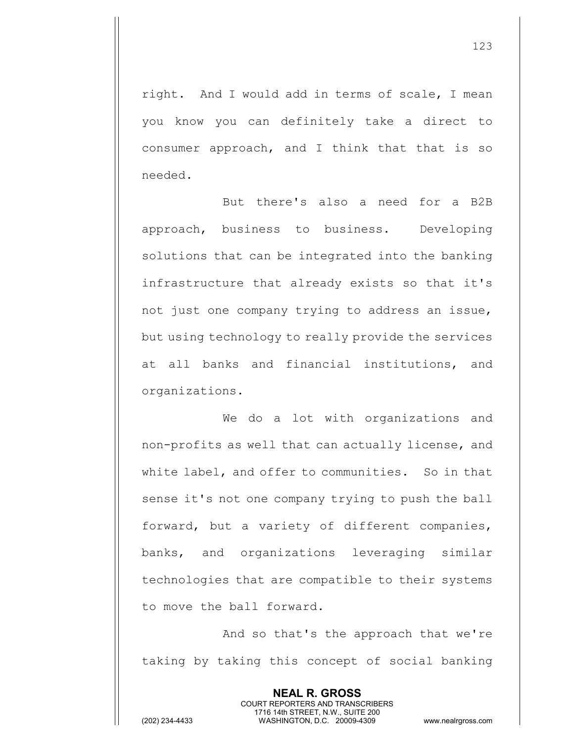right. And I would add in terms of scale, I mean you know you can definitely take a direct to consumer approach, and I think that that is so needed.

But there's also a need for a B2B approach, business to business. Developing solutions that can be integrated into the banking infrastructure that already exists so that it's not just one company trying to address an issue, but using technology to really provide the services at all banks and financial institutions, and organizations.

We do a lot with organizations and non-profits as well that can actually license, and white label, and offer to communities. So in that sense it's not one company trying to push the ball forward, but a variety of different companies, banks, and organizations leveraging similar technologies that are compatible to their systems to move the ball forward.

And so that's the approach that we're taking by taking this concept of social banking

> **NEAL R. GROSS** COURT REPORTERS AND TRANSCRIBERS 1716 14th STREET, N.W., SUITE 200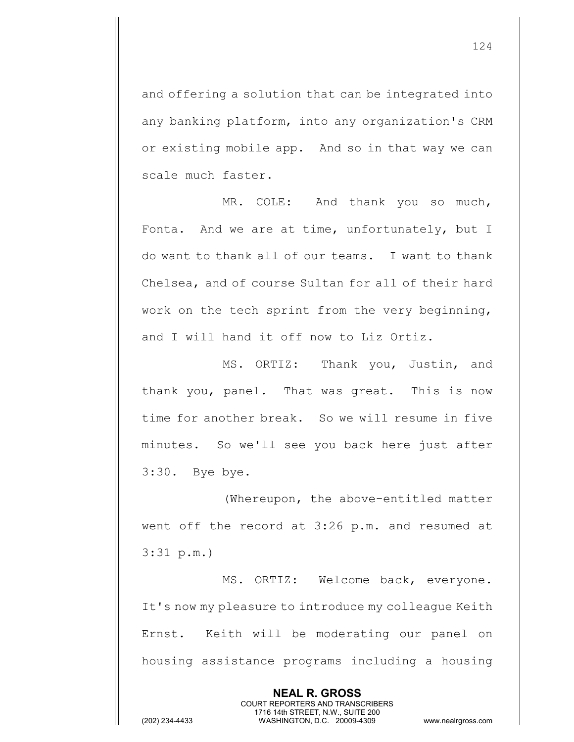and offering a solution that can be integrated into any banking platform, into any organization's CRM or existing mobile app. And so in that way we can scale much faster.

MR. COLE: And thank you so much, Fonta. And we are at time, unfortunately, but I do want to thank all of our teams. I want to thank Chelsea, and of course Sultan for all of their hard work on the tech sprint from the very beginning, and I will hand it off now to Liz Ortiz.

MS. ORTIZ: Thank you, Justin, and thank you, panel. That was great. This is now time for another break. So we will resume in five minutes. So we'll see you back here just after 3:30. Bye bye.

(Whereupon, the above-entitled matter went off the record at 3:26 p.m. and resumed at 3:31 p.m.)

MS. ORTIZ: Welcome back, everyone. It's now my pleasure to introduce my colleague Keith Ernst. Keith will be moderating our panel on housing assistance programs including a housing

> **NEAL R. GROSS** COURT REPORTERS AND TRANSCRIBERS 1716 14th STREET, N.W., SUITE 200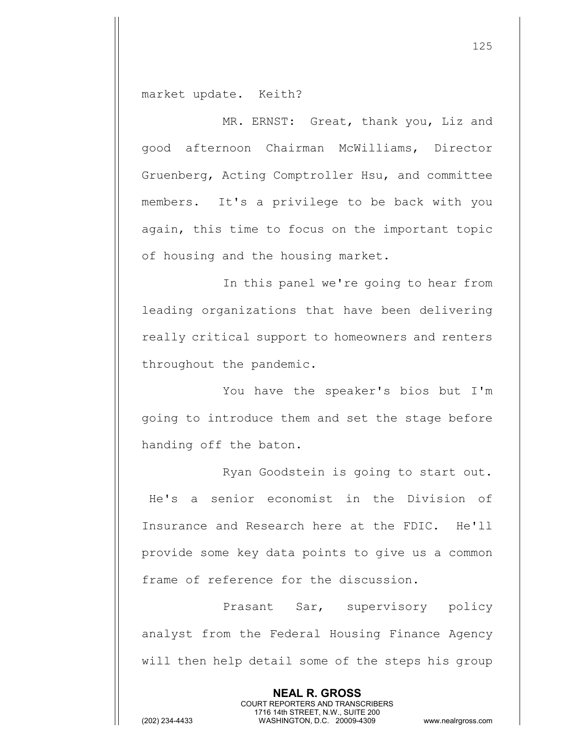market update. Keith?

MR. ERNST: Great, thank you, Liz and good afternoon Chairman McWilliams, Director Gruenberg, Acting Comptroller Hsu, and committee members. It's a privilege to be back with you again, this time to focus on the important topic of housing and the housing market.

In this panel we're going to hear from leading organizations that have been delivering really critical support to homeowners and renters throughout the pandemic.

You have the speaker's bios but I'm going to introduce them and set the stage before handing off the baton.

Ryan Goodstein is going to start out. He's a senior economist in the Division of Insurance and Research here at the FDIC. He'll provide some key data points to give us a common frame of reference for the discussion.

Prasant Sar, supervisory policy analyst from the Federal Housing Finance Agency will then help detail some of the steps his group

> **NEAL R. GROSS** COURT REPORTERS AND TRANSCRIBERS 1716 14th STREET, N.W., SUITE 200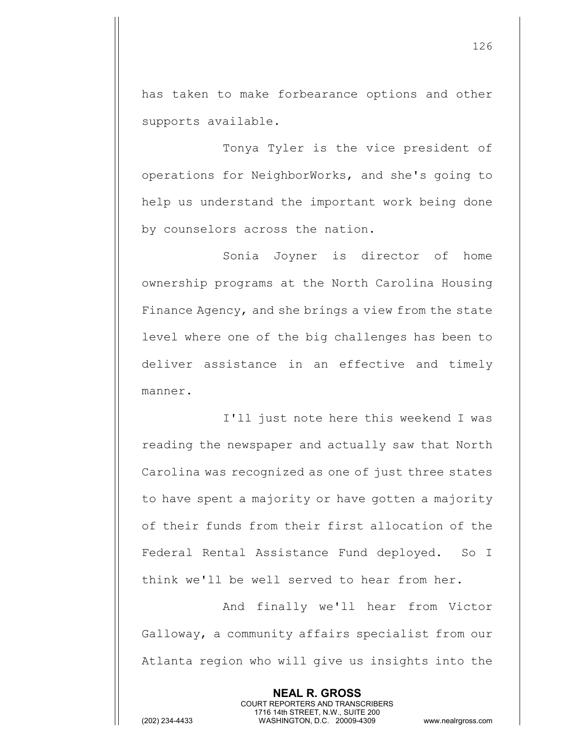has taken to make forbearance options and other supports available.

Tonya Tyler is the vice president of operations for NeighborWorks, and she's going to help us understand the important work being done by counselors across the nation.

Sonia Joyner is director of home ownership programs at the North Carolina Housing Finance Agency, and she brings a view from the state level where one of the big challenges has been to deliver assistance in an effective and timely manner.

I'll just note here this weekend I was reading the newspaper and actually saw that North Carolina was recognized as one of just three states to have spent a majority or have gotten a majority of their funds from their first allocation of the Federal Rental Assistance Fund deployed. So I think we'll be well served to hear from her.

And finally we'll hear from Victor Galloway, a community affairs specialist from our Atlanta region who will give us insights into the

> **NEAL R. GROSS** COURT REPORTERS AND TRANSCRIBERS 1716 14th STREET, N.W., SUITE 200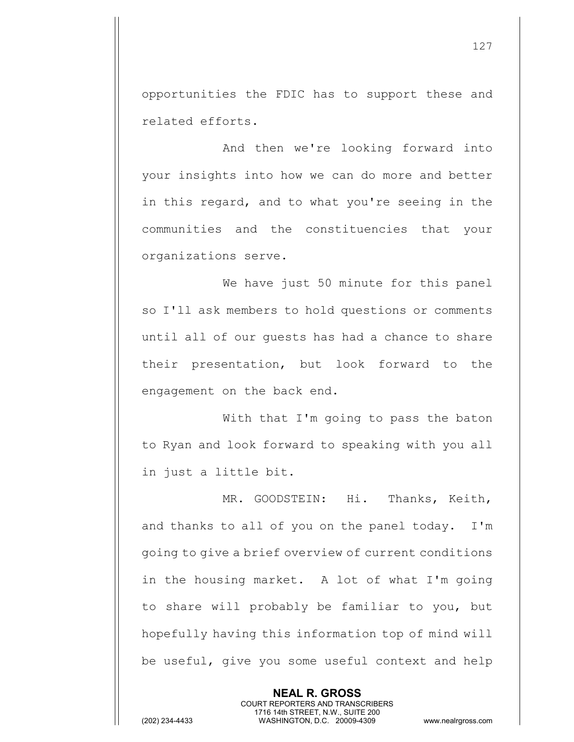opportunities the FDIC has to support these and related efforts.

And then we're looking forward into your insights into how we can do more and better in this regard, and to what you're seeing in the communities and the constituencies that your organizations serve.

We have just 50 minute for this panel so I'll ask members to hold questions or comments until all of our guests has had a chance to share their presentation, but look forward to the engagement on the back end.

With that I'm going to pass the baton to Ryan and look forward to speaking with you all in just a little bit.

MR. GOODSTEIN: Hi. Thanks, Keith, and thanks to all of you on the panel today. I'm going to give a brief overview of current conditions in the housing market. A lot of what I'm going to share will probably be familiar to you, but hopefully having this information top of mind will be useful, give you some useful context and help

> **NEAL R. GROSS** COURT REPORTERS AND TRANSCRIBERS 1716 14th STREET, N.W., SUITE 200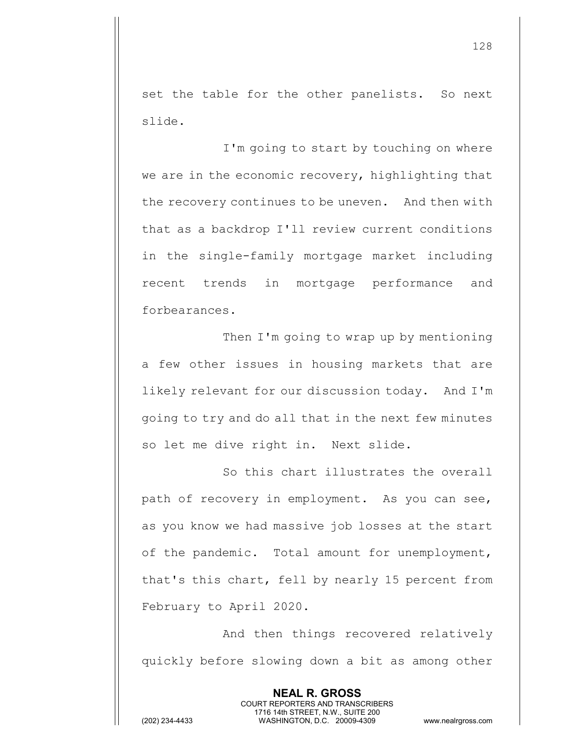set the table for the other panelists. So next slide.

I'm going to start by touching on where we are in the economic recovery, highlighting that the recovery continues to be uneven. And then with that as a backdrop I'll review current conditions in the single-family mortgage market including recent trends in mortgage performance and forbearances.

Then I'm going to wrap up by mentioning a few other issues in housing markets that are likely relevant for our discussion today. And I'm going to try and do all that in the next few minutes so let me dive right in. Next slide.

So this chart illustrates the overall path of recovery in employment. As you can see, as you know we had massive job losses at the start of the pandemic. Total amount for unemployment, that's this chart, fell by nearly 15 percent from February to April 2020.

And then things recovered relatively quickly before slowing down a bit as among other

> **NEAL R. GROSS** COURT REPORTERS AND TRANSCRIBERS 1716 14th STREET, N.W., SUITE 200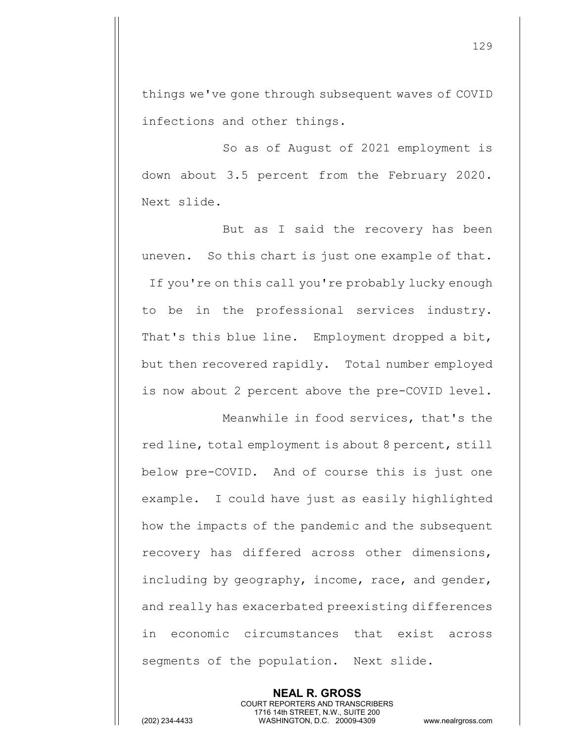things we've gone through subsequent waves of COVID infections and other things.

So as of August of 2021 employment is down about 3.5 percent from the February 2020. Next slide.

But as I said the recovery has been uneven. So this chart is just one example of that. If you're on this call you're probably lucky enough to be in the professional services industry. That's this blue line. Employment dropped a bit, but then recovered rapidly. Total number employed is now about 2 percent above the pre-COVID level.

Meanwhile in food services, that's the

red line, total employment is about 8 percent, still below pre-COVID. And of course this is just one example. I could have just as easily highlighted how the impacts of the pandemic and the subsequent recovery has differed across other dimensions, including by geography, income, race, and gender, and really has exacerbated preexisting differences in economic circumstances that exist across segments of the population. Next slide.

**NEAL R. GROSS** COURT REPORTERS AND TRANSCRIBERS 1716 14th STREET, N.W., SUITE 200 (202) 234-4433 WASHINGTON, D.C. 20009-4309 www.nealrgross.com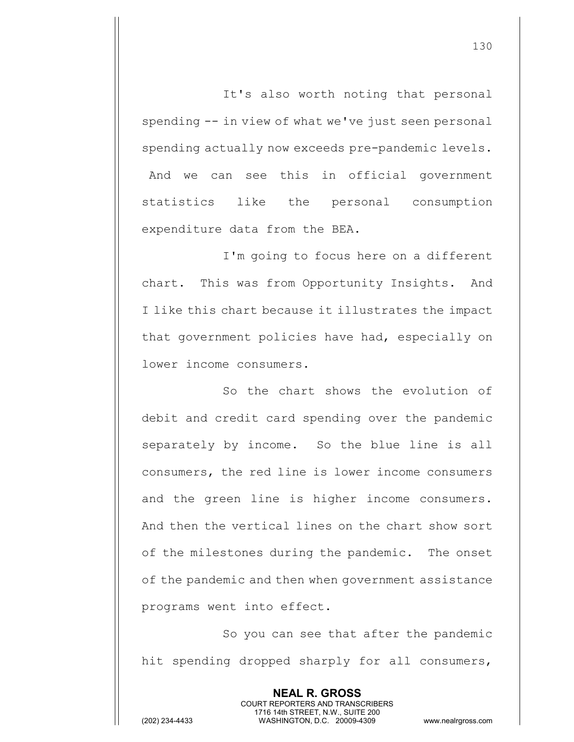It's also worth noting that personal spending -- in view of what we've just seen personal spending actually now exceeds pre-pandemic levels. And we can see this in official government statistics like the personal consumption expenditure data from the BEA.

I'm going to focus here on a different chart. This was from Opportunity Insights. And I like this chart because it illustrates the impact that government policies have had, especially on lower income consumers.

So the chart shows the evolution of debit and credit card spending over the pandemic separately by income. So the blue line is all consumers, the red line is lower income consumers and the green line is higher income consumers. And then the vertical lines on the chart show sort of the milestones during the pandemic. The onset of the pandemic and then when government assistance programs went into effect.

So you can see that after the pandemic hit spending dropped sharply for all consumers,

> **NEAL R. GROSS** COURT REPORTERS AND TRANSCRIBERS 1716 14th STREET, N.W., SUITE 200

(202) 234-4433 WASHINGTON, D.C. 20009-4309 www.nealrgross.com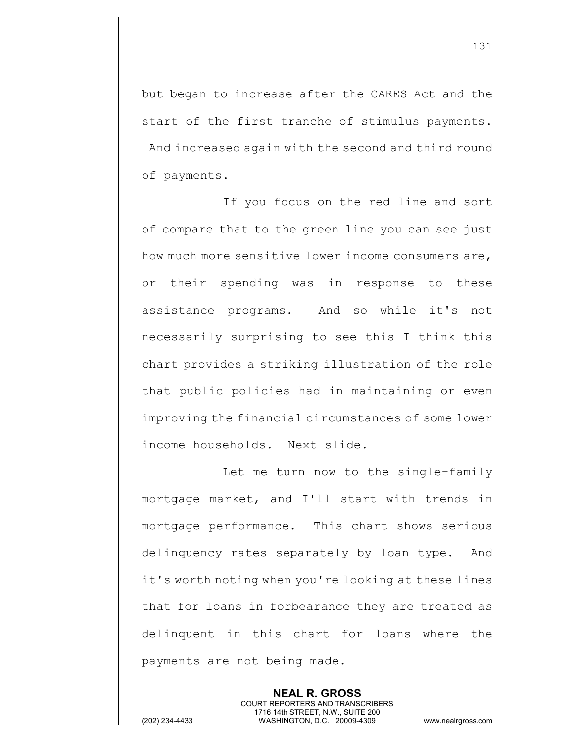but began to increase after the CARES Act and the start of the first tranche of stimulus payments. And increased again with the second and third round of payments.

If you focus on the red line and sort of compare that to the green line you can see just how much more sensitive lower income consumers are, or their spending was in response to these assistance programs. And so while it's not necessarily surprising to see this I think this chart provides a striking illustration of the role that public policies had in maintaining or even improving the financial circumstances of some lower income households. Next slide.

Let me turn now to the single-family mortgage market, and I'll start with trends in mortgage performance. This chart shows serious delinquency rates separately by loan type. And it's worth noting when you're looking at these lines that for loans in forbearance they are treated as delinquent in this chart for loans where the payments are not being made.

> **NEAL R. GROSS** COURT REPORTERS AND TRANSCRIBERS 1716 14th STREET, N.W., SUITE 200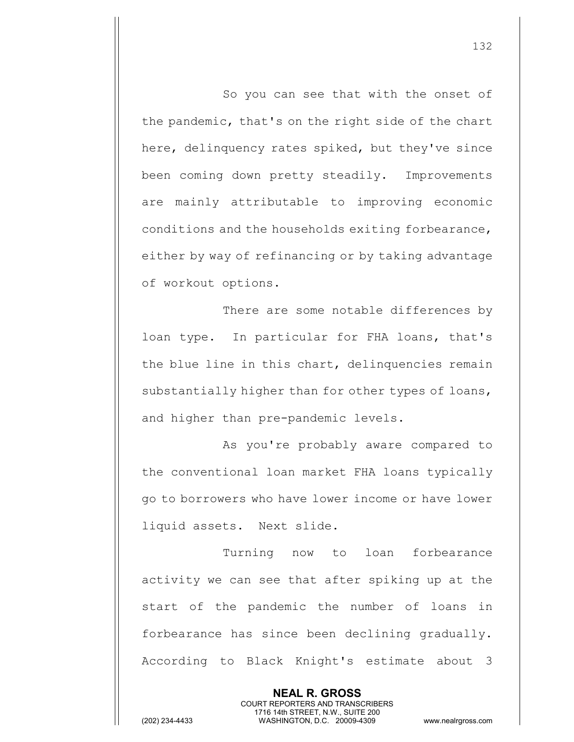So you can see that with the onset of the pandemic, that's on the right side of the chart here, delinquency rates spiked, but they've since been coming down pretty steadily. Improvements are mainly attributable to improving economic conditions and the households exiting forbearance, either by way of refinancing or by taking advantage of workout options.

There are some notable differences by loan type. In particular for FHA loans, that's the blue line in this chart, delinquencies remain substantially higher than for other types of loans, and higher than pre-pandemic levels.

As you're probably aware compared to the conventional loan market FHA loans typically go to borrowers who have lower income or have lower liquid assets. Next slide.

Turning now to loan forbearance activity we can see that after spiking up at the start of the pandemic the number of loans in forbearance has since been declining gradually. According to Black Knight's estimate about 3

> **NEAL R. GROSS** COURT REPORTERS AND TRANSCRIBERS 1716 14th STREET, N.W., SUITE 200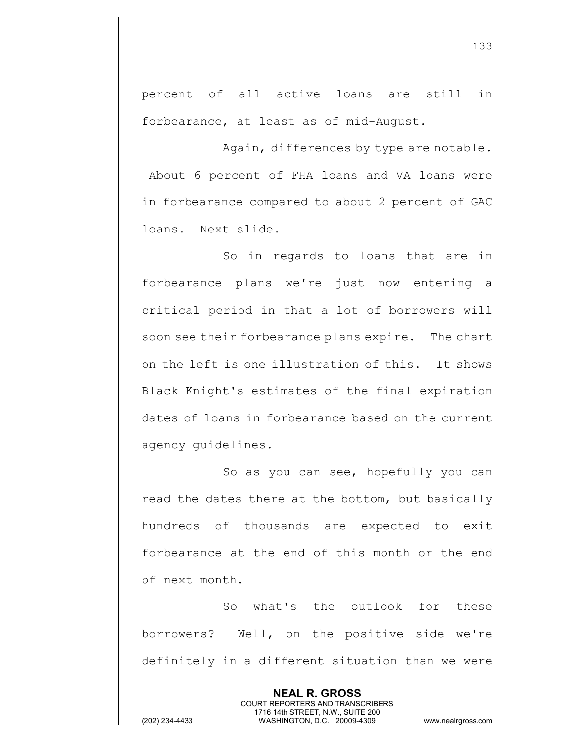percent of all active loans are still in forbearance, at least as of mid-August.

Again, differences by type are notable. About 6 percent of FHA loans and VA loans were in forbearance compared to about 2 percent of GAC loans. Next slide.

So in regards to loans that are in forbearance plans we're just now entering a critical period in that a lot of borrowers will soon see their forbearance plans expire. The chart on the left is one illustration of this. It shows Black Knight's estimates of the final expiration dates of loans in forbearance based on the current agency guidelines.

So as you can see, hopefully you can read the dates there at the bottom, but basically hundreds of thousands are expected to exit forbearance at the end of this month or the end of next month.

So what's the outlook for these borrowers? Well, on the positive side we're definitely in a different situation than we were

> **NEAL R. GROSS** COURT REPORTERS AND TRANSCRIBERS 1716 14th STREET, N.W., SUITE 200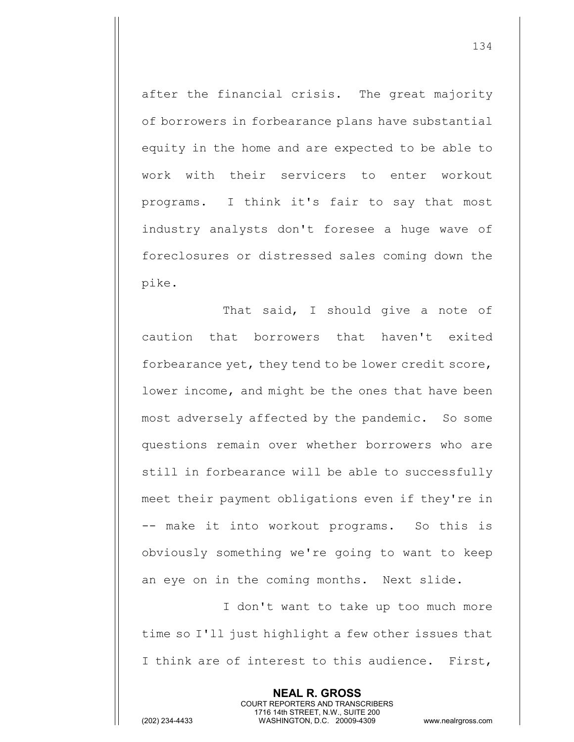after the financial crisis. The great majority of borrowers in forbearance plans have substantial equity in the home and are expected to be able to work with their servicers to enter workout programs. I think it's fair to say that most industry analysts don't foresee a huge wave of foreclosures or distressed sales coming down the pike.

That said, I should give a note of caution that borrowers that haven't exited forbearance yet, they tend to be lower credit score, lower income, and might be the ones that have been most adversely affected by the pandemic. So some questions remain over whether borrowers who are still in forbearance will be able to successfully meet their payment obligations even if they're in -- make it into workout programs. So this is obviously something we're going to want to keep an eye on in the coming months. Next slide.

I don't want to take up too much more time so I'll just highlight a few other issues that I think are of interest to this audience. First,

> **NEAL R. GROSS** COURT REPORTERS AND TRANSCRIBERS 1716 14th STREET, N.W., SUITE 200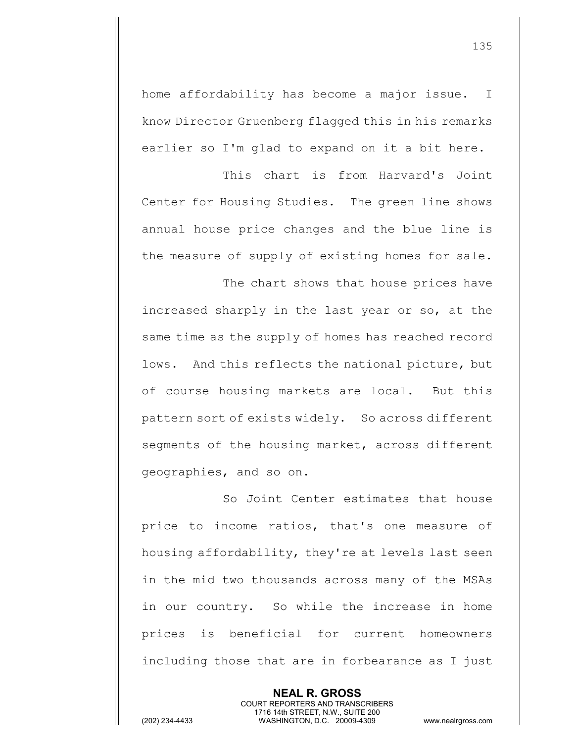home affordability has become a major issue. I know Director Gruenberg flagged this in his remarks earlier so I'm glad to expand on it a bit here.

This chart is from Harvard's Joint Center for Housing Studies. The green line shows annual house price changes and the blue line is the measure of supply of existing homes for sale.

The chart shows that house prices have increased sharply in the last year or so, at the same time as the supply of homes has reached record lows. And this reflects the national picture, but of course housing markets are local. But this pattern sort of exists widely. So across different segments of the housing market, across different geographies, and so on.

So Joint Center estimates that house price to income ratios, that's one measure of housing affordability, they're at levels last seen in the mid two thousands across many of the MSAs in our country. So while the increase in home prices is beneficial for current homeowners including those that are in forbearance as I just

> **NEAL R. GROSS** COURT REPORTERS AND TRANSCRIBERS 1716 14th STREET, N.W., SUITE 200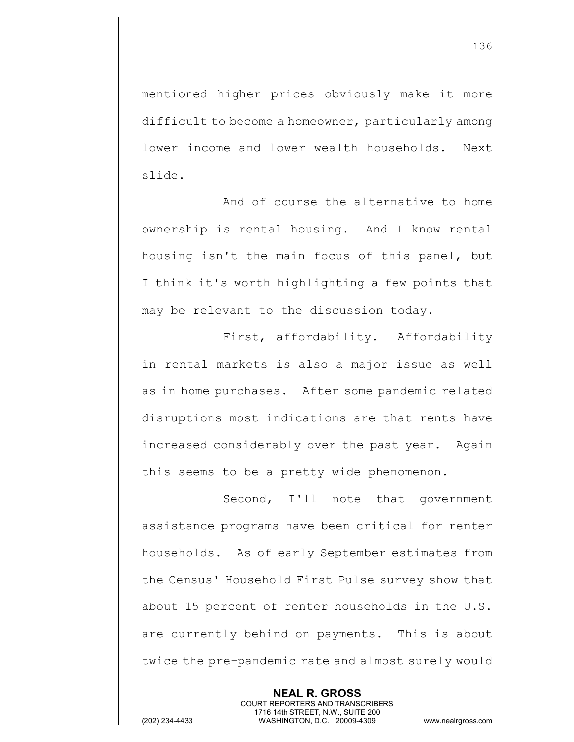mentioned higher prices obviously make it more difficult to become a homeowner, particularly among lower income and lower wealth households. Next slide.

And of course the alternative to home ownership is rental housing. And I know rental housing isn't the main focus of this panel, but I think it's worth highlighting a few points that may be relevant to the discussion today.

First, affordability. Affordability in rental markets is also a major issue as well as in home purchases. After some pandemic related disruptions most indications are that rents have increased considerably over the past year. Again this seems to be a pretty wide phenomenon.

Second, I'll note that government assistance programs have been critical for renter households. As of early September estimates from the Census' Household First Pulse survey show that about 15 percent of renter households in the U.S. are currently behind on payments. This is about twice the pre-pandemic rate and almost surely would

> **NEAL R. GROSS** COURT REPORTERS AND TRANSCRIBERS 1716 14th STREET, N.W., SUITE 200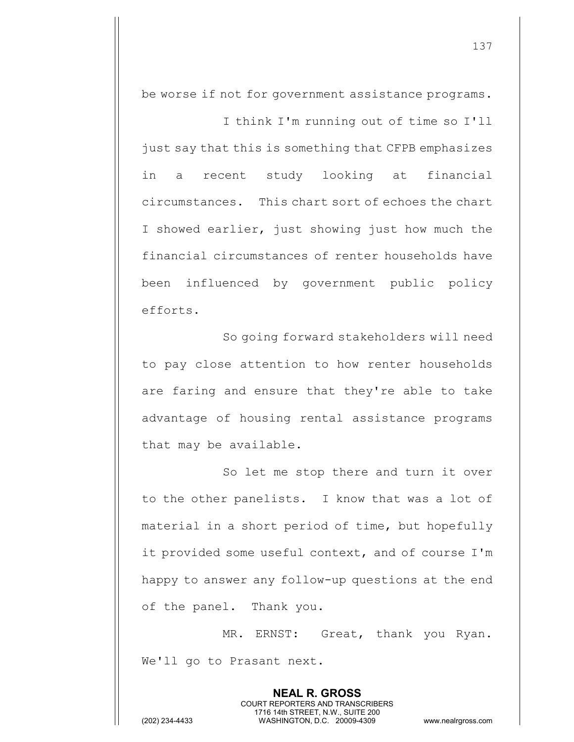be worse if not for government assistance programs.

I think I'm running out of time so I'll just say that this is something that CFPB emphasizes in a recent study looking at financial circumstances. This chart sort of echoes the chart I showed earlier, just showing just how much the financial circumstances of renter households have been influenced by government public policy efforts.

So going forward stakeholders will need to pay close attention to how renter households are faring and ensure that they're able to take advantage of housing rental assistance programs that may be available.

So let me stop there and turn it over to the other panelists. I know that was a lot of material in a short period of time, but hopefully it provided some useful context, and of course I'm happy to answer any follow-up questions at the end of the panel. Thank you.

MR. ERNST: Great, thank you Ryan. We'll go to Prasant next.

> **NEAL R. GROSS** COURT REPORTERS AND TRANSCRIBERS 1716 14th STREET, N.W., SUITE 200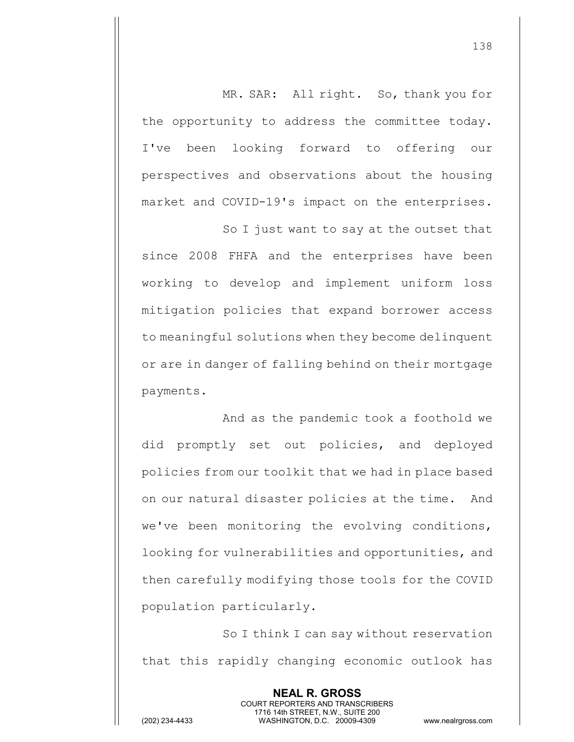MR. SAR: All right. So, thank you for the opportunity to address the committee today. I've been looking forward to offering our perspectives and observations about the housing market and COVID-19's impact on the enterprises.

So I just want to say at the outset that since 2008 FHFA and the enterprises have been working to develop and implement uniform loss mitigation policies that expand borrower access to meaningful solutions when they become delinquent or are in danger of falling behind on their mortgage payments.

And as the pandemic took a foothold we did promptly set out policies, and deployed policies from our toolkit that we had in place based on our natural disaster policies at the time. And we've been monitoring the evolving conditions, looking for vulnerabilities and opportunities, and then carefully modifying those tools for the COVID population particularly.

So I think I can say without reservation that this rapidly changing economic outlook has

> **NEAL R. GROSS** COURT REPORTERS AND TRANSCRIBERS 1716 14th STREET, N.W., SUITE 200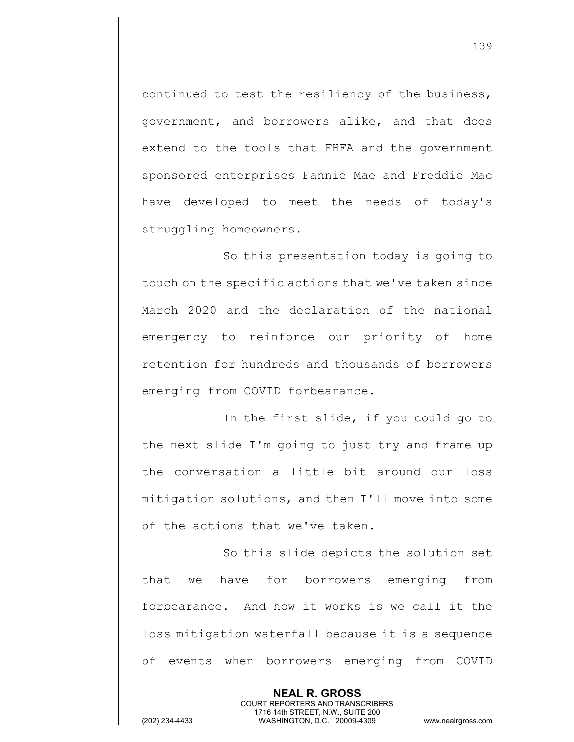continued to test the resiliency of the business, government, and borrowers alike, and that does extend to the tools that FHFA and the government sponsored enterprises Fannie Mae and Freddie Mac have developed to meet the needs of today's struggling homeowners.

So this presentation today is going to touch on the specific actions that we've taken since March 2020 and the declaration of the national emergency to reinforce our priority of home retention for hundreds and thousands of borrowers emerging from COVID forbearance.

In the first slide, if you could go to the next slide I'm going to just try and frame up the conversation a little bit around our loss mitigation solutions, and then I'll move into some of the actions that we've taken.

So this slide depicts the solution set that we have for borrowers emerging from forbearance. And how it works is we call it the loss mitigation waterfall because it is a sequence of events when borrowers emerging from COVID

> **NEAL R. GROSS** COURT REPORTERS AND TRANSCRIBERS 1716 14th STREET, N.W., SUITE 200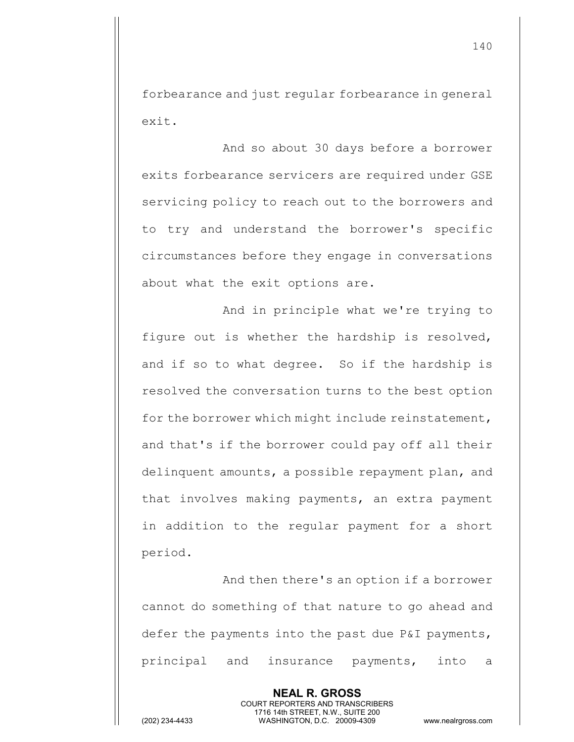forbearance and just regular forbearance in general exit.

And so about 30 days before a borrower exits forbearance servicers are required under GSE servicing policy to reach out to the borrowers and to try and understand the borrower's specific circumstances before they engage in conversations about what the exit options are.

And in principle what we're trying to figure out is whether the hardship is resolved, and if so to what degree. So if the hardship is resolved the conversation turns to the best option for the borrower which might include reinstatement, and that's if the borrower could pay off all their delinquent amounts, a possible repayment plan, and that involves making payments, an extra payment in addition to the regular payment for a short period.

And then there's an option if a borrower cannot do something of that nature to go ahead and defer the payments into the past due P&I payments, principal and insurance payments, into a

> **NEAL R. GROSS** COURT REPORTERS AND TRANSCRIBERS 1716 14th STREET, N.W., SUITE 200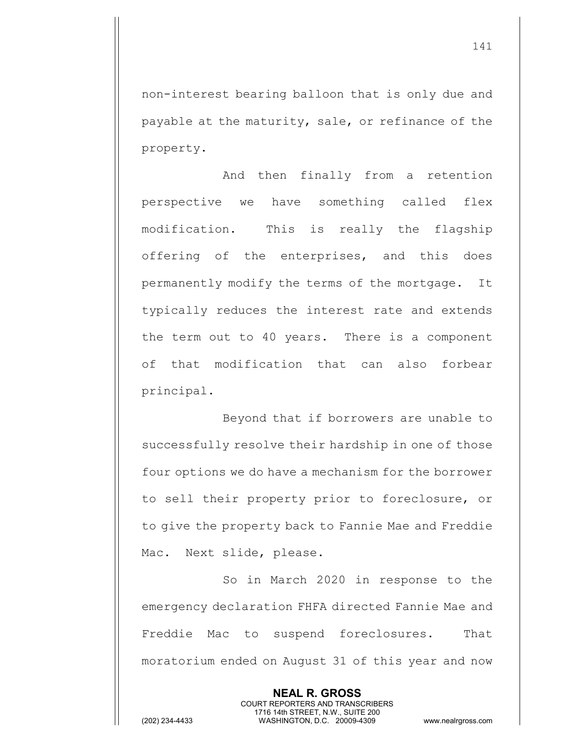non-interest bearing balloon that is only due and payable at the maturity, sale, or refinance of the property.

And then finally from a retention perspective we have something called flex modification. This is really the flagship offering of the enterprises, and this does permanently modify the terms of the mortgage. It typically reduces the interest rate and extends the term out to 40 years. There is a component of that modification that can also forbear principal.

Beyond that if borrowers are unable to successfully resolve their hardship in one of those four options we do have a mechanism for the borrower to sell their property prior to foreclosure, or to give the property back to Fannie Mae and Freddie Mac. Next slide, please.

So in March 2020 in response to the emergency declaration FHFA directed Fannie Mae and Freddie Mac to suspend foreclosures. That moratorium ended on August 31 of this year and now

> **NEAL R. GROSS** COURT REPORTERS AND TRANSCRIBERS 1716 14th STREET, N.W., SUITE 200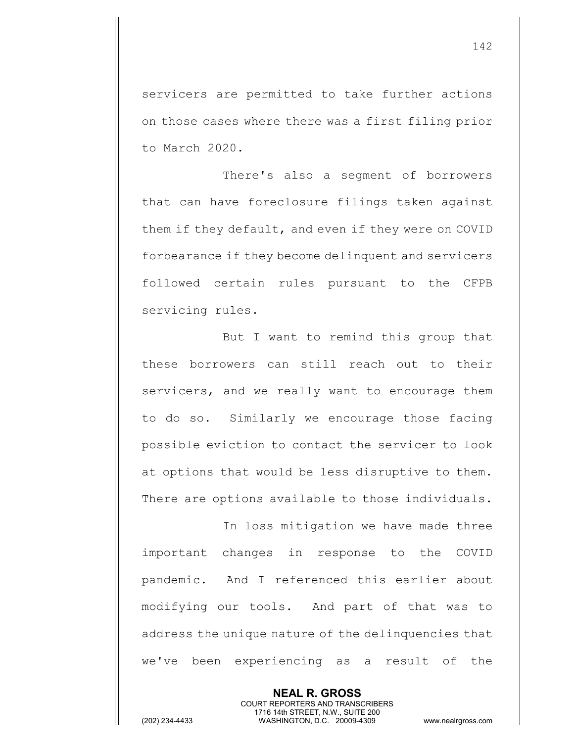servicers are permitted to take further actions on those cases where there was a first filing prior to March 2020.

There's also a segment of borrowers that can have foreclosure filings taken against them if they default, and even if they were on COVID forbearance if they become delinquent and servicers followed certain rules pursuant to the CFPB servicing rules.

But I want to remind this group that these borrowers can still reach out to their servicers, and we really want to encourage them to do so. Similarly we encourage those facing possible eviction to contact the servicer to look at options that would be less disruptive to them. There are options available to those individuals.

In loss mitigation we have made three important changes in response to the COVID pandemic. And I referenced this earlier about modifying our tools. And part of that was to address the unique nature of the delinquencies that we've been experiencing as a result of the

> **NEAL R. GROSS** COURT REPORTERS AND TRANSCRIBERS 1716 14th STREET, N.W., SUITE 200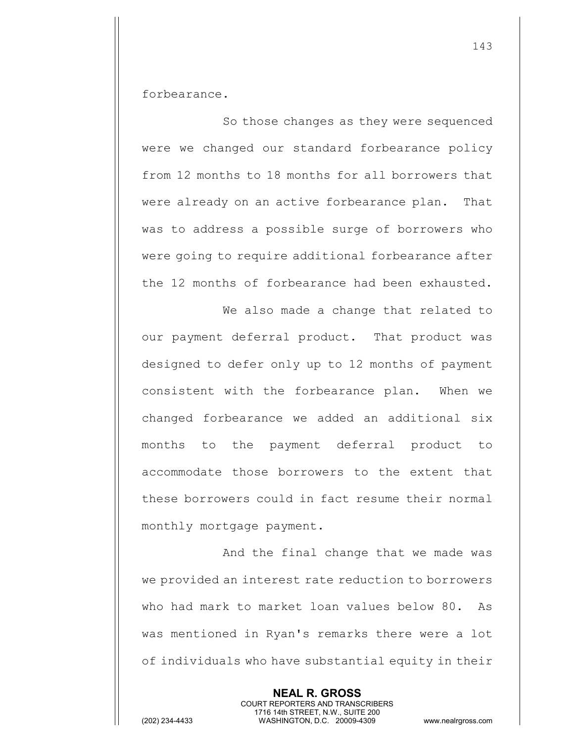forbearance.

So those changes as they were sequenced were we changed our standard forbearance policy from 12 months to 18 months for all borrowers that were already on an active forbearance plan. That was to address a possible surge of borrowers who were going to require additional forbearance after the 12 months of forbearance had been exhausted.

We also made a change that related to our payment deferral product. That product was designed to defer only up to 12 months of payment consistent with the forbearance plan. When we changed forbearance we added an additional six months to the payment deferral product to accommodate those borrowers to the extent that these borrowers could in fact resume their normal monthly mortgage payment.

And the final change that we made was we provided an interest rate reduction to borrowers who had mark to market loan values below 80. As was mentioned in Ryan's remarks there were a lot of individuals who have substantial equity in their

> **NEAL R. GROSS** COURT REPORTERS AND TRANSCRIBERS 1716 14th STREET, N.W., SUITE 200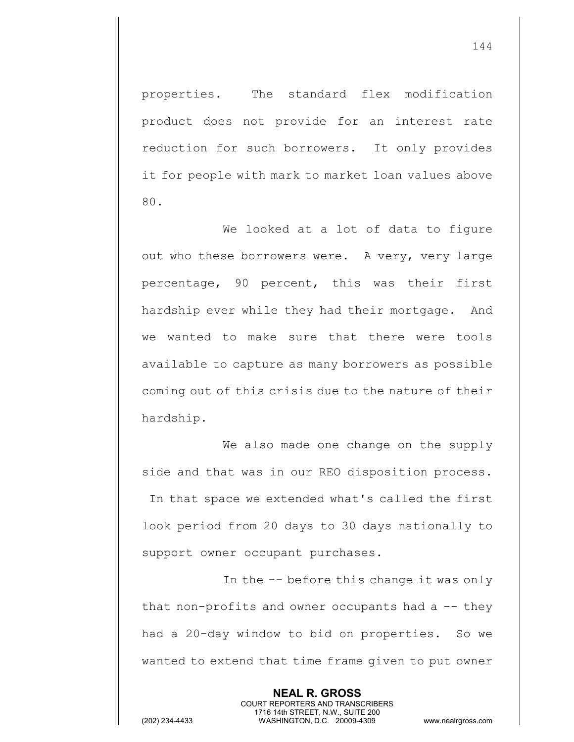properties. The standard flex modification product does not provide for an interest rate reduction for such borrowers. It only provides it for people with mark to market loan values above 80.

We looked at a lot of data to figure out who these borrowers were. A very, very large percentage, 90 percent, this was their first hardship ever while they had their mortgage. And we wanted to make sure that there were tools available to capture as many borrowers as possible coming out of this crisis due to the nature of their hardship.

We also made one change on the supply side and that was in our REO disposition process. In that space we extended what's called the first look period from 20 days to 30 days nationally to support owner occupant purchases.

In the -- before this change it was only that non-profits and owner occupants had  $a - -$  they had a 20-day window to bid on properties. So we wanted to extend that time frame given to put owner

> **NEAL R. GROSS** COURT REPORTERS AND TRANSCRIBERS 1716 14th STREET, N.W., SUITE 200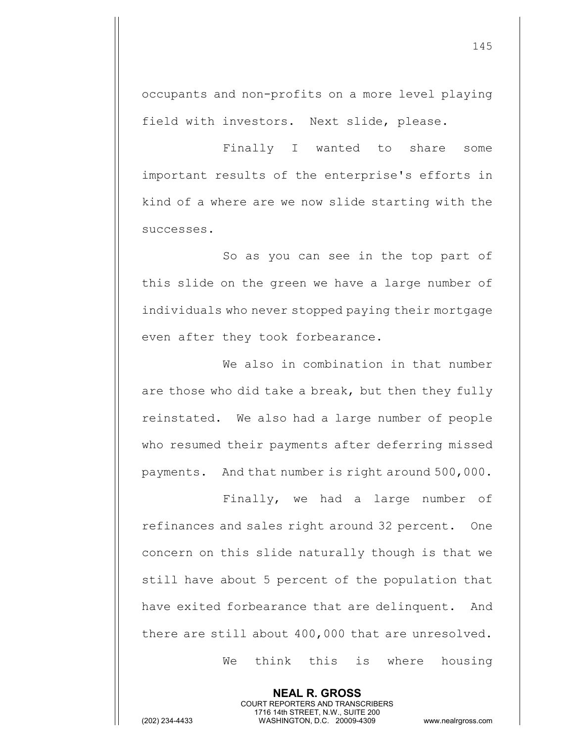occupants and non-profits on a more level playing field with investors. Next slide, please.

Finally I wanted to share some important results of the enterprise's efforts in kind of a where are we now slide starting with the successes.

So as you can see in the top part of this slide on the green we have a large number of individuals who never stopped paying their mortgage even after they took forbearance.

We also in combination in that number are those who did take a break, but then they fully reinstated. We also had a large number of people who resumed their payments after deferring missed payments. And that number is right around 500,000.

Finally, we had a large number of refinances and sales right around 32 percent. One concern on this slide naturally though is that we still have about 5 percent of the population that have exited forbearance that are delinquent. And there are still about 400,000 that are unresolved.

> **NEAL R. GROSS** COURT REPORTERS AND TRANSCRIBERS 1716 14th STREET, N.W., SUITE 200

We think this is where housing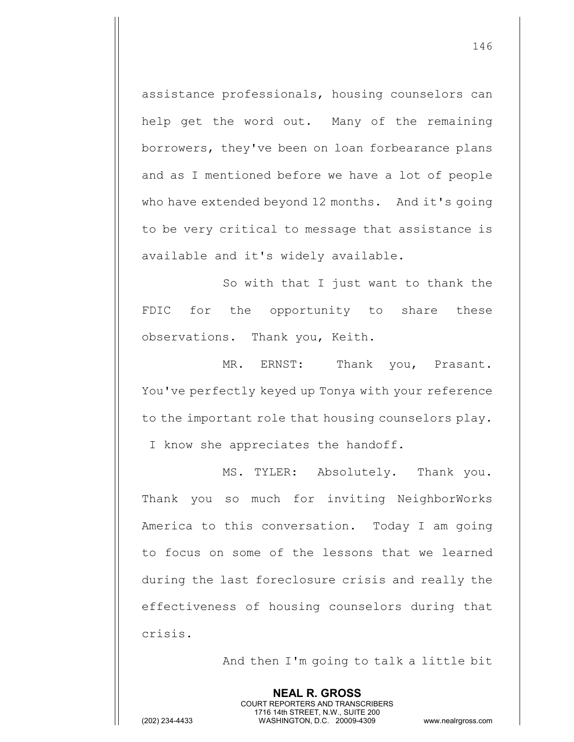assistance professionals, housing counselors can help get the word out. Many of the remaining borrowers, they've been on loan forbearance plans and as I mentioned before we have a lot of people who have extended beyond 12 months. And it's going to be very critical to message that assistance is available and it's widely available.

So with that I just want to thank the FDIC for the opportunity to share these observations. Thank you, Keith.

MR. ERNST: Thank you, Prasant. You've perfectly keyed up Tonya with your reference to the important role that housing counselors play. I know she appreciates the handoff.

MS. TYLER: Absolutely. Thank you. Thank you so much for inviting NeighborWorks America to this conversation. Today I am going to focus on some of the lessons that we learned during the last foreclosure crisis and really the effectiveness of housing counselors during that crisis.

> **NEAL R. GROSS** COURT REPORTERS AND TRANSCRIBERS 1716 14th STREET, N.W., SUITE 200

And then I'm going to talk a little bit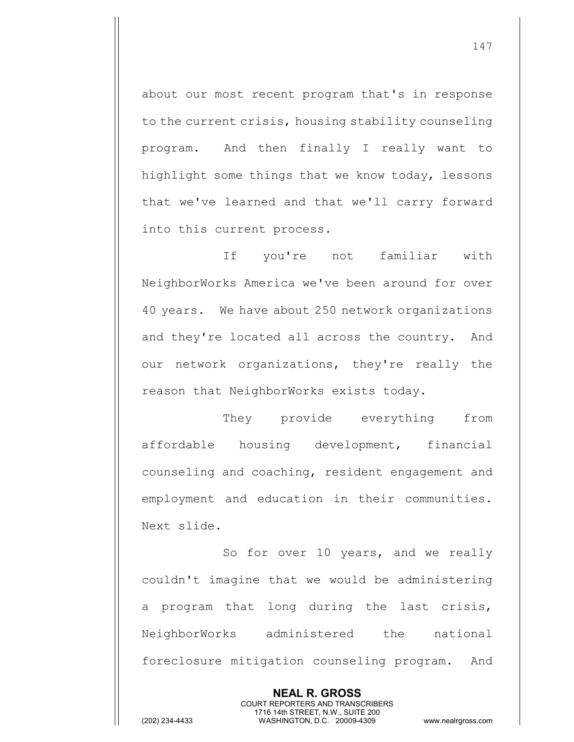about our most recent program that's in response to the current crisis, housing stability counseling program. And then finally I really want to highlight some things that we know today, lessons that we've learned and that we'll carry forward into this current process.

If you're not familiar with NeighborWorks America we've been around for over 40 years. We have about 250 network organizations and they're located all across the country. And our network organizations, they're really the reason that NeighborWorks exists today.

They provide everything from affordable housing development, financial counseling and coaching, resident engagement and employment and education in their communities. Next slide.

So for over 10 years, and we really couldn't imagine that we would be administering a program that long during the last crisis, NeighborWorks administered the national foreclosure mitigation counseling program. And

> **NEAL R. GROSS** COURT REPORTERS AND TRANSCRIBERS 1716 14th STREET, N.W., SUITE 200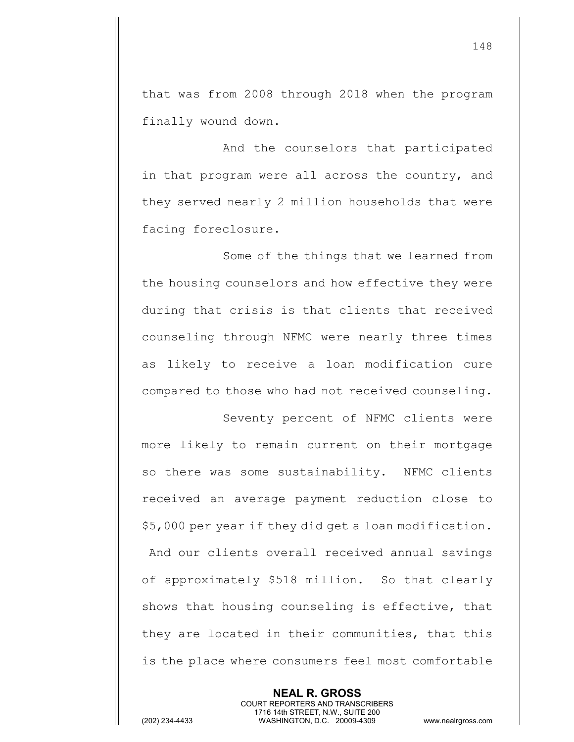that was from 2008 through 2018 when the program finally wound down.

And the counselors that participated in that program were all across the country, and they served nearly 2 million households that were facing foreclosure.

Some of the things that we learned from the housing counselors and how effective they were during that crisis is that clients that received counseling through NFMC were nearly three times as likely to receive a loan modification cure compared to those who had not received counseling.

Seventy percent of NFMC clients were more likely to remain current on their mortgage so there was some sustainability. NFMC clients received an average payment reduction close to \$5,000 per year if they did get a loan modification. And our clients overall received annual savings of approximately \$518 million. So that clearly shows that housing counseling is effective, that they are located in their communities, that this is the place where consumers feel most comfortable

**NEAL R. GROSS** COURT REPORTERS AND TRANSCRIBERS 1716 14th STREET, N.W., SUITE 200 (202) 234-4433 WASHINGTON, D.C. 20009-4309 www.nealrgross.com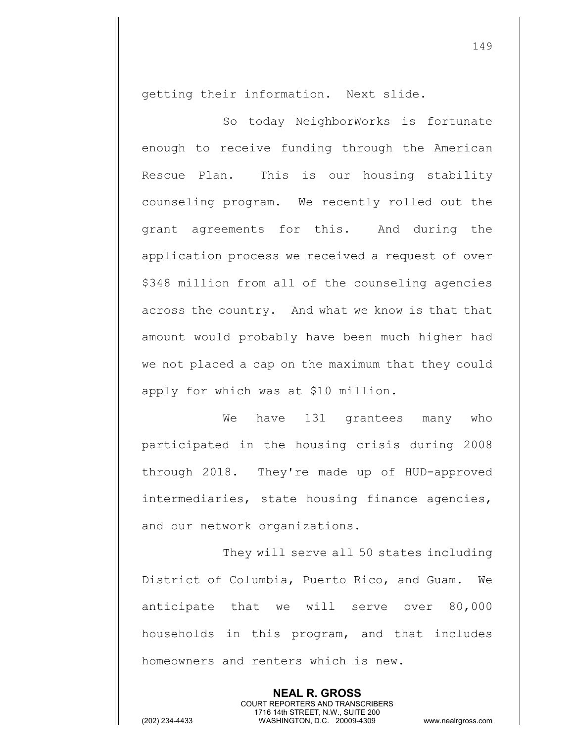getting their information. Next slide.

So today NeighborWorks is fortunate enough to receive funding through the American Rescue Plan. This is our housing stability counseling program. We recently rolled out the grant agreements for this. And during the application process we received a request of over \$348 million from all of the counseling agencies across the country. And what we know is that that amount would probably have been much higher had we not placed a cap on the maximum that they could apply for which was at \$10 million.

We have 131 grantees many who participated in the housing crisis during 2008 through 2018. They're made up of HUD-approved intermediaries, state housing finance agencies, and our network organizations.

They will serve all 50 states including District of Columbia, Puerto Rico, and Guam. We anticipate that we will serve over 80,000 households in this program, and that includes homeowners and renters which is new.

> **NEAL R. GROSS** COURT REPORTERS AND TRANSCRIBERS 1716 14th STREET, N.W., SUITE 200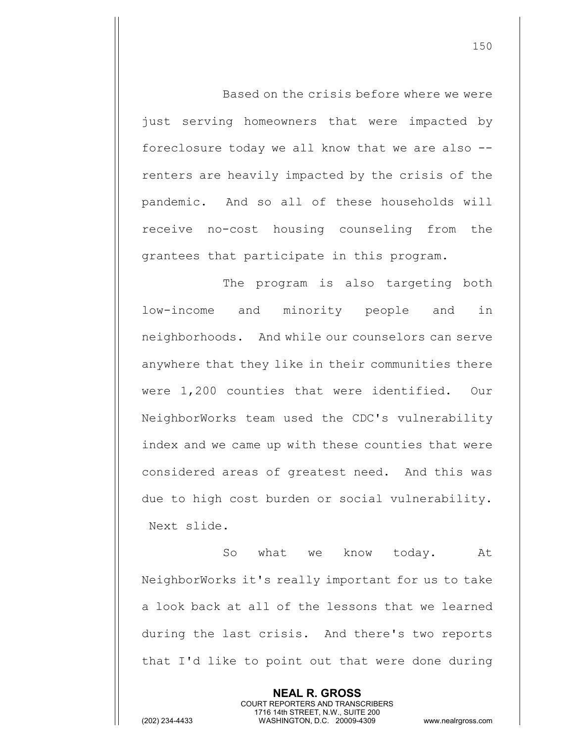Based on the crisis before where we were just serving homeowners that were impacted by foreclosure today we all know that we are also - renters are heavily impacted by the crisis of the pandemic. And so all of these households will receive no-cost housing counseling from the grantees that participate in this program.

The program is also targeting both low-income and minority people and in neighborhoods. And while our counselors can serve anywhere that they like in their communities there were 1,200 counties that were identified. Our NeighborWorks team used the CDC's vulnerability index and we came up with these counties that were considered areas of greatest need. And this was due to high cost burden or social vulnerability. Next slide.

So what we know today. At NeighborWorks it's really important for us to take a look back at all of the lessons that we learned during the last crisis. And there's two reports that I'd like to point out that were done during

> **NEAL R. GROSS** COURT REPORTERS AND TRANSCRIBERS 1716 14th STREET, N.W., SUITE 200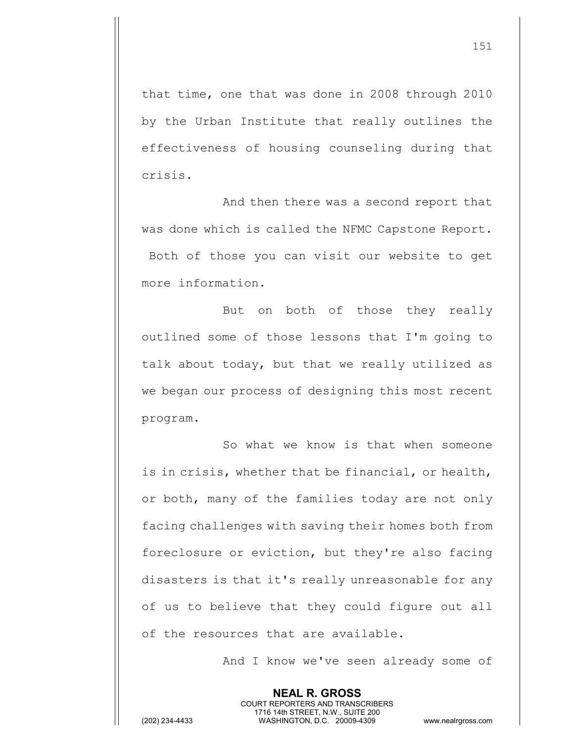that time, one that was done in 2008 through 2010 by the Urban Institute that really outlines the effectiveness of housing counseling during that crisis.

And then there was a second report that was done which is called the NFMC Capstone Report. Both of those you can visit our website to get more information.

But on both of those they really outlined some of those lessons that I'm going to talk about today, but that we really utilized as we began our process of designing this most recent program.

So what we know is that when someone is in crisis, whether that be financial, or health, or both, many of the families today are not only facing challenges with saving their homes both from foreclosure or eviction, but they're also facing disasters is that it's really unreasonable for any of us to believe that they could figure out all of the resources that are available.

> **NEAL R. GROSS** COURT REPORTERS AND TRANSCRIBERS 1716 14th STREET, N.W., SUITE 200

And I know we've seen already some of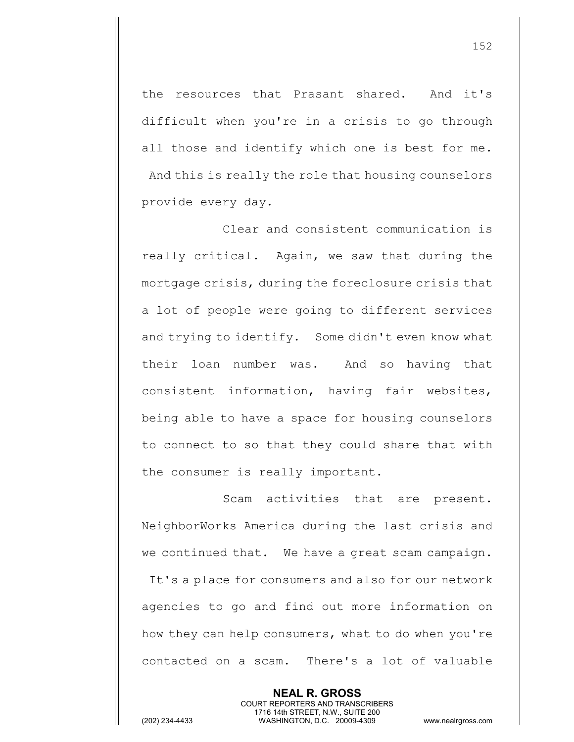the resources that Prasant shared. And it's difficult when you're in a crisis to go through all those and identify which one is best for me. And this is really the role that housing counselors provide every day.

Clear and consistent communication is really critical. Again, we saw that during the mortgage crisis, during the foreclosure crisis that a lot of people were going to different services and trying to identify. Some didn't even know what their loan number was. And so having that consistent information, having fair websites, being able to have a space for housing counselors to connect to so that they could share that with the consumer is really important.

Scam activities that are present. NeighborWorks America during the last crisis and we continued that. We have a great scam campaign. It's a place for consumers and also for our network agencies to go and find out more information on how they can help consumers, what to do when you're contacted on a scam. There's a lot of valuable

> **NEAL R. GROSS** COURT REPORTERS AND TRANSCRIBERS 1716 14th STREET, N.W., SUITE 200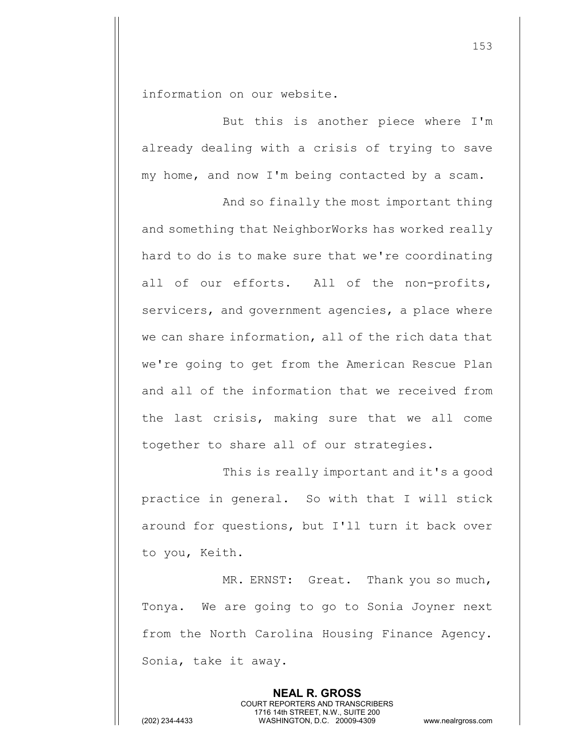information on our website.

But this is another piece where I'm already dealing with a crisis of trying to save my home, and now I'm being contacted by a scam.

And so finally the most important thing and something that NeighborWorks has worked really hard to do is to make sure that we're coordinating all of our efforts. All of the non-profits, servicers, and government agencies, a place where we can share information, all of the rich data that we're going to get from the American Rescue Plan and all of the information that we received from the last crisis, making sure that we all come together to share all of our strategies.

This is really important and it's a good practice in general. So with that I will stick around for questions, but I'll turn it back over to you, Keith.

MR. ERNST: Great. Thank you so much, Tonya. We are going to go to Sonia Joyner next from the North Carolina Housing Finance Agency. Sonia, take it away.

> **NEAL R. GROSS** COURT REPORTERS AND TRANSCRIBERS 1716 14th STREET, N.W., SUITE 200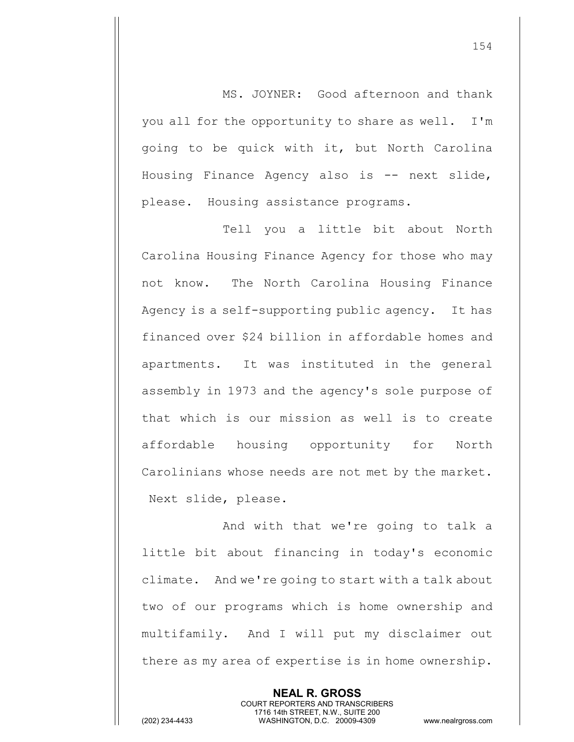MS. JOYNER: Good afternoon and thank you all for the opportunity to share as well. I'm going to be quick with it, but North Carolina Housing Finance Agency also is -- next slide, please. Housing assistance programs.

Tell you a little bit about North Carolina Housing Finance Agency for those who may not know. The North Carolina Housing Finance Agency is a self-supporting public agency. It has financed over \$24 billion in affordable homes and apartments. It was instituted in the general assembly in 1973 and the agency's sole purpose of that which is our mission as well is to create affordable housing opportunity for North Carolinians whose needs are not met by the market. Next slide, please.

And with that we're going to talk a little bit about financing in today's economic climate. And we're going to start with a talk about two of our programs which is home ownership and multifamily. And I will put my disclaimer out there as my area of expertise is in home ownership.

> **NEAL R. GROSS** COURT REPORTERS AND TRANSCRIBERS 1716 14th STREET, N.W., SUITE 200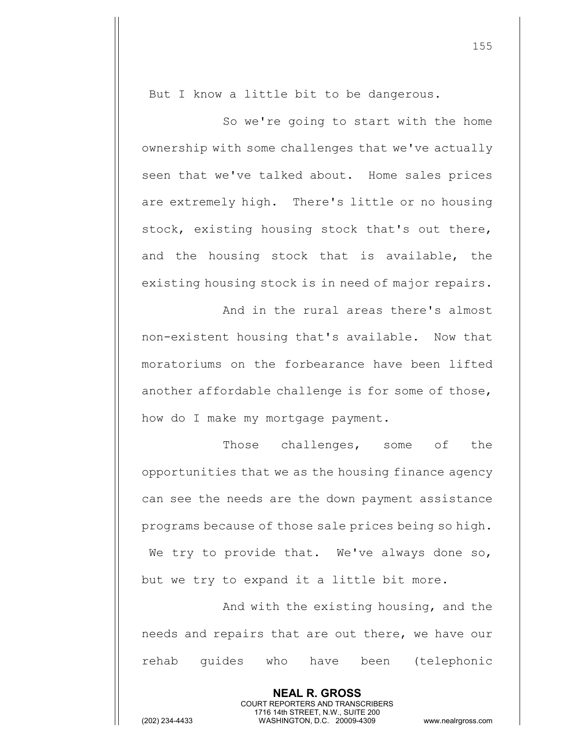But I know a little bit to be dangerous.

So we're going to start with the home ownership with some challenges that we've actually seen that we've talked about. Home sales prices are extremely high. There's little or no housing stock, existing housing stock that's out there, and the housing stock that is available, the existing housing stock is in need of major repairs.

And in the rural areas there's almost non-existent housing that's available. Now that moratoriums on the forbearance have been lifted another affordable challenge is for some of those, how do I make my mortgage payment.

Those challenges, some of the opportunities that we as the housing finance agency can see the needs are the down payment assistance programs because of those sale prices being so high. We try to provide that. We've always done so, but we try to expand it a little bit more.

And with the existing housing, and the needs and repairs that are out there, we have our rehab guides who have been (telephonic

> **NEAL R. GROSS** COURT REPORTERS AND TRANSCRIBERS 1716 14th STREET, N.W., SUITE 200

155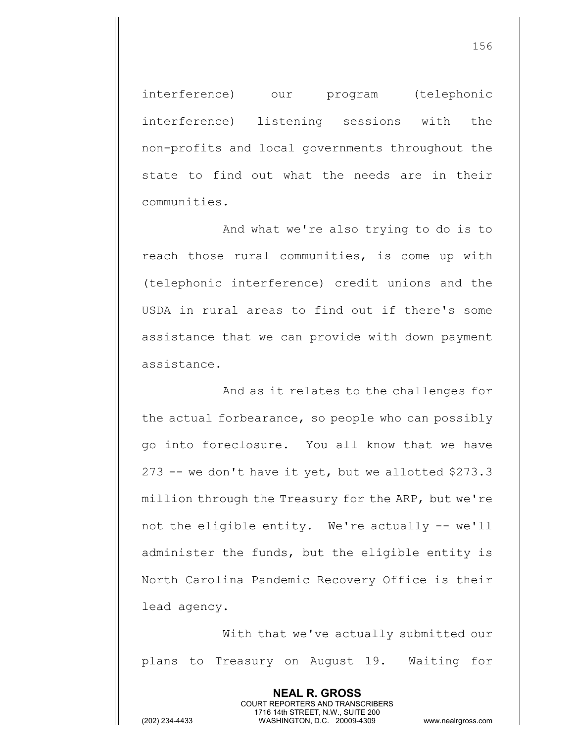interference) our program (telephonic interference) listening sessions with the non-profits and local governments throughout the state to find out what the needs are in their communities.

And what we're also trying to do is to reach those rural communities, is come up with (telephonic interference) credit unions and the USDA in rural areas to find out if there's some assistance that we can provide with down payment assistance.

And as it relates to the challenges for the actual forbearance, so people who can possibly go into foreclosure. You all know that we have 273 -- we don't have it yet, but we allotted \$273.3 million through the Treasury for the ARP, but we're not the eligible entity. We're actually -- we'll administer the funds, but the eligible entity is North Carolina Pandemic Recovery Office is their lead agency.

With that we've actually submitted our plans to Treasury on August 19. Waiting for

> **NEAL R. GROSS** COURT REPORTERS AND TRANSCRIBERS 1716 14th STREET, N.W., SUITE 200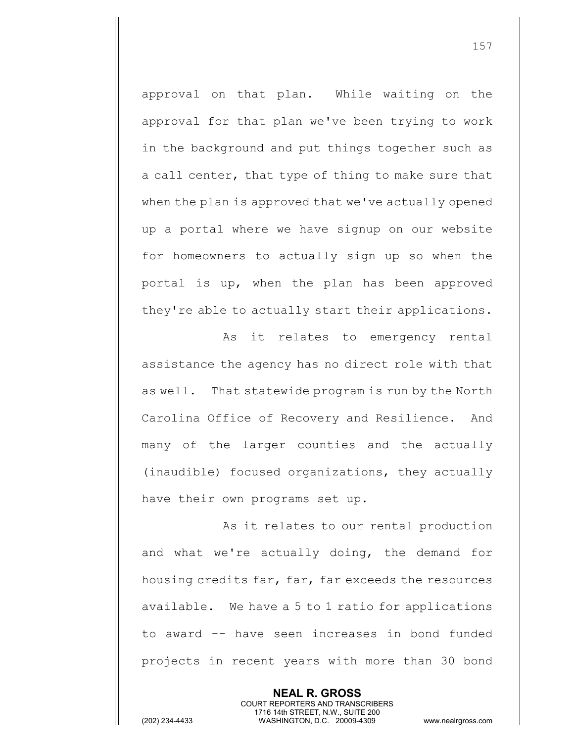approval on that plan. While waiting on the approval for that plan we've been trying to work in the background and put things together such as a call center, that type of thing to make sure that when the plan is approved that we've actually opened up a portal where we have signup on our website for homeowners to actually sign up so when the portal is up, when the plan has been approved they're able to actually start their applications.

As it relates to emergency rental assistance the agency has no direct role with that as well. That statewide program is run by the North Carolina Office of Recovery and Resilience. And many of the larger counties and the actually (inaudible) focused organizations, they actually have their own programs set up.

As it relates to our rental production and what we're actually doing, the demand for housing credits far, far, far exceeds the resources available. We have a 5 to 1 ratio for applications to award -- have seen increases in bond funded projects in recent years with more than 30 bond

> **NEAL R. GROSS** COURT REPORTERS AND TRANSCRIBERS 1716 14th STREET, N.W., SUITE 200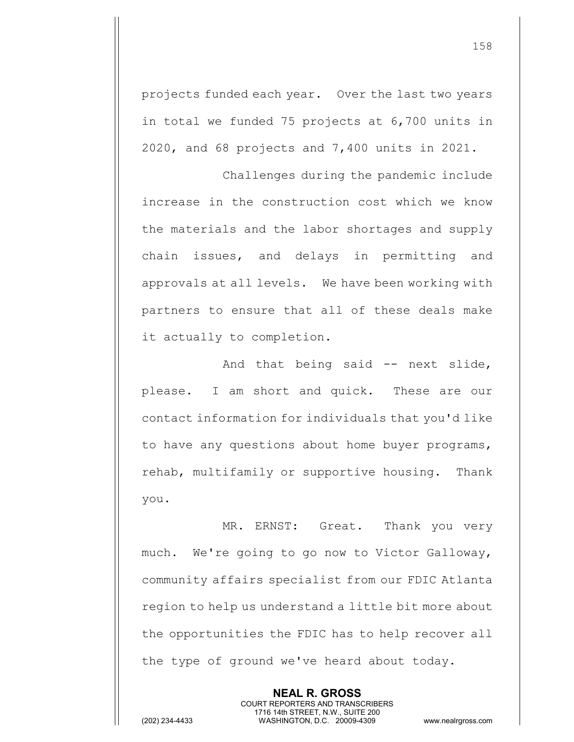projects funded each year. Over the last two years in total we funded 75 projects at 6,700 units in 2020, and 68 projects and 7,400 units in 2021.

Challenges during the pandemic include increase in the construction cost which we know the materials and the labor shortages and supply chain issues, and delays in permitting and approvals at all levels. We have been working with partners to ensure that all of these deals make it actually to completion.

And that being said -- next slide, please. I am short and quick. These are our contact information for individuals that you'd like to have any questions about home buyer programs, rehab, multifamily or supportive housing. Thank you.

MR. ERNST: Great. Thank you very much. We're going to go now to Victor Galloway, community affairs specialist from our FDIC Atlanta region to help us understand a little bit more about the opportunities the FDIC has to help recover all the type of ground we've heard about today.

1716 14th STREET, N.W., SUITE 200

**NEAL R. GROSS** COURT REPORTERS AND TRANSCRIBERS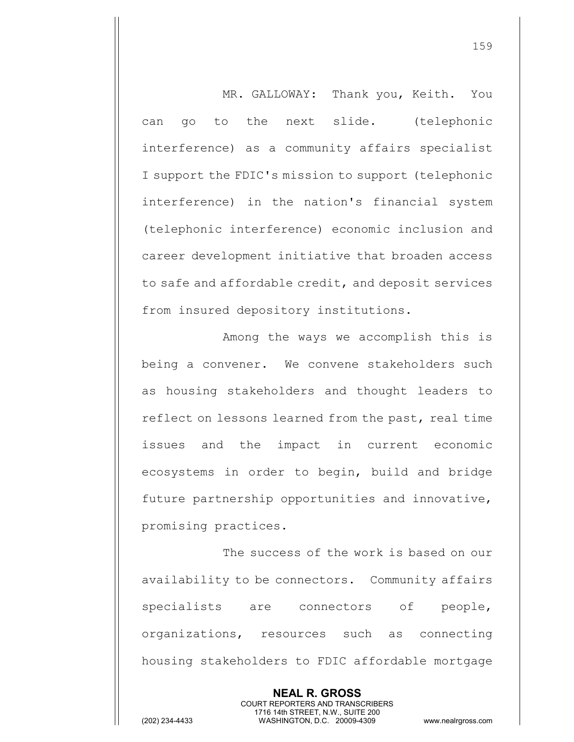MR. GALLOWAY: Thank you, Keith. You can go to the next slide. (telephonic interference) as a community affairs specialist I support the FDIC's mission to support (telephonic interference) in the nation's financial system (telephonic interference) economic inclusion and career development initiative that broaden access to safe and affordable credit, and deposit services from insured depository institutions.

Among the ways we accomplish this is being a convener. We convene stakeholders such as housing stakeholders and thought leaders to reflect on lessons learned from the past, real time issues and the impact in current economic ecosystems in order to begin, build and bridge future partnership opportunities and innovative, promising practices.

The success of the work is based on our availability to be connectors. Community affairs specialists are connectors of people, organizations, resources such as connecting housing stakeholders to FDIC affordable mortgage

> **NEAL R. GROSS** COURT REPORTERS AND TRANSCRIBERS 1716 14th STREET, N.W., SUITE 200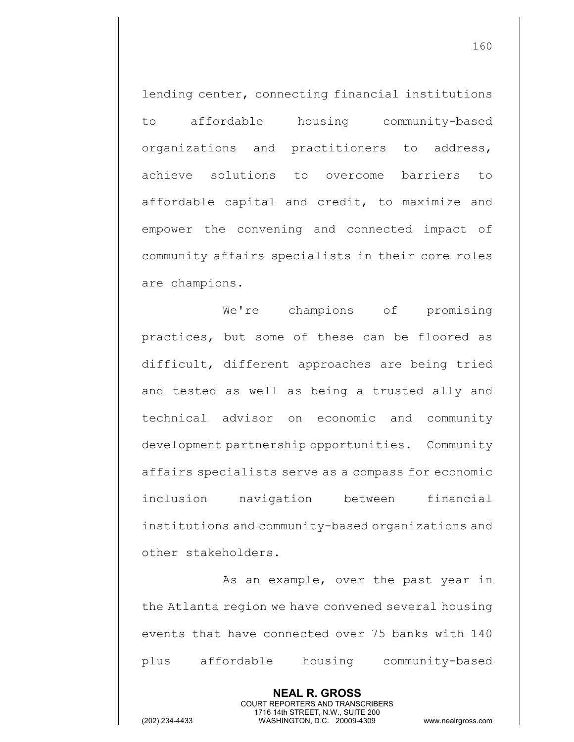lending center, connecting financial institutions to affordable housing community-based organizations and practitioners to address, achieve solutions to overcome barriers to affordable capital and credit, to maximize and empower the convening and connected impact of community affairs specialists in their core roles are champions.

We're champions of promising practices, but some of these can be floored as difficult, different approaches are being tried and tested as well as being a trusted ally and technical advisor on economic and community development partnership opportunities. Community affairs specialists serve as a compass for economic inclusion navigation between financial institutions and community-based organizations and other stakeholders.

As an example, over the past year in the Atlanta region we have convened several housing events that have connected over 75 banks with 140 plus affordable housing community-based

> **NEAL R. GROSS** COURT REPORTERS AND TRANSCRIBERS 1716 14th STREET, N.W., SUITE 200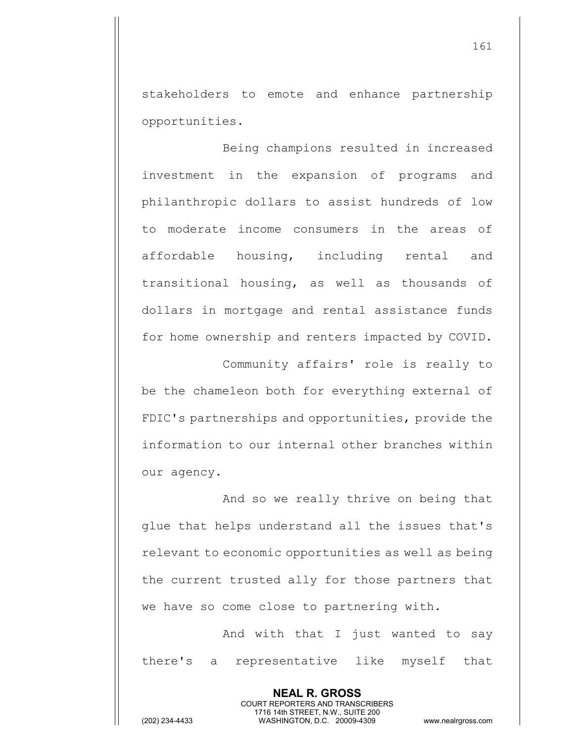stakeholders to emote and enhance partnership opportunities.

Being champions resulted in increased investment in the expansion of programs and philanthropic dollars to assist hundreds of low to moderate income consumers in the areas of affordable housing, including rental and transitional housing, as well as thousands of dollars in mortgage and rental assistance funds for home ownership and renters impacted by COVID. Community affairs' role is really to

be the chameleon both for everything external of FDIC's partnerships and opportunities, provide the information to our internal other branches within our agency.

And so we really thrive on being that glue that helps understand all the issues that's relevant to economic opportunities as well as being the current trusted ally for those partners that we have so come close to partnering with.

And with that I just wanted to say there's a representative like myself that

> **NEAL R. GROSS** COURT REPORTERS AND TRANSCRIBERS 1716 14th STREET, N.W., SUITE 200

161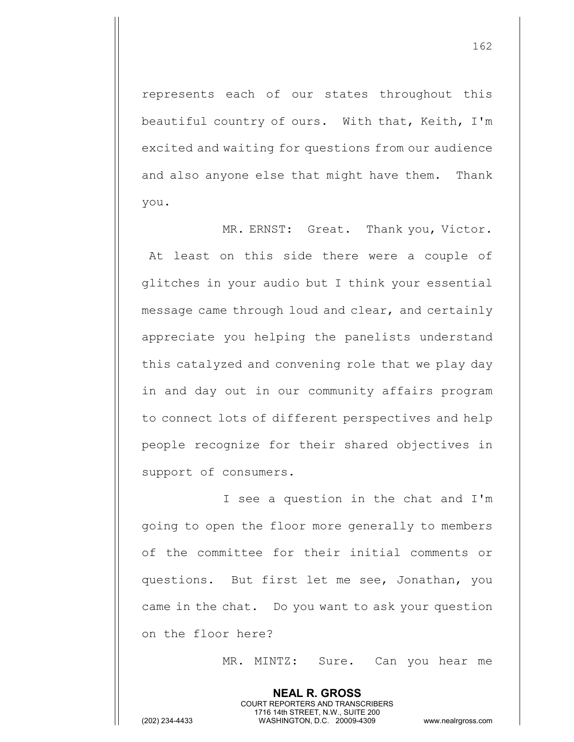represents each of our states throughout this beautiful country of ours. With that, Keith, I'm excited and waiting for questions from our audience and also anyone else that might have them. Thank you.

MR. ERNST: Great. Thank you, Victor. At least on this side there were a couple of glitches in your audio but I think your essential message came through loud and clear, and certainly appreciate you helping the panelists understand this catalyzed and convening role that we play day in and day out in our community affairs program to connect lots of different perspectives and help people recognize for their shared objectives in support of consumers.

I see a question in the chat and I'm going to open the floor more generally to members of the committee for their initial comments or questions. But first let me see, Jonathan, you came in the chat. Do you want to ask your question on the floor here?

> **NEAL R. GROSS** COURT REPORTERS AND TRANSCRIBERS 1716 14th STREET, N.W., SUITE 200

MR. MINTZ: Sure. Can you hear me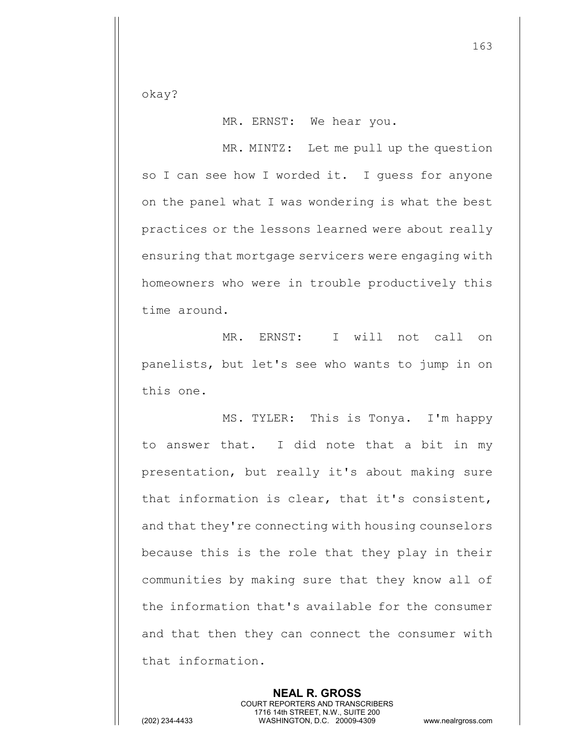okay?

MR. ERNST: We hear you.

MR. MINTZ: Let me pull up the question so I can see how I worded it. I quess for anyone on the panel what I was wondering is what the best practices or the lessons learned were about really ensuring that mortgage servicers were engaging with homeowners who were in trouble productively this time around.

MR. ERNST: I will not call on panelists, but let's see who wants to jump in on this one.

MS. TYLER: This is Tonya. I'm happy to answer that. I did note that a bit in my presentation, but really it's about making sure that information is clear, that it's consistent, and that they're connecting with housing counselors because this is the role that they play in their communities by making sure that they know all of the information that's available for the consumer and that then they can connect the consumer with that information.

> **NEAL R. GROSS** COURT REPORTERS AND TRANSCRIBERS 1716 14th STREET, N.W., SUITE 200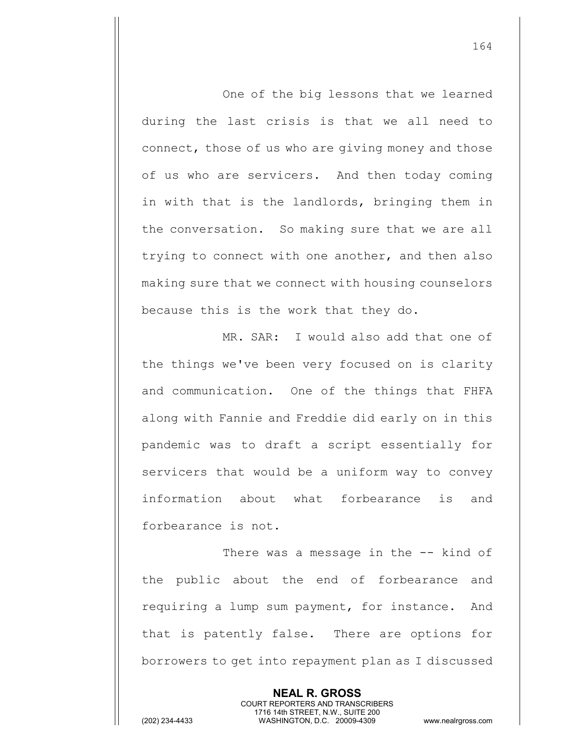One of the big lessons that we learned during the last crisis is that we all need to connect, those of us who are giving money and those of us who are servicers. And then today coming in with that is the landlords, bringing them in the conversation. So making sure that we are all trying to connect with one another, and then also making sure that we connect with housing counselors because this is the work that they do.

MR. SAR: I would also add that one of the things we've been very focused on is clarity and communication. One of the things that FHFA along with Fannie and Freddie did early on in this pandemic was to draft a script essentially for servicers that would be a uniform way to convey information about what forbearance is and forbearance is not.

There was a message in the -- kind of the public about the end of forbearance and requiring a lump sum payment, for instance. And that is patently false. There are options for borrowers to get into repayment plan as I discussed

> **NEAL R. GROSS** COURT REPORTERS AND TRANSCRIBERS 1716 14th STREET, N.W., SUITE 200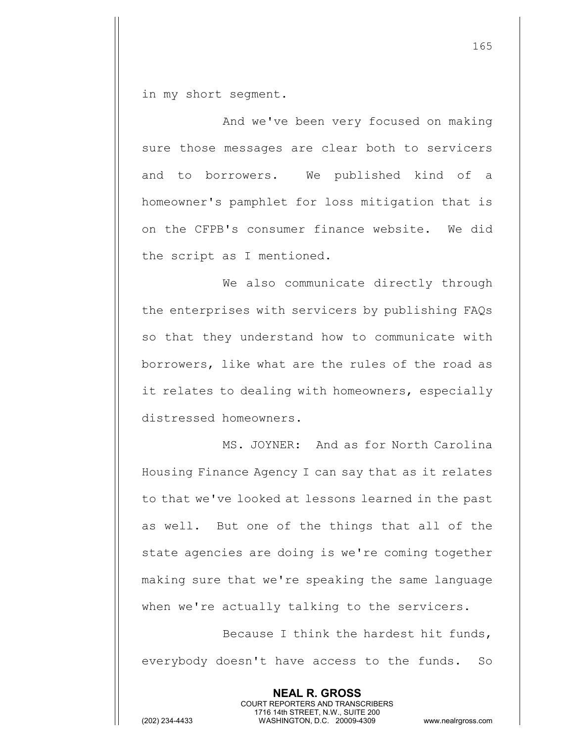in my short segment.

And we've been very focused on making sure those messages are clear both to servicers and to borrowers. We published kind of a homeowner's pamphlet for loss mitigation that is on the CFPB's consumer finance website. We did the script as I mentioned.

We also communicate directly through the enterprises with servicers by publishing FAQs so that they understand how to communicate with borrowers, like what are the rules of the road as it relates to dealing with homeowners, especially distressed homeowners.

MS. JOYNER: And as for North Carolina Housing Finance Agency I can say that as it relates to that we've looked at lessons learned in the past as well. But one of the things that all of the state agencies are doing is we're coming together making sure that we're speaking the same language when we're actually talking to the servicers.

Because I think the hardest hit funds, everybody doesn't have access to the funds. So

> **NEAL R. GROSS** COURT REPORTERS AND TRANSCRIBERS 1716 14th STREET, N.W., SUITE 200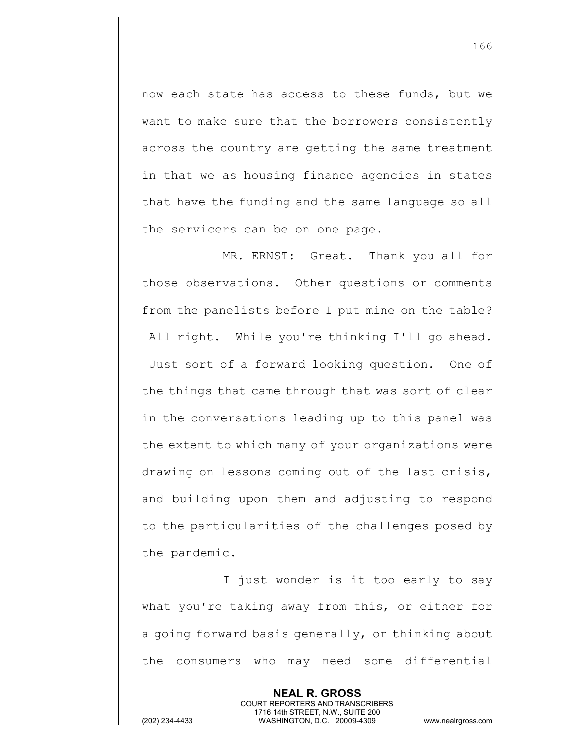now each state has access to these funds, but we want to make sure that the borrowers consistently across the country are getting the same treatment in that we as housing finance agencies in states that have the funding and the same language so all the servicers can be on one page.

MR. ERNST: Great. Thank you all for those observations. Other questions or comments from the panelists before I put mine on the table? All right. While you're thinking I'll go ahead. Just sort of a forward looking question. One of the things that came through that was sort of clear in the conversations leading up to this panel was the extent to which many of your organizations were drawing on lessons coming out of the last crisis, and building upon them and adjusting to respond to the particularities of the challenges posed by the pandemic.

I just wonder is it too early to say what you're taking away from this, or either for a going forward basis generally, or thinking about the consumers who may need some differential

> **NEAL R. GROSS** COURT REPORTERS AND TRANSCRIBERS 1716 14th STREET, N.W., SUITE 200

166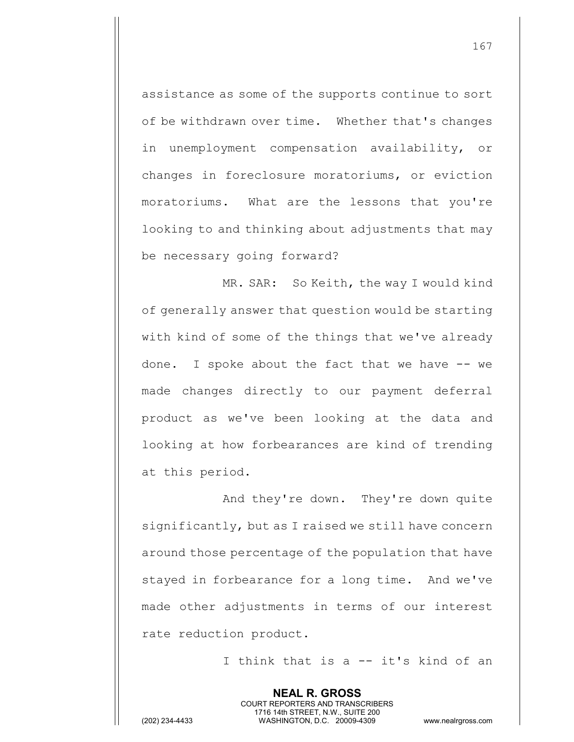assistance as some of the supports continue to sort of be withdrawn over time. Whether that's changes in unemployment compensation availability, or changes in foreclosure moratoriums, or eviction moratoriums. What are the lessons that you're looking to and thinking about adjustments that may be necessary going forward?

MR. SAR: So Keith, the way I would kind of generally answer that question would be starting with kind of some of the things that we've already done. I spoke about the fact that we have -- we made changes directly to our payment deferral product as we've been looking at the data and looking at how forbearances are kind of trending at this period.

And they're down. They're down quite significantly, but as I raised we still have concern around those percentage of the population that have stayed in forbearance for a long time. And we've made other adjustments in terms of our interest rate reduction product.

> **NEAL R. GROSS** COURT REPORTERS AND TRANSCRIBERS 1716 14th STREET, N.W., SUITE 200

I think that is a -- it's kind of an

167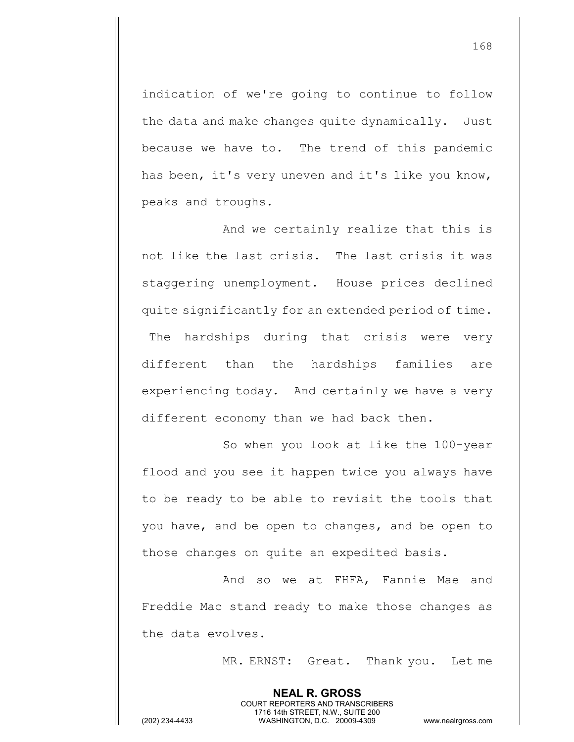indication of we're going to continue to follow the data and make changes quite dynamically. Just because we have to. The trend of this pandemic has been, it's very uneven and it's like you know, peaks and troughs.

And we certainly realize that this is not like the last crisis. The last crisis it was staggering unemployment. House prices declined quite significantly for an extended period of time. The hardships during that crisis were very different than the hardships families are experiencing today. And certainly we have a very different economy than we had back then.

So when you look at like the 100-year flood and you see it happen twice you always have to be ready to be able to revisit the tools that you have, and be open to changes, and be open to those changes on quite an expedited basis.

And so we at FHFA, Fannie Mae and Freddie Mac stand ready to make those changes as the data evolves.

> **NEAL R. GROSS** COURT REPORTERS AND TRANSCRIBERS 1716 14th STREET, N.W., SUITE 200

MR. ERNST: Great. Thank you. Let me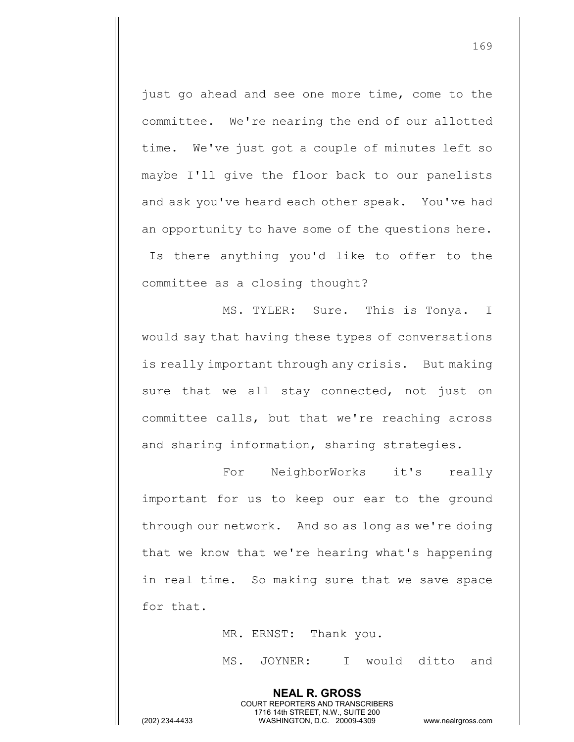just go ahead and see one more time, come to the committee. We're nearing the end of our allotted time. We've just got a couple of minutes left so maybe I'll give the floor back to our panelists and ask you've heard each other speak. You've had an opportunity to have some of the questions here. Is there anything you'd like to offer to the committee as a closing thought?

MS. TYLER: Sure. This is Tonya. I would say that having these types of conversations is really important through any crisis. But making sure that we all stay connected, not just on committee calls, but that we're reaching across and sharing information, sharing strategies.

For NeighborWorks it's really important for us to keep our ear to the ground through our network. And so as long as we're doing that we know that we're hearing what's happening in real time. So making sure that we save space for that.

MR. ERNST: Thank you.

**NEAL R. GROSS** COURT REPORTERS AND TRANSCRIBERS 1716 14th STREET, N.W., SUITE 200

MS. JOYNER: I would ditto and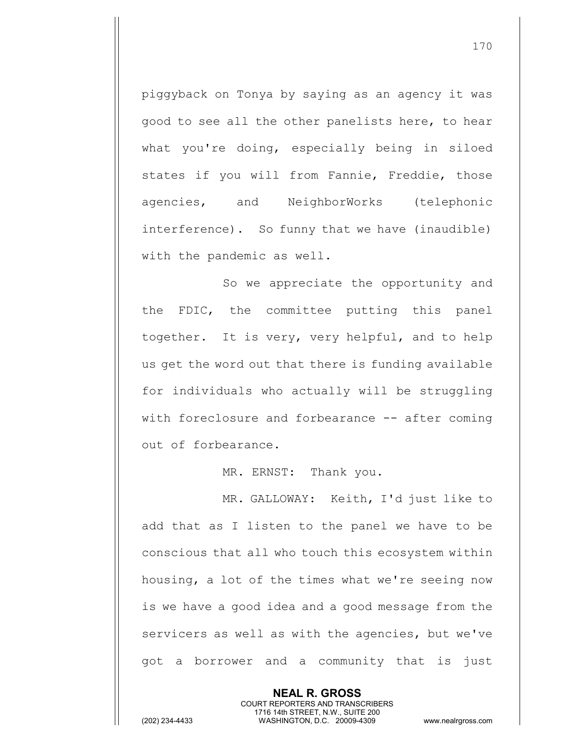piggyback on Tonya by saying as an agency it was good to see all the other panelists here, to hear what you're doing, especially being in siloed states if you will from Fannie, Freddie, those agencies, and NeighborWorks (telephonic interference). So funny that we have (inaudible) with the pandemic as well.

So we appreciate the opportunity and the FDIC, the committee putting this panel together. It is very, very helpful, and to help us get the word out that there is funding available for individuals who actually will be struggling with foreclosure and forbearance -- after coming out of forbearance.

MR. ERNST: Thank you.

MR. GALLOWAY: Keith, I'd just like to add that as I listen to the panel we have to be conscious that all who touch this ecosystem within housing, a lot of the times what we're seeing now is we have a good idea and a good message from the servicers as well as with the agencies, but we've got a borrower and a community that is just

> **NEAL R. GROSS** COURT REPORTERS AND TRANSCRIBERS 1716 14th STREET, N.W., SUITE 200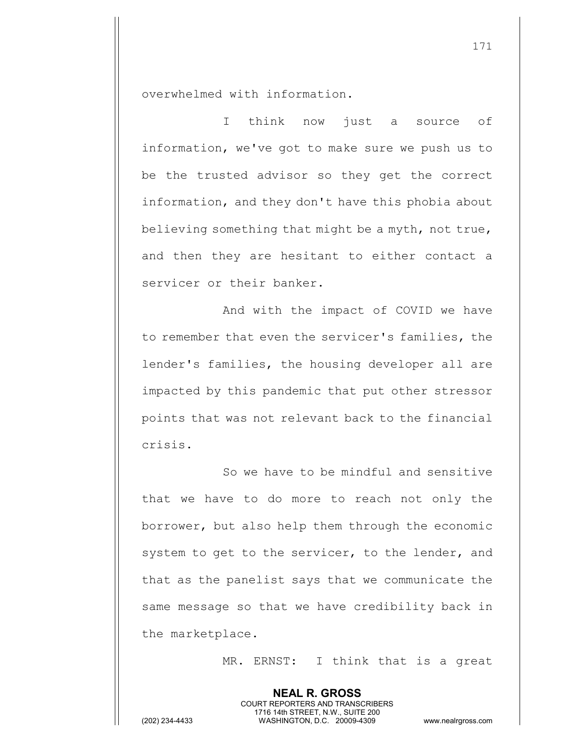overwhelmed with information.

I think now just a source of information, we've got to make sure we push us to be the trusted advisor so they get the correct information, and they don't have this phobia about believing something that might be a myth, not true, and then they are hesitant to either contact a servicer or their banker.

And with the impact of COVID we have to remember that even the servicer's families, the lender's families, the housing developer all are impacted by this pandemic that put other stressor points that was not relevant back to the financial crisis.

So we have to be mindful and sensitive that we have to do more to reach not only the borrower, but also help them through the economic system to get to the servicer, to the lender, and that as the panelist says that we communicate the same message so that we have credibility back in the marketplace.

> **NEAL R. GROSS** COURT REPORTERS AND TRANSCRIBERS 1716 14th STREET, N.W., SUITE 200

MR. ERNST: I think that is a great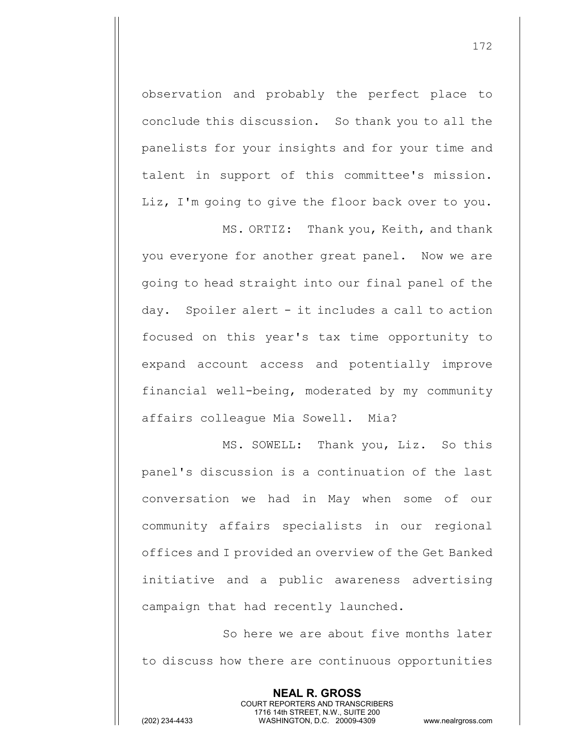observation and probably the perfect place to conclude this discussion. So thank you to all the panelists for your insights and for your time and talent in support of this committee's mission. Liz, I'm going to give the floor back over to you.

MS. ORTIZ: Thank you, Keith, and thank you everyone for another great panel. Now we are going to head straight into our final panel of the day. Spoiler alert - it includes a call to action focused on this year's tax time opportunity to expand account access and potentially improve financial well-being, moderated by my community affairs colleague Mia Sowell. Mia?

MS. SOWELL: Thank you, Liz. So this panel's discussion is a continuation of the last conversation we had in May when some of our community affairs specialists in our regional offices and I provided an overview of the Get Banked initiative and a public awareness advertising campaign that had recently launched.

So here we are about five months later to discuss how there are continuous opportunities

> **NEAL R. GROSS** COURT REPORTERS AND TRANSCRIBERS 1716 14th STREET, N.W., SUITE 200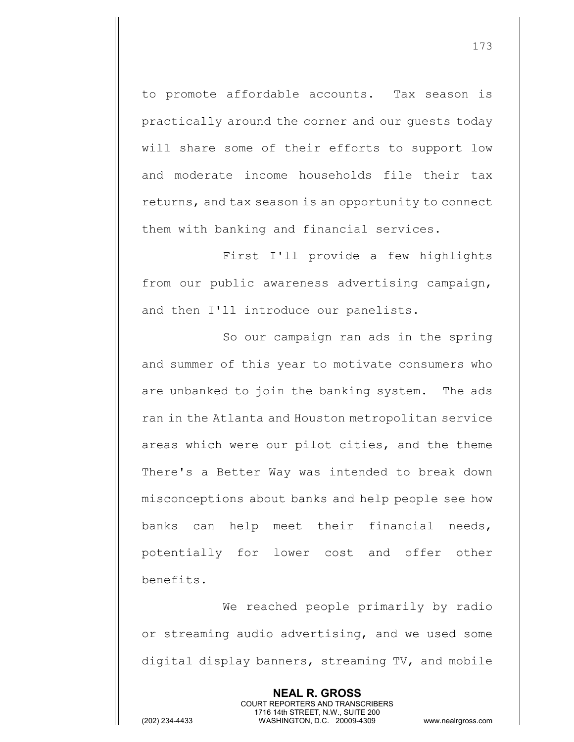to promote affordable accounts. Tax season is practically around the corner and our guests today will share some of their efforts to support low and moderate income households file their tax returns, and tax season is an opportunity to connect them with banking and financial services.

First I'll provide a few highlights from our public awareness advertising campaign, and then I'll introduce our panelists.

So our campaign ran ads in the spring and summer of this year to motivate consumers who are unbanked to join the banking system. The ads ran in the Atlanta and Houston metropolitan service areas which were our pilot cities, and the theme There's a Better Way was intended to break down misconceptions about banks and help people see how banks can help meet their financial needs, potentially for lower cost and offer other benefits.

We reached people primarily by radio or streaming audio advertising, and we used some digital display banners, streaming TV, and mobile

> **NEAL R. GROSS** COURT REPORTERS AND TRANSCRIBERS 1716 14th STREET, N.W., SUITE 200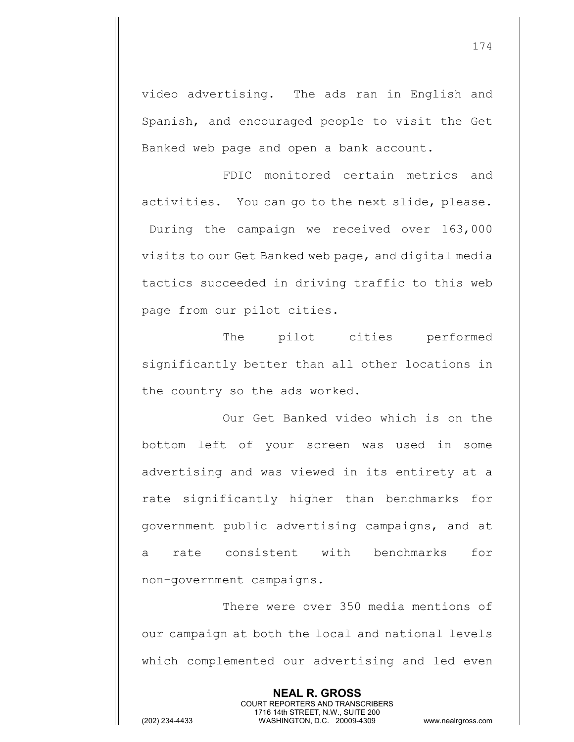video advertising. The ads ran in English and Spanish, and encouraged people to visit the Get Banked web page and open a bank account.

FDIC monitored certain metrics and activities. You can go to the next slide, please. During the campaign we received over 163,000 visits to our Get Banked web page, and digital media tactics succeeded in driving traffic to this web page from our pilot cities.

The pilot cities performed significantly better than all other locations in the country so the ads worked.

Our Get Banked video which is on the bottom left of your screen was used in some advertising and was viewed in its entirety at a rate significantly higher than benchmarks for government public advertising campaigns, and at a rate consistent with benchmarks for non-government campaigns.

There were over 350 media mentions of our campaign at both the local and national levels which complemented our advertising and led even

> **NEAL R. GROSS** COURT REPORTERS AND TRANSCRIBERS 1716 14th STREET, N.W., SUITE 200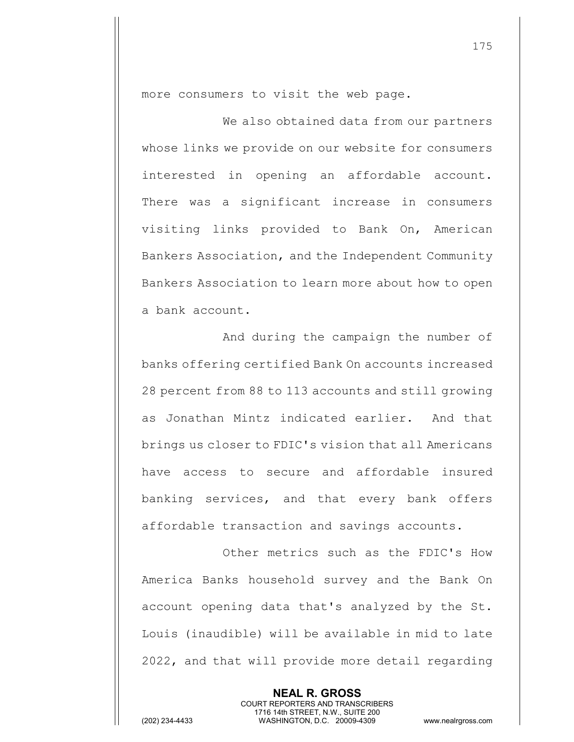more consumers to visit the web page.

We also obtained data from our partners whose links we provide on our website for consumers interested in opening an affordable account. There was a significant increase in consumers visiting links provided to Bank On, American Bankers Association, and the Independent Community Bankers Association to learn more about how to open a bank account.

And during the campaign the number of banks offering certified Bank On accounts increased 28 percent from 88 to 113 accounts and still growing as Jonathan Mintz indicated earlier. And that brings us closer to FDIC's vision that all Americans have access to secure and affordable insured banking services, and that every bank offers affordable transaction and savings accounts.

Other metrics such as the FDIC's How America Banks household survey and the Bank On account opening data that's analyzed by the St. Louis (inaudible) will be available in mid to late 2022, and that will provide more detail regarding

> **NEAL R. GROSS** COURT REPORTERS AND TRANSCRIBERS 1716 14th STREET, N.W., SUITE 200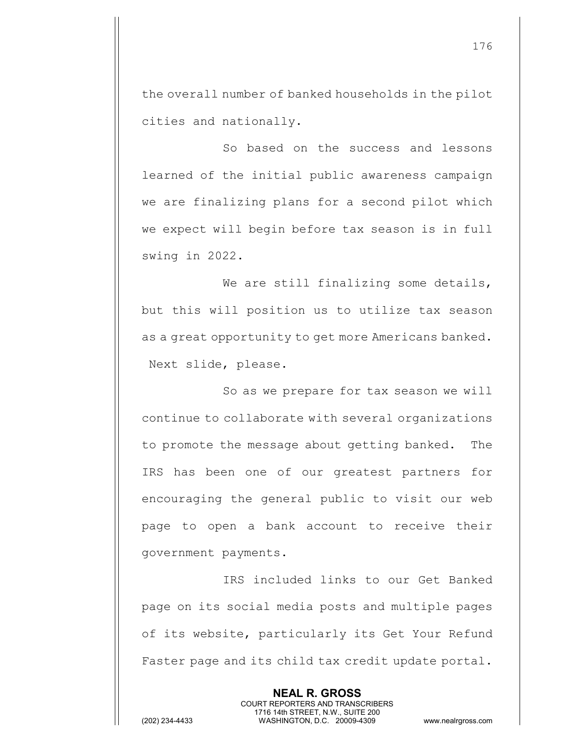the overall number of banked households in the pilot cities and nationally.

So based on the success and lessons learned of the initial public awareness campaign we are finalizing plans for a second pilot which we expect will begin before tax season is in full swing in 2022.

We are still finalizing some details, but this will position us to utilize tax season as a great opportunity to get more Americans banked. Next slide, please.

So as we prepare for tax season we will continue to collaborate with several organizations to promote the message about getting banked. The IRS has been one of our greatest partners for encouraging the general public to visit our web page to open a bank account to receive their government payments.

IRS included links to our Get Banked page on its social media posts and multiple pages of its website, particularly its Get Your Refund Faster page and its child tax credit update portal.

> **NEAL R. GROSS** COURT REPORTERS AND TRANSCRIBERS 1716 14th STREET, N.W., SUITE 200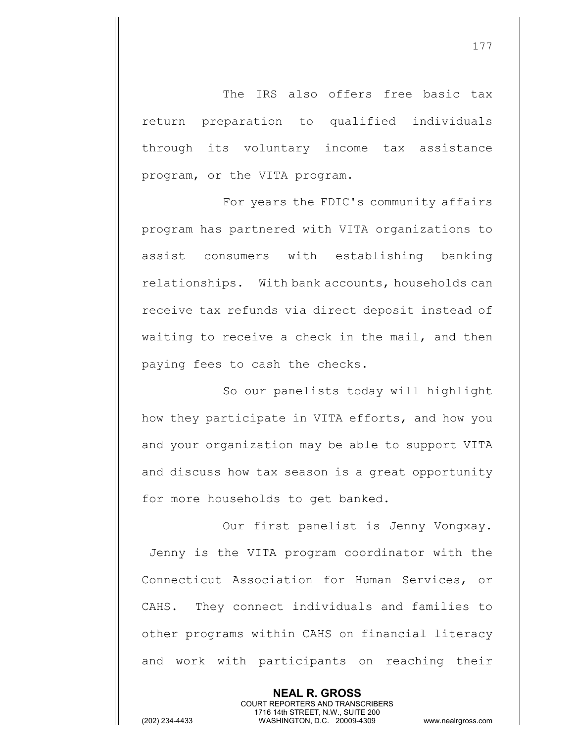The IRS also offers free basic tax return preparation to qualified individuals through its voluntary income tax assistance program, or the VITA program.

For years the FDIC's community affairs program has partnered with VITA organizations to assist consumers with establishing banking relationships. With bank accounts, households can receive tax refunds via direct deposit instead of waiting to receive a check in the mail, and then paying fees to cash the checks.

So our panelists today will highlight how they participate in VITA efforts, and how you and your organization may be able to support VITA and discuss how tax season is a great opportunity for more households to get banked.

Our first panelist is Jenny Vongxay. Jenny is the VITA program coordinator with the Connecticut Association for Human Services, or CAHS. They connect individuals and families to other programs within CAHS on financial literacy and work with participants on reaching their

> **NEAL R. GROSS** COURT REPORTERS AND TRANSCRIBERS 1716 14th STREET, N.W., SUITE 200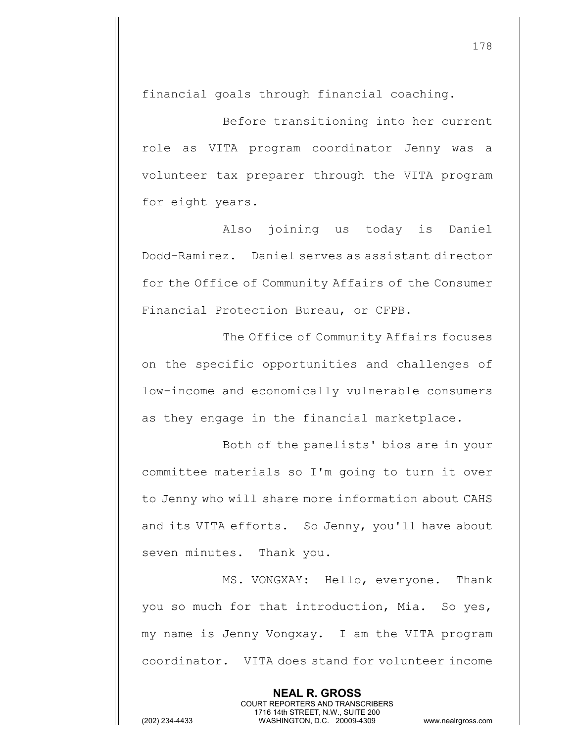financial goals through financial coaching.

Before transitioning into her current role as VITA program coordinator Jenny was a volunteer tax preparer through the VITA program for eight years.

Also joining us today is Daniel Dodd-Ramirez. Daniel serves as assistant director for the Office of Community Affairs of the Consumer Financial Protection Bureau, or CFPB.

The Office of Community Affairs focuses on the specific opportunities and challenges of low-income and economically vulnerable consumers as they engage in the financial marketplace.

Both of the panelists' bios are in your committee materials so I'm going to turn it over to Jenny who will share more information about CAHS and its VITA efforts. So Jenny, you'll have about seven minutes. Thank you.

MS. VONGXAY: Hello, everyone. Thank you so much for that introduction, Mia. So yes, my name is Jenny Vongxay. I am the VITA program coordinator. VITA does stand for volunteer income

> **NEAL R. GROSS** COURT REPORTERS AND TRANSCRIBERS 1716 14th STREET, N.W., SUITE 200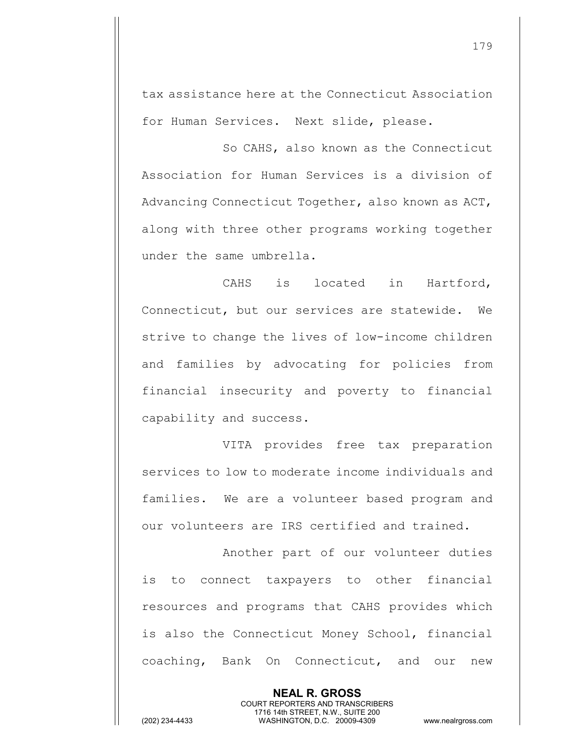tax assistance here at the Connecticut Association for Human Services. Next slide, please.

So CAHS, also known as the Connecticut Association for Human Services is a division of Advancing Connecticut Together, also known as ACT, along with three other programs working together under the same umbrella.

CAHS is located in Hartford, Connecticut, but our services are statewide. We strive to change the lives of low-income children and families by advocating for policies from financial insecurity and poverty to financial capability and success.

VITA provides free tax preparation services to low to moderate income individuals and families. We are a volunteer based program and our volunteers are IRS certified and trained.

Another part of our volunteer duties is to connect taxpayers to other financial resources and programs that CAHS provides which is also the Connecticut Money School, financial coaching, Bank On Connecticut, and our new

> **NEAL R. GROSS** COURT REPORTERS AND TRANSCRIBERS 1716 14th STREET, N.W., SUITE 200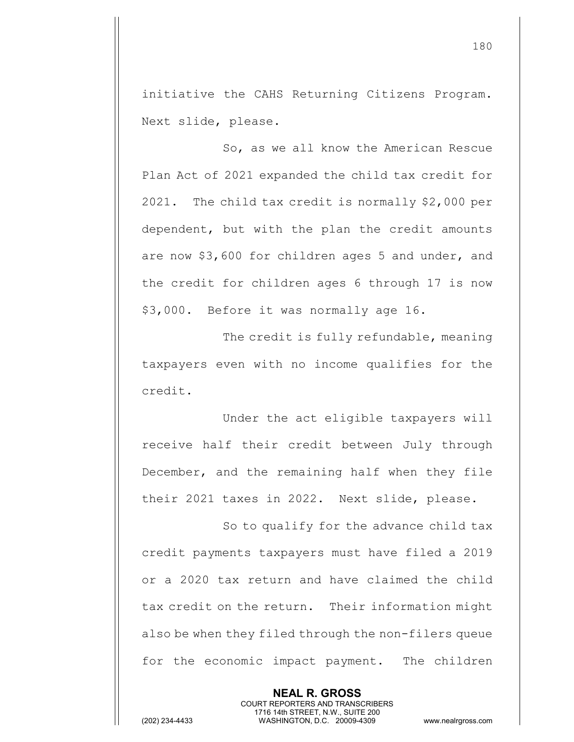initiative the CAHS Returning Citizens Program. Next slide, please.

So, as we all know the American Rescue Plan Act of 2021 expanded the child tax credit for 2021. The child tax credit is normally \$2,000 per dependent, but with the plan the credit amounts are now \$3,600 for children ages 5 and under, and the credit for children ages 6 through 17 is now \$3,000. Before it was normally age 16.

The credit is fully refundable, meaning taxpayers even with no income qualifies for the credit.

Under the act eligible taxpayers will receive half their credit between July through December, and the remaining half when they file their 2021 taxes in 2022. Next slide, please.

So to qualify for the advance child tax credit payments taxpayers must have filed a 2019 or a 2020 tax return and have claimed the child tax credit on the return. Their information might also be when they filed through the non-filers queue for the economic impact payment. The children

> **NEAL R. GROSS** COURT REPORTERS AND TRANSCRIBERS 1716 14th STREET, N.W., SUITE 200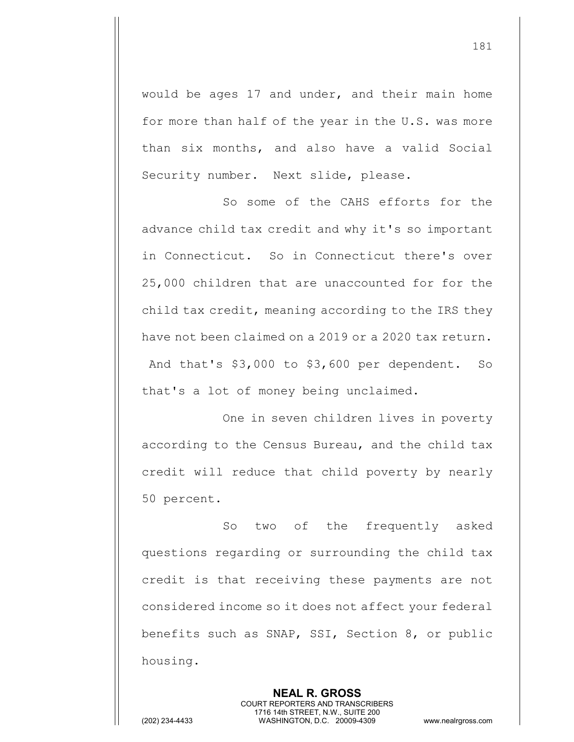would be ages 17 and under, and their main home for more than half of the year in the U.S. was more than six months, and also have a valid Social Security number. Next slide, please.

So some of the CAHS efforts for the advance child tax credit and why it's so important in Connecticut. So in Connecticut there's over 25,000 children that are unaccounted for for the child tax credit, meaning according to the IRS they have not been claimed on a 2019 or a 2020 tax return. And that's \$3,000 to \$3,600 per dependent. So that's a lot of money being unclaimed.

One in seven children lives in poverty according to the Census Bureau, and the child tax credit will reduce that child poverty by nearly 50 percent.

So two of the frequently asked questions regarding or surrounding the child tax credit is that receiving these payments are not considered income so it does not affect your federal benefits such as SNAP, SSI, Section 8, or public housing.

> **NEAL R. GROSS** COURT REPORTERS AND TRANSCRIBERS 1716 14th STREET, N.W., SUITE 200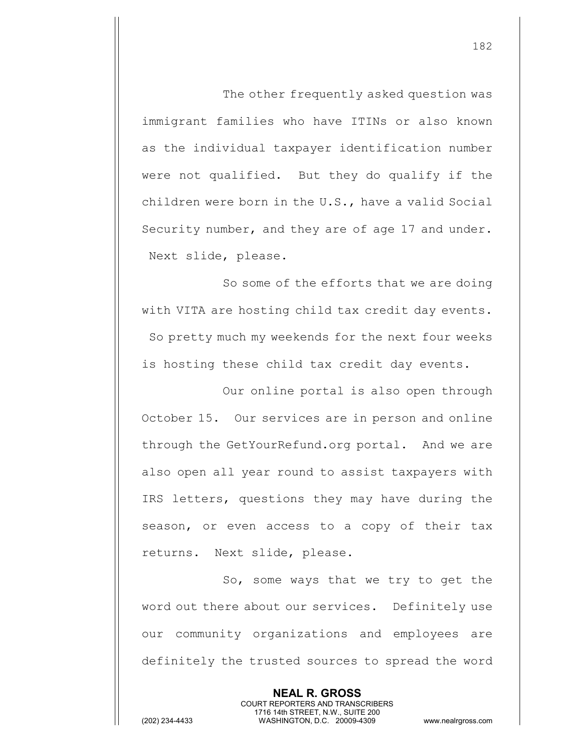The other frequently asked question was immigrant families who have ITINs or also known as the individual taxpayer identification number were not qualified. But they do qualify if the children were born in the U.S., have a valid Social Security number, and they are of age 17 and under. Next slide, please.

So some of the efforts that we are doing with VITA are hosting child tax credit day events. So pretty much my weekends for the next four weeks is hosting these child tax credit day events.

Our online portal is also open through October 15. Our services are in person and online through the GetYourRefund.org portal. And we are also open all year round to assist taxpayers with IRS letters, questions they may have during the season, or even access to a copy of their tax returns. Next slide, please.

So, some ways that we try to get the word out there about our services. Definitely use our community organizations and employees are definitely the trusted sources to spread the word

> **NEAL R. GROSS** COURT REPORTERS AND TRANSCRIBERS 1716 14th STREET, N.W., SUITE 200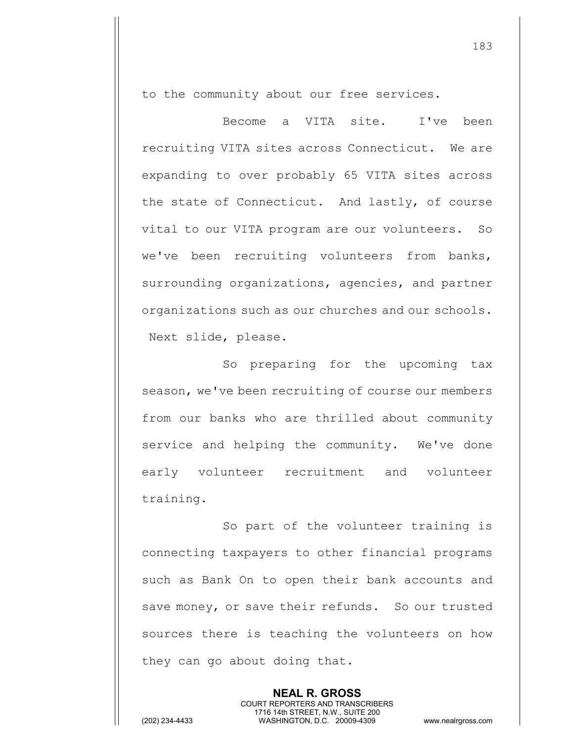to the community about our free services.

Become a VITA site. I've been recruiting VITA sites across Connecticut. We are expanding to over probably 65 VITA sites across the state of Connecticut. And lastly, of course vital to our VITA program are our volunteers. So we've been recruiting volunteers from banks, surrounding organizations, agencies, and partner organizations such as our churches and our schools. Next slide, please.

So preparing for the upcoming tax season, we've been recruiting of course our members from our banks who are thrilled about community service and helping the community. We've done early volunteer recruitment and volunteer training.

So part of the volunteer training is connecting taxpayers to other financial programs such as Bank On to open their bank accounts and save money, or save their refunds. So our trusted sources there is teaching the volunteers on how they can go about doing that.

> **NEAL R. GROSS** COURT REPORTERS AND TRANSCRIBERS 1716 14th STREET, N.W., SUITE 200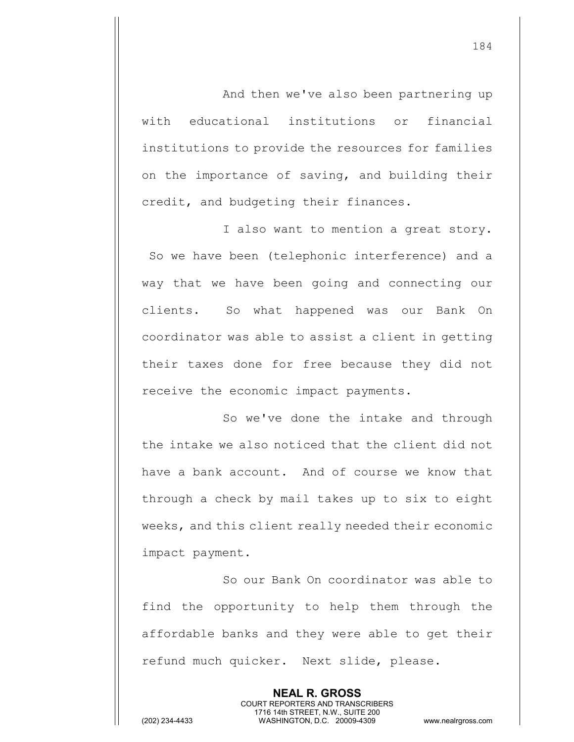And then we've also been partnering up with educational institutions or financial institutions to provide the resources for families on the importance of saving, and building their credit, and budgeting their finances.

I also want to mention a great story. So we have been (telephonic interference) and a way that we have been going and connecting our clients. So what happened was our Bank On coordinator was able to assist a client in getting their taxes done for free because they did not receive the economic impact payments.

So we've done the intake and through the intake we also noticed that the client did not have a bank account. And of course we know that through a check by mail takes up to six to eight weeks, and this client really needed their economic impact payment.

So our Bank On coordinator was able to find the opportunity to help them through the affordable banks and they were able to get their refund much quicker. Next slide, please.

> **NEAL R. GROSS** COURT REPORTERS AND TRANSCRIBERS 1716 14th STREET, N.W., SUITE 200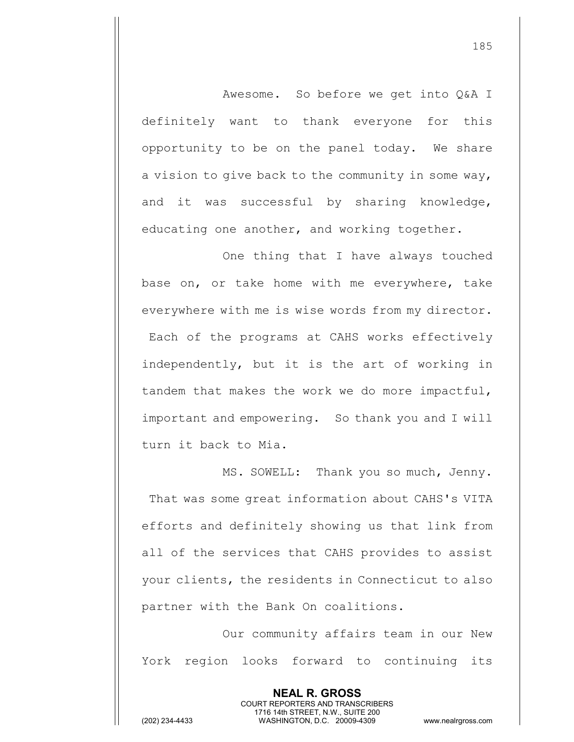Awesome. So before we get into Q&A I definitely want to thank everyone for this opportunity to be on the panel today. We share a vision to give back to the community in some way, and it was successful by sharing knowledge, educating one another, and working together.

One thing that I have always touched base on, or take home with me everywhere, take everywhere with me is wise words from my director. Each of the programs at CAHS works effectively independently, but it is the art of working in tandem that makes the work we do more impactful, important and empowering. So thank you and I will turn it back to Mia.

MS. SOWELL: Thank you so much, Jenny. That was some great information about CAHS's VITA efforts and definitely showing us that link from all of the services that CAHS provides to assist your clients, the residents in Connecticut to also partner with the Bank On coalitions.

Our community affairs team in our New York region looks forward to continuing its

> **NEAL R. GROSS** COURT REPORTERS AND TRANSCRIBERS 1716 14th STREET, N.W., SUITE 200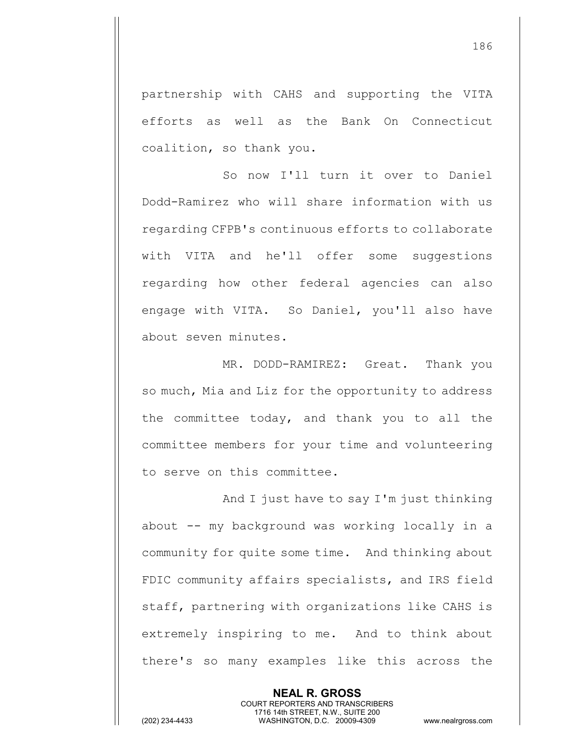partnership with CAHS and supporting the VITA efforts as well as the Bank On Connecticut coalition, so thank you.

So now I'll turn it over to Daniel Dodd-Ramirez who will share information with us regarding CFPB's continuous efforts to collaborate with VITA and he'll offer some suggestions regarding how other federal agencies can also engage with VITA. So Daniel, you'll also have about seven minutes.

MR. DODD-RAMIREZ: Great. Thank you so much, Mia and Liz for the opportunity to address the committee today, and thank you to all the committee members for your time and volunteering to serve on this committee.

And I just have to say I'm just thinking about -- my background was working locally in a community for quite some time. And thinking about FDIC community affairs specialists, and IRS field staff, partnering with organizations like CAHS is extremely inspiring to me. And to think about there's so many examples like this across the

> **NEAL R. GROSS** COURT REPORTERS AND TRANSCRIBERS 1716 14th STREET, N.W., SUITE 200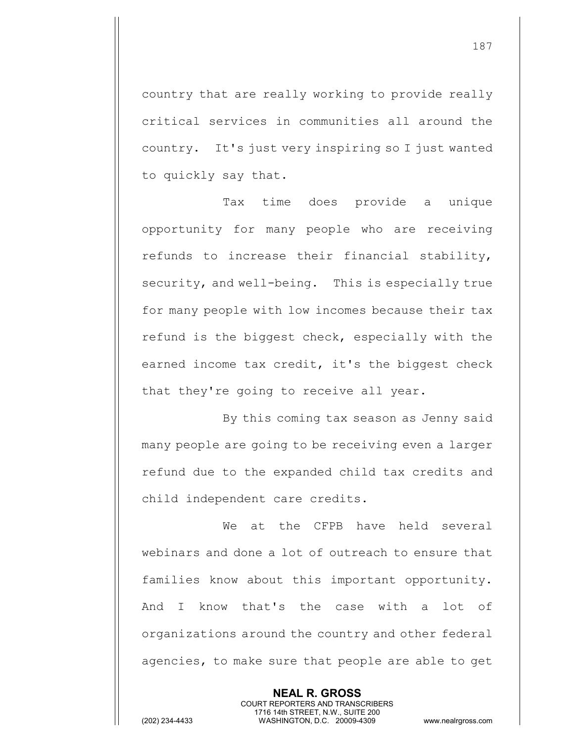country that are really working to provide really critical services in communities all around the country. It's just very inspiring so I just wanted to quickly say that.

Tax time does provide a unique opportunity for many people who are receiving refunds to increase their financial stability, security, and well-being. This is especially true for many people with low incomes because their tax refund is the biggest check, especially with the earned income tax credit, it's the biggest check that they're going to receive all year.

By this coming tax season as Jenny said many people are going to be receiving even a larger refund due to the expanded child tax credits and child independent care credits.

We at the CFPB have held several webinars and done a lot of outreach to ensure that families know about this important opportunity. And I know that's the case with a lot of organizations around the country and other federal agencies, to make sure that people are able to get

> **NEAL R. GROSS** COURT REPORTERS AND TRANSCRIBERS 1716 14th STREET, N.W., SUITE 200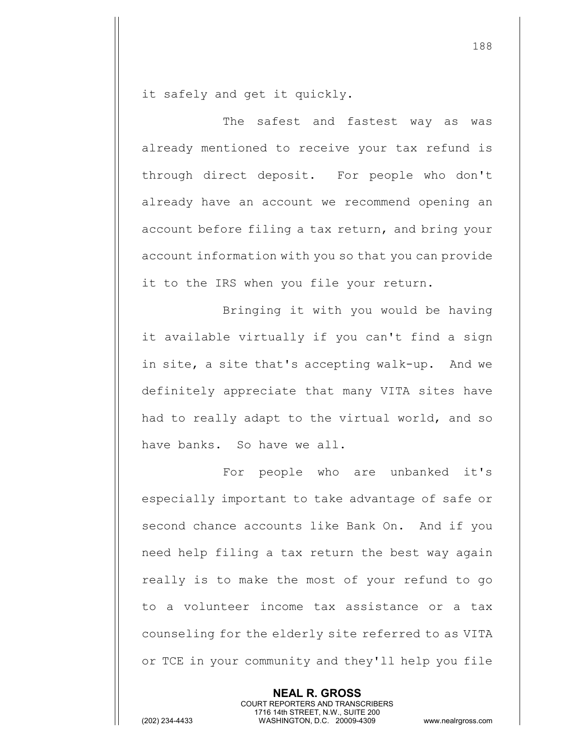it safely and get it quickly.

The safest and fastest way as was already mentioned to receive your tax refund is through direct deposit. For people who don't already have an account we recommend opening an account before filing a tax return, and bring your account information with you so that you can provide it to the IRS when you file your return.

Bringing it with you would be having it available virtually if you can't find a sign in site, a site that's accepting walk-up. And we definitely appreciate that many VITA sites have had to really adapt to the virtual world, and so have banks. So have we all.

For people who are unbanked it's especially important to take advantage of safe or second chance accounts like Bank On. And if you need help filing a tax return the best way again really is to make the most of your refund to go to a volunteer income tax assistance or a tax counseling for the elderly site referred to as VITA or TCE in your community and they'll help you file

> **NEAL R. GROSS** COURT REPORTERS AND TRANSCRIBERS 1716 14th STREET, N.W., SUITE 200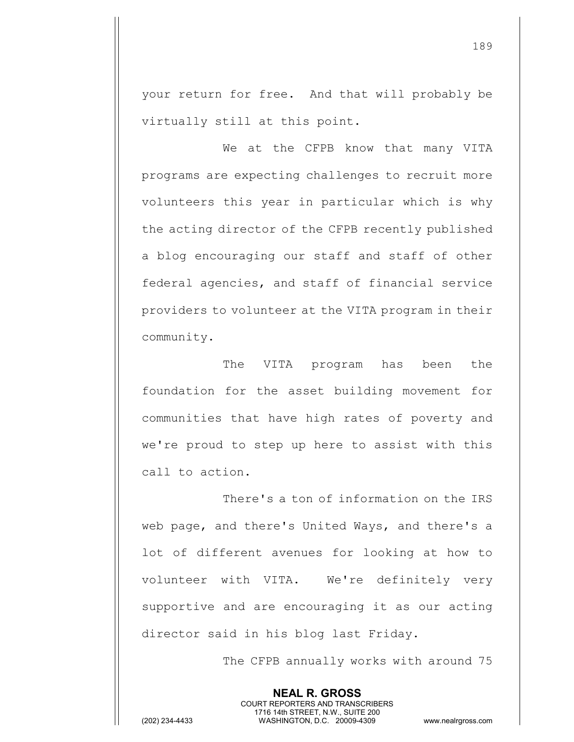your return for free. And that will probably be virtually still at this point.

We at the CFPB know that many VITA programs are expecting challenges to recruit more volunteers this year in particular which is why the acting director of the CFPB recently published a blog encouraging our staff and staff of other federal agencies, and staff of financial service providers to volunteer at the VITA program in their community.

The VITA program has been the foundation for the asset building movement for communities that have high rates of poverty and we're proud to step up here to assist with this call to action.

There's a ton of information on the IRS web page, and there's United Ways, and there's a lot of different avenues for looking at how to volunteer with VITA. We're definitely very supportive and are encouraging it as our acting director said in his blog last Friday.

> **NEAL R. GROSS** COURT REPORTERS AND TRANSCRIBERS 1716 14th STREET, N.W., SUITE 200

The CFPB annually works with around 75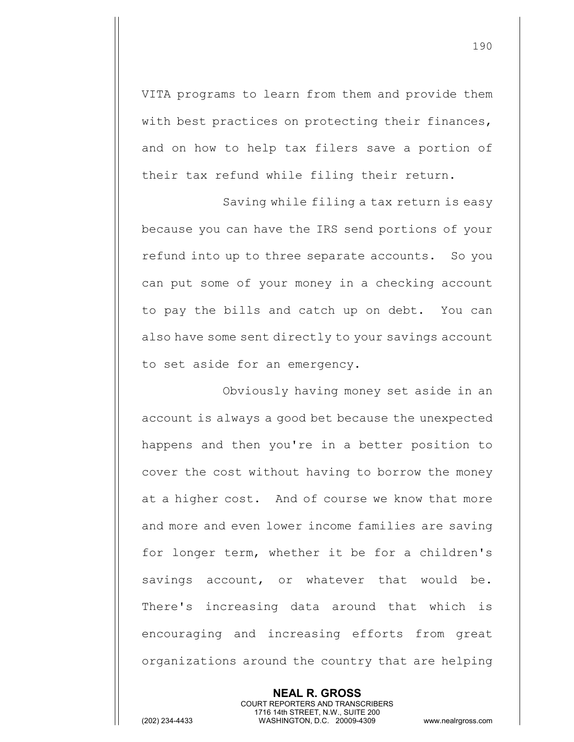VITA programs to learn from them and provide them with best practices on protecting their finances, and on how to help tax filers save a portion of their tax refund while filing their return.

Saving while filing a tax return is easy because you can have the IRS send portions of your refund into up to three separate accounts. So you can put some of your money in a checking account to pay the bills and catch up on debt. You can also have some sent directly to your savings account to set aside for an emergency.

Obviously having money set aside in an account is always a good bet because the unexpected happens and then you're in a better position to cover the cost without having to borrow the money at a higher cost. And of course we know that more and more and even lower income families are saving for longer term, whether it be for a children's savings account, or whatever that would be. There's increasing data around that which is encouraging and increasing efforts from great organizations around the country that are helping

COURT REPORTERS AND TRANSCRIBERS 1716 14th STREET, N.W., SUITE 200 (202) 234-4433 WASHINGTON, D.C. 20009-4309 www.nealrgross.com

**NEAL R. GROSS**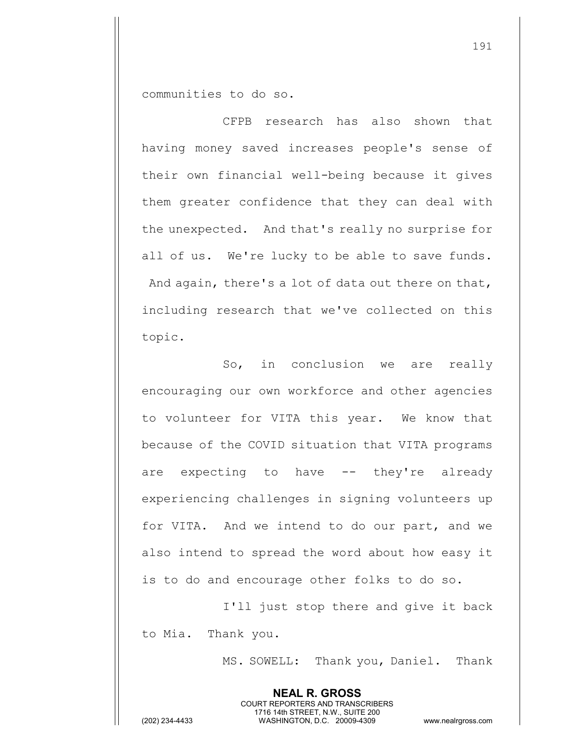communities to do so.

CFPB research has also shown that having money saved increases people's sense of their own financial well-being because it gives them greater confidence that they can deal with the unexpected. And that's really no surprise for all of us. We're lucky to be able to save funds. And again, there's a lot of data out there on that, including research that we've collected on this topic.

So, in conclusion we are really encouraging our own workforce and other agencies to volunteer for VITA this year. We know that because of the COVID situation that VITA programs are expecting to have -- they're already experiencing challenges in signing volunteers up for VITA. And we intend to do our part, and we also intend to spread the word about how easy it is to do and encourage other folks to do so.

I'll just stop there and give it back to Mia. Thank you.

> **NEAL R. GROSS** COURT REPORTERS AND TRANSCRIBERS 1716 14th STREET, N.W., SUITE 200

MS. SOWELL: Thank you, Daniel. Thank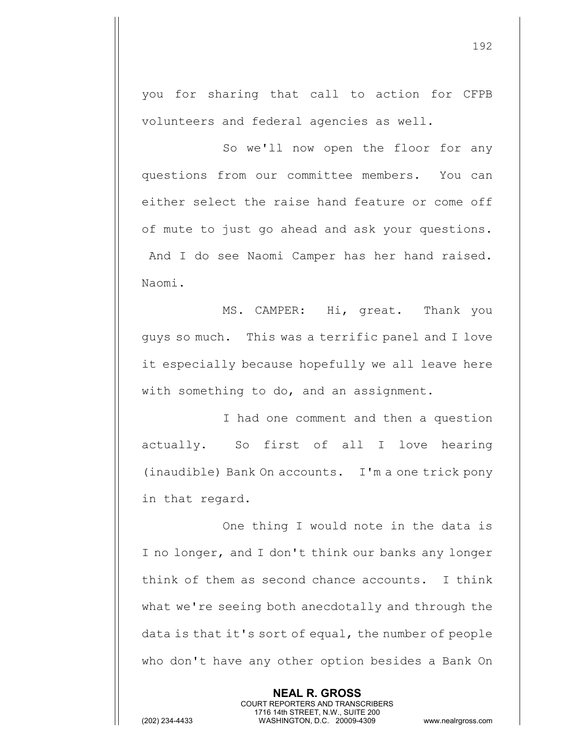you for sharing that call to action for CFPB volunteers and federal agencies as well.

So we'll now open the floor for any questions from our committee members. You can either select the raise hand feature or come off of mute to just go ahead and ask your questions. And I do see Naomi Camper has her hand raised. Naomi.

MS. CAMPER: Hi, great. Thank you guys so much. This was a terrific panel and I love it especially because hopefully we all leave here with something to do, and an assignment.

I had one comment and then a question actually. So first of all I love hearing (inaudible) Bank On accounts. I'm a one trick pony in that regard.

One thing I would note in the data is I no longer, and I don't think our banks any longer think of them as second chance accounts. I think what we're seeing both anecdotally and through the data is that it's sort of equal, the number of people who don't have any other option besides a Bank On

> **NEAL R. GROSS** COURT REPORTERS AND TRANSCRIBERS 1716 14th STREET, N.W., SUITE 200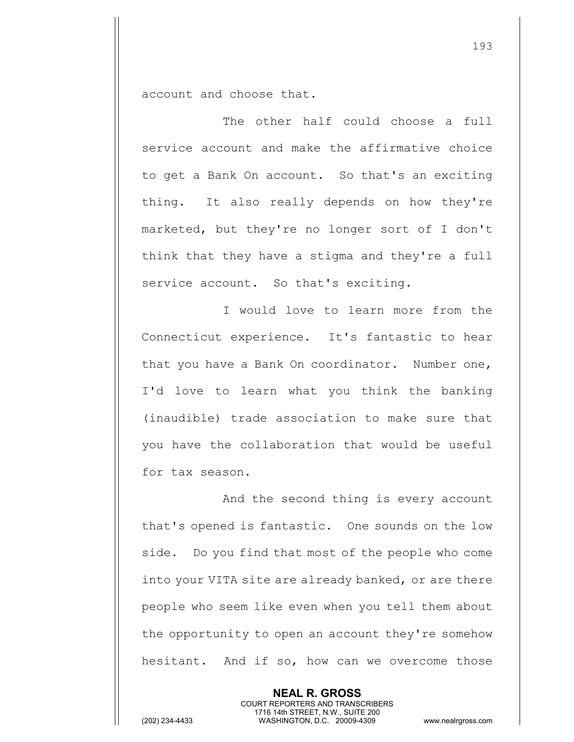account and choose that.

The other half could choose a full service account and make the affirmative choice to get a Bank On account. So that's an exciting thing. It also really depends on how they're marketed, but they're no longer sort of I don't think that they have a stigma and they're a full service account. So that's exciting.

I would love to learn more from the Connecticut experience. It's fantastic to hear that you have a Bank On coordinator. Number one, I'd love to learn what you think the banking (inaudible) trade association to make sure that you have the collaboration that would be useful for tax season.

And the second thing is every account that's opened is fantastic. One sounds on the low side. Do you find that most of the people who come into your VITA site are already banked, or are there people who seem like even when you tell them about the opportunity to open an account they're somehow hesitant. And if so, how can we overcome those

> **NEAL R. GROSS** COURT REPORTERS AND TRANSCRIBERS 1716 14th STREET, N.W., SUITE 200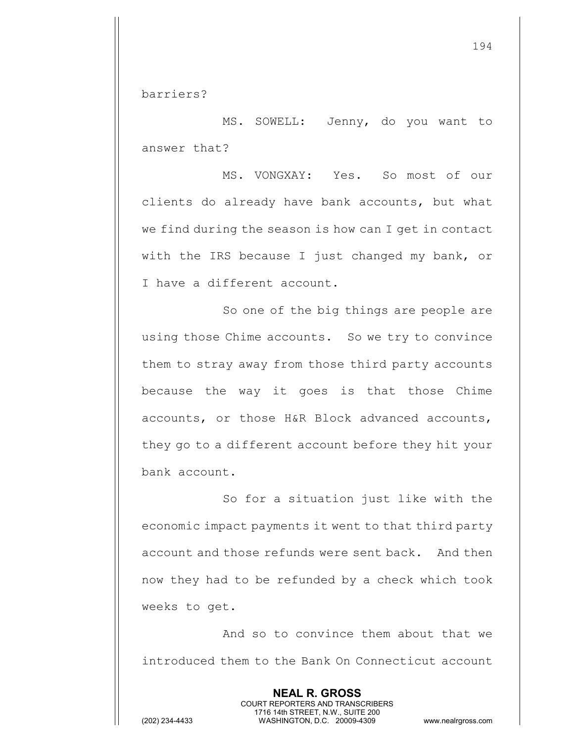barriers?

MS. SOWELL: Jenny, do you want to answer that?

MS. VONGXAY: Yes. So most of our clients do already have bank accounts, but what we find during the season is how can I get in contact with the IRS because I just changed my bank, or I have a different account.

So one of the big things are people are using those Chime accounts. So we try to convince them to stray away from those third party accounts because the way it goes is that those Chime accounts, or those H&R Block advanced accounts, they go to a different account before they hit your bank account.

So for a situation just like with the economic impact payments it went to that third party account and those refunds were sent back. And then now they had to be refunded by a check which took weeks to get.

And so to convince them about that we introduced them to the Bank On Connecticut account

> **NEAL R. GROSS** COURT REPORTERS AND TRANSCRIBERS 1716 14th STREET, N.W., SUITE 200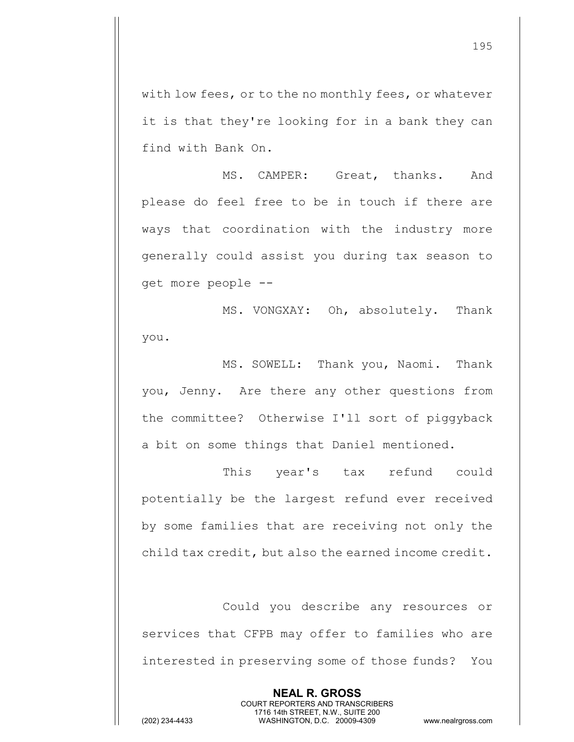with low fees, or to the no monthly fees, or whatever it is that they're looking for in a bank they can find with Bank On.

MS. CAMPER: Great, thanks. And please do feel free to be in touch if there are ways that coordination with the industry more generally could assist you during tax season to get more people --

MS. VONGXAY: Oh, absolutely. Thank you.

MS. SOWELL: Thank you, Naomi. Thank you, Jenny. Are there any other questions from the committee? Otherwise I'll sort of piggyback a bit on some things that Daniel mentioned.

This year's tax refund could potentially be the largest refund ever received by some families that are receiving not only the child tax credit, but also the earned income credit.

Could you describe any resources or services that CFPB may offer to families who are interested in preserving some of those funds? You

> **NEAL R. GROSS** COURT REPORTERS AND TRANSCRIBERS 1716 14th STREET, N.W., SUITE 200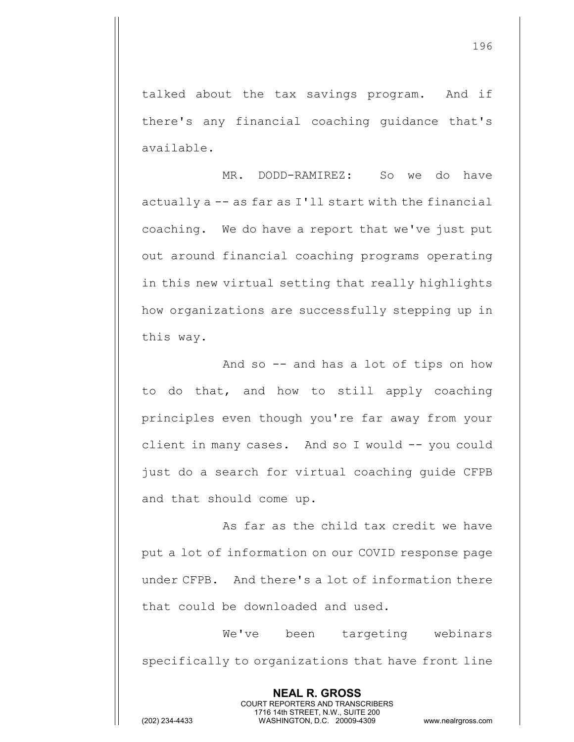talked about the tax savings program. And if there's any financial coaching guidance that's available.

MR. DODD-RAMIREZ: So we do have actually a -- as far as I'll start with the financial coaching. We do have a report that we've just put out around financial coaching programs operating in this new virtual setting that really highlights how organizations are successfully stepping up in this way.

And so -- and has a lot of tips on how to do that, and how to still apply coaching principles even though you're far away from your client in many cases. And so I would -- you could just do a search for virtual coaching guide CFPB and that should come up.

As far as the child tax credit we have put a lot of information on our COVID response page under CFPB. And there's a lot of information there that could be downloaded and used.

We've been targeting webinars specifically to organizations that have front line

> **NEAL R. GROSS** COURT REPORTERS AND TRANSCRIBERS 1716 14th STREET, N.W., SUITE 200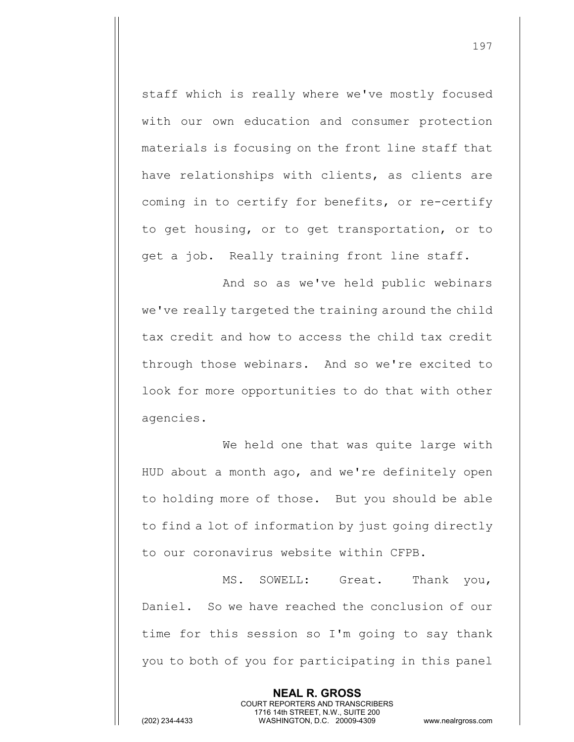staff which is really where we've mostly focused with our own education and consumer protection materials is focusing on the front line staff that have relationships with clients, as clients are coming in to certify for benefits, or re-certify to get housing, or to get transportation, or to get a job. Really training front line staff.

And so as we've held public webinars we've really targeted the training around the child tax credit and how to access the child tax credit through those webinars. And so we're excited to look for more opportunities to do that with other agencies.

We held one that was quite large with HUD about a month ago, and we're definitely open to holding more of those. But you should be able to find a lot of information by just going directly to our coronavirus website within CFPB.

MS. SOWELL: Great. Thank you, Daniel. So we have reached the conclusion of our time for this session so I'm going to say thank you to both of you for participating in this panel

> **NEAL R. GROSS** COURT REPORTERS AND TRANSCRIBERS 1716 14th STREET, N.W., SUITE 200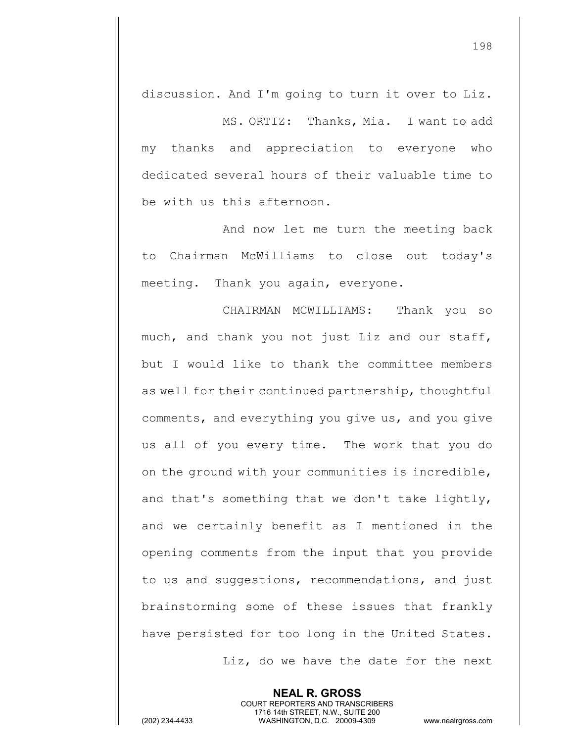discussion. And I'm going to turn it over to Liz.

MS. ORTIZ: Thanks, Mia. I want to add my thanks and appreciation to everyone who dedicated several hours of their valuable time to be with us this afternoon.

And now let me turn the meeting back to Chairman McWilliams to close out today's meeting. Thank you again, everyone.

CHAIRMAN MCWILLIAMS: Thank you so much, and thank you not just Liz and our staff, but I would like to thank the committee members as well for their continued partnership, thoughtful comments, and everything you give us, and you give us all of you every time. The work that you do on the ground with your communities is incredible, and that's something that we don't take lightly, and we certainly benefit as I mentioned in the opening comments from the input that you provide to us and suggestions, recommendations, and just brainstorming some of these issues that frankly have persisted for too long in the United States.

> **NEAL R. GROSS** COURT REPORTERS AND TRANSCRIBERS 1716 14th STREET, N.W., SUITE 200

Liz, do we have the date for the next